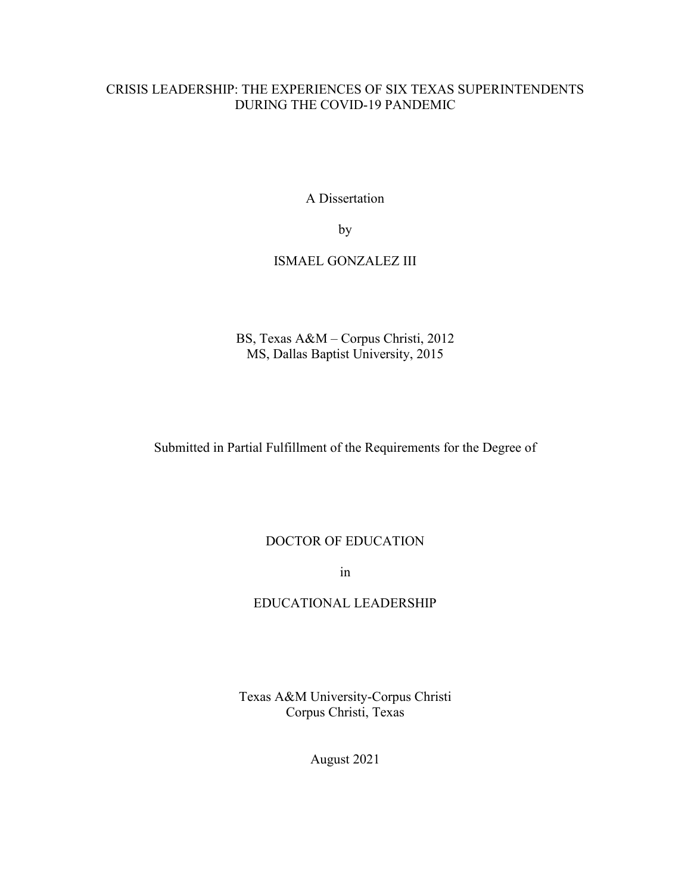# CRISIS LEADERSHIP: THE EXPERIENCES OF SIX TEXAS SUPERINTENDENTS DURING THE COVID-19 PANDEMIC

A Dissertation

by

# ISMAEL GONZALEZ III

BS, Texas A&M – Corpus Christi, 2012 MS, Dallas Baptist University, 2015

Submitted in Partial Fulfillment of the Requirements for the Degree of

# DOCTOR OF EDUCATION

in

## EDUCATIONAL LEADERSHIP

Texas A&M University-Corpus Christi Corpus Christi, Texas

August 2021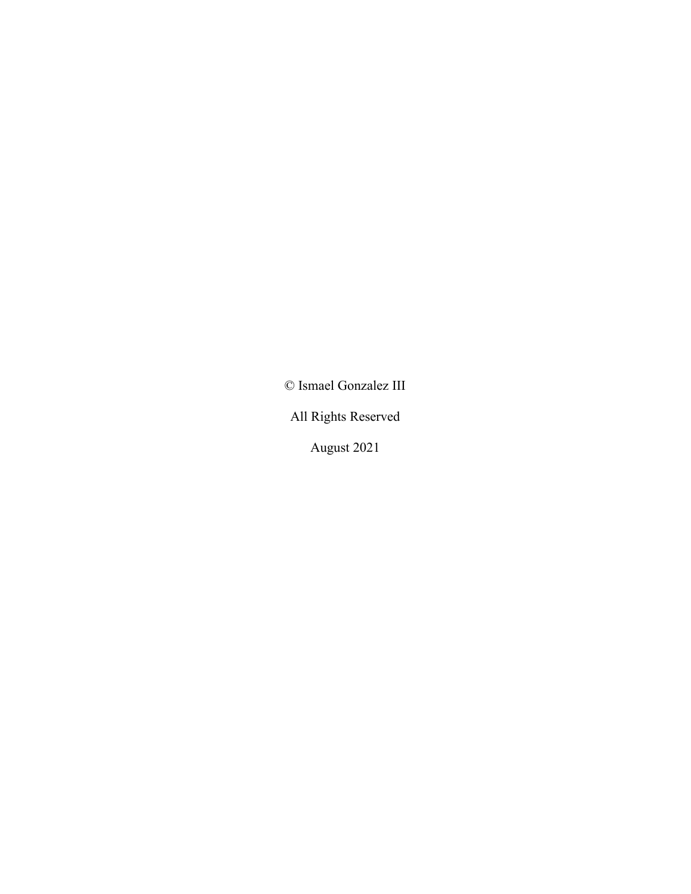© Ismael Gonzalez III

All Rights Reserved

August 2021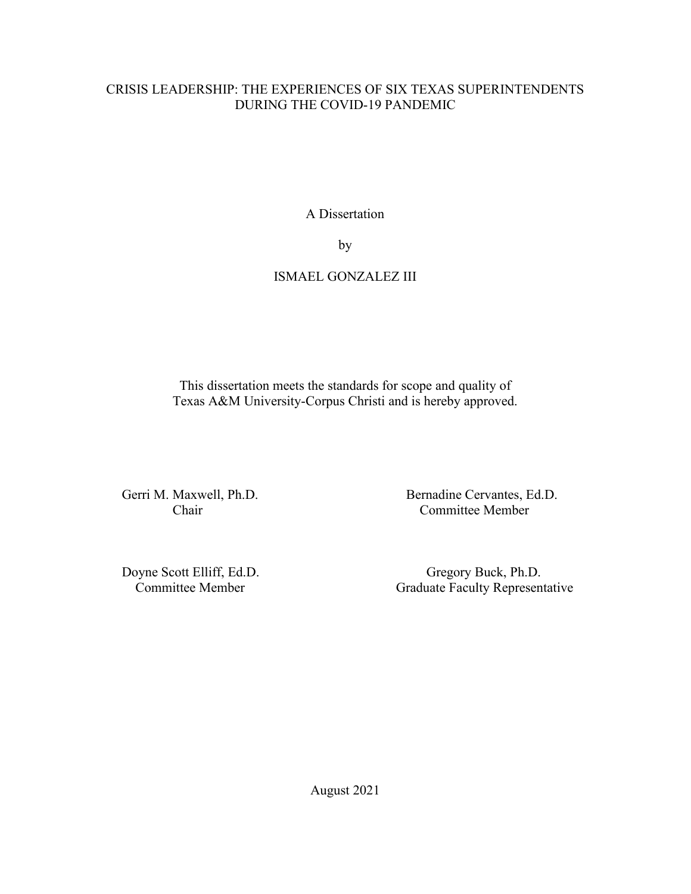# CRISIS LEADERSHIP: THE EXPERIENCES OF SIX TEXAS SUPERINTENDENTS DURING THE COVID-19 PANDEMIC

A Dissertation

by

# ISMAEL GONZALEZ III

This dissertation meets the standards for scope and quality of Texas A&M University-Corpus Christi and is hereby approved.

Gerri M. Maxwell, Ph.D. Bernadine Cervantes, Ed.D. Chair Committee Member

Doyne Scott Elliff, Ed.D. Gregory Buck, Ph.D. Committee Member Graduate Faculty Representative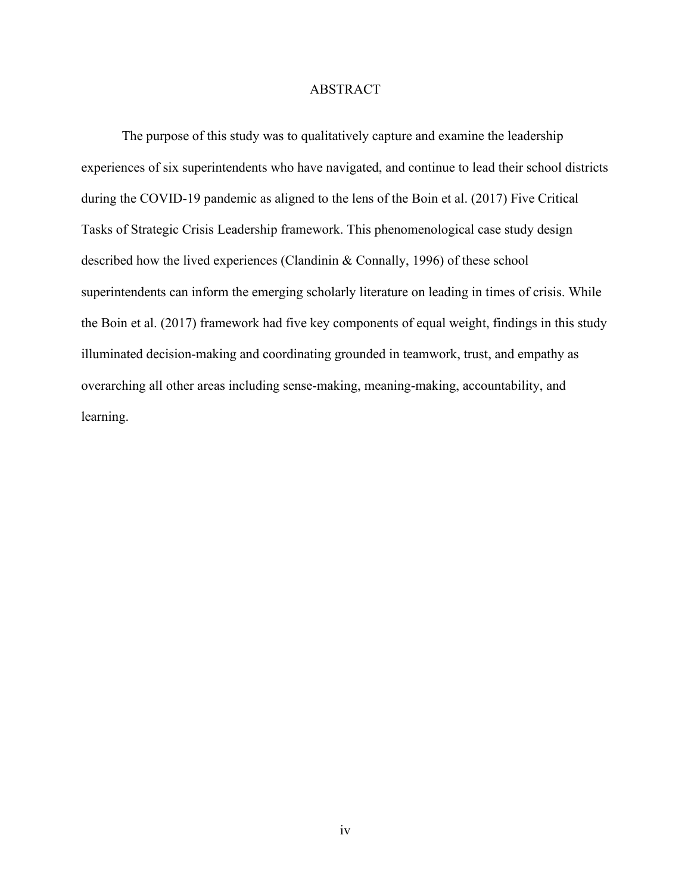## ABSTRACT

The purpose of this study was to qualitatively capture and examine the leadership experiences of six superintendents who have navigated, and continue to lead their school districts during the COVID-19 pandemic as aligned to the lens of the Boin et al. (2017) Five Critical Tasks of Strategic Crisis Leadership framework. This phenomenological case study design described how the lived experiences (Clandinin & Connally, 1996) of these school superintendents can inform the emerging scholarly literature on leading in times of crisis. While the Boin et al. (2017) framework had five key components of equal weight, findings in this study illuminated decision-making and coordinating grounded in teamwork, trust, and empathy as overarching all other areas including sense-making, meaning-making, accountability, and learning.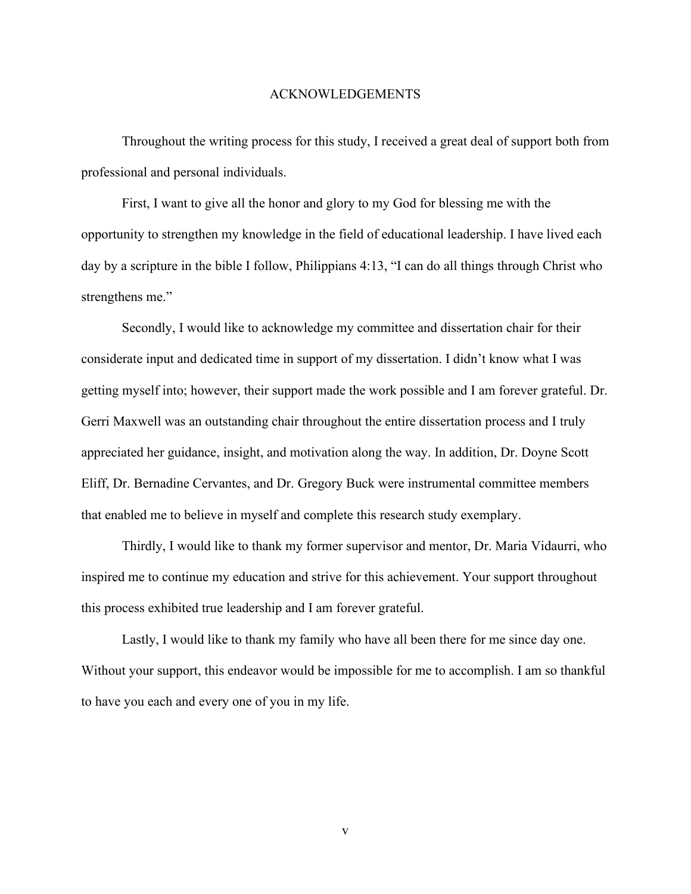#### ACKNOWLEDGEMENTS

Throughout the writing process for this study, I received a great deal of support both from professional and personal individuals.

First, I want to give all the honor and glory to my God for blessing me with the opportunity to strengthen my knowledge in the field of educational leadership. I have lived each day by a scripture in the bible I follow, Philippians 4:13, "I can do all things through Christ who strengthens me."

Secondly, I would like to acknowledge my committee and dissertation chair for their considerate input and dedicated time in support of my dissertation. I didn't know what I was getting myself into; however, their support made the work possible and I am forever grateful. Dr. Gerri Maxwell was an outstanding chair throughout the entire dissertation process and I truly appreciated her guidance, insight, and motivation along the way. In addition, Dr. Doyne Scott Eliff, Dr. Bernadine Cervantes, and Dr. Gregory Buck were instrumental committee members that enabled me to believe in myself and complete this research study exemplary.

Thirdly, I would like to thank my former supervisor and mentor, Dr. Maria Vidaurri, who inspired me to continue my education and strive for this achievement. Your support throughout this process exhibited true leadership and I am forever grateful.

Lastly, I would like to thank my family who have all been there for me since day one. Without your support, this endeavor would be impossible for me to accomplish. I am so thankful to have you each and every one of you in my life.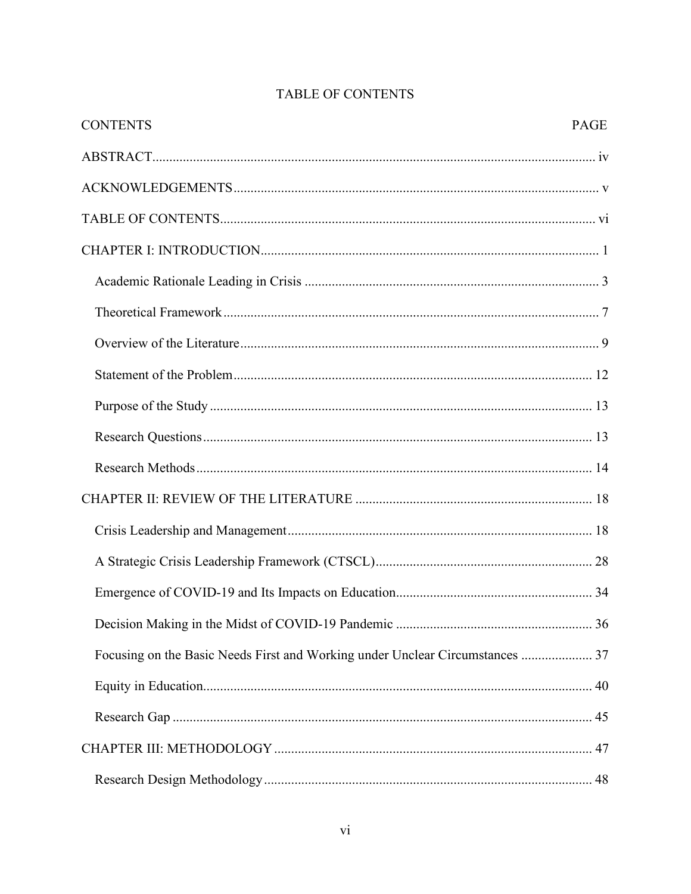| <b>CONTENTS</b>                                                               | <b>PAGE</b> |
|-------------------------------------------------------------------------------|-------------|
|                                                                               |             |
|                                                                               |             |
|                                                                               |             |
|                                                                               |             |
|                                                                               |             |
|                                                                               |             |
|                                                                               |             |
|                                                                               |             |
|                                                                               |             |
|                                                                               |             |
|                                                                               |             |
|                                                                               |             |
|                                                                               |             |
|                                                                               |             |
|                                                                               |             |
|                                                                               |             |
| Focusing on the Basic Needs First and Working under Unclear Circumstances  37 |             |
|                                                                               |             |
|                                                                               |             |
|                                                                               |             |
|                                                                               |             |

# TABLE OF CONTENTS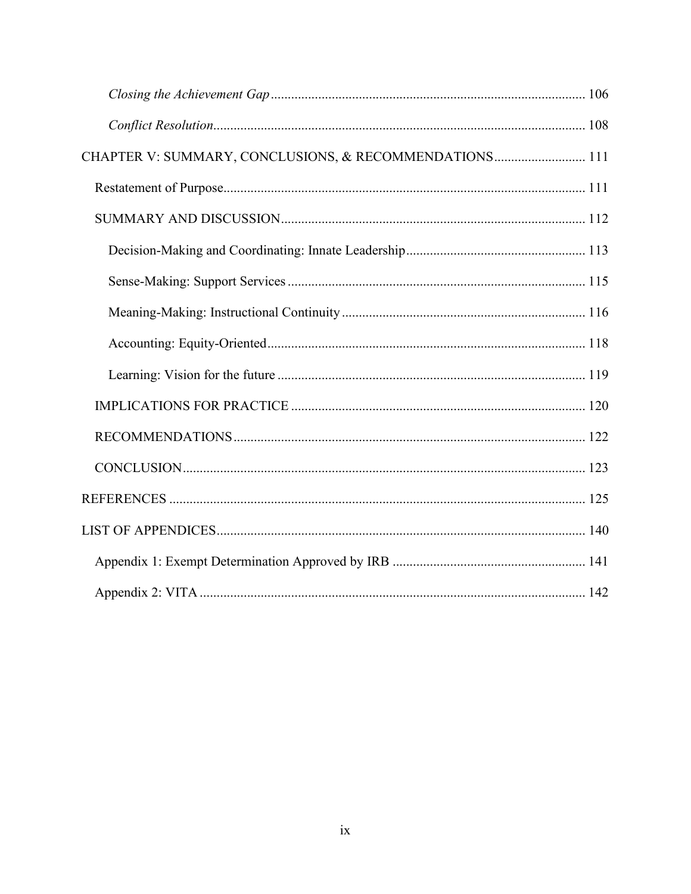| CHAPTER V: SUMMARY, CONCLUSIONS, & RECOMMENDATIONS 111 |  |
|--------------------------------------------------------|--|
|                                                        |  |
|                                                        |  |
|                                                        |  |
|                                                        |  |
|                                                        |  |
|                                                        |  |
|                                                        |  |
|                                                        |  |
|                                                        |  |
|                                                        |  |
|                                                        |  |
|                                                        |  |
|                                                        |  |
|                                                        |  |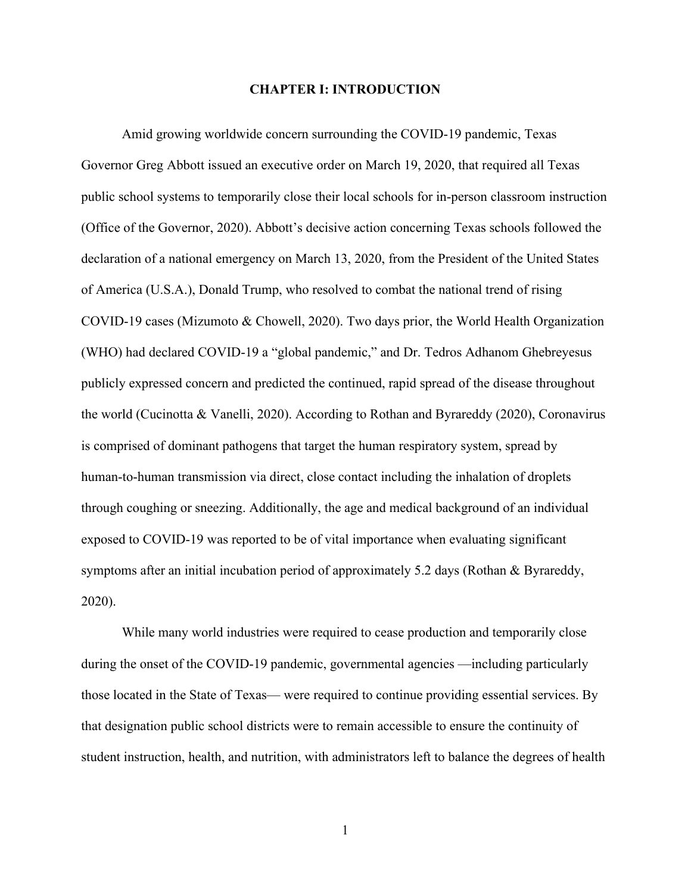#### **CHAPTER I: INTRODUCTION**

Amid growing worldwide concern surrounding the COVID-19 pandemic, Texas Governor Greg Abbott issued an executive order on March 19, 2020, that required all Texas public school systems to temporarily close their local schools for in-person classroom instruction (Office of the Governor, 2020). Abbott's decisive action concerning Texas schools followed the declaration of a national emergency on March 13, 2020, from the President of the United States of America (U.S.A.), Donald Trump, who resolved to combat the national trend of rising COVID-19 cases (Mizumoto & Chowell, 2020). Two days prior, the World Health Organization (WHO) had declared COVID-19 a "global pandemic," and Dr. Tedros Adhanom Ghebreyesus publicly expressed concern and predicted the continued, rapid spread of the disease throughout the world (Cucinotta & Vanelli, 2020). According to Rothan and Byrareddy (2020), Coronavirus is comprised of dominant pathogens that target the human respiratory system, spread by human-to-human transmission via direct, close contact including the inhalation of droplets through coughing or sneezing. Additionally, the age and medical background of an individual exposed to COVID-19 was reported to be of vital importance when evaluating significant symptoms after an initial incubation period of approximately 5.2 days (Rothan & Byrareddy, 2020).

While many world industries were required to cease production and temporarily close during the onset of the COVID-19 pandemic, governmental agencies —including particularly those located in the State of Texas— were required to continue providing essential services. By that designation public school districts were to remain accessible to ensure the continuity of student instruction, health, and nutrition, with administrators left to balance the degrees of health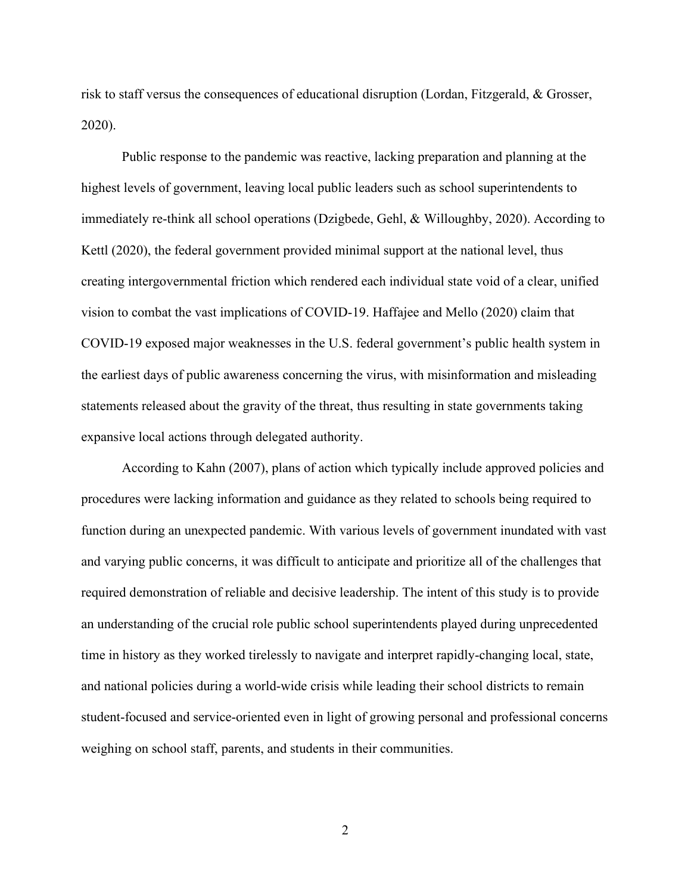risk to staff versus the consequences of educational disruption (Lordan, Fitzgerald, & Grosser, 2020).

Public response to the pandemic was reactive, lacking preparation and planning at the highest levels of government, leaving local public leaders such as school superintendents to immediately re-think all school operations (Dzigbede, Gehl, & Willoughby, 2020). According to Kettl (2020), the federal government provided minimal support at the national level, thus creating intergovernmental friction which rendered each individual state void of a clear, unified vision to combat the vast implications of COVID-19. Haffajee and Mello (2020) claim that COVID-19 exposed major weaknesses in the U.S. federal government's public health system in the earliest days of public awareness concerning the virus, with misinformation and misleading statements released about the gravity of the threat, thus resulting in state governments taking expansive local actions through delegated authority.

According to Kahn (2007), plans of action which typically include approved policies and procedures were lacking information and guidance as they related to schools being required to function during an unexpected pandemic. With various levels of government inundated with vast and varying public concerns, it was difficult to anticipate and prioritize all of the challenges that required demonstration of reliable and decisive leadership. The intent of this study is to provide an understanding of the crucial role public school superintendents played during unprecedented time in history as they worked tirelessly to navigate and interpret rapidly-changing local, state, and national policies during a world-wide crisis while leading their school districts to remain student-focused and service-oriented even in light of growing personal and professional concerns weighing on school staff, parents, and students in their communities.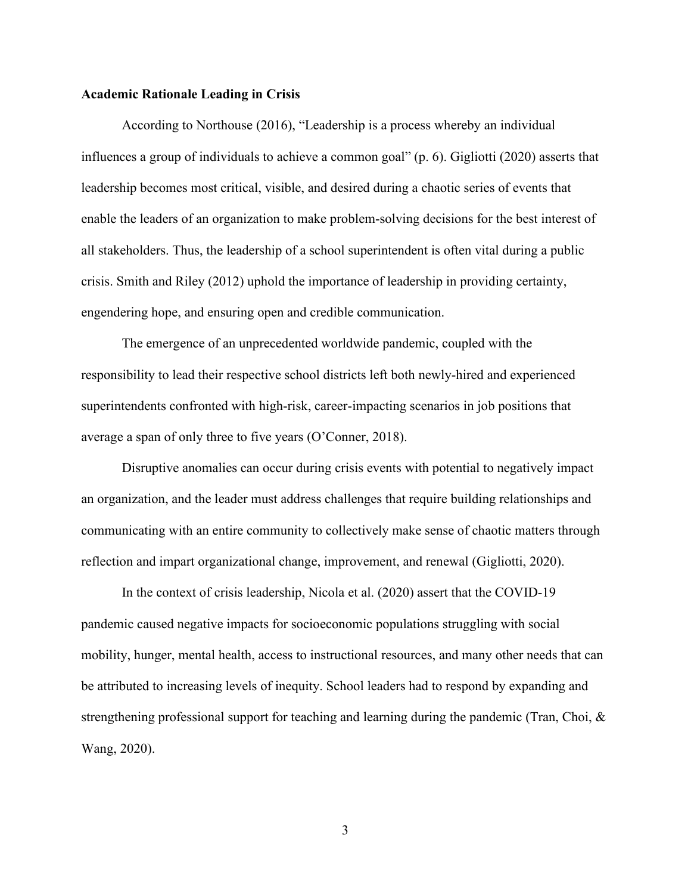#### **Academic Rationale Leading in Crisis**

According to Northouse (2016), "Leadership is a process whereby an individual influences a group of individuals to achieve a common goal" (p. 6). Gigliotti (2020) asserts that leadership becomes most critical, visible, and desired during a chaotic series of events that enable the leaders of an organization to make problem-solving decisions for the best interest of all stakeholders. Thus, the leadership of a school superintendent is often vital during a public crisis. Smith and Riley (2012) uphold the importance of leadership in providing certainty, engendering hope, and ensuring open and credible communication.

The emergence of an unprecedented worldwide pandemic, coupled with the responsibility to lead their respective school districts left both newly-hired and experienced superintendents confronted with high-risk, career-impacting scenarios in job positions that average a span of only three to five years (O'Conner, 2018).

Disruptive anomalies can occur during crisis events with potential to negatively impact an organization, and the leader must address challenges that require building relationships and communicating with an entire community to collectively make sense of chaotic matters through reflection and impart organizational change, improvement, and renewal (Gigliotti, 2020).

In the context of crisis leadership, Nicola et al. (2020) assert that the COVID-19 pandemic caused negative impacts for socioeconomic populations struggling with social mobility, hunger, mental health, access to instructional resources, and many other needs that can be attributed to increasing levels of inequity. School leaders had to respond by expanding and strengthening professional support for teaching and learning during the pandemic (Tran, Choi, & Wang, 2020).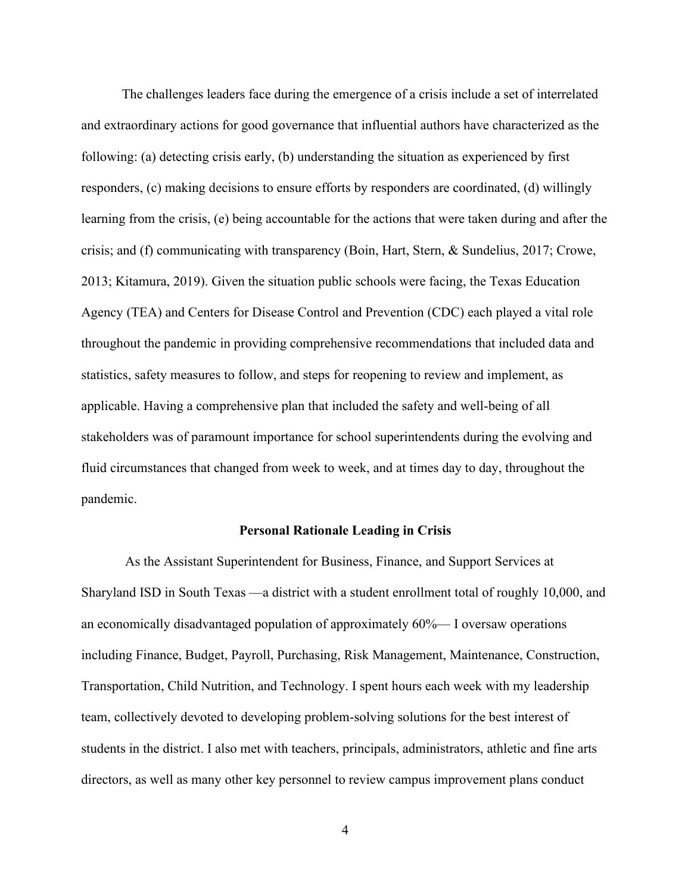The challenges leaders face during the emergence of a crisis include a set of interrelated and extraordinary actions for good governance that influential authors have characterized as the following: (a) detecting crisis early, (b) understanding the situation as experienced by first responders, (c) making decisions to ensure efforts by responders are coordinated, (d) willingly learning from the crisis, (e) being accountable for the actions that were taken during and after the crisis; and (f) communicating with transparency (Boin, Hart, Stern, & Sundelius, 2017; Crowe, 2013; Kitamura, 2019). Given the situation public schools were facing, the Texas Education Agency (TEA) and Centers for Disease Control and Prevention (CDC) each played a vital role throughout the pandemic in providing comprehensive recommendations that included data and statistics, safety measures to follow, and steps for reopening to review and implement, as applicable. Having a comprehensive plan that included the safety and well-being of all stakeholders was of paramount importance for school superintendents during the evolving and fluid circumstances that changed from week to week, and at times day to day, throughout the pandemic.

#### **Personal Rationale Leading in Crisis**

As the Assistant Superintendent for Business, Finance, and Support Services at Sharyland ISD in South Texas —a district with a student enrollment total of roughly 10,000, and an economically disadvantaged population of approximately 60%— I oversaw operations including Finance, Budget, Payroll, Purchasing, Risk Management, Maintenance, Construction, Transportation, Child Nutrition, and Technology. I spent hours each week with my leadership team, collectively devoted to developing problem-solving solutions for the best interest of students in the district. I also met with teachers, principals, administrators, athletic and fine arts directors, as well as many other key personnel to review campus improvement plans conduct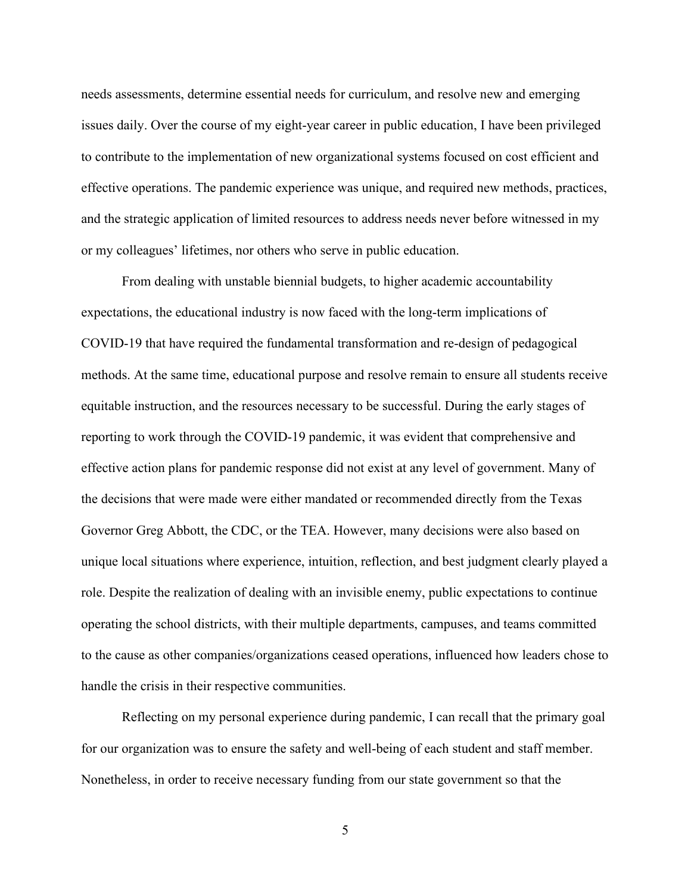needs assessments, determine essential needs for curriculum, and resolve new and emerging issues daily. Over the course of my eight-year career in public education, I have been privileged to contribute to the implementation of new organizational systems focused on cost efficient and effective operations. The pandemic experience was unique, and required new methods, practices, and the strategic application of limited resources to address needs never before witnessed in my or my colleagues' lifetimes, nor others who serve in public education.

From dealing with unstable biennial budgets, to higher academic accountability expectations, the educational industry is now faced with the long-term implications of COVID-19 that have required the fundamental transformation and re-design of pedagogical methods. At the same time, educational purpose and resolve remain to ensure all students receive equitable instruction, and the resources necessary to be successful. During the early stages of reporting to work through the COVID-19 pandemic, it was evident that comprehensive and effective action plans for pandemic response did not exist at any level of government. Many of the decisions that were made were either mandated or recommended directly from the Texas Governor Greg Abbott, the CDC, or the TEA. However, many decisions were also based on unique local situations where experience, intuition, reflection, and best judgment clearly played a role. Despite the realization of dealing with an invisible enemy, public expectations to continue operating the school districts, with their multiple departments, campuses, and teams committed to the cause as other companies/organizations ceased operations, influenced how leaders chose to handle the crisis in their respective communities.

Reflecting on my personal experience during pandemic, I can recall that the primary goal for our organization was to ensure the safety and well-being of each student and staff member. Nonetheless, in order to receive necessary funding from our state government so that the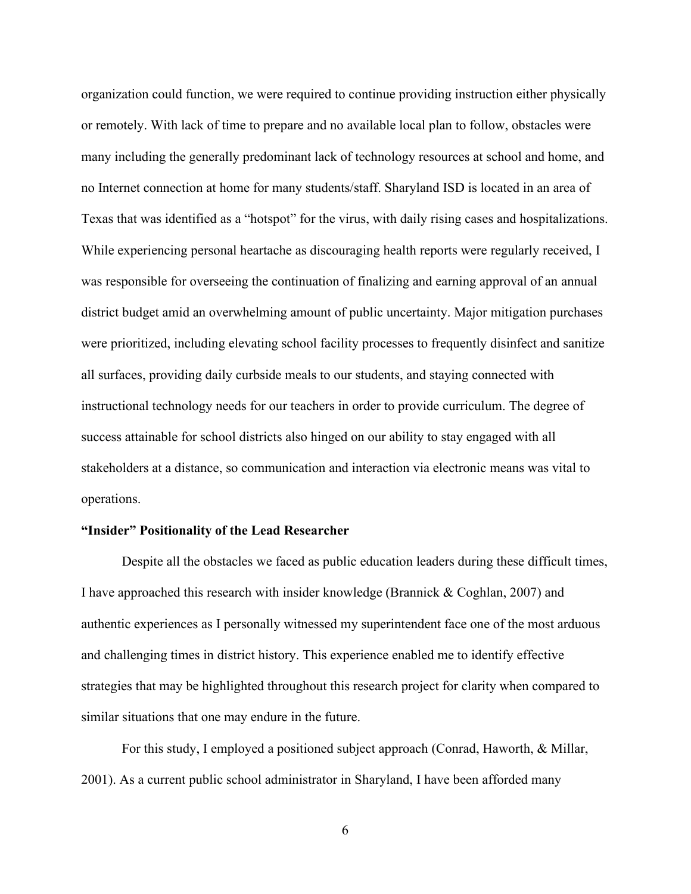organization could function, we were required to continue providing instruction either physically or remotely. With lack of time to prepare and no available local plan to follow, obstacles were many including the generally predominant lack of technology resources at school and home, and no Internet connection at home for many students/staff. Sharyland ISD is located in an area of Texas that was identified as a "hotspot" for the virus, with daily rising cases and hospitalizations. While experiencing personal heartache as discouraging health reports were regularly received, I was responsible for overseeing the continuation of finalizing and earning approval of an annual district budget amid an overwhelming amount of public uncertainty. Major mitigation purchases were prioritized, including elevating school facility processes to frequently disinfect and sanitize all surfaces, providing daily curbside meals to our students, and staying connected with instructional technology needs for our teachers in order to provide curriculum. The degree of success attainable for school districts also hinged on our ability to stay engaged with all stakeholders at a distance, so communication and interaction via electronic means was vital to operations.

## **"Insider" Positionality of the Lead Researcher**

Despite all the obstacles we faced as public education leaders during these difficult times, I have approached this research with insider knowledge (Brannick & Coghlan, 2007) and authentic experiences as I personally witnessed my superintendent face one of the most arduous and challenging times in district history. This experience enabled me to identify effective strategies that may be highlighted throughout this research project for clarity when compared to similar situations that one may endure in the future.

For this study, I employed a positioned subject approach (Conrad, Haworth, & Millar, 2001). As a current public school administrator in Sharyland, I have been afforded many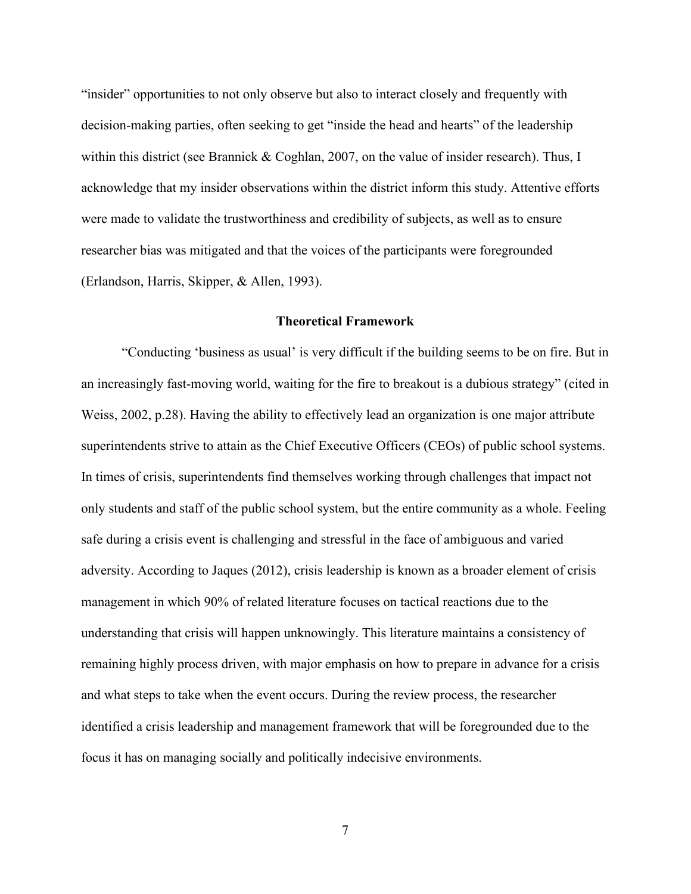"insider" opportunities to not only observe but also to interact closely and frequently with decision-making parties, often seeking to get "inside the head and hearts" of the leadership within this district (see Brannick & Coghlan, 2007, on the value of insider research). Thus, I acknowledge that my insider observations within the district inform this study. Attentive efforts were made to validate the trustworthiness and credibility of subjects, as well as to ensure researcher bias was mitigated and that the voices of the participants were foregrounded (Erlandson, Harris, Skipper, & Allen, 1993).

#### **Theoretical Framework**

"Conducting 'business as usual' is very difficult if the building seems to be on fire. But in an increasingly fast-moving world, waiting for the fire to breakout is a dubious strategy" (cited in Weiss, 2002, p.28). Having the ability to effectively lead an organization is one major attribute superintendents strive to attain as the Chief Executive Officers (CEOs) of public school systems. In times of crisis, superintendents find themselves working through challenges that impact not only students and staff of the public school system, but the entire community as a whole. Feeling safe during a crisis event is challenging and stressful in the face of ambiguous and varied adversity. According to Jaques (2012), crisis leadership is known as a broader element of crisis management in which 90% of related literature focuses on tactical reactions due to the understanding that crisis will happen unknowingly. This literature maintains a consistency of remaining highly process driven, with major emphasis on how to prepare in advance for a crisis and what steps to take when the event occurs. During the review process, the researcher identified a crisis leadership and management framework that will be foregrounded due to the focus it has on managing socially and politically indecisive environments.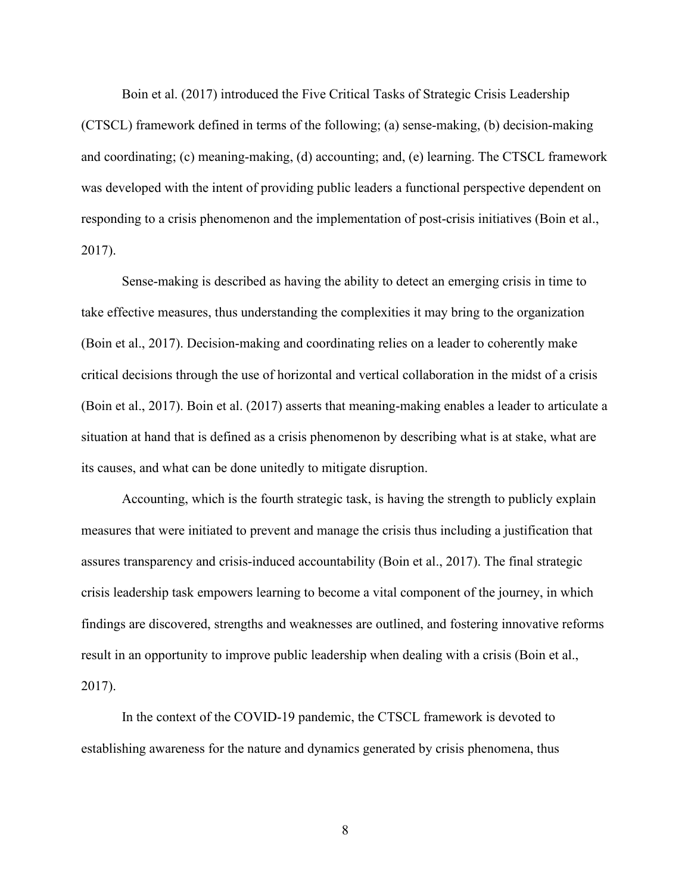Boin et al. (2017) introduced the Five Critical Tasks of Strategic Crisis Leadership (CTSCL) framework defined in terms of the following; (a) sense-making, (b) decision-making and coordinating; (c) meaning-making, (d) accounting; and, (e) learning. The CTSCL framework was developed with the intent of providing public leaders a functional perspective dependent on responding to a crisis phenomenon and the implementation of post-crisis initiatives (Boin et al., 2017).

Sense-making is described as having the ability to detect an emerging crisis in time to take effective measures, thus understanding the complexities it may bring to the organization (Boin et al., 2017). Decision-making and coordinating relies on a leader to coherently make critical decisions through the use of horizontal and vertical collaboration in the midst of a crisis (Boin et al., 2017). Boin et al. (2017) asserts that meaning-making enables a leader to articulate a situation at hand that is defined as a crisis phenomenon by describing what is at stake, what are its causes, and what can be done unitedly to mitigate disruption.

Accounting, which is the fourth strategic task, is having the strength to publicly explain measures that were initiated to prevent and manage the crisis thus including a justification that assures transparency and crisis-induced accountability (Boin et al., 2017). The final strategic crisis leadership task empowers learning to become a vital component of the journey, in which findings are discovered, strengths and weaknesses are outlined, and fostering innovative reforms result in an opportunity to improve public leadership when dealing with a crisis (Boin et al., 2017).

In the context of the COVID-19 pandemic, the CTSCL framework is devoted to establishing awareness for the nature and dynamics generated by crisis phenomena, thus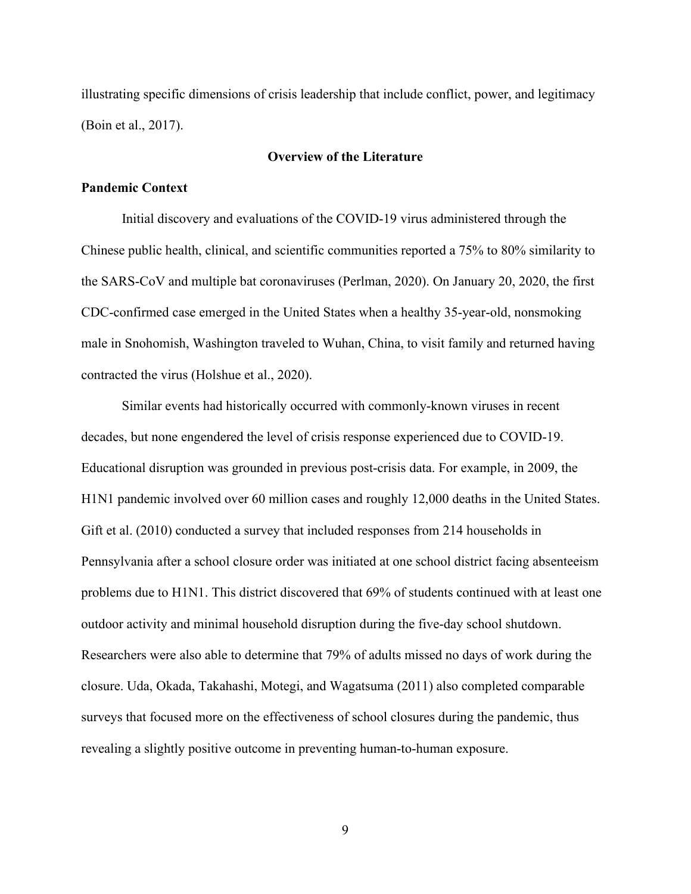illustrating specific dimensions of crisis leadership that include conflict, power, and legitimacy (Boin et al., 2017).

## **Overview of the Literature**

#### **Pandemic Context**

Initial discovery and evaluations of the COVID-19 virus administered through the Chinese public health, clinical, and scientific communities reported a 75% to 80% similarity to the SARS-CoV and multiple bat coronaviruses (Perlman, 2020). On January 20, 2020, the first CDC-confirmed case emerged in the United States when a healthy 35-year-old, nonsmoking male in Snohomish, Washington traveled to Wuhan, China, to visit family and returned having contracted the virus (Holshue et al., 2020).

Similar events had historically occurred with commonly-known viruses in recent decades, but none engendered the level of crisis response experienced due to COVID-19. Educational disruption was grounded in previous post-crisis data. For example, in 2009, the H1N1 pandemic involved over 60 million cases and roughly 12,000 deaths in the United States. Gift et al. (2010) conducted a survey that included responses from 214 households in Pennsylvania after a school closure order was initiated at one school district facing absenteeism problems due to H1N1. This district discovered that 69% of students continued with at least one outdoor activity and minimal household disruption during the five-day school shutdown. Researchers were also able to determine that 79% of adults missed no days of work during the closure. Uda, Okada, Takahashi, Motegi, and Wagatsuma (2011) also completed comparable surveys that focused more on the effectiveness of school closures during the pandemic, thus revealing a slightly positive outcome in preventing human-to-human exposure.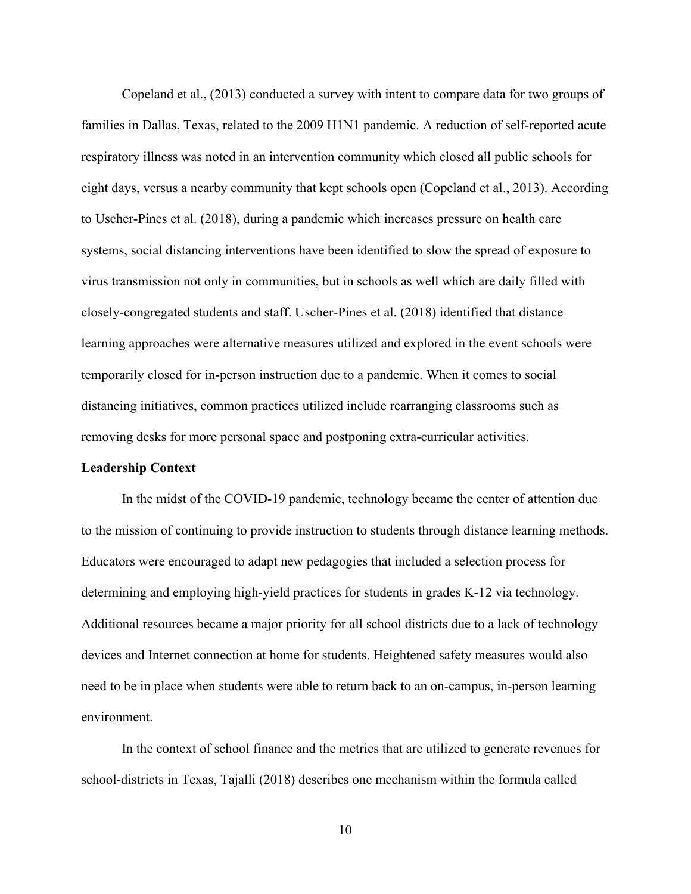Copeland et al., (2013) conducted a survey with intent to compare data for two groups of families in Dallas, Texas, related to the 2009 H1N1 pandemic. A reduction of self-reported acute respiratory illness was noted in an intervention community which closed all public schools for eight days, versus a nearby community that kept schools open (Copeland et al., 2013). According to Uscher-Pines et al. (2018), during a pandemic which increases pressure on health care systems, social distancing interventions have been identified to slow the spread of exposure to virus transmission not only in communities, but in schools as well which are daily filled with closely-congregated students and staff. Uscher-Pines et al. (2018) identified that distance learning approaches were alternative measures utilized and explored in the event schools were temporarily closed for in-person instruction due to a pandemic. When it comes to social distancing initiatives, common practices utilized include rearranging classrooms such as removing desks for more personal space and postponing extra-curricular activities.

### **Leadership Context**

In the midst of the COVID-19 pandemic, technology became the center of attention due to the mission of continuing to provide instruction to students through distance learning methods. Educators were encouraged to adapt new pedagogies that included a selection process for determining and employing high-yield practices for students in grades K-12 via technology. Additional resources became a major priority for all school districts due to a lack of technology devices and Internet connection at home for students. Heightened safety measures would also need to be in place when students were able to return back to an on-campus, in-person learning environment.

In the context of school finance and the metrics that are utilized to generate revenues for school-districts in Texas, Tajalli (2018) describes one mechanism within the formula called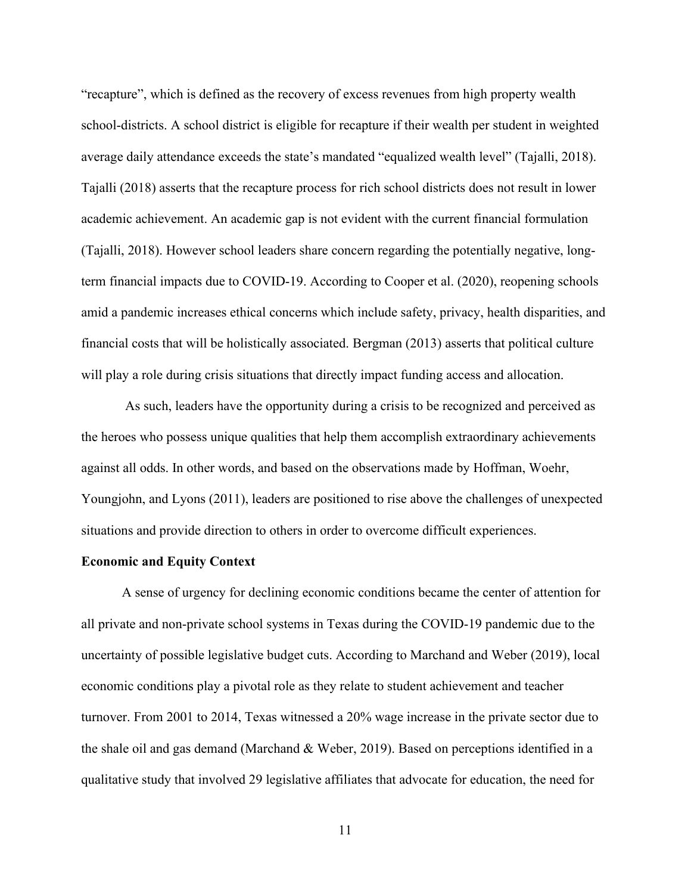"recapture", which is defined as the recovery of excess revenues from high property wealth school-districts. A school district is eligible for recapture if their wealth per student in weighted average daily attendance exceeds the state's mandated "equalized wealth level" (Tajalli, 2018). Tajalli (2018) asserts that the recapture process for rich school districts does not result in lower academic achievement. An academic gap is not evident with the current financial formulation (Tajalli, 2018). However school leaders share concern regarding the potentially negative, longterm financial impacts due to COVID-19. According to Cooper et al. (2020), reopening schools amid a pandemic increases ethical concerns which include safety, privacy, health disparities, and financial costs that will be holistically associated. Bergman (2013) asserts that political culture will play a role during crisis situations that directly impact funding access and allocation.

As such, leaders have the opportunity during a crisis to be recognized and perceived as the heroes who possess unique qualities that help them accomplish extraordinary achievements against all odds. In other words, and based on the observations made by Hoffman, Woehr, Youngjohn, and Lyons (2011), leaders are positioned to rise above the challenges of unexpected situations and provide direction to others in order to overcome difficult experiences.

## **Economic and Equity Context**

A sense of urgency for declining economic conditions became the center of attention for all private and non-private school systems in Texas during the COVID-19 pandemic due to the uncertainty of possible legislative budget cuts. According to Marchand and Weber (2019), local economic conditions play a pivotal role as they relate to student achievement and teacher turnover. From 2001 to 2014, Texas witnessed a 20% wage increase in the private sector due to the shale oil and gas demand (Marchand & Weber, 2019). Based on perceptions identified in a qualitative study that involved 29 legislative affiliates that advocate for education, the need for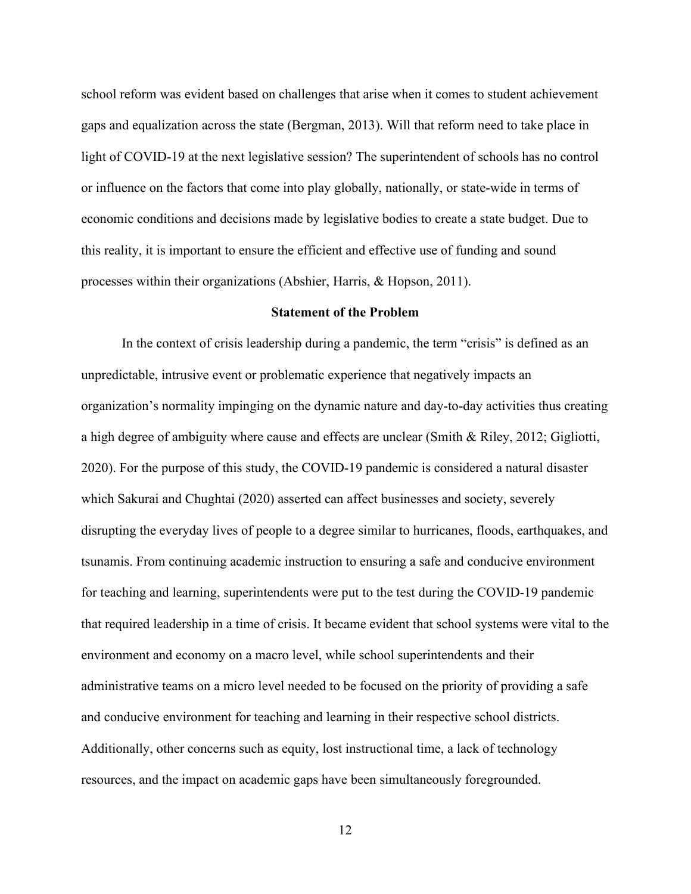school reform was evident based on challenges that arise when it comes to student achievement gaps and equalization across the state (Bergman, 2013). Will that reform need to take place in light of COVID-19 at the next legislative session? The superintendent of schools has no control or influence on the factors that come into play globally, nationally, or state-wide in terms of economic conditions and decisions made by legislative bodies to create a state budget. Due to this reality, it is important to ensure the efficient and effective use of funding and sound processes within their organizations (Abshier, Harris, & Hopson, 2011).

### **Statement of the Problem**

In the context of crisis leadership during a pandemic, the term "crisis" is defined as an unpredictable, intrusive event or problematic experience that negatively impacts an organization's normality impinging on the dynamic nature and day-to-day activities thus creating a high degree of ambiguity where cause and effects are unclear (Smith & Riley, 2012; Gigliotti, 2020). For the purpose of this study, the COVID-19 pandemic is considered a natural disaster which Sakurai and Chughtai (2020) asserted can affect businesses and society, severely disrupting the everyday lives of people to a degree similar to hurricanes, floods, earthquakes, and tsunamis. From continuing academic instruction to ensuring a safe and conducive environment for teaching and learning, superintendents were put to the test during the COVID-19 pandemic that required leadership in a time of crisis. It became evident that school systems were vital to the environment and economy on a macro level, while school superintendents and their administrative teams on a micro level needed to be focused on the priority of providing a safe and conducive environment for teaching and learning in their respective school districts. Additionally, other concerns such as equity, lost instructional time, a lack of technology resources, and the impact on academic gaps have been simultaneously foregrounded.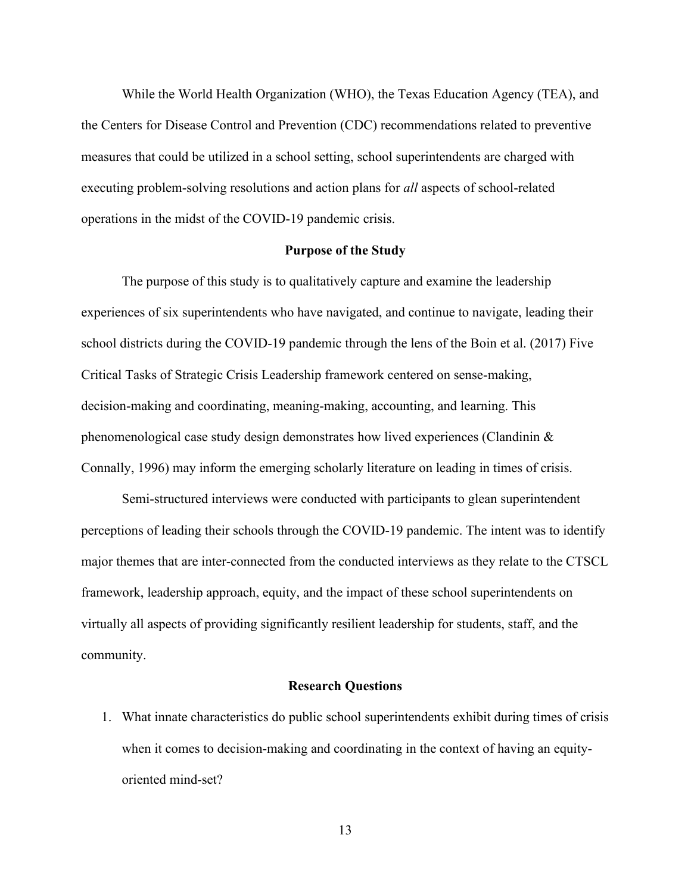While the World Health Organization (WHO), the Texas Education Agency (TEA), and the Centers for Disease Control and Prevention (CDC) recommendations related to preventive measures that could be utilized in a school setting, school superintendents are charged with executing problem-solving resolutions and action plans for *all* aspects of school-related operations in the midst of the COVID-19 pandemic crisis.

#### **Purpose of the Study**

The purpose of this study is to qualitatively capture and examine the leadership experiences of six superintendents who have navigated, and continue to navigate, leading their school districts during the COVID-19 pandemic through the lens of the Boin et al. (2017) Five Critical Tasks of Strategic Crisis Leadership framework centered on sense-making, decision-making and coordinating, meaning-making, accounting, and learning. This phenomenological case study design demonstrates how lived experiences (Clandinin & Connally, 1996) may inform the emerging scholarly literature on leading in times of crisis.

Semi-structured interviews were conducted with participants to glean superintendent perceptions of leading their schools through the COVID-19 pandemic. The intent was to identify major themes that are inter-connected from the conducted interviews as they relate to the CTSCL framework, leadership approach, equity, and the impact of these school superintendents on virtually all aspects of providing significantly resilient leadership for students, staff, and the community.

#### **Research Questions**

1. What innate characteristics do public school superintendents exhibit during times of crisis when it comes to decision-making and coordinating in the context of having an equityoriented mind-set?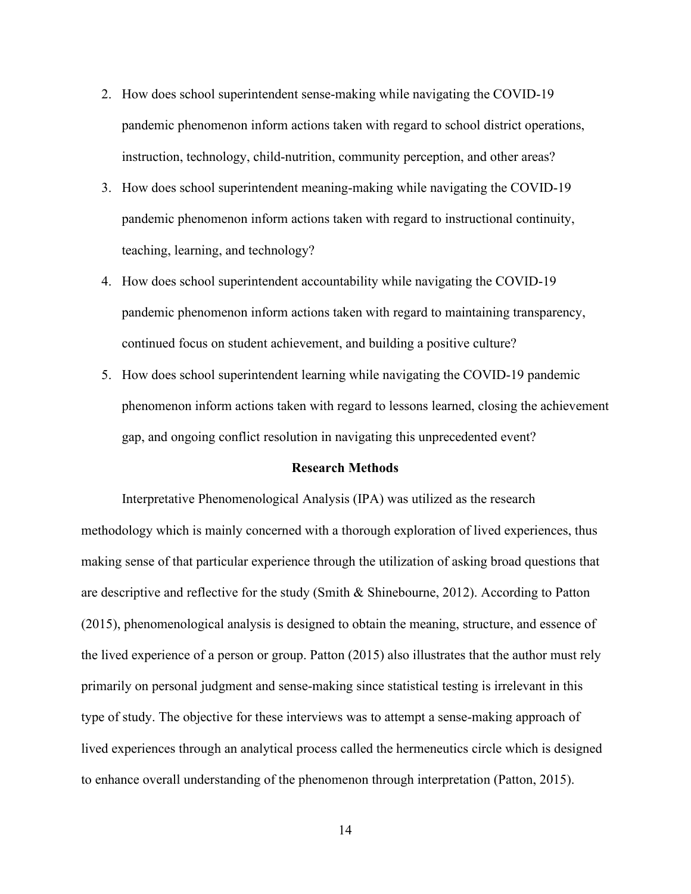- 2. How does school superintendent sense-making while navigating the COVID-19 pandemic phenomenon inform actions taken with regard to school district operations, instruction, technology, child-nutrition, community perception, and other areas?
- 3. How does school superintendent meaning-making while navigating the COVID-19 pandemic phenomenon inform actions taken with regard to instructional continuity, teaching, learning, and technology?
- 4. How does school superintendent accountability while navigating the COVID-19 pandemic phenomenon inform actions taken with regard to maintaining transparency, continued focus on student achievement, and building a positive culture?
- 5. How does school superintendent learning while navigating the COVID-19 pandemic phenomenon inform actions taken with regard to lessons learned, closing the achievement gap, and ongoing conflict resolution in navigating this unprecedented event?

#### **Research Methods**

Interpretative Phenomenological Analysis (IPA) was utilized as the research methodology which is mainly concerned with a thorough exploration of lived experiences, thus making sense of that particular experience through the utilization of asking broad questions that are descriptive and reflective for the study (Smith & Shinebourne, 2012). According to Patton (2015), phenomenological analysis is designed to obtain the meaning, structure, and essence of the lived experience of a person or group. Patton (2015) also illustrates that the author must rely primarily on personal judgment and sense-making since statistical testing is irrelevant in this type of study. The objective for these interviews was to attempt a sense-making approach of lived experiences through an analytical process called the hermeneutics circle which is designed to enhance overall understanding of the phenomenon through interpretation (Patton, 2015).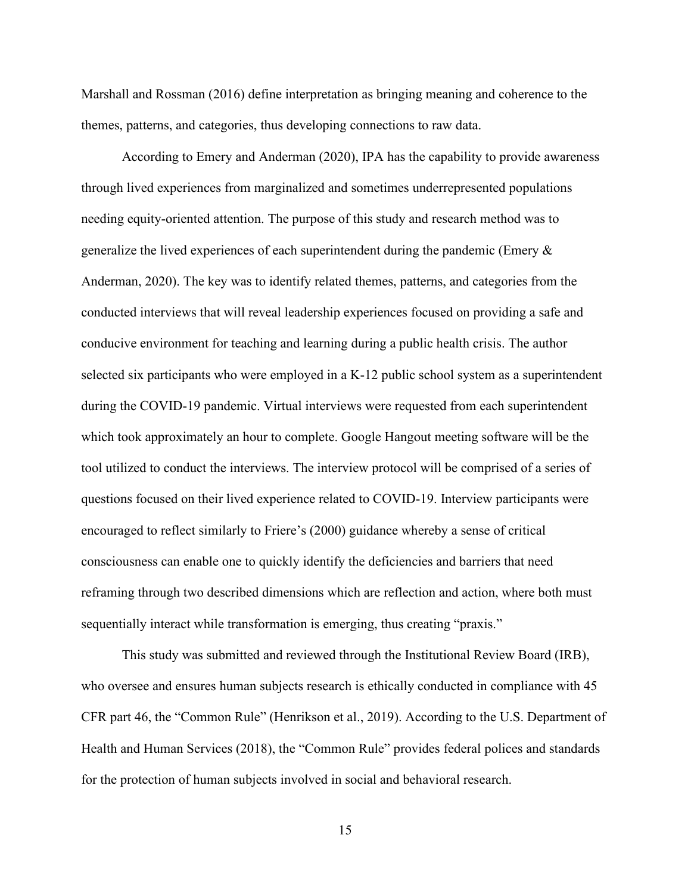Marshall and Rossman (2016) define interpretation as bringing meaning and coherence to the themes, patterns, and categories, thus developing connections to raw data.

According to Emery and Anderman (2020), IPA has the capability to provide awareness through lived experiences from marginalized and sometimes underrepresented populations needing equity-oriented attention. The purpose of this study and research method was to generalize the lived experiences of each superintendent during the pandemic (Emery & Anderman, 2020). The key was to identify related themes, patterns, and categories from the conducted interviews that will reveal leadership experiences focused on providing a safe and conducive environment for teaching and learning during a public health crisis. The author selected six participants who were employed in a K-12 public school system as a superintendent during the COVID-19 pandemic. Virtual interviews were requested from each superintendent which took approximately an hour to complete. Google Hangout meeting software will be the tool utilized to conduct the interviews. The interview protocol will be comprised of a series of questions focused on their lived experience related to COVID-19. Interview participants were encouraged to reflect similarly to Friere's (2000) guidance whereby a sense of critical consciousness can enable one to quickly identify the deficiencies and barriers that need reframing through two described dimensions which are reflection and action, where both must sequentially interact while transformation is emerging, thus creating "praxis."

This study was submitted and reviewed through the Institutional Review Board (IRB), who oversee and ensures human subjects research is ethically conducted in compliance with 45 CFR part 46, the "Common Rule" (Henrikson et al., 2019). According to the U.S. Department of Health and Human Services (2018), the "Common Rule" provides federal polices and standards for the protection of human subjects involved in social and behavioral research.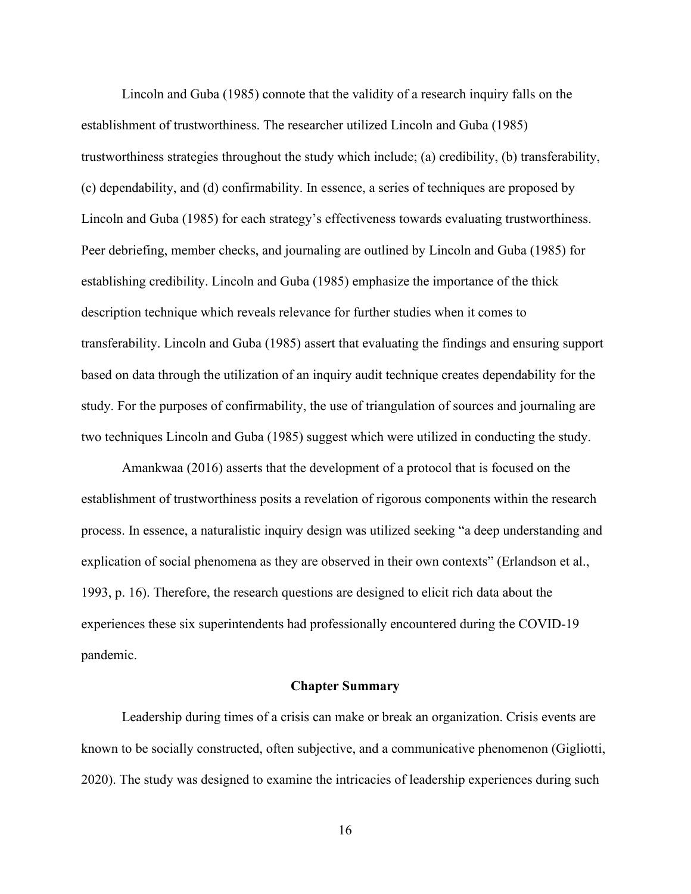Lincoln and Guba (1985) connote that the validity of a research inquiry falls on the establishment of trustworthiness. The researcher utilized Lincoln and Guba (1985) trustworthiness strategies throughout the study which include; (a) credibility, (b) transferability, (c) dependability, and (d) confirmability. In essence, a series of techniques are proposed by Lincoln and Guba (1985) for each strategy's effectiveness towards evaluating trustworthiness. Peer debriefing, member checks, and journaling are outlined by Lincoln and Guba (1985) for establishing credibility. Lincoln and Guba (1985) emphasize the importance of the thick description technique which reveals relevance for further studies when it comes to transferability. Lincoln and Guba (1985) assert that evaluating the findings and ensuring support based on data through the utilization of an inquiry audit technique creates dependability for the study. For the purposes of confirmability, the use of triangulation of sources and journaling are two techniques Lincoln and Guba (1985) suggest which were utilized in conducting the study.

Amankwaa (2016) asserts that the development of a protocol that is focused on the establishment of trustworthiness posits a revelation of rigorous components within the research process. In essence, a naturalistic inquiry design was utilized seeking "a deep understanding and explication of social phenomena as they are observed in their own contexts" (Erlandson et al., 1993, p. 16). Therefore, the research questions are designed to elicit rich data about the experiences these six superintendents had professionally encountered during the COVID-19 pandemic.

#### **Chapter Summary**

Leadership during times of a crisis can make or break an organization. Crisis events are known to be socially constructed, often subjective, and a communicative phenomenon (Gigliotti, 2020). The study was designed to examine the intricacies of leadership experiences during such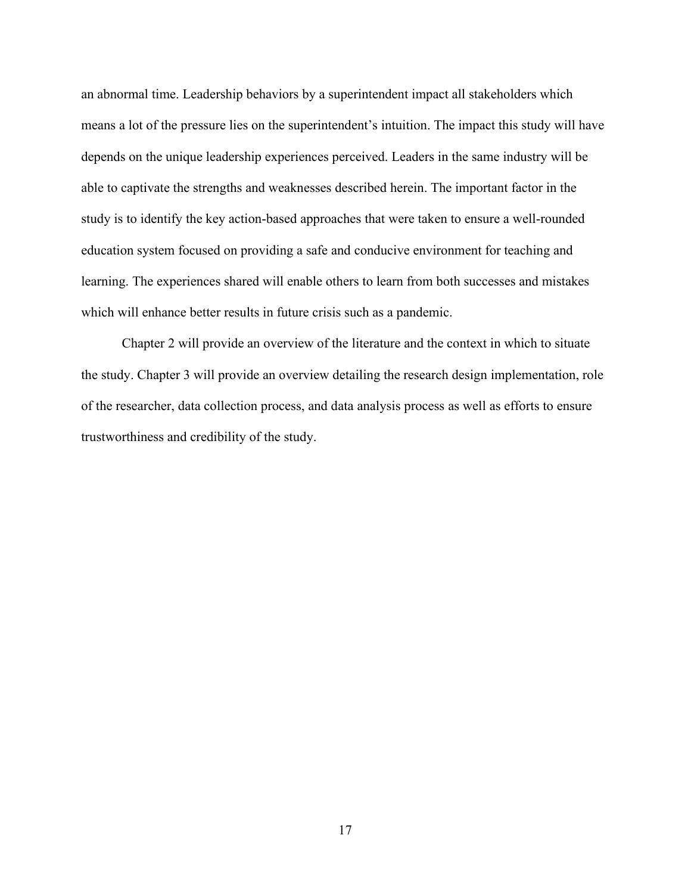an abnormal time. Leadership behaviors by a superintendent impact all stakeholders which means a lot of the pressure lies on the superintendent's intuition. The impact this study will have depends on the unique leadership experiences perceived. Leaders in the same industry will be able to captivate the strengths and weaknesses described herein. The important factor in the study is to identify the key action-based approaches that were taken to ensure a well-rounded education system focused on providing a safe and conducive environment for teaching and learning. The experiences shared will enable others to learn from both successes and mistakes which will enhance better results in future crisis such as a pandemic.

Chapter 2 will provide an overview of the literature and the context in which to situate the study. Chapter 3 will provide an overview detailing the research design implementation, role of the researcher, data collection process, and data analysis process as well as efforts to ensure trustworthiness and credibility of the study.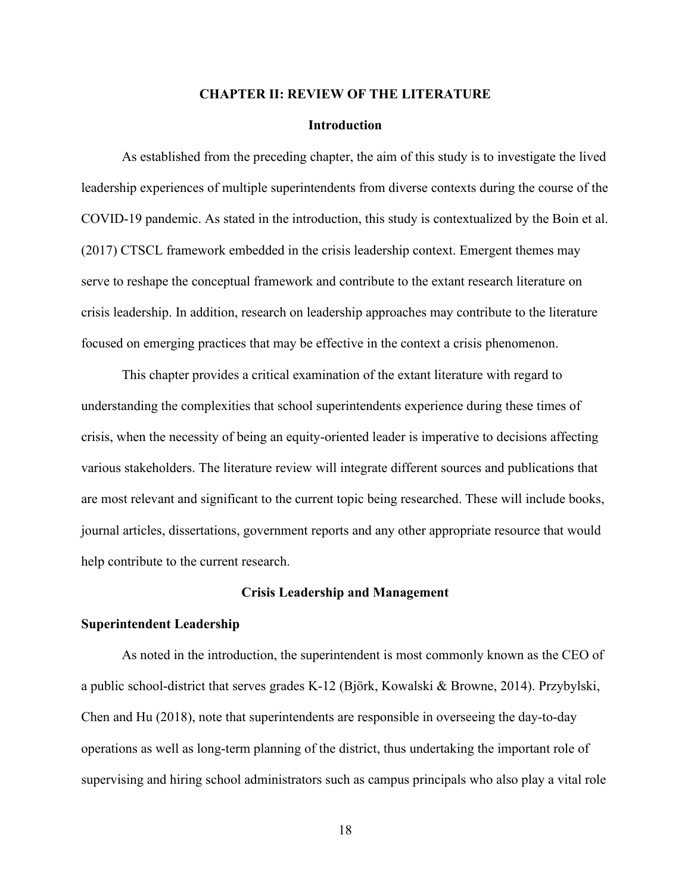#### **CHAPTER II: REVIEW OF THE LITERATURE**

#### **Introduction**

As established from the preceding chapter, the aim of this study is to investigate the lived leadership experiences of multiple superintendents from diverse contexts during the course of the COVID-19 pandemic. As stated in the introduction, this study is contextualized by the Boin et al. (2017) CTSCL framework embedded in the crisis leadership context. Emergent themes may serve to reshape the conceptual framework and contribute to the extant research literature on crisis leadership. In addition, research on leadership approaches may contribute to the literature focused on emerging practices that may be effective in the context a crisis phenomenon.

This chapter provides a critical examination of the extant literature with regard to understanding the complexities that school superintendents experience during these times of crisis, when the necessity of being an equity-oriented leader is imperative to decisions affecting various stakeholders. The literature review will integrate different sources and publications that are most relevant and significant to the current topic being researched. These will include books, journal articles, dissertations, government reports and any other appropriate resource that would help contribute to the current research.

#### **Crisis Leadership and Management**

#### **Superintendent Leadership**

As noted in the introduction, the superintendent is most commonly known as the CEO of a public school-district that serves grades K-12 (Björk, Kowalski & Browne, 2014). Przybylski, Chen and Hu (2018), note that superintendents are responsible in overseeing the day-to-day operations as well as long-term planning of the district, thus undertaking the important role of supervising and hiring school administrators such as campus principals who also play a vital role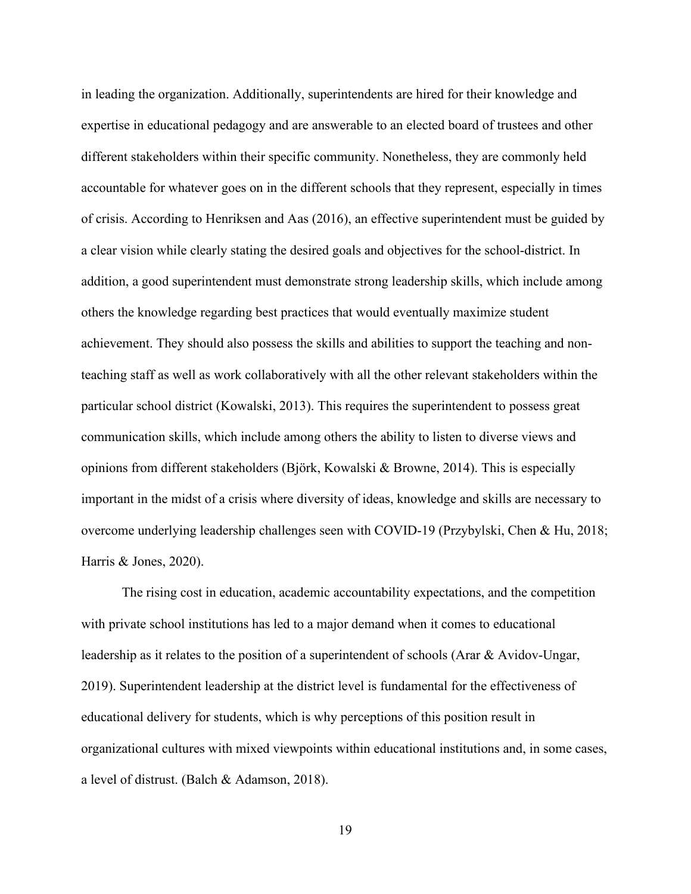in leading the organization. Additionally, superintendents are hired for their knowledge and expertise in educational pedagogy and are answerable to an elected board of trustees and other different stakeholders within their specific community. Nonetheless, they are commonly held accountable for whatever goes on in the different schools that they represent, especially in times of crisis. According to Henriksen and Aas (2016), an effective superintendent must be guided by a clear vision while clearly stating the desired goals and objectives for the school-district. In addition, a good superintendent must demonstrate strong leadership skills, which include among others the knowledge regarding best practices that would eventually maximize student achievement. They should also possess the skills and abilities to support the teaching and nonteaching staff as well as work collaboratively with all the other relevant stakeholders within the particular school district (Kowalski, 2013). This requires the superintendent to possess great communication skills, which include among others the ability to listen to diverse views and opinions from different stakeholders (Björk, Kowalski & Browne, 2014). This is especially important in the midst of a crisis where diversity of ideas, knowledge and skills are necessary to overcome underlying leadership challenges seen with COVID-19 (Przybylski, Chen & Hu, 2018; Harris & Jones, 2020).

The rising cost in education, academic accountability expectations, and the competition with private school institutions has led to a major demand when it comes to educational leadership as it relates to the position of a superintendent of schools (Arar & Avidov-Ungar, 2019). Superintendent leadership at the district level is fundamental for the effectiveness of educational delivery for students, which is why perceptions of this position result in organizational cultures with mixed viewpoints within educational institutions and, in some cases, a level of distrust. (Balch & Adamson, 2018).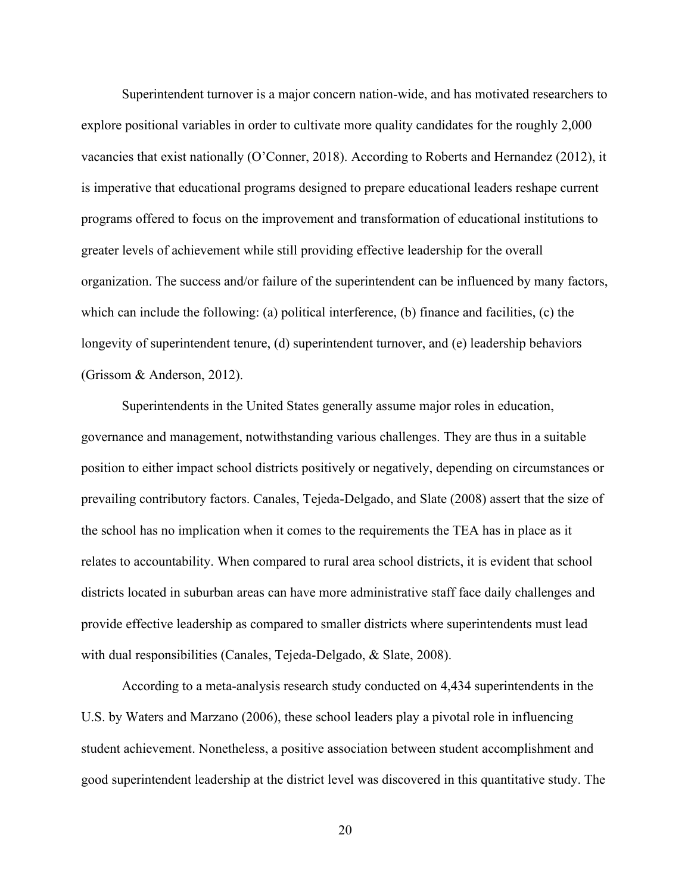Superintendent turnover is a major concern nation-wide, and has motivated researchers to explore positional variables in order to cultivate more quality candidates for the roughly 2,000 vacancies that exist nationally (O'Conner, 2018). According to Roberts and Hernandez (2012), it is imperative that educational programs designed to prepare educational leaders reshape current programs offered to focus on the improvement and transformation of educational institutions to greater levels of achievement while still providing effective leadership for the overall organization. The success and/or failure of the superintendent can be influenced by many factors, which can include the following: (a) political interference, (b) finance and facilities, (c) the longevity of superintendent tenure, (d) superintendent turnover, and (e) leadership behaviors (Grissom & Anderson, 2012).

Superintendents in the United States generally assume major roles in education, governance and management, notwithstanding various challenges. They are thus in a suitable position to either impact school districts positively or negatively, depending on circumstances or prevailing contributory factors. Canales, Tejeda-Delgado, and Slate (2008) assert that the size of the school has no implication when it comes to the requirements the TEA has in place as it relates to accountability. When compared to rural area school districts, it is evident that school districts located in suburban areas can have more administrative staff face daily challenges and provide effective leadership as compared to smaller districts where superintendents must lead with dual responsibilities (Canales, Tejeda-Delgado, & Slate, 2008).

According to a meta-analysis research study conducted on 4,434 superintendents in the U.S. by Waters and Marzano (2006), these school leaders play a pivotal role in influencing student achievement. Nonetheless, a positive association between student accomplishment and good superintendent leadership at the district level was discovered in this quantitative study. The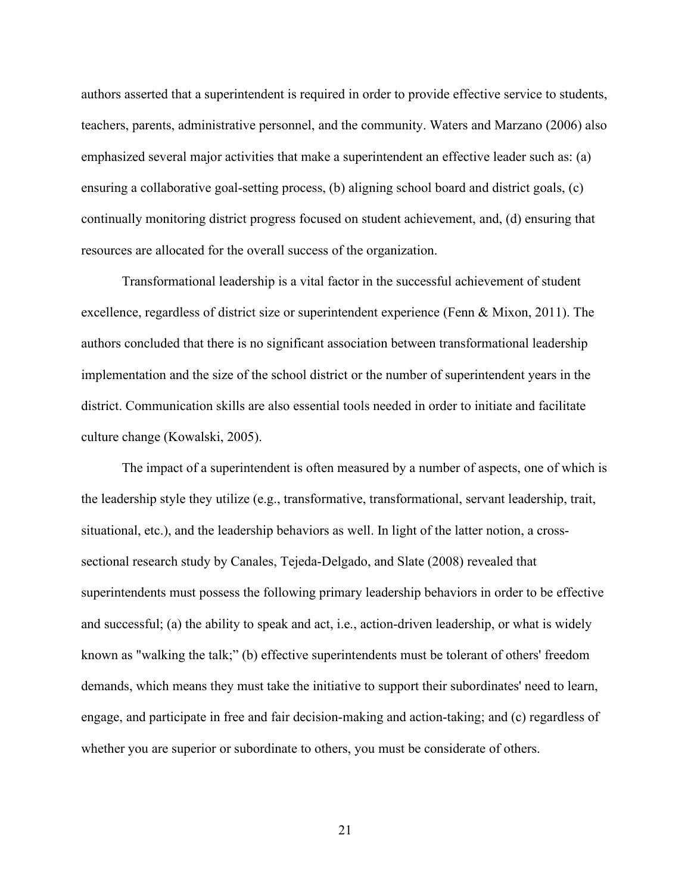authors asserted that a superintendent is required in order to provide effective service to students, teachers, parents, administrative personnel, and the community. Waters and Marzano (2006) also emphasized several major activities that make a superintendent an effective leader such as: (a) ensuring a collaborative goal-setting process, (b) aligning school board and district goals, (c) continually monitoring district progress focused on student achievement, and, (d) ensuring that resources are allocated for the overall success of the organization.

Transformational leadership is a vital factor in the successful achievement of student excellence, regardless of district size or superintendent experience (Fenn & Mixon, 2011). The authors concluded that there is no significant association between transformational leadership implementation and the size of the school district or the number of superintendent years in the district. Communication skills are also essential tools needed in order to initiate and facilitate culture change (Kowalski, 2005).

The impact of a superintendent is often measured by a number of aspects, one of which is the leadership style they utilize (e.g., transformative, transformational, servant leadership, trait, situational, etc.), and the leadership behaviors as well. In light of the latter notion, a crosssectional research study by Canales, Tejeda-Delgado, and Slate (2008) revealed that superintendents must possess the following primary leadership behaviors in order to be effective and successful; (a) the ability to speak and act, i.e., action-driven leadership, or what is widely known as "walking the talk;" (b) effective superintendents must be tolerant of others' freedom demands, which means they must take the initiative to support their subordinates' need to learn, engage, and participate in free and fair decision-making and action-taking; and (c) regardless of whether you are superior or subordinate to others, you must be considerate of others.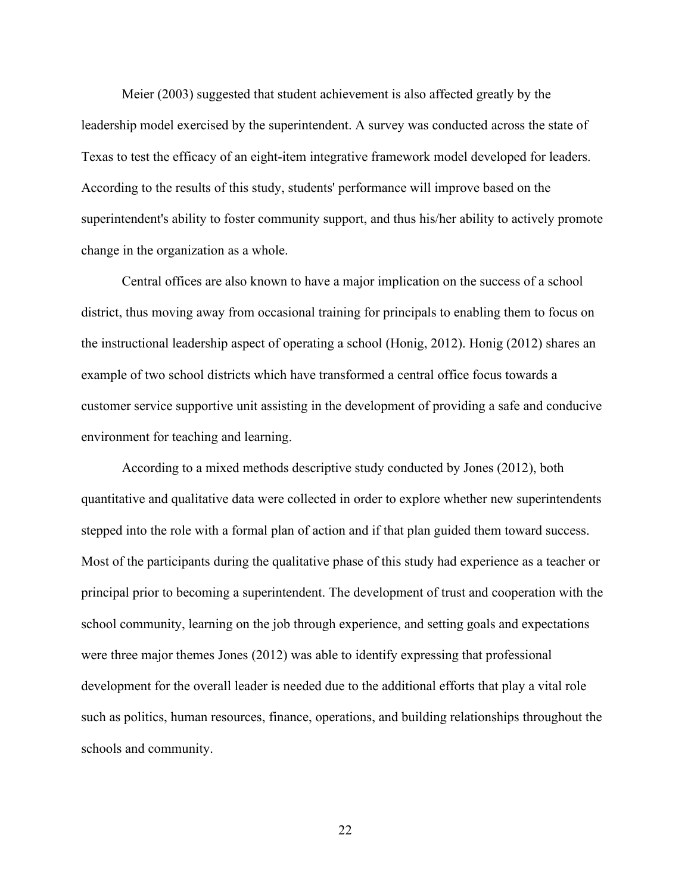Meier (2003) suggested that student achievement is also affected greatly by the leadership model exercised by the superintendent. A survey was conducted across the state of Texas to test the efficacy of an eight-item integrative framework model developed for leaders. According to the results of this study, students' performance will improve based on the superintendent's ability to foster community support, and thus his/her ability to actively promote change in the organization as a whole.

Central offices are also known to have a major implication on the success of a school district, thus moving away from occasional training for principals to enabling them to focus on the instructional leadership aspect of operating a school (Honig, 2012). Honig (2012) shares an example of two school districts which have transformed a central office focus towards a customer service supportive unit assisting in the development of providing a safe and conducive environment for teaching and learning.

According to a mixed methods descriptive study conducted by Jones (2012), both quantitative and qualitative data were collected in order to explore whether new superintendents stepped into the role with a formal plan of action and if that plan guided them toward success. Most of the participants during the qualitative phase of this study had experience as a teacher or principal prior to becoming a superintendent. The development of trust and cooperation with the school community, learning on the job through experience, and setting goals and expectations were three major themes Jones (2012) was able to identify expressing that professional development for the overall leader is needed due to the additional efforts that play a vital role such as politics, human resources, finance, operations, and building relationships throughout the schools and community.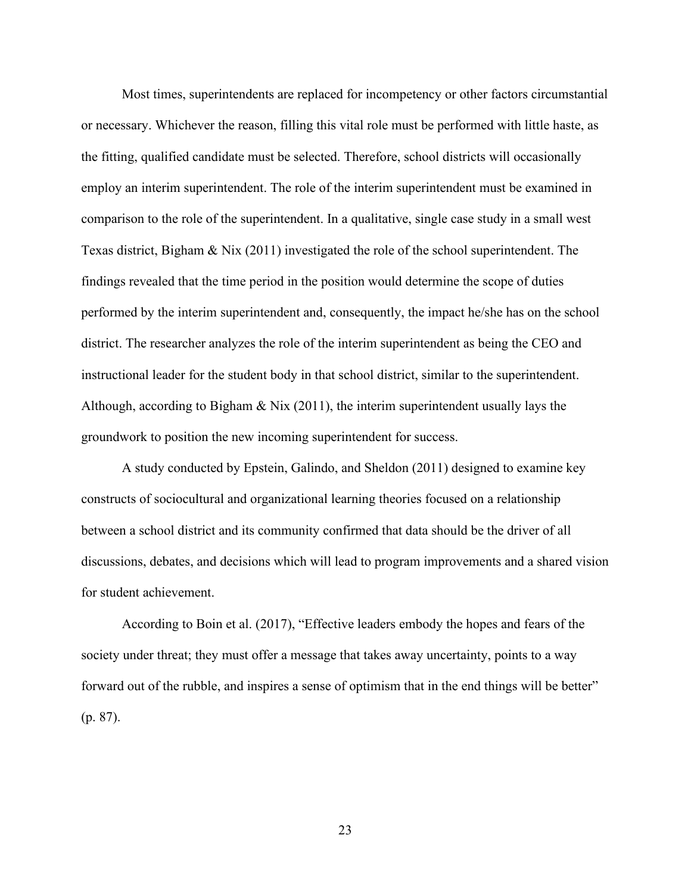Most times, superintendents are replaced for incompetency or other factors circumstantial or necessary. Whichever the reason, filling this vital role must be performed with little haste, as the fitting, qualified candidate must be selected. Therefore, school districts will occasionally employ an interim superintendent. The role of the interim superintendent must be examined in comparison to the role of the superintendent. In a qualitative, single case study in a small west Texas district, Bigham & Nix (2011) investigated the role of the school superintendent. The findings revealed that the time period in the position would determine the scope of duties performed by the interim superintendent and, consequently, the impact he/she has on the school district. The researcher analyzes the role of the interim superintendent as being the CEO and instructional leader for the student body in that school district, similar to the superintendent. Although, according to Bigham  $\&$  Nix (2011), the interim superintendent usually lays the groundwork to position the new incoming superintendent for success.

A study conducted by Epstein, Galindo, and Sheldon (2011) designed to examine key constructs of sociocultural and organizational learning theories focused on a relationship between a school district and its community confirmed that data should be the driver of all discussions, debates, and decisions which will lead to program improvements and a shared vision for student achievement.

According to Boin et al. (2017), "Effective leaders embody the hopes and fears of the society under threat; they must offer a message that takes away uncertainty, points to a way forward out of the rubble, and inspires a sense of optimism that in the end things will be better" (p. 87).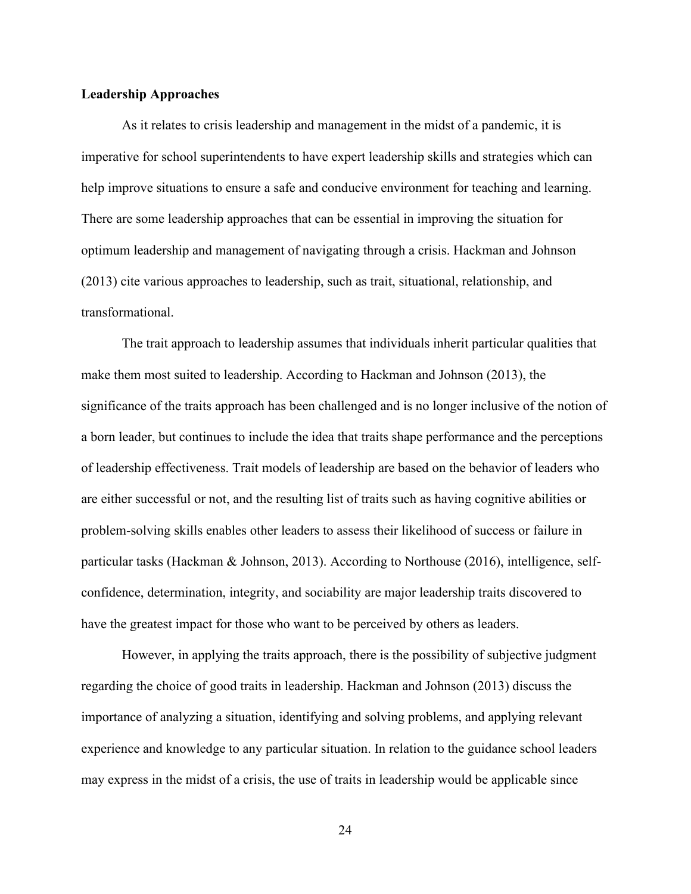#### **Leadership Approaches**

As it relates to crisis leadership and management in the midst of a pandemic, it is imperative for school superintendents to have expert leadership skills and strategies which can help improve situations to ensure a safe and conducive environment for teaching and learning. There are some leadership approaches that can be essential in improving the situation for optimum leadership and management of navigating through a crisis. Hackman and Johnson (2013) cite various approaches to leadership, such as trait, situational, relationship, and transformational.

The trait approach to leadership assumes that individuals inherit particular qualities that make them most suited to leadership. According to Hackman and Johnson (2013), the significance of the traits approach has been challenged and is no longer inclusive of the notion of a born leader, but continues to include the idea that traits shape performance and the perceptions of leadership effectiveness. Trait models of leadership are based on the behavior of leaders who are either successful or not, and the resulting list of traits such as having cognitive abilities or problem-solving skills enables other leaders to assess their likelihood of success or failure in particular tasks (Hackman & Johnson, 2013). According to Northouse (2016), intelligence, selfconfidence, determination, integrity, and sociability are major leadership traits discovered to have the greatest impact for those who want to be perceived by others as leaders.

However, in applying the traits approach, there is the possibility of subjective judgment regarding the choice of good traits in leadership. Hackman and Johnson (2013) discuss the importance of analyzing a situation, identifying and solving problems, and applying relevant experience and knowledge to any particular situation. In relation to the guidance school leaders may express in the midst of a crisis, the use of traits in leadership would be applicable since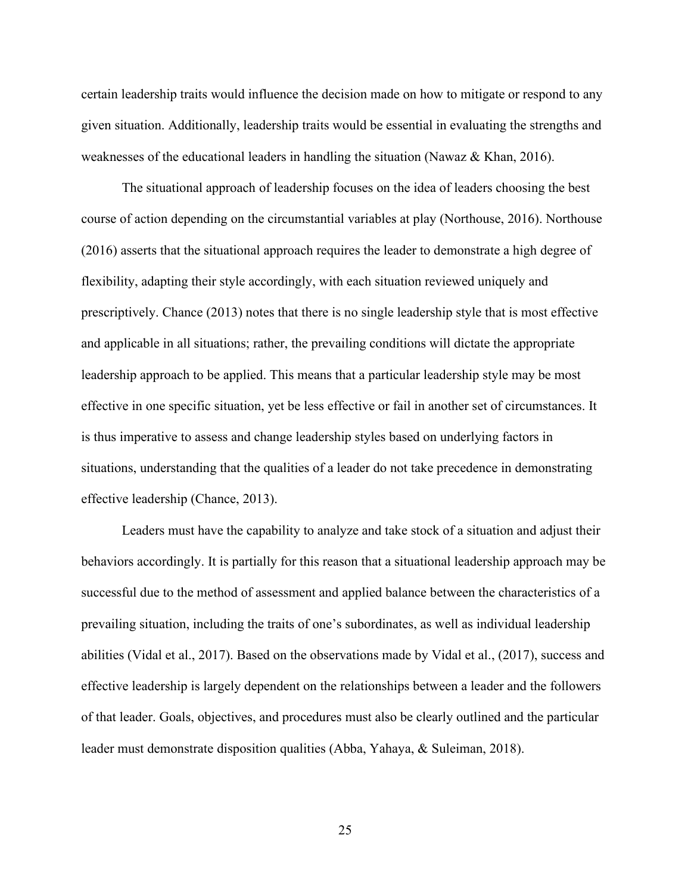certain leadership traits would influence the decision made on how to mitigate or respond to any given situation. Additionally, leadership traits would be essential in evaluating the strengths and weaknesses of the educational leaders in handling the situation (Nawaz & Khan, 2016).

The situational approach of leadership focuses on the idea of leaders choosing the best course of action depending on the circumstantial variables at play (Northouse, 2016). Northouse (2016) asserts that the situational approach requires the leader to demonstrate a high degree of flexibility, adapting their style accordingly, with each situation reviewed uniquely and prescriptively. Chance (2013) notes that there is no single leadership style that is most effective and applicable in all situations; rather, the prevailing conditions will dictate the appropriate leadership approach to be applied. This means that a particular leadership style may be most effective in one specific situation, yet be less effective or fail in another set of circumstances. It is thus imperative to assess and change leadership styles based on underlying factors in situations, understanding that the qualities of a leader do not take precedence in demonstrating effective leadership (Chance, 2013).

Leaders must have the capability to analyze and take stock of a situation and adjust their behaviors accordingly. It is partially for this reason that a situational leadership approach may be successful due to the method of assessment and applied balance between the characteristics of a prevailing situation, including the traits of one's subordinates, as well as individual leadership abilities (Vidal et al., 2017). Based on the observations made by Vidal et al., (2017), success and effective leadership is largely dependent on the relationships between a leader and the followers of that leader. Goals, objectives, and procedures must also be clearly outlined and the particular leader must demonstrate disposition qualities (Abba, Yahaya, & Suleiman, 2018).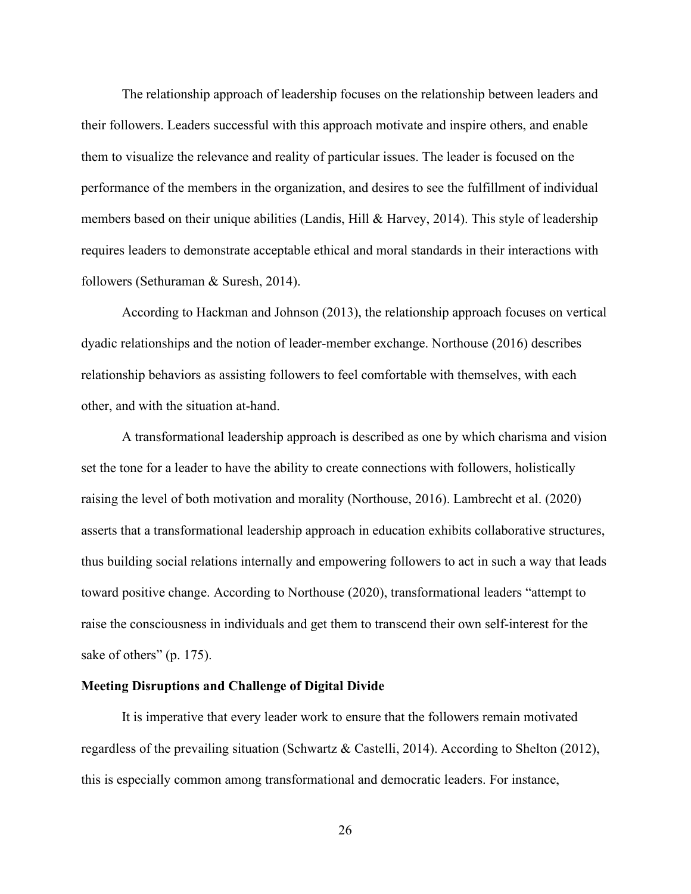The relationship approach of leadership focuses on the relationship between leaders and their followers. Leaders successful with this approach motivate and inspire others, and enable them to visualize the relevance and reality of particular issues. The leader is focused on the performance of the members in the organization, and desires to see the fulfillment of individual members based on their unique abilities (Landis, Hill & Harvey, 2014). This style of leadership requires leaders to demonstrate acceptable ethical and moral standards in their interactions with followers (Sethuraman & Suresh, 2014).

According to Hackman and Johnson (2013), the relationship approach focuses on vertical dyadic relationships and the notion of leader-member exchange. Northouse (2016) describes relationship behaviors as assisting followers to feel comfortable with themselves, with each other, and with the situation at-hand.

A transformational leadership approach is described as one by which charisma and vision set the tone for a leader to have the ability to create connections with followers, holistically raising the level of both motivation and morality (Northouse, 2016). Lambrecht et al. (2020) asserts that a transformational leadership approach in education exhibits collaborative structures, thus building social relations internally and empowering followers to act in such a way that leads toward positive change. According to Northouse (2020), transformational leaders "attempt to raise the consciousness in individuals and get them to transcend their own self-interest for the sake of others" (p. 175).

## **Meeting Disruptions and Challenge of Digital Divide**

It is imperative that every leader work to ensure that the followers remain motivated regardless of the prevailing situation (Schwartz & Castelli, 2014). According to Shelton (2012), this is especially common among transformational and democratic leaders. For instance,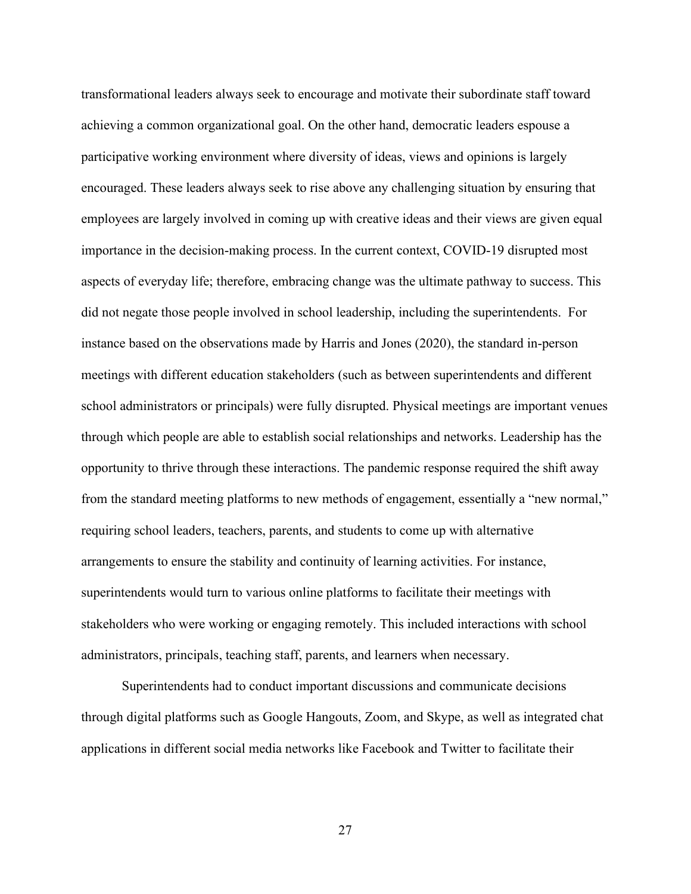transformational leaders always seek to encourage and motivate their subordinate staff toward achieving a common organizational goal. On the other hand, democratic leaders espouse a participative working environment where diversity of ideas, views and opinions is largely encouraged. These leaders always seek to rise above any challenging situation by ensuring that employees are largely involved in coming up with creative ideas and their views are given equal importance in the decision-making process. In the current context, COVID-19 disrupted most aspects of everyday life; therefore, embracing change was the ultimate pathway to success. This did not negate those people involved in school leadership, including the superintendents. For instance based on the observations made by Harris and Jones (2020), the standard in-person meetings with different education stakeholders (such as between superintendents and different school administrators or principals) were fully disrupted. Physical meetings are important venues through which people are able to establish social relationships and networks. Leadership has the opportunity to thrive through these interactions. The pandemic response required the shift away from the standard meeting platforms to new methods of engagement, essentially a "new normal," requiring school leaders, teachers, parents, and students to come up with alternative arrangements to ensure the stability and continuity of learning activities. For instance, superintendents would turn to various online platforms to facilitate their meetings with stakeholders who were working or engaging remotely. This included interactions with school administrators, principals, teaching staff, parents, and learners when necessary.

Superintendents had to conduct important discussions and communicate decisions through digital platforms such as Google Hangouts, Zoom, and Skype, as well as integrated chat applications in different social media networks like Facebook and Twitter to facilitate their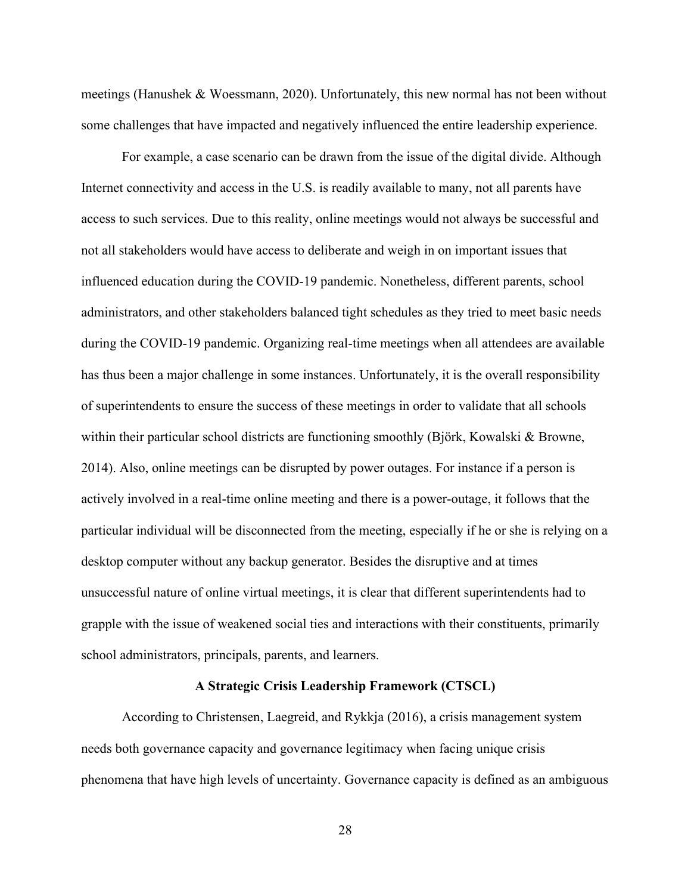meetings (Hanushek & Woessmann, 2020). Unfortunately, this new normal has not been without some challenges that have impacted and negatively influenced the entire leadership experience.

For example, a case scenario can be drawn from the issue of the digital divide. Although Internet connectivity and access in the U.S. is readily available to many, not all parents have access to such services. Due to this reality, online meetings would not always be successful and not all stakeholders would have access to deliberate and weigh in on important issues that influenced education during the COVID-19 pandemic. Nonetheless, different parents, school administrators, and other stakeholders balanced tight schedules as they tried to meet basic needs during the COVID-19 pandemic. Organizing real-time meetings when all attendees are available has thus been a major challenge in some instances. Unfortunately, it is the overall responsibility of superintendents to ensure the success of these meetings in order to validate that all schools within their particular school districts are functioning smoothly (Björk, Kowalski & Browne, 2014). Also, online meetings can be disrupted by power outages. For instance if a person is actively involved in a real-time online meeting and there is a power-outage, it follows that the particular individual will be disconnected from the meeting, especially if he or she is relying on a desktop computer without any backup generator. Besides the disruptive and at times unsuccessful nature of online virtual meetings, it is clear that different superintendents had to grapple with the issue of weakened social ties and interactions with their constituents, primarily school administrators, principals, parents, and learners.

# **A Strategic Crisis Leadership Framework (CTSCL)**

According to Christensen, Laegreid, and Rykkja (2016), a crisis management system needs both governance capacity and governance legitimacy when facing unique crisis phenomena that have high levels of uncertainty. Governance capacity is defined as an ambiguous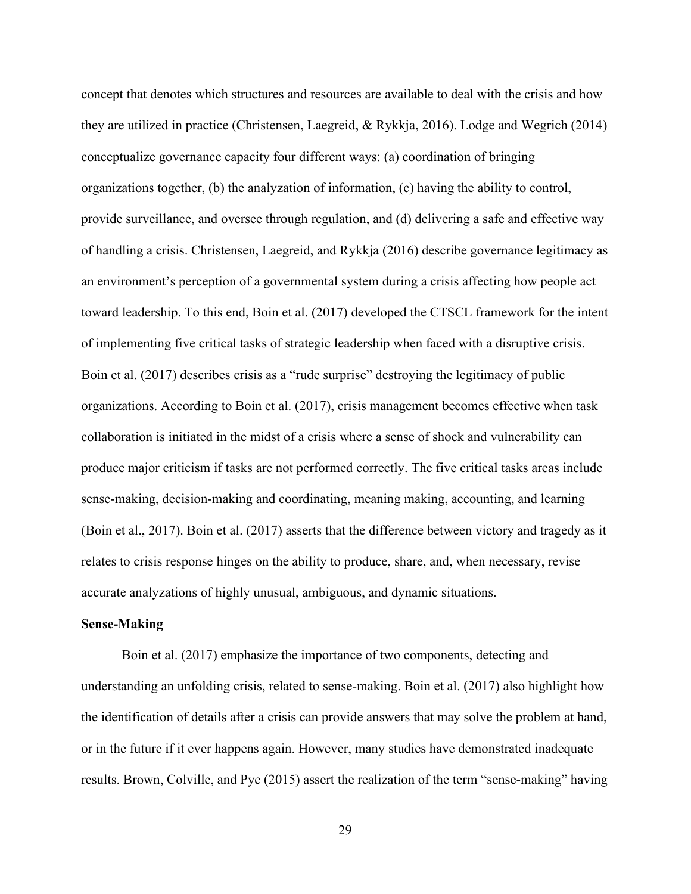concept that denotes which structures and resources are available to deal with the crisis and how they are utilized in practice (Christensen, Laegreid, & Rykkja, 2016). Lodge and Wegrich (2014) conceptualize governance capacity four different ways: (a) coordination of bringing organizations together, (b) the analyzation of information, (c) having the ability to control, provide surveillance, and oversee through regulation, and (d) delivering a safe and effective way of handling a crisis. Christensen, Laegreid, and Rykkja (2016) describe governance legitimacy as an environment's perception of a governmental system during a crisis affecting how people act toward leadership. To this end, Boin et al. (2017) developed the CTSCL framework for the intent of implementing five critical tasks of strategic leadership when faced with a disruptive crisis. Boin et al. (2017) describes crisis as a "rude surprise" destroying the legitimacy of public organizations. According to Boin et al. (2017), crisis management becomes effective when task collaboration is initiated in the midst of a crisis where a sense of shock and vulnerability can produce major criticism if tasks are not performed correctly. The five critical tasks areas include sense-making, decision-making and coordinating, meaning making, accounting, and learning (Boin et al., 2017). Boin et al. (2017) asserts that the difference between victory and tragedy as it relates to crisis response hinges on the ability to produce, share, and, when necessary, revise accurate analyzations of highly unusual, ambiguous, and dynamic situations.

#### **Sense-Making**

Boin et al. (2017) emphasize the importance of two components, detecting and understanding an unfolding crisis, related to sense-making. Boin et al. (2017) also highlight how the identification of details after a crisis can provide answers that may solve the problem at hand, or in the future if it ever happens again. However, many studies have demonstrated inadequate results. Brown, Colville, and Pye (2015) assert the realization of the term "sense-making" having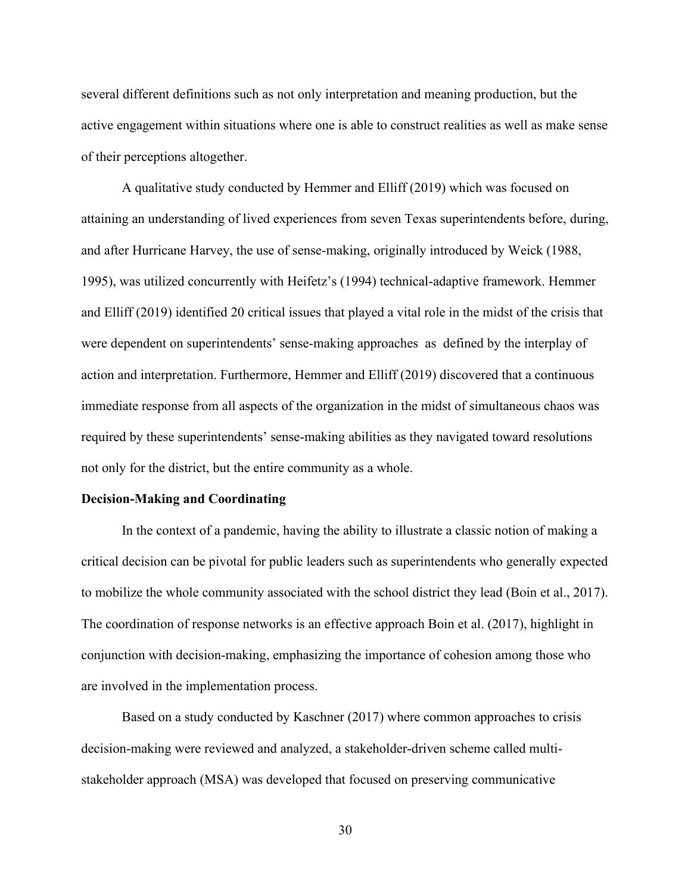several different definitions such as not only interpretation and meaning production, but the active engagement within situations where one is able to construct realities as well as make sense of their perceptions altogether.

A qualitative study conducted by Hemmer and Elliff (2019) which was focused on attaining an understanding of lived experiences from seven Texas superintendents before, during, and after Hurricane Harvey, the use of sense-making, originally introduced by Weick (1988, 1995), was utilized concurrently with Heifetz's (1994) technical-adaptive framework. Hemmer and Elliff (2019) identified 20 critical issues that played a vital role in the midst of the crisis that were dependent on superintendents' sense-making approaches as defined by the interplay of action and interpretation. Furthermore, Hemmer and Elliff (2019) discovered that a continuous immediate response from all aspects of the organization in the midst of simultaneous chaos was required by these superintendents' sense-making abilities as they navigated toward resolutions not only for the district, but the entire community as a whole.

## **Decision-Making and Coordinating**

In the context of a pandemic, having the ability to illustrate a classic notion of making a critical decision can be pivotal for public leaders such as superintendents who generally expected to mobilize the whole community associated with the school district they lead (Boin et al., 2017). The coordination of response networks is an effective approach Boin et al. (2017), highlight in conjunction with decision-making, emphasizing the importance of cohesion among those who are involved in the implementation process.

Based on a study conducted by Kaschner (2017) where common approaches to crisis decision-making were reviewed and analyzed, a stakeholder-driven scheme called multistakeholder approach (MSA) was developed that focused on preserving communicative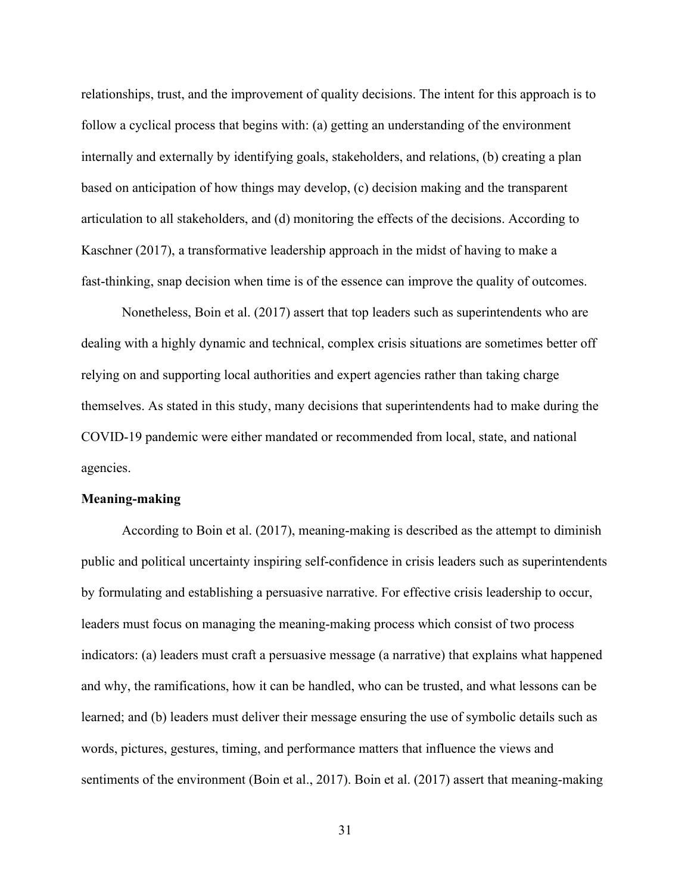relationships, trust, and the improvement of quality decisions. The intent for this approach is to follow a cyclical process that begins with: (a) getting an understanding of the environment internally and externally by identifying goals, stakeholders, and relations, (b) creating a plan based on anticipation of how things may develop, (c) decision making and the transparent articulation to all stakeholders, and (d) monitoring the effects of the decisions. According to Kaschner (2017), a transformative leadership approach in the midst of having to make a fast-thinking, snap decision when time is of the essence can improve the quality of outcomes.

Nonetheless, Boin et al. (2017) assert that top leaders such as superintendents who are dealing with a highly dynamic and technical, complex crisis situations are sometimes better off relying on and supporting local authorities and expert agencies rather than taking charge themselves. As stated in this study, many decisions that superintendents had to make during the COVID-19 pandemic were either mandated or recommended from local, state, and national agencies.

# **Meaning-making**

According to Boin et al. (2017), meaning-making is described as the attempt to diminish public and political uncertainty inspiring self-confidence in crisis leaders such as superintendents by formulating and establishing a persuasive narrative. For effective crisis leadership to occur, leaders must focus on managing the meaning-making process which consist of two process indicators: (a) leaders must craft a persuasive message (a narrative) that explains what happened and why, the ramifications, how it can be handled, who can be trusted, and what lessons can be learned; and (b) leaders must deliver their message ensuring the use of symbolic details such as words, pictures, gestures, timing, and performance matters that influence the views and sentiments of the environment (Boin et al., 2017). Boin et al. (2017) assert that meaning-making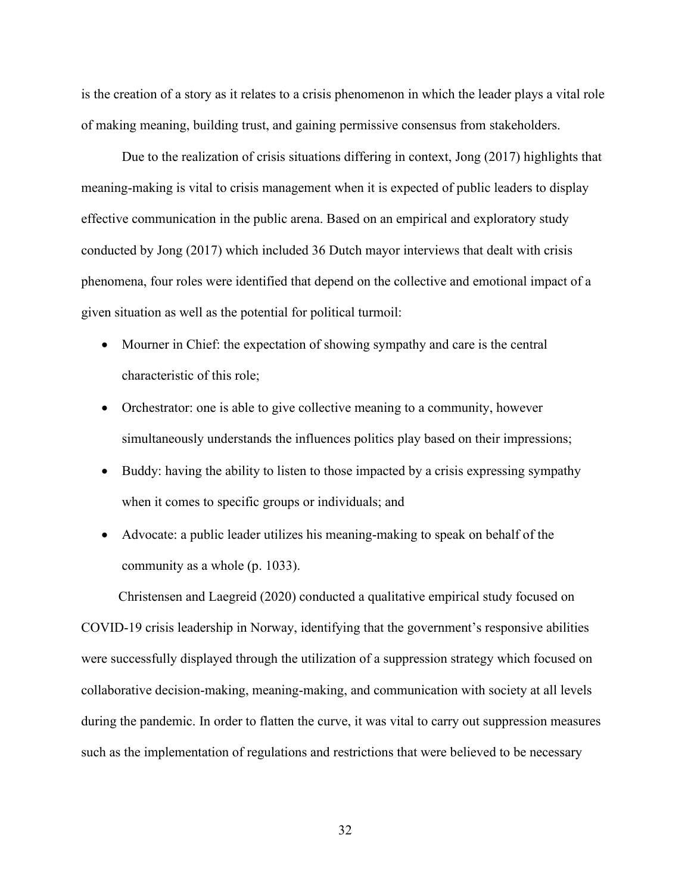is the creation of a story as it relates to a crisis phenomenon in which the leader plays a vital role of making meaning, building trust, and gaining permissive consensus from stakeholders.

Due to the realization of crisis situations differing in context, Jong (2017) highlights that meaning-making is vital to crisis management when it is expected of public leaders to display effective communication in the public arena. Based on an empirical and exploratory study conducted by Jong (2017) which included 36 Dutch mayor interviews that dealt with crisis phenomena, four roles were identified that depend on the collective and emotional impact of a given situation as well as the potential for political turmoil:

- Mourner in Chief: the expectation of showing sympathy and care is the central characteristic of this role;
- Orchestrator: one is able to give collective meaning to a community, however simultaneously understands the influences politics play based on their impressions;
- Buddy: having the ability to listen to those impacted by a crisis expressing sympathy when it comes to specific groups or individuals; and
- Advocate: a public leader utilizes his meaning-making to speak on behalf of the community as a whole (p. 1033).

 Christensen and Laegreid (2020) conducted a qualitative empirical study focused on COVID-19 crisis leadership in Norway, identifying that the government's responsive abilities were successfully displayed through the utilization of a suppression strategy which focused on collaborative decision-making, meaning-making, and communication with society at all levels during the pandemic. In order to flatten the curve, it was vital to carry out suppression measures such as the implementation of regulations and restrictions that were believed to be necessary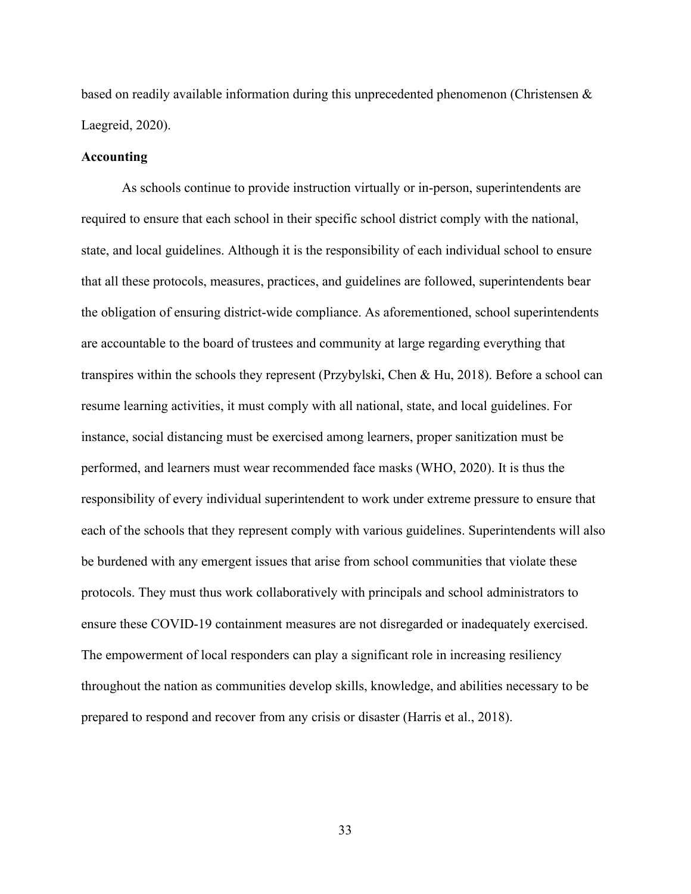based on readily available information during this unprecedented phenomenon (Christensen & Laegreid, 2020).

## **Accounting**

As schools continue to provide instruction virtually or in-person, superintendents are required to ensure that each school in their specific school district comply with the national, state, and local guidelines. Although it is the responsibility of each individual school to ensure that all these protocols, measures, practices, and guidelines are followed, superintendents bear the obligation of ensuring district-wide compliance. As aforementioned, school superintendents are accountable to the board of trustees and community at large regarding everything that transpires within the schools they represent (Przybylski, Chen & Hu, 2018). Before a school can resume learning activities, it must comply with all national, state, and local guidelines. For instance, social distancing must be exercised among learners, proper sanitization must be performed, and learners must wear recommended face masks (WHO, 2020). It is thus the responsibility of every individual superintendent to work under extreme pressure to ensure that each of the schools that they represent comply with various guidelines. Superintendents will also be burdened with any emergent issues that arise from school communities that violate these protocols. They must thus work collaboratively with principals and school administrators to ensure these COVID-19 containment measures are not disregarded or inadequately exercised. The empowerment of local responders can play a significant role in increasing resiliency throughout the nation as communities develop skills, knowledge, and abilities necessary to be prepared to respond and recover from any crisis or disaster (Harris et al., 2018).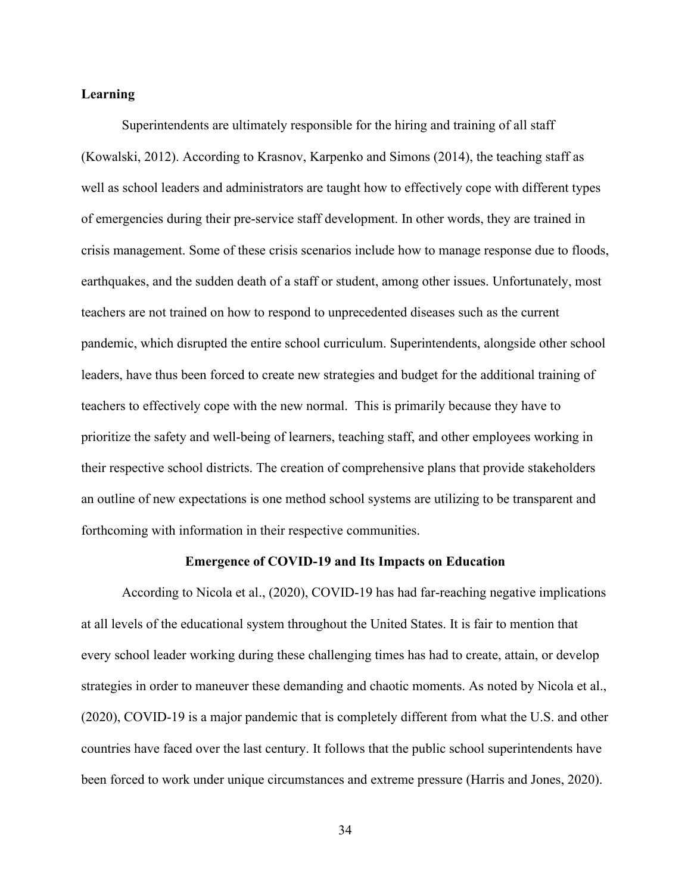## **Learning**

Superintendents are ultimately responsible for the hiring and training of all staff (Kowalski, 2012). According to Krasnov, Karpenko and Simons (2014), the teaching staff as well as school leaders and administrators are taught how to effectively cope with different types of emergencies during their pre-service staff development. In other words, they are trained in crisis management. Some of these crisis scenarios include how to manage response due to floods, earthquakes, and the sudden death of a staff or student, among other issues. Unfortunately, most teachers are not trained on how to respond to unprecedented diseases such as the current pandemic, which disrupted the entire school curriculum. Superintendents, alongside other school leaders, have thus been forced to create new strategies and budget for the additional training of teachers to effectively cope with the new normal. This is primarily because they have to prioritize the safety and well-being of learners, teaching staff, and other employees working in their respective school districts. The creation of comprehensive plans that provide stakeholders an outline of new expectations is one method school systems are utilizing to be transparent and forthcoming with information in their respective communities.

### **Emergence of COVID-19 and Its Impacts on Education**

According to Nicola et al., (2020), COVID-19 has had far-reaching negative implications at all levels of the educational system throughout the United States. It is fair to mention that every school leader working during these challenging times has had to create, attain, or develop strategies in order to maneuver these demanding and chaotic moments. As noted by Nicola et al., (2020), COVID-19 is a major pandemic that is completely different from what the U.S. and other countries have faced over the last century. It follows that the public school superintendents have been forced to work under unique circumstances and extreme pressure (Harris and Jones, 2020).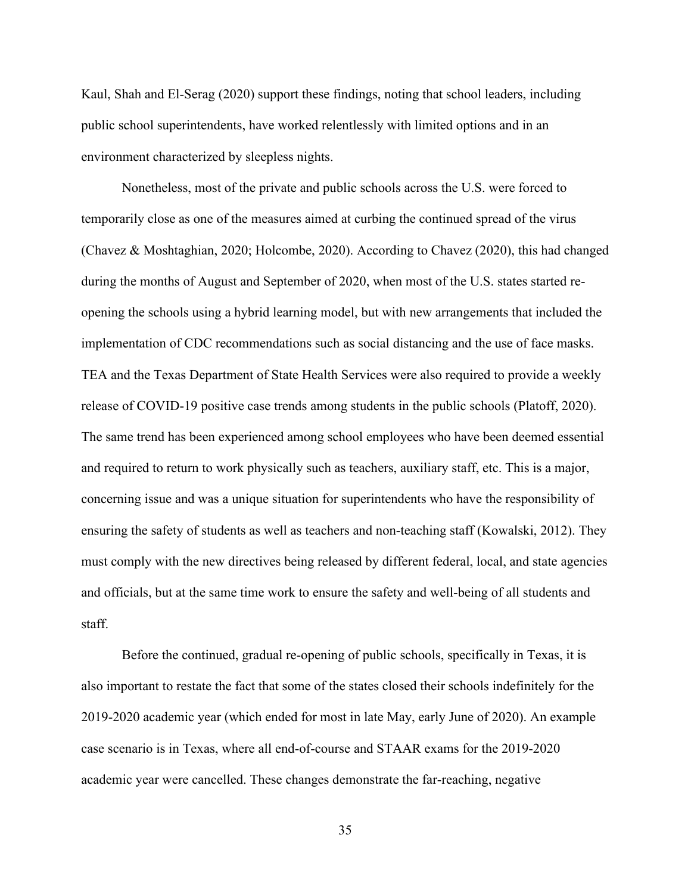Kaul, Shah and El-Serag (2020) support these findings, noting that school leaders, including public school superintendents, have worked relentlessly with limited options and in an environment characterized by sleepless nights.

Nonetheless, most of the private and public schools across the U.S. were forced to temporarily close as one of the measures aimed at curbing the continued spread of the virus (Chavez & Moshtaghian, 2020; Holcombe, 2020). According to Chavez (2020), this had changed during the months of August and September of 2020, when most of the U.S. states started reopening the schools using a hybrid learning model, but with new arrangements that included the implementation of CDC recommendations such as social distancing and the use of face masks. TEA and the Texas Department of State Health Services were also required to provide a weekly release of COVID-19 positive case trends among students in the public schools (Platoff, 2020). The same trend has been experienced among school employees who have been deemed essential and required to return to work physically such as teachers, auxiliary staff, etc. This is a major, concerning issue and was a unique situation for superintendents who have the responsibility of ensuring the safety of students as well as teachers and non-teaching staff (Kowalski, 2012). They must comply with the new directives being released by different federal, local, and state agencies and officials, but at the same time work to ensure the safety and well-being of all students and staff.

Before the continued, gradual re-opening of public schools, specifically in Texas, it is also important to restate the fact that some of the states closed their schools indefinitely for the 2019-2020 academic year (which ended for most in late May, early June of 2020). An example case scenario is in Texas, where all end-of-course and STAAR exams for the 2019-2020 academic year were cancelled. These changes demonstrate the far-reaching, negative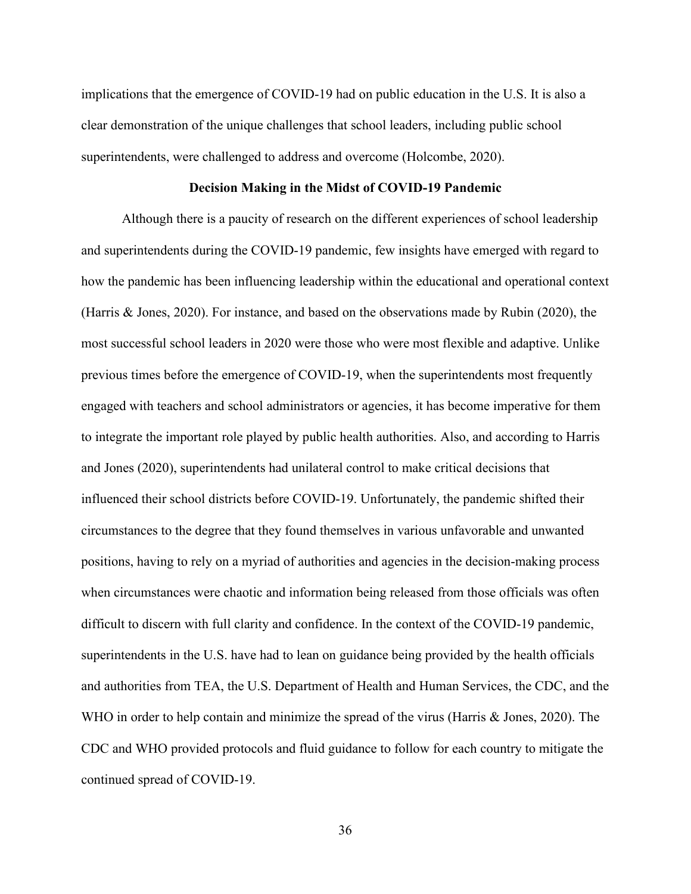implications that the emergence of COVID-19 had on public education in the U.S. It is also a clear demonstration of the unique challenges that school leaders, including public school superintendents, were challenged to address and overcome (Holcombe, 2020).

### **Decision Making in the Midst of COVID-19 Pandemic**

Although there is a paucity of research on the different experiences of school leadership and superintendents during the COVID-19 pandemic, few insights have emerged with regard to how the pandemic has been influencing leadership within the educational and operational context (Harris & Jones, 2020). For instance, and based on the observations made by Rubin (2020), the most successful school leaders in 2020 were those who were most flexible and adaptive. Unlike previous times before the emergence of COVID-19, when the superintendents most frequently engaged with teachers and school administrators or agencies, it has become imperative for them to integrate the important role played by public health authorities. Also, and according to Harris and Jones (2020), superintendents had unilateral control to make critical decisions that influenced their school districts before COVID-19. Unfortunately, the pandemic shifted their circumstances to the degree that they found themselves in various unfavorable and unwanted positions, having to rely on a myriad of authorities and agencies in the decision-making process when circumstances were chaotic and information being released from those officials was often difficult to discern with full clarity and confidence. In the context of the COVID-19 pandemic, superintendents in the U.S. have had to lean on guidance being provided by the health officials and authorities from TEA, the U.S. Department of Health and Human Services, the CDC, and the WHO in order to help contain and minimize the spread of the virus (Harris & Jones, 2020). The CDC and WHO provided protocols and fluid guidance to follow for each country to mitigate the continued spread of COVID-19.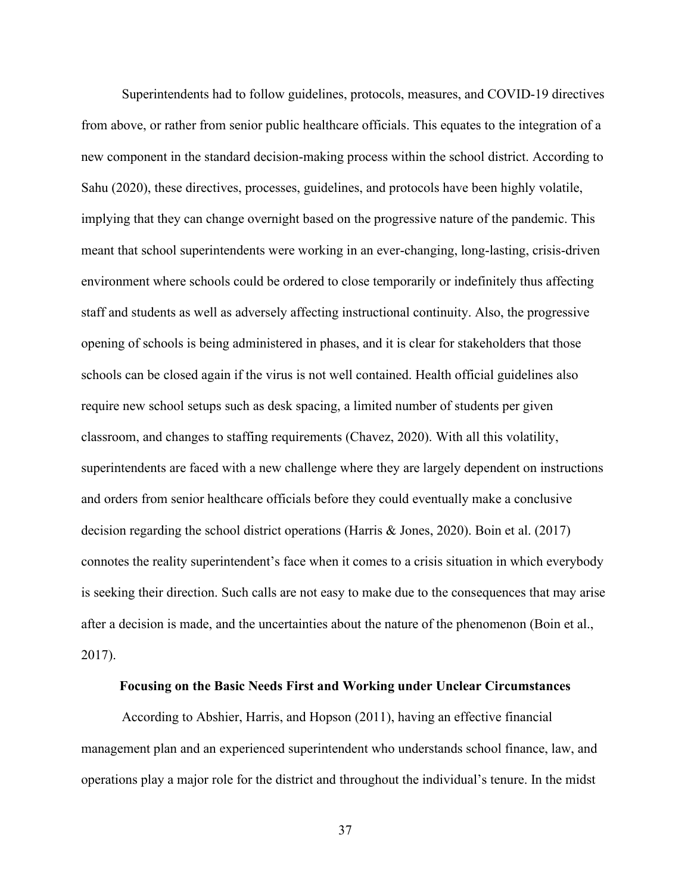Superintendents had to follow guidelines, protocols, measures, and COVID-19 directives from above, or rather from senior public healthcare officials. This equates to the integration of a new component in the standard decision-making process within the school district. According to Sahu (2020), these directives, processes, guidelines, and protocols have been highly volatile, implying that they can change overnight based on the progressive nature of the pandemic. This meant that school superintendents were working in an ever-changing, long-lasting, crisis-driven environment where schools could be ordered to close temporarily or indefinitely thus affecting staff and students as well as adversely affecting instructional continuity. Also, the progressive opening of schools is being administered in phases, and it is clear for stakeholders that those schools can be closed again if the virus is not well contained. Health official guidelines also require new school setups such as desk spacing, a limited number of students per given classroom, and changes to staffing requirements (Chavez, 2020). With all this volatility, superintendents are faced with a new challenge where they are largely dependent on instructions and orders from senior healthcare officials before they could eventually make a conclusive decision regarding the school district operations (Harris & Jones, 2020). Boin et al. (2017) connotes the reality superintendent's face when it comes to a crisis situation in which everybody is seeking their direction. Such calls are not easy to make due to the consequences that may arise after a decision is made, and the uncertainties about the nature of the phenomenon (Boin et al., 2017).

# **Focusing on the Basic Needs First and Working under Unclear Circumstances**

According to Abshier, Harris, and Hopson (2011), having an effective financial management plan and an experienced superintendent who understands school finance, law, and operations play a major role for the district and throughout the individual's tenure. In the midst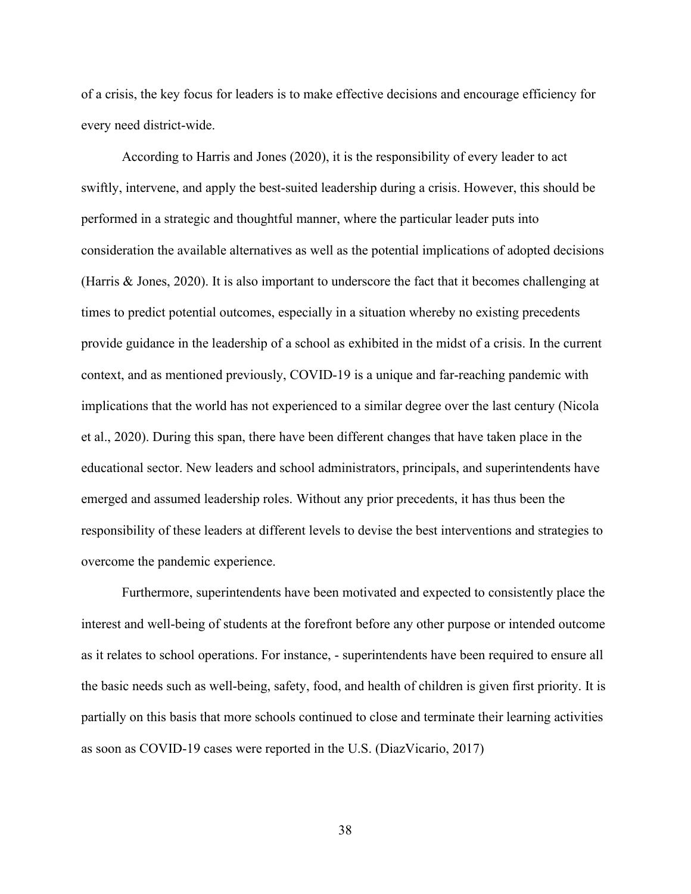of a crisis, the key focus for leaders is to make effective decisions and encourage efficiency for every need district-wide.

According to Harris and Jones (2020), it is the responsibility of every leader to act swiftly, intervene, and apply the best-suited leadership during a crisis. However, this should be performed in a strategic and thoughtful manner, where the particular leader puts into consideration the available alternatives as well as the potential implications of adopted decisions (Harris & Jones, 2020). It is also important to underscore the fact that it becomes challenging at times to predict potential outcomes, especially in a situation whereby no existing precedents provide guidance in the leadership of a school as exhibited in the midst of a crisis. In the current context, and as mentioned previously, COVID-19 is a unique and far-reaching pandemic with implications that the world has not experienced to a similar degree over the last century (Nicola et al., 2020). During this span, there have been different changes that have taken place in the educational sector. New leaders and school administrators, principals, and superintendents have emerged and assumed leadership roles. Without any prior precedents, it has thus been the responsibility of these leaders at different levels to devise the best interventions and strategies to overcome the pandemic experience.

Furthermore, superintendents have been motivated and expected to consistently place the interest and well-being of students at the forefront before any other purpose or intended outcome as it relates to school operations. For instance, - superintendents have been required to ensure all the basic needs such as well-being, safety, food, and health of children is given first priority. It is partially on this basis that more schools continued to close and terminate their learning activities as soon as COVID-19 cases were reported in the U.S. (DiazVicario, 2017)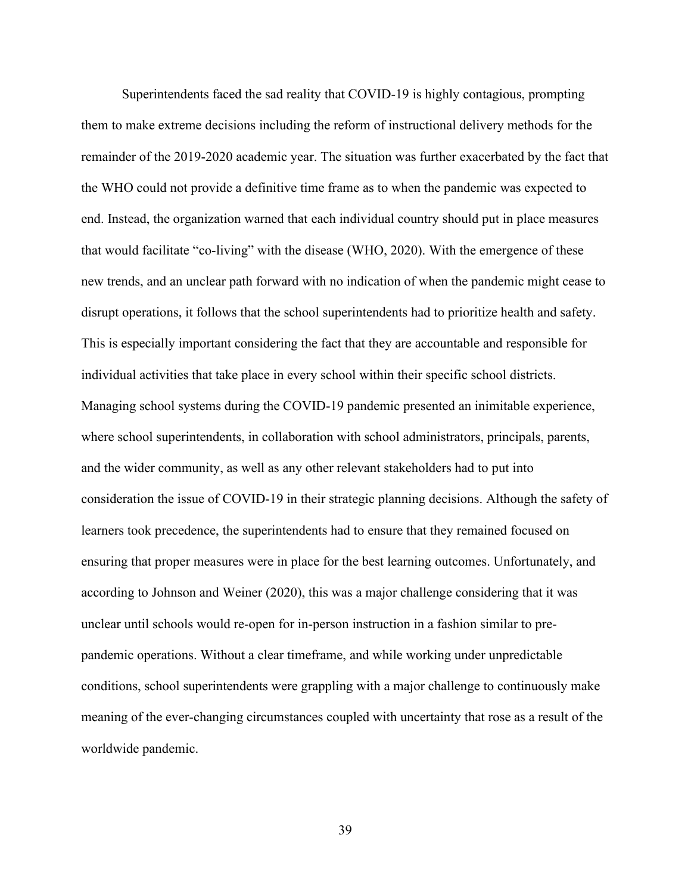Superintendents faced the sad reality that COVID-19 is highly contagious, prompting them to make extreme decisions including the reform of instructional delivery methods for the remainder of the 2019-2020 academic year. The situation was further exacerbated by the fact that the WHO could not provide a definitive time frame as to when the pandemic was expected to end. Instead, the organization warned that each individual country should put in place measures that would facilitate "co-living" with the disease (WHO, 2020). With the emergence of these new trends, and an unclear path forward with no indication of when the pandemic might cease to disrupt operations, it follows that the school superintendents had to prioritize health and safety. This is especially important considering the fact that they are accountable and responsible for individual activities that take place in every school within their specific school districts. Managing school systems during the COVID-19 pandemic presented an inimitable experience, where school superintendents, in collaboration with school administrators, principals, parents, and the wider community, as well as any other relevant stakeholders had to put into consideration the issue of COVID-19 in their strategic planning decisions. Although the safety of learners took precedence, the superintendents had to ensure that they remained focused on ensuring that proper measures were in place for the best learning outcomes. Unfortunately, and according to Johnson and Weiner (2020), this was a major challenge considering that it was unclear until schools would re-open for in-person instruction in a fashion similar to prepandemic operations. Without a clear timeframe, and while working under unpredictable conditions, school superintendents were grappling with a major challenge to continuously make meaning of the ever-changing circumstances coupled with uncertainty that rose as a result of the worldwide pandemic.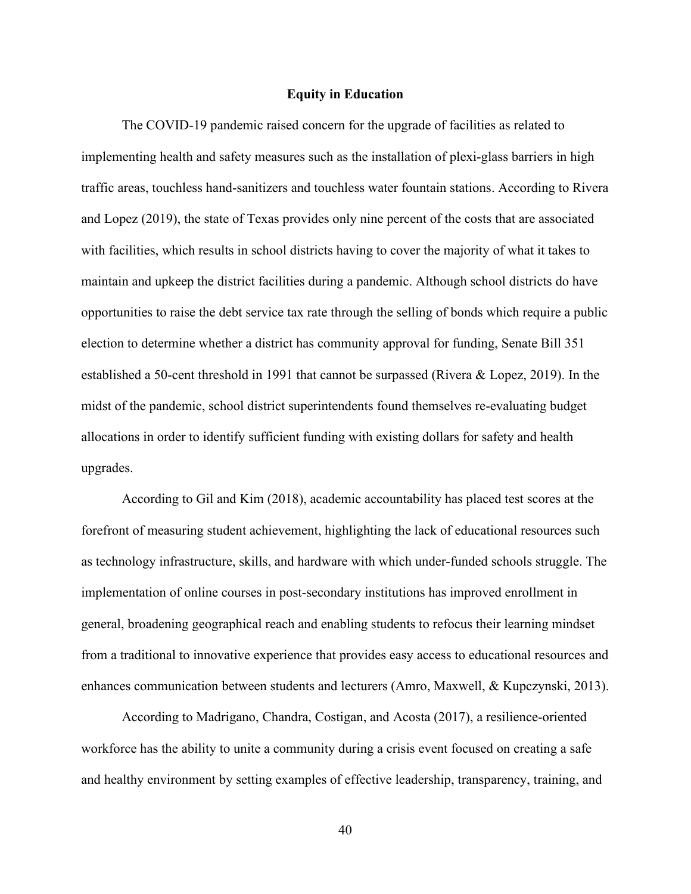## **Equity in Education**

The COVID-19 pandemic raised concern for the upgrade of facilities as related to implementing health and safety measures such as the installation of plexi-glass barriers in high traffic areas, touchless hand-sanitizers and touchless water fountain stations. According to Rivera and Lopez (2019), the state of Texas provides only nine percent of the costs that are associated with facilities, which results in school districts having to cover the majority of what it takes to maintain and upkeep the district facilities during a pandemic. Although school districts do have opportunities to raise the debt service tax rate through the selling of bonds which require a public election to determine whether a district has community approval for funding, Senate Bill 351 established a 50-cent threshold in 1991 that cannot be surpassed (Rivera & Lopez, 2019). In the midst of the pandemic, school district superintendents found themselves re-evaluating budget allocations in order to identify sufficient funding with existing dollars for safety and health upgrades.

According to Gil and Kim (2018), academic accountability has placed test scores at the forefront of measuring student achievement, highlighting the lack of educational resources such as technology infrastructure, skills, and hardware with which under-funded schools struggle. The implementation of online courses in post-secondary institutions has improved enrollment in general, broadening geographical reach and enabling students to refocus their learning mindset from a traditional to innovative experience that provides easy access to educational resources and enhances communication between students and lecturers (Amro, Maxwell, & Kupczynski, 2013).

According to Madrigano, Chandra, Costigan, and Acosta (2017), a resilience-oriented workforce has the ability to unite a community during a crisis event focused on creating a safe and healthy environment by setting examples of effective leadership, transparency, training, and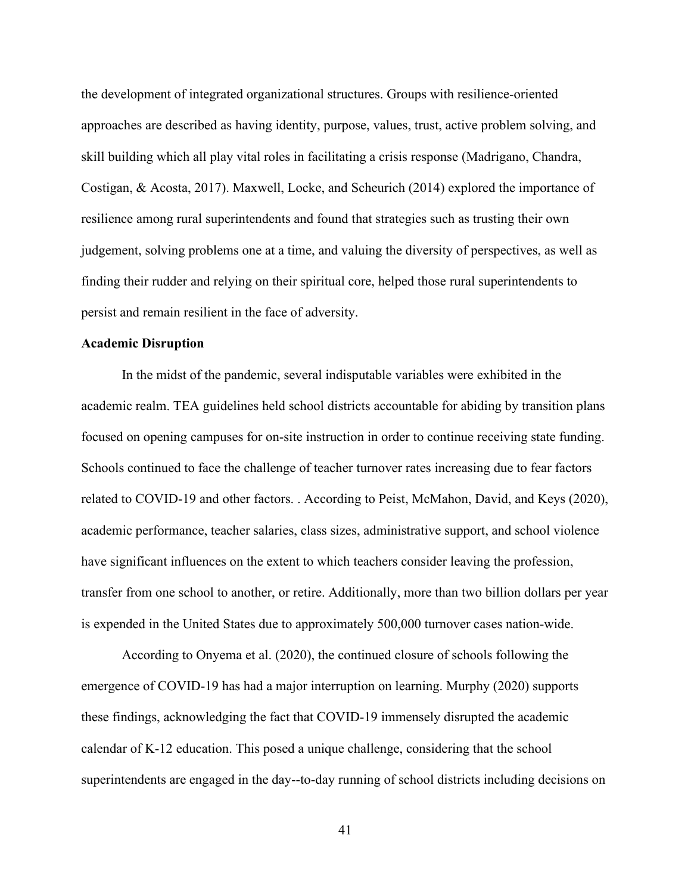the development of integrated organizational structures. Groups with resilience-oriented approaches are described as having identity, purpose, values, trust, active problem solving, and skill building which all play vital roles in facilitating a crisis response (Madrigano, Chandra, Costigan, & Acosta, 2017). Maxwell, Locke, and Scheurich (2014) explored the importance of resilience among rural superintendents and found that strategies such as trusting their own judgement, solving problems one at a time, and valuing the diversity of perspectives, as well as finding their rudder and relying on their spiritual core, helped those rural superintendents to persist and remain resilient in the face of adversity.

## **Academic Disruption**

In the midst of the pandemic, several indisputable variables were exhibited in the academic realm. TEA guidelines held school districts accountable for abiding by transition plans focused on opening campuses for on-site instruction in order to continue receiving state funding. Schools continued to face the challenge of teacher turnover rates increasing due to fear factors related to COVID-19 and other factors. . According to Peist, McMahon, David, and Keys (2020), academic performance, teacher salaries, class sizes, administrative support, and school violence have significant influences on the extent to which teachers consider leaving the profession, transfer from one school to another, or retire. Additionally, more than two billion dollars per year is expended in the United States due to approximately 500,000 turnover cases nation-wide.

According to Onyema et al. (2020), the continued closure of schools following the emergence of COVID-19 has had a major interruption on learning. Murphy (2020) supports these findings, acknowledging the fact that COVID-19 immensely disrupted the academic calendar of K-12 education. This posed a unique challenge, considering that the school superintendents are engaged in the day--to-day running of school districts including decisions on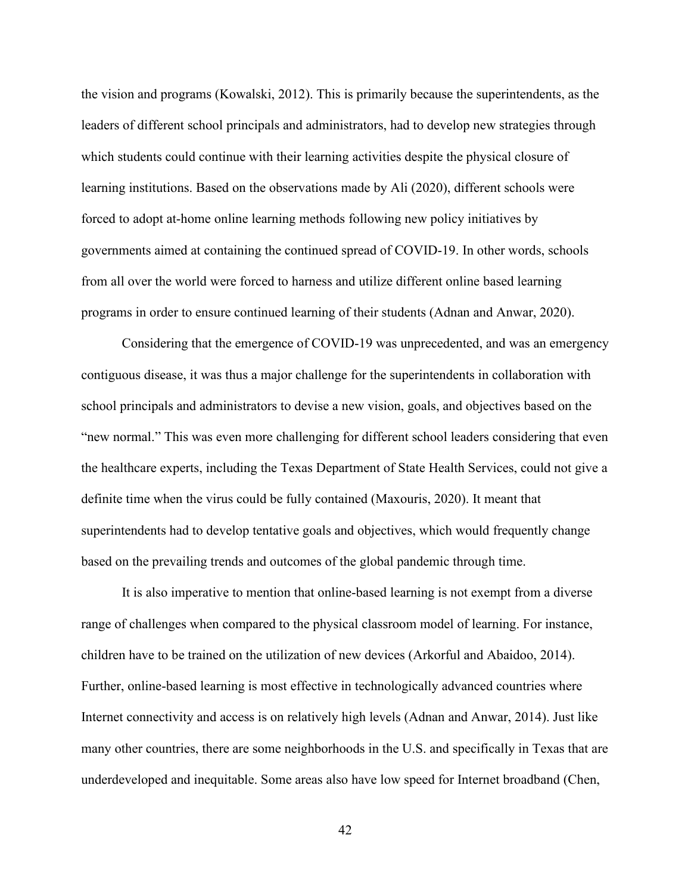the vision and programs (Kowalski, 2012). This is primarily because the superintendents, as the leaders of different school principals and administrators, had to develop new strategies through which students could continue with their learning activities despite the physical closure of learning institutions. Based on the observations made by Ali (2020), different schools were forced to adopt at-home online learning methods following new policy initiatives by governments aimed at containing the continued spread of COVID-19. In other words, schools from all over the world were forced to harness and utilize different online based learning programs in order to ensure continued learning of their students (Adnan and Anwar, 2020).

Considering that the emergence of COVID-19 was unprecedented, and was an emergency contiguous disease, it was thus a major challenge for the superintendents in collaboration with school principals and administrators to devise a new vision, goals, and objectives based on the "new normal." This was even more challenging for different school leaders considering that even the healthcare experts, including the Texas Department of State Health Services, could not give a definite time when the virus could be fully contained (Maxouris, 2020). It meant that superintendents had to develop tentative goals and objectives, which would frequently change based on the prevailing trends and outcomes of the global pandemic through time.

It is also imperative to mention that online-based learning is not exempt from a diverse range of challenges when compared to the physical classroom model of learning. For instance, children have to be trained on the utilization of new devices (Arkorful and Abaidoo, 2014). Further, online-based learning is most effective in technologically advanced countries where Internet connectivity and access is on relatively high levels (Adnan and Anwar, 2014). Just like many other countries, there are some neighborhoods in the U.S. and specifically in Texas that are underdeveloped and inequitable. Some areas also have low speed for Internet broadband (Chen,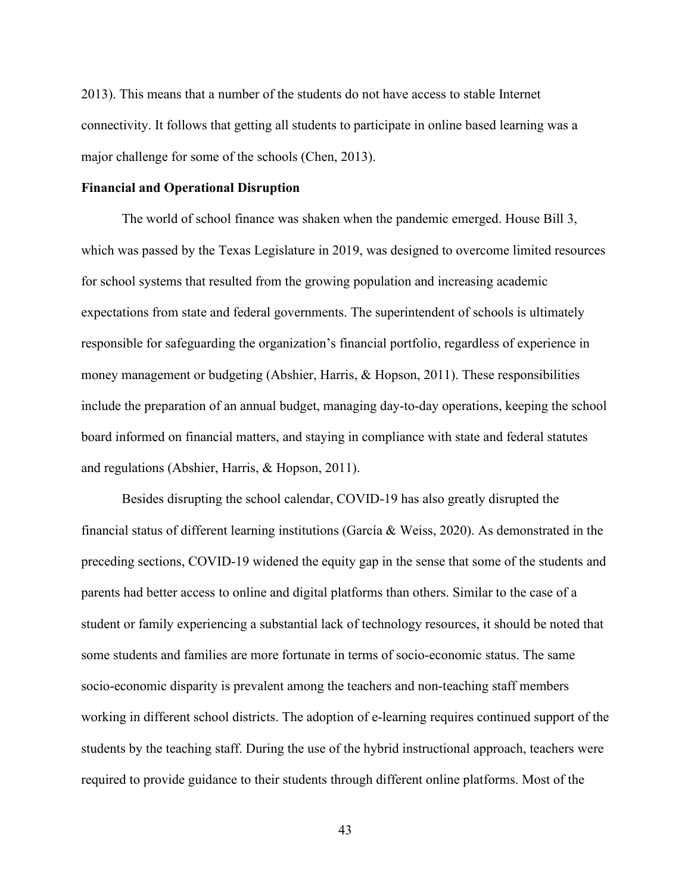2013). This means that a number of the students do not have access to stable Internet connectivity. It follows that getting all students to participate in online based learning was a major challenge for some of the schools (Chen, 2013).

## **Financial and Operational Disruption**

The world of school finance was shaken when the pandemic emerged. House Bill 3, which was passed by the Texas Legislature in 2019, was designed to overcome limited resources for school systems that resulted from the growing population and increasing academic expectations from state and federal governments. The superintendent of schools is ultimately responsible for safeguarding the organization's financial portfolio, regardless of experience in money management or budgeting (Abshier, Harris, & Hopson, 2011). These responsibilities include the preparation of an annual budget, managing day-to-day operations, keeping the school board informed on financial matters, and staying in compliance with state and federal statutes and regulations (Abshier, Harris, & Hopson, 2011).

Besides disrupting the school calendar, COVID-19 has also greatly disrupted the financial status of different learning institutions (García & Weiss, 2020). As demonstrated in the preceding sections, COVID-19 widened the equity gap in the sense that some of the students and parents had better access to online and digital platforms than others. Similar to the case of a student or family experiencing a substantial lack of technology resources, it should be noted that some students and families are more fortunate in terms of socio-economic status. The same socio-economic disparity is prevalent among the teachers and non-teaching staff members working in different school districts. The adoption of e-learning requires continued support of the students by the teaching staff. During the use of the hybrid instructional approach, teachers were required to provide guidance to their students through different online platforms. Most of the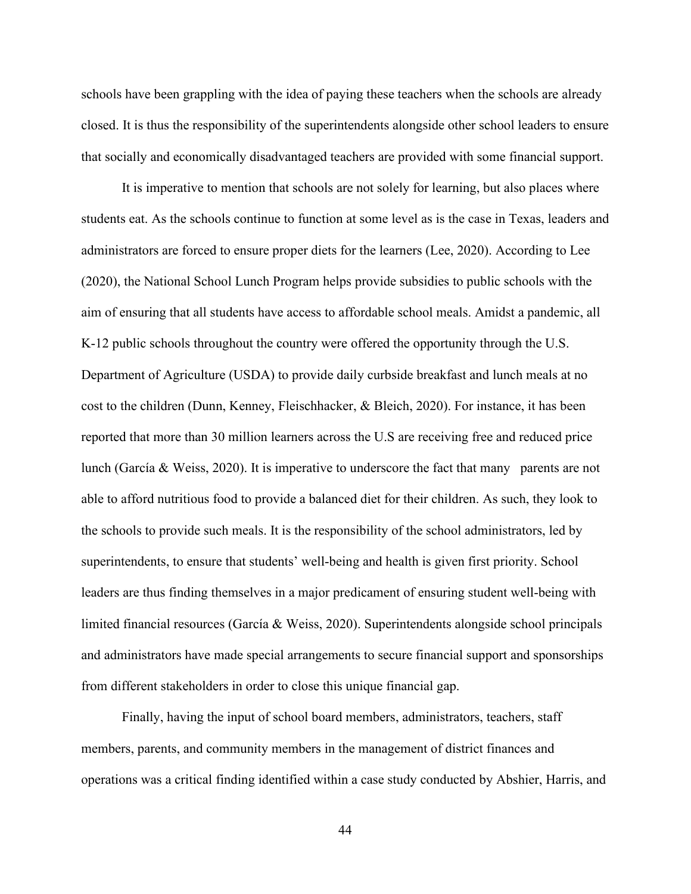schools have been grappling with the idea of paying these teachers when the schools are already closed. It is thus the responsibility of the superintendents alongside other school leaders to ensure that socially and economically disadvantaged teachers are provided with some financial support.

It is imperative to mention that schools are not solely for learning, but also places where students eat. As the schools continue to function at some level as is the case in Texas, leaders and administrators are forced to ensure proper diets for the learners (Lee, 2020). According to Lee (2020), the National School Lunch Program helps provide subsidies to public schools with the aim of ensuring that all students have access to affordable school meals. Amidst a pandemic, all K-12 public schools throughout the country were offered the opportunity through the U.S. Department of Agriculture (USDA) to provide daily curbside breakfast and lunch meals at no cost to the children (Dunn, Kenney, Fleischhacker, & Bleich, 2020). For instance, it has been reported that more than 30 million learners across the U.S are receiving free and reduced price lunch (García & Weiss, 2020). It is imperative to underscore the fact that many parents are not able to afford nutritious food to provide a balanced diet for their children. As such, they look to the schools to provide such meals. It is the responsibility of the school administrators, led by superintendents, to ensure that students' well-being and health is given first priority. School leaders are thus finding themselves in a major predicament of ensuring student well-being with limited financial resources (García & Weiss, 2020). Superintendents alongside school principals and administrators have made special arrangements to secure financial support and sponsorships from different stakeholders in order to close this unique financial gap.

Finally, having the input of school board members, administrators, teachers, staff members, parents, and community members in the management of district finances and operations was a critical finding identified within a case study conducted by Abshier, Harris, and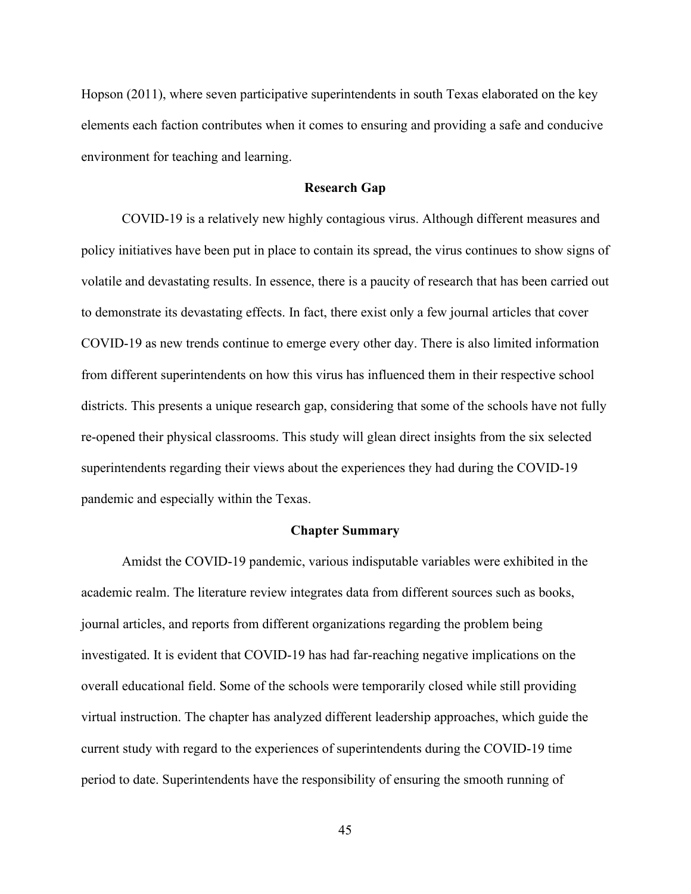Hopson (2011), where seven participative superintendents in south Texas elaborated on the key elements each faction contributes when it comes to ensuring and providing a safe and conducive environment for teaching and learning.

#### **Research Gap**

COVID-19 is a relatively new highly contagious virus. Although different measures and policy initiatives have been put in place to contain its spread, the virus continues to show signs of volatile and devastating results. In essence, there is a paucity of research that has been carried out to demonstrate its devastating effects. In fact, there exist only a few journal articles that cover COVID-19 as new trends continue to emerge every other day. There is also limited information from different superintendents on how this virus has influenced them in their respective school districts. This presents a unique research gap, considering that some of the schools have not fully re-opened their physical classrooms. This study will glean direct insights from the six selected superintendents regarding their views about the experiences they had during the COVID-19 pandemic and especially within the Texas.

## **Chapter Summary**

Amidst the COVID-19 pandemic, various indisputable variables were exhibited in the academic realm. The literature review integrates data from different sources such as books, journal articles, and reports from different organizations regarding the problem being investigated. It is evident that COVID-19 has had far-reaching negative implications on the overall educational field. Some of the schools were temporarily closed while still providing virtual instruction. The chapter has analyzed different leadership approaches, which guide the current study with regard to the experiences of superintendents during the COVID-19 time period to date. Superintendents have the responsibility of ensuring the smooth running of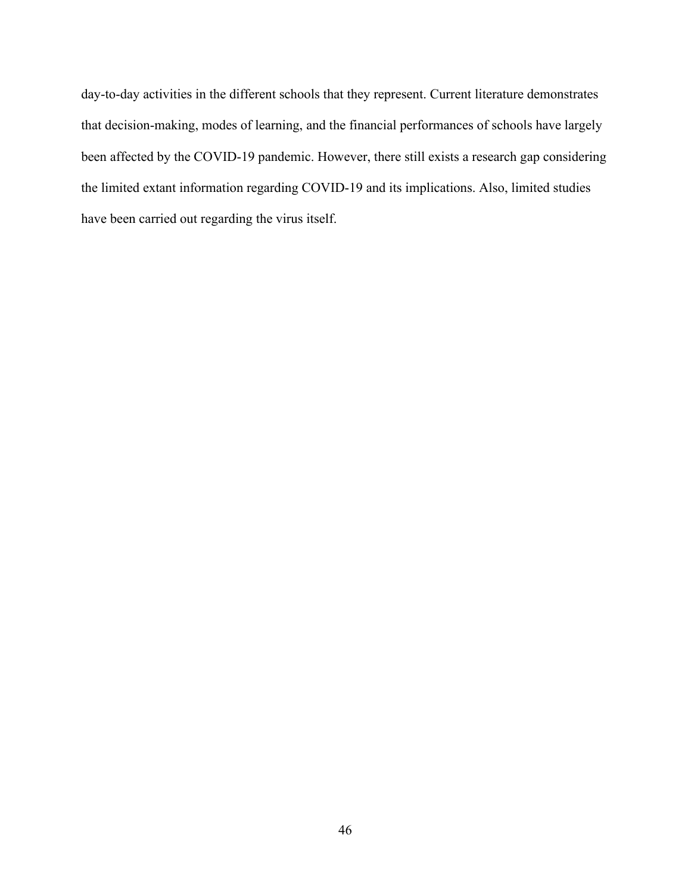day-to-day activities in the different schools that they represent. Current literature demonstrates that decision-making, modes of learning, and the financial performances of schools have largely been affected by the COVID-19 pandemic. However, there still exists a research gap considering the limited extant information regarding COVID-19 and its implications. Also, limited studies have been carried out regarding the virus itself.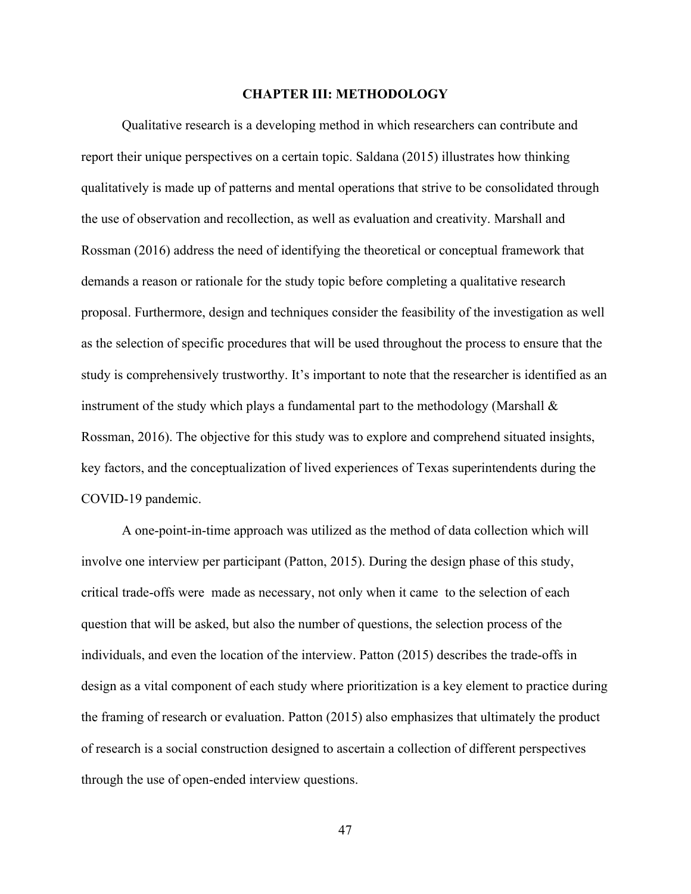# **CHAPTER III: METHODOLOGY**

Qualitative research is a developing method in which researchers can contribute and report their unique perspectives on a certain topic. Saldana (2015) illustrates how thinking qualitatively is made up of patterns and mental operations that strive to be consolidated through the use of observation and recollection, as well as evaluation and creativity. Marshall and Rossman (2016) address the need of identifying the theoretical or conceptual framework that demands a reason or rationale for the study topic before completing a qualitative research proposal. Furthermore, design and techniques consider the feasibility of the investigation as well as the selection of specific procedures that will be used throughout the process to ensure that the study is comprehensively trustworthy. It's important to note that the researcher is identified as an instrument of the study which plays a fundamental part to the methodology (Marshall  $\&$ Rossman, 2016). The objective for this study was to explore and comprehend situated insights, key factors, and the conceptualization of lived experiences of Texas superintendents during the COVID-19 pandemic.

A one-point-in-time approach was utilized as the method of data collection which will involve one interview per participant (Patton, 2015). During the design phase of this study, critical trade-offs were made as necessary, not only when it came to the selection of each question that will be asked, but also the number of questions, the selection process of the individuals, and even the location of the interview. Patton (2015) describes the trade-offs in design as a vital component of each study where prioritization is a key element to practice during the framing of research or evaluation. Patton (2015) also emphasizes that ultimately the product of research is a social construction designed to ascertain a collection of different perspectives through the use of open-ended interview questions.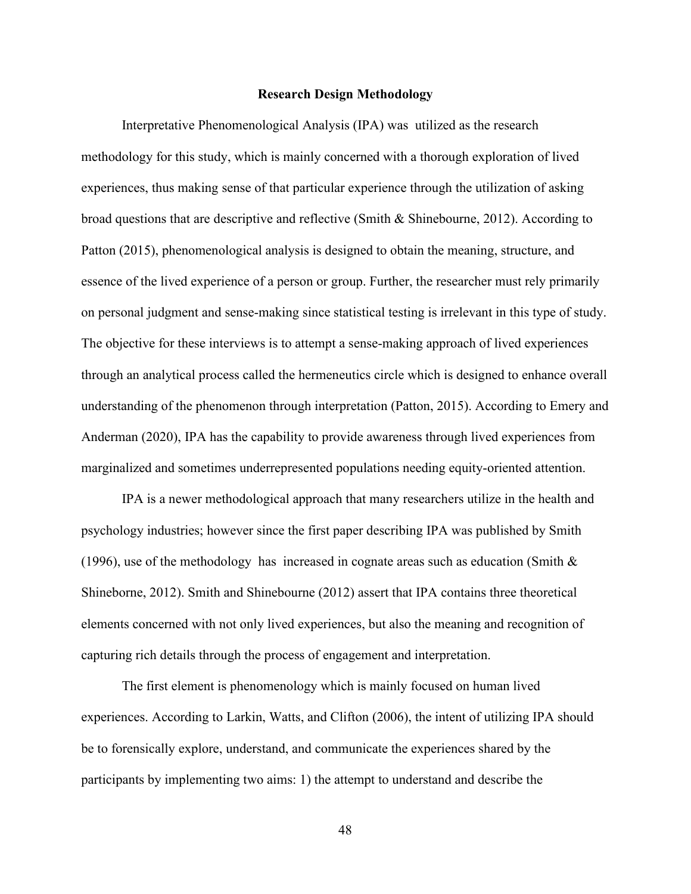### **Research Design Methodology**

Interpretative Phenomenological Analysis (IPA) was utilized as the research methodology for this study, which is mainly concerned with a thorough exploration of lived experiences, thus making sense of that particular experience through the utilization of asking broad questions that are descriptive and reflective (Smith & Shinebourne, 2012). According to Patton (2015), phenomenological analysis is designed to obtain the meaning, structure, and essence of the lived experience of a person or group. Further, the researcher must rely primarily on personal judgment and sense-making since statistical testing is irrelevant in this type of study. The objective for these interviews is to attempt a sense-making approach of lived experiences through an analytical process called the hermeneutics circle which is designed to enhance overall understanding of the phenomenon through interpretation (Patton, 2015). According to Emery and Anderman (2020), IPA has the capability to provide awareness through lived experiences from marginalized and sometimes underrepresented populations needing equity-oriented attention.

IPA is a newer methodological approach that many researchers utilize in the health and psychology industries; however since the first paper describing IPA was published by Smith (1996), use of the methodology has increased in cognate areas such as education (Smith  $\&$ Shineborne, 2012). Smith and Shinebourne (2012) assert that IPA contains three theoretical elements concerned with not only lived experiences, but also the meaning and recognition of capturing rich details through the process of engagement and interpretation.

The first element is phenomenology which is mainly focused on human lived experiences. According to Larkin, Watts, and Clifton (2006), the intent of utilizing IPA should be to forensically explore, understand, and communicate the experiences shared by the participants by implementing two aims: 1) the attempt to understand and describe the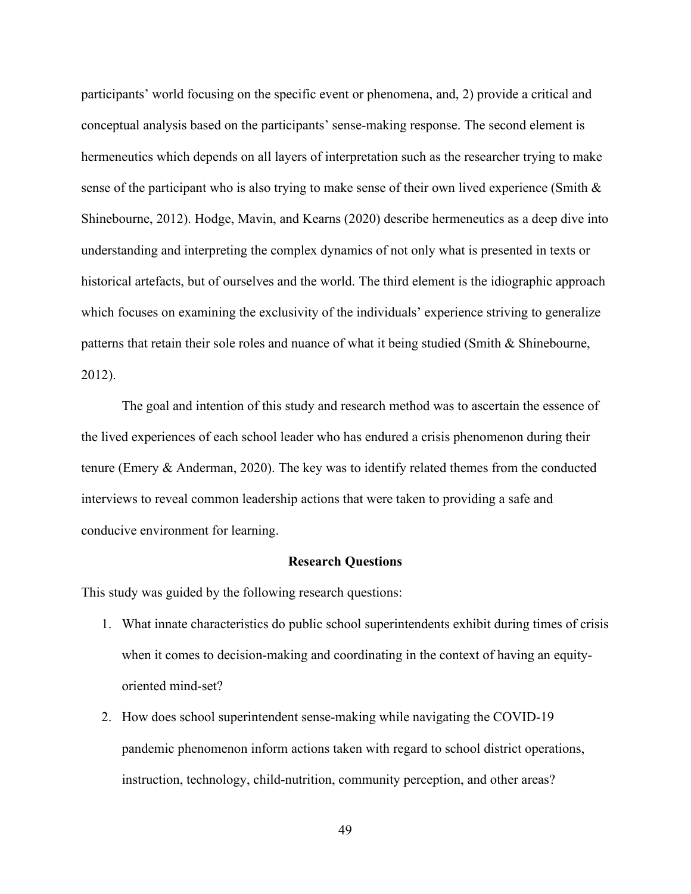participants' world focusing on the specific event or phenomena, and, 2) provide a critical and conceptual analysis based on the participants' sense-making response. The second element is hermeneutics which depends on all layers of interpretation such as the researcher trying to make sense of the participant who is also trying to make sense of their own lived experience (Smith  $\&$ Shinebourne, 2012). Hodge, Mavin, and Kearns (2020) describe hermeneutics as a deep dive into understanding and interpreting the complex dynamics of not only what is presented in texts or historical artefacts, but of ourselves and the world. The third element is the idiographic approach which focuses on examining the exclusivity of the individuals' experience striving to generalize patterns that retain their sole roles and nuance of what it being studied (Smith & Shinebourne, 2012).

The goal and intention of this study and research method was to ascertain the essence of the lived experiences of each school leader who has endured a crisis phenomenon during their tenure (Emery & Anderman, 2020). The key was to identify related themes from the conducted interviews to reveal common leadership actions that were taken to providing a safe and conducive environment for learning.

### **Research Questions**

This study was guided by the following research questions:

- 1. What innate characteristics do public school superintendents exhibit during times of crisis when it comes to decision-making and coordinating in the context of having an equityoriented mind-set?
- 2. How does school superintendent sense-making while navigating the COVID-19 pandemic phenomenon inform actions taken with regard to school district operations, instruction, technology, child-nutrition, community perception, and other areas?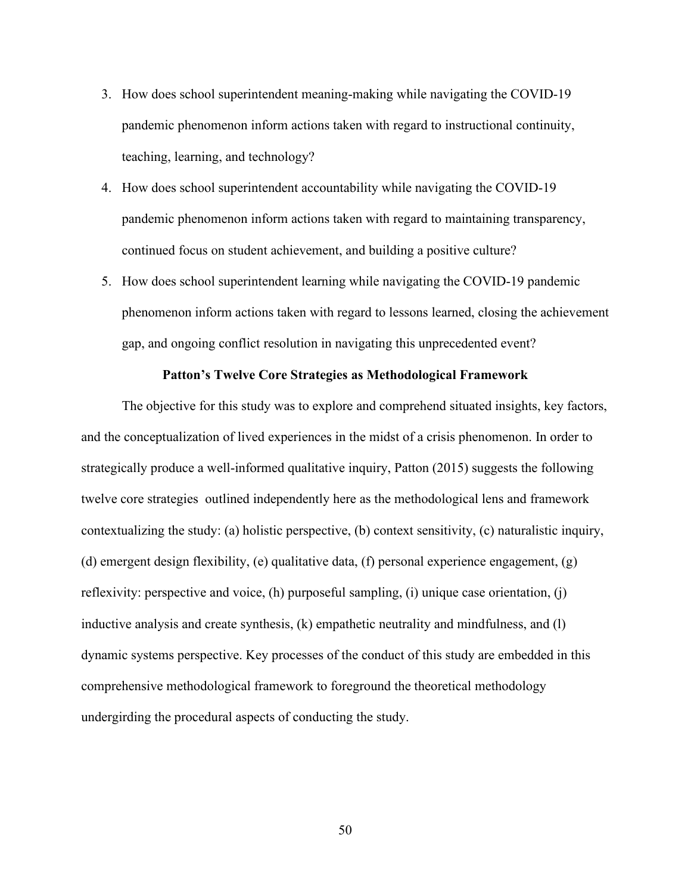- 3. How does school superintendent meaning-making while navigating the COVID-19 pandemic phenomenon inform actions taken with regard to instructional continuity, teaching, learning, and technology?
- 4. How does school superintendent accountability while navigating the COVID-19 pandemic phenomenon inform actions taken with regard to maintaining transparency, continued focus on student achievement, and building a positive culture?
- 5. How does school superintendent learning while navigating the COVID-19 pandemic phenomenon inform actions taken with regard to lessons learned, closing the achievement gap, and ongoing conflict resolution in navigating this unprecedented event?

# **Patton's Twelve Core Strategies as Methodological Framework**

The objective for this study was to explore and comprehend situated insights, key factors, and the conceptualization of lived experiences in the midst of a crisis phenomenon. In order to strategically produce a well-informed qualitative inquiry, Patton (2015) suggests the following twelve core strategies outlined independently here as the methodological lens and framework contextualizing the study: (a) holistic perspective, (b) context sensitivity, (c) naturalistic inquiry, (d) emergent design flexibility, (e) qualitative data, (f) personal experience engagement, (g) reflexivity: perspective and voice, (h) purposeful sampling, (i) unique case orientation, (j) inductive analysis and create synthesis, (k) empathetic neutrality and mindfulness, and (l) dynamic systems perspective. Key processes of the conduct of this study are embedded in this comprehensive methodological framework to foreground the theoretical methodology undergirding the procedural aspects of conducting the study.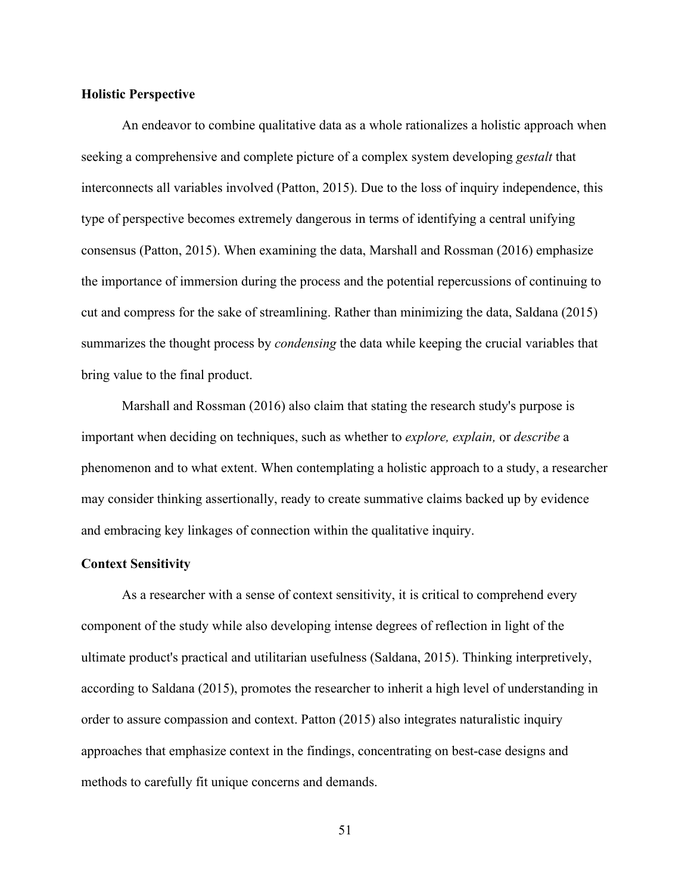## **Holistic Perspective**

An endeavor to combine qualitative data as a whole rationalizes a holistic approach when seeking a comprehensive and complete picture of a complex system developing *gestalt* that interconnects all variables involved (Patton, 2015). Due to the loss of inquiry independence, this type of perspective becomes extremely dangerous in terms of identifying a central unifying consensus (Patton, 2015). When examining the data, Marshall and Rossman (2016) emphasize the importance of immersion during the process and the potential repercussions of continuing to cut and compress for the sake of streamlining. Rather than minimizing the data, Saldana (2015) summarizes the thought process by *condensing* the data while keeping the crucial variables that bring value to the final product.

Marshall and Rossman (2016) also claim that stating the research study's purpose is important when deciding on techniques, such as whether to *explore, explain,* or *describe* a phenomenon and to what extent. When contemplating a holistic approach to a study, a researcher may consider thinking assertionally, ready to create summative claims backed up by evidence and embracing key linkages of connection within the qualitative inquiry.

#### **Context Sensitivity**

As a researcher with a sense of context sensitivity, it is critical to comprehend every component of the study while also developing intense degrees of reflection in light of the ultimate product's practical and utilitarian usefulness (Saldana, 2015). Thinking interpretively, according to Saldana (2015), promotes the researcher to inherit a high level of understanding in order to assure compassion and context. Patton (2015) also integrates naturalistic inquiry approaches that emphasize context in the findings, concentrating on best-case designs and methods to carefully fit unique concerns and demands.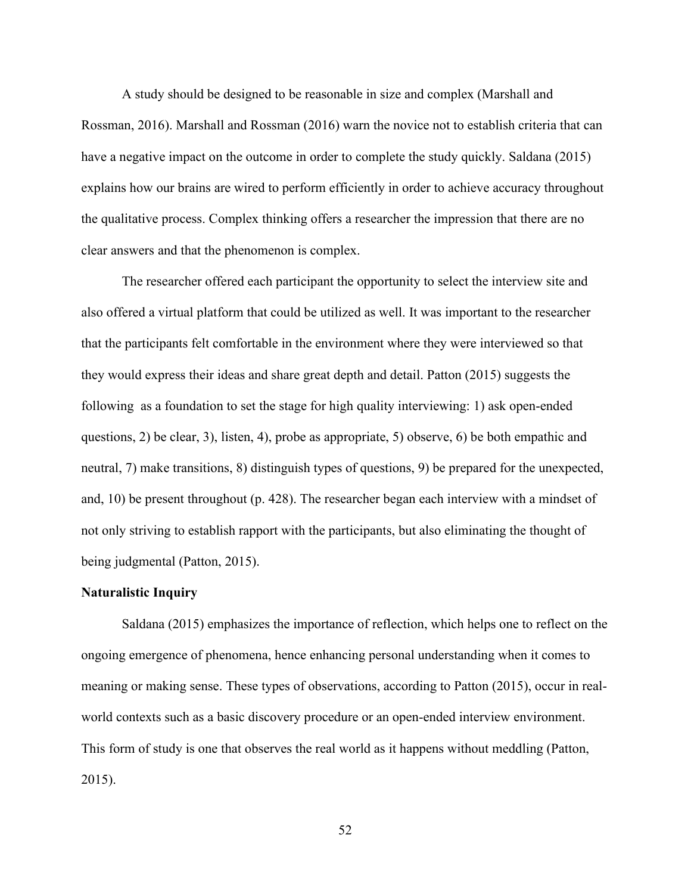A study should be designed to be reasonable in size and complex (Marshall and Rossman, 2016). Marshall and Rossman (2016) warn the novice not to establish criteria that can have a negative impact on the outcome in order to complete the study quickly. Saldana (2015) explains how our brains are wired to perform efficiently in order to achieve accuracy throughout the qualitative process. Complex thinking offers a researcher the impression that there are no clear answers and that the phenomenon is complex.

The researcher offered each participant the opportunity to select the interview site and also offered a virtual platform that could be utilized as well. It was important to the researcher that the participants felt comfortable in the environment where they were interviewed so that they would express their ideas and share great depth and detail. Patton (2015) suggests the following as a foundation to set the stage for high quality interviewing: 1) ask open-ended questions, 2) be clear, 3), listen, 4), probe as appropriate, 5) observe, 6) be both empathic and neutral, 7) make transitions, 8) distinguish types of questions, 9) be prepared for the unexpected, and, 10) be present throughout (p. 428). The researcher began each interview with a mindset of not only striving to establish rapport with the participants, but also eliminating the thought of being judgmental (Patton, 2015).

## **Naturalistic Inquiry**

Saldana (2015) emphasizes the importance of reflection, which helps one to reflect on the ongoing emergence of phenomena, hence enhancing personal understanding when it comes to meaning or making sense. These types of observations, according to Patton (2015), occur in realworld contexts such as a basic discovery procedure or an open-ended interview environment. This form of study is one that observes the real world as it happens without meddling (Patton, 2015).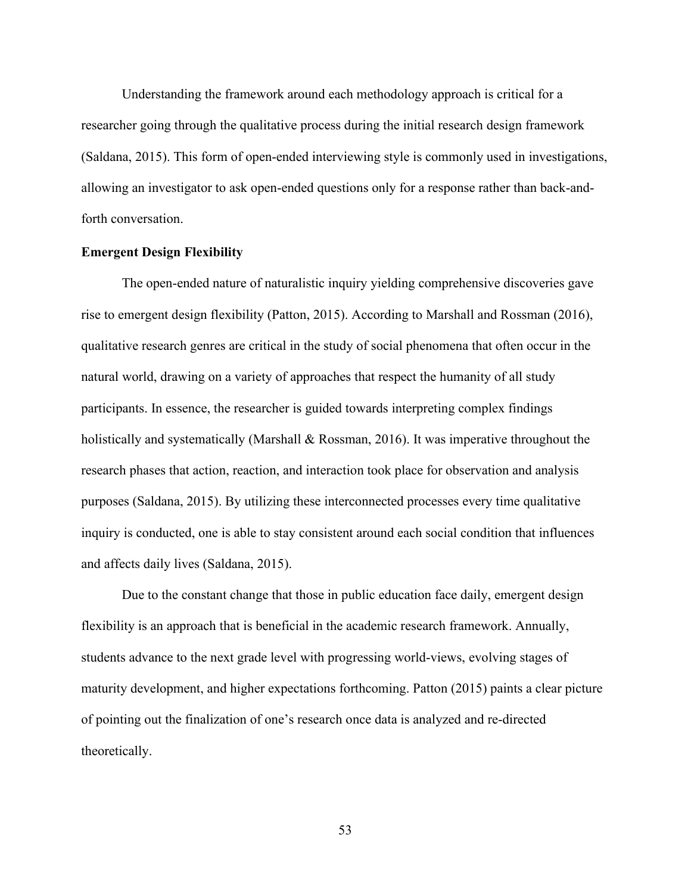Understanding the framework around each methodology approach is critical for a researcher going through the qualitative process during the initial research design framework (Saldana, 2015). This form of open-ended interviewing style is commonly used in investigations, allowing an investigator to ask open-ended questions only for a response rather than back-andforth conversation.

## **Emergent Design Flexibility**

The open-ended nature of naturalistic inquiry yielding comprehensive discoveries gave rise to emergent design flexibility (Patton, 2015). According to Marshall and Rossman (2016), qualitative research genres are critical in the study of social phenomena that often occur in the natural world, drawing on a variety of approaches that respect the humanity of all study participants. In essence, the researcher is guided towards interpreting complex findings holistically and systematically (Marshall & Rossman, 2016). It was imperative throughout the research phases that action, reaction, and interaction took place for observation and analysis purposes (Saldana, 2015). By utilizing these interconnected processes every time qualitative inquiry is conducted, one is able to stay consistent around each social condition that influences and affects daily lives (Saldana, 2015).

Due to the constant change that those in public education face daily, emergent design flexibility is an approach that is beneficial in the academic research framework. Annually, students advance to the next grade level with progressing world-views, evolving stages of maturity development, and higher expectations forthcoming. Patton (2015) paints a clear picture of pointing out the finalization of one's research once data is analyzed and re-directed theoretically.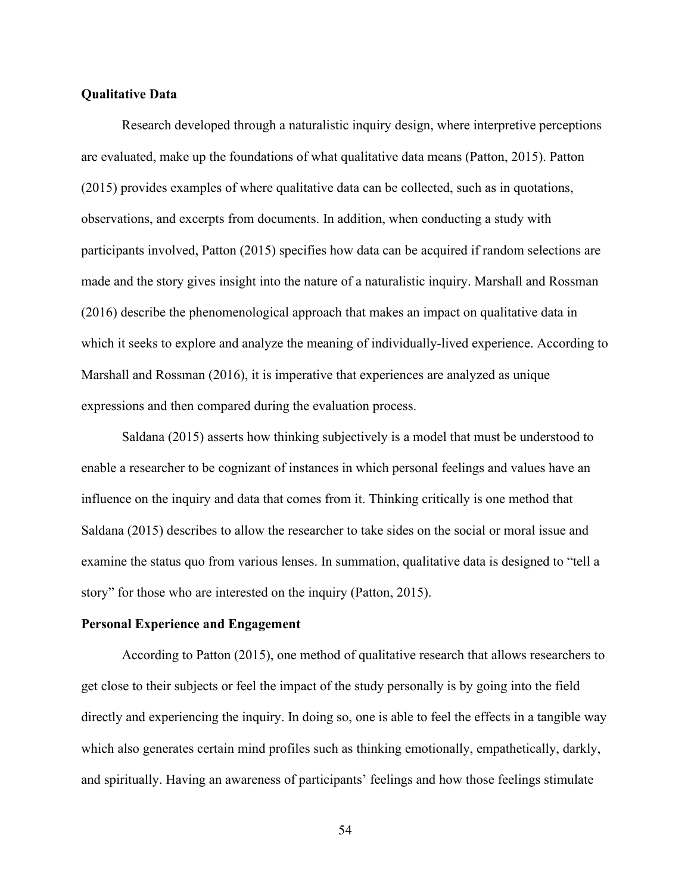## **Qualitative Data**

Research developed through a naturalistic inquiry design, where interpretive perceptions are evaluated, make up the foundations of what qualitative data means (Patton, 2015). Patton (2015) provides examples of where qualitative data can be collected, such as in quotations, observations, and excerpts from documents. In addition, when conducting a study with participants involved, Patton (2015) specifies how data can be acquired if random selections are made and the story gives insight into the nature of a naturalistic inquiry. Marshall and Rossman (2016) describe the phenomenological approach that makes an impact on qualitative data in which it seeks to explore and analyze the meaning of individually-lived experience. According to Marshall and Rossman (2016), it is imperative that experiences are analyzed as unique expressions and then compared during the evaluation process.

Saldana (2015) asserts how thinking subjectively is a model that must be understood to enable a researcher to be cognizant of instances in which personal feelings and values have an influence on the inquiry and data that comes from it. Thinking critically is one method that Saldana (2015) describes to allow the researcher to take sides on the social or moral issue and examine the status quo from various lenses. In summation, qualitative data is designed to "tell a story" for those who are interested on the inquiry (Patton, 2015).

## **Personal Experience and Engagement**

According to Patton (2015), one method of qualitative research that allows researchers to get close to their subjects or feel the impact of the study personally is by going into the field directly and experiencing the inquiry. In doing so, one is able to feel the effects in a tangible way which also generates certain mind profiles such as thinking emotionally, empathetically, darkly, and spiritually. Having an awareness of participants' feelings and how those feelings stimulate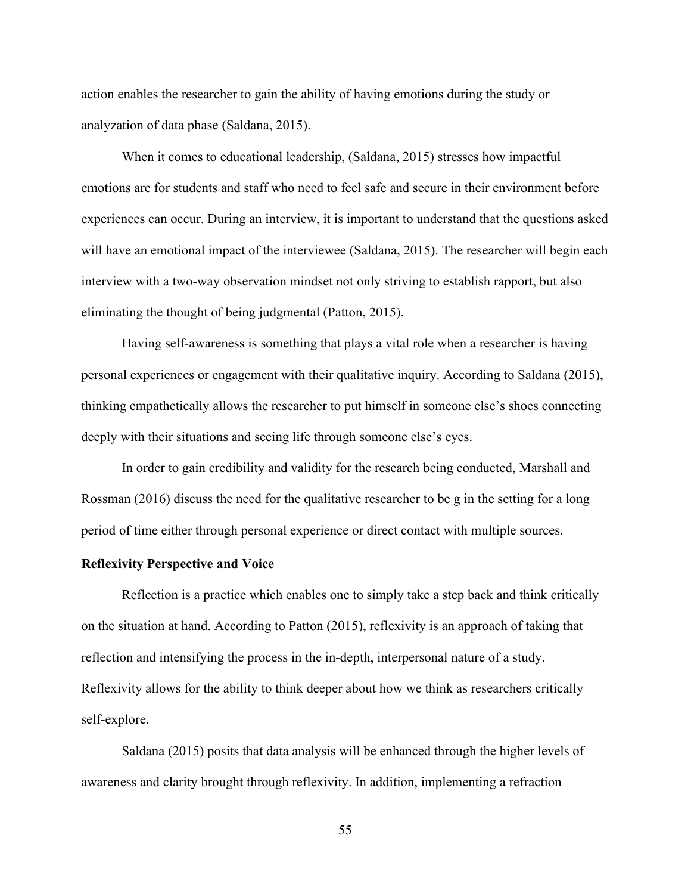action enables the researcher to gain the ability of having emotions during the study or analyzation of data phase (Saldana, 2015).

When it comes to educational leadership, (Saldana, 2015) stresses how impactful emotions are for students and staff who need to feel safe and secure in their environment before experiences can occur. During an interview, it is important to understand that the questions asked will have an emotional impact of the interviewee (Saldana, 2015). The researcher will begin each interview with a two-way observation mindset not only striving to establish rapport, but also eliminating the thought of being judgmental (Patton, 2015).

Having self-awareness is something that plays a vital role when a researcher is having personal experiences or engagement with their qualitative inquiry. According to Saldana (2015), thinking empathetically allows the researcher to put himself in someone else's shoes connecting deeply with their situations and seeing life through someone else's eyes.

In order to gain credibility and validity for the research being conducted, Marshall and Rossman (2016) discuss the need for the qualitative researcher to be g in the setting for a long period of time either through personal experience or direct contact with multiple sources.

#### **Reflexivity Perspective and Voice**

Reflection is a practice which enables one to simply take a step back and think critically on the situation at hand. According to Patton (2015), reflexivity is an approach of taking that reflection and intensifying the process in the in-depth, interpersonal nature of a study. Reflexivity allows for the ability to think deeper about how we think as researchers critically self-explore.

Saldana (2015) posits that data analysis will be enhanced through the higher levels of awareness and clarity brought through reflexivity. In addition, implementing a refraction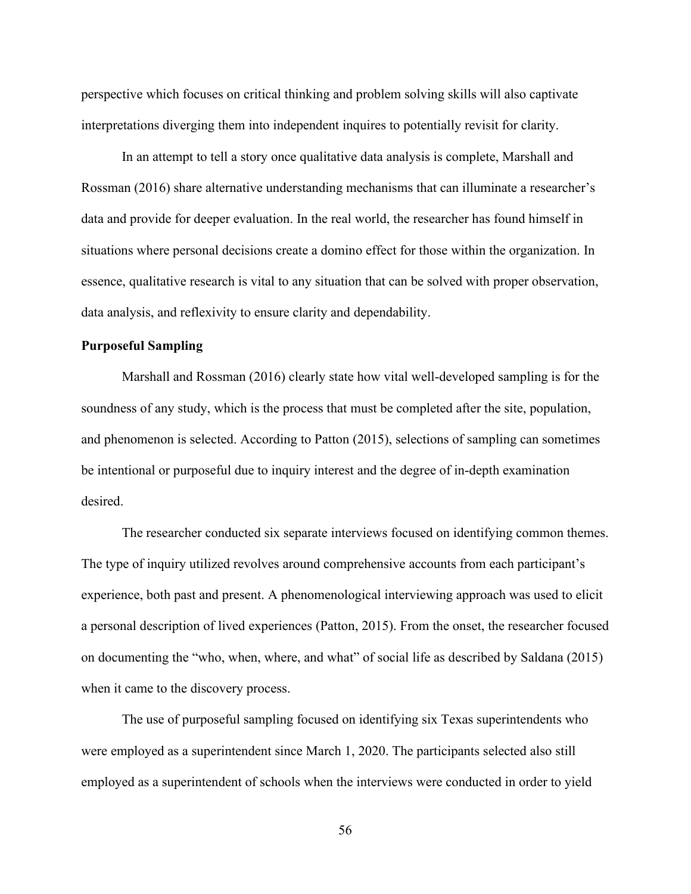perspective which focuses on critical thinking and problem solving skills will also captivate interpretations diverging them into independent inquires to potentially revisit for clarity.

In an attempt to tell a story once qualitative data analysis is complete, Marshall and Rossman (2016) share alternative understanding mechanisms that can illuminate a researcher's data and provide for deeper evaluation. In the real world, the researcher has found himself in situations where personal decisions create a domino effect for those within the organization. In essence, qualitative research is vital to any situation that can be solved with proper observation, data analysis, and reflexivity to ensure clarity and dependability.

## **Purposeful Sampling**

Marshall and Rossman (2016) clearly state how vital well-developed sampling is for the soundness of any study, which is the process that must be completed after the site, population, and phenomenon is selected. According to Patton (2015), selections of sampling can sometimes be intentional or purposeful due to inquiry interest and the degree of in-depth examination desired.

The researcher conducted six separate interviews focused on identifying common themes. The type of inquiry utilized revolves around comprehensive accounts from each participant's experience, both past and present. A phenomenological interviewing approach was used to elicit a personal description of lived experiences (Patton, 2015). From the onset, the researcher focused on documenting the "who, when, where, and what" of social life as described by Saldana (2015) when it came to the discovery process.

The use of purposeful sampling focused on identifying six Texas superintendents who were employed as a superintendent since March 1, 2020. The participants selected also still employed as a superintendent of schools when the interviews were conducted in order to yield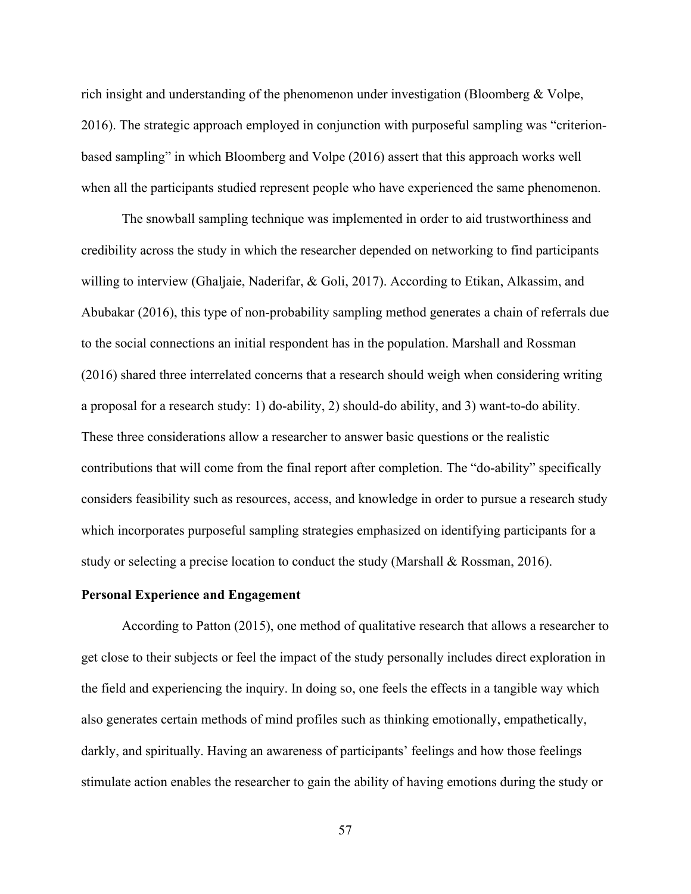rich insight and understanding of the phenomenon under investigation (Bloomberg & Volpe, 2016). The strategic approach employed in conjunction with purposeful sampling was "criterionbased sampling" in which Bloomberg and Volpe (2016) assert that this approach works well when all the participants studied represent people who have experienced the same phenomenon.

The snowball sampling technique was implemented in order to aid trustworthiness and credibility across the study in which the researcher depended on networking to find participants willing to interview (Ghaljaie, Naderifar, & Goli, 2017). According to Etikan, Alkassim, and Abubakar (2016), this type of non-probability sampling method generates a chain of referrals due to the social connections an initial respondent has in the population. Marshall and Rossman (2016) shared three interrelated concerns that a research should weigh when considering writing a proposal for a research study: 1) do-ability, 2) should-do ability, and 3) want-to-do ability. These three considerations allow a researcher to answer basic questions or the realistic contributions that will come from the final report after completion. The "do-ability" specifically considers feasibility such as resources, access, and knowledge in order to pursue a research study which incorporates purposeful sampling strategies emphasized on identifying participants for a study or selecting a precise location to conduct the study (Marshall & Rossman, 2016).

# **Personal Experience and Engagement**

According to Patton (2015), one method of qualitative research that allows a researcher to get close to their subjects or feel the impact of the study personally includes direct exploration in the field and experiencing the inquiry. In doing so, one feels the effects in a tangible way which also generates certain methods of mind profiles such as thinking emotionally, empathetically, darkly, and spiritually. Having an awareness of participants' feelings and how those feelings stimulate action enables the researcher to gain the ability of having emotions during the study or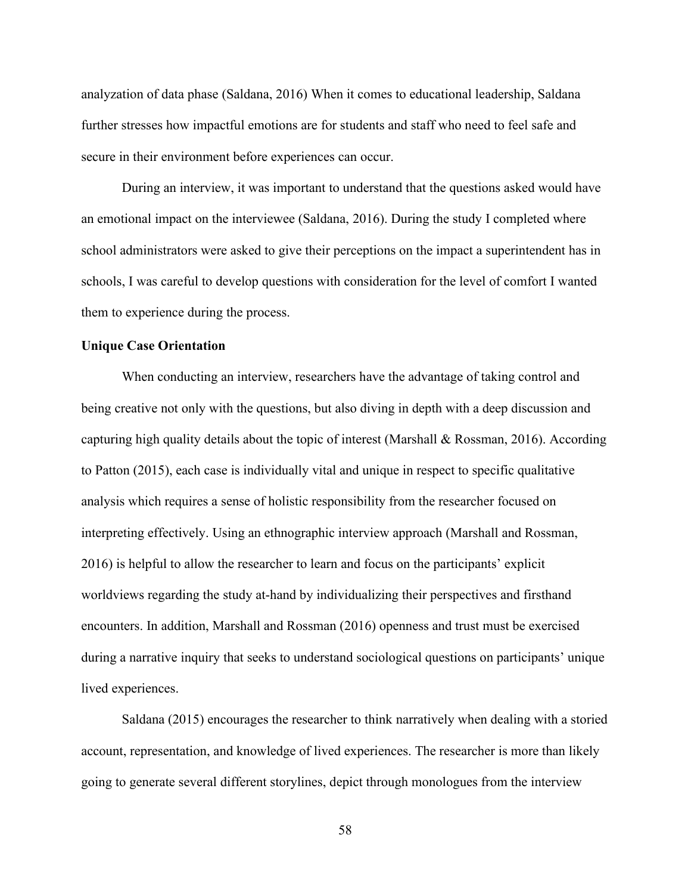analyzation of data phase (Saldana, 2016) When it comes to educational leadership, Saldana further stresses how impactful emotions are for students and staff who need to feel safe and secure in their environment before experiences can occur.

During an interview, it was important to understand that the questions asked would have an emotional impact on the interviewee (Saldana, 2016). During the study I completed where school administrators were asked to give their perceptions on the impact a superintendent has in schools, I was careful to develop questions with consideration for the level of comfort I wanted them to experience during the process.

#### **Unique Case Orientation**

When conducting an interview, researchers have the advantage of taking control and being creative not only with the questions, but also diving in depth with a deep discussion and capturing high quality details about the topic of interest (Marshall & Rossman, 2016). According to Patton (2015), each case is individually vital and unique in respect to specific qualitative analysis which requires a sense of holistic responsibility from the researcher focused on interpreting effectively. Using an ethnographic interview approach (Marshall and Rossman, 2016) is helpful to allow the researcher to learn and focus on the participants' explicit worldviews regarding the study at-hand by individualizing their perspectives and firsthand encounters. In addition, Marshall and Rossman (2016) openness and trust must be exercised during a narrative inquiry that seeks to understand sociological questions on participants' unique lived experiences.

Saldana (2015) encourages the researcher to think narratively when dealing with a storied account, representation, and knowledge of lived experiences. The researcher is more than likely going to generate several different storylines, depict through monologues from the interview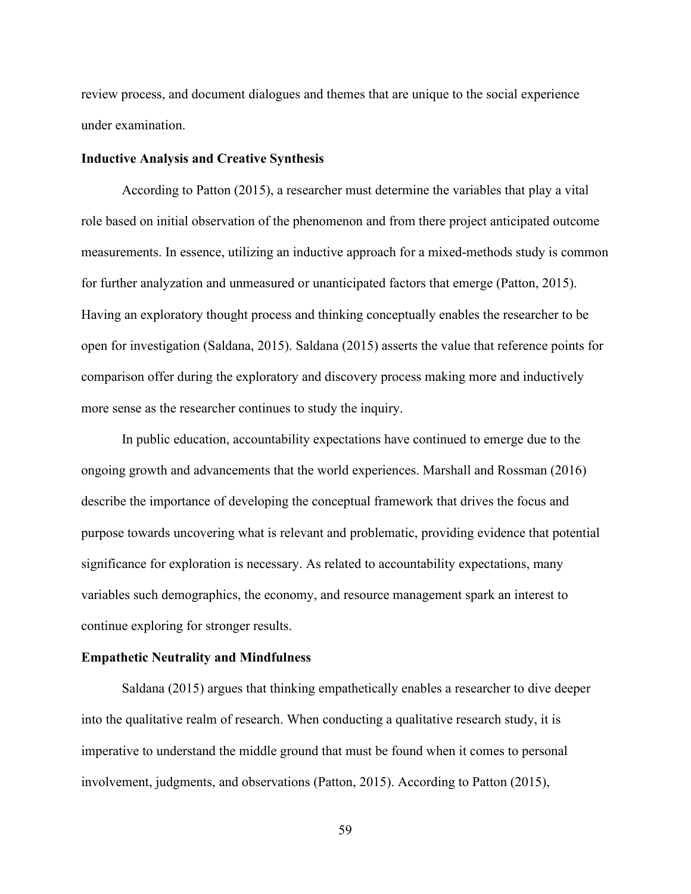review process, and document dialogues and themes that are unique to the social experience under examination.

#### **Inductive Analysis and Creative Synthesis**

According to Patton (2015), a researcher must determine the variables that play a vital role based on initial observation of the phenomenon and from there project anticipated outcome measurements. In essence, utilizing an inductive approach for a mixed-methods study is common for further analyzation and unmeasured or unanticipated factors that emerge (Patton, 2015). Having an exploratory thought process and thinking conceptually enables the researcher to be open for investigation (Saldana, 2015). Saldana (2015) asserts the value that reference points for comparison offer during the exploratory and discovery process making more and inductively more sense as the researcher continues to study the inquiry.

In public education, accountability expectations have continued to emerge due to the ongoing growth and advancements that the world experiences. Marshall and Rossman (2016) describe the importance of developing the conceptual framework that drives the focus and purpose towards uncovering what is relevant and problematic, providing evidence that potential significance for exploration is necessary. As related to accountability expectations, many variables such demographics, the economy, and resource management spark an interest to continue exploring for stronger results.

## **Empathetic Neutrality and Mindfulness**

Saldana (2015) argues that thinking empathetically enables a researcher to dive deeper into the qualitative realm of research. When conducting a qualitative research study, it is imperative to understand the middle ground that must be found when it comes to personal involvement, judgments, and observations (Patton, 2015). According to Patton (2015),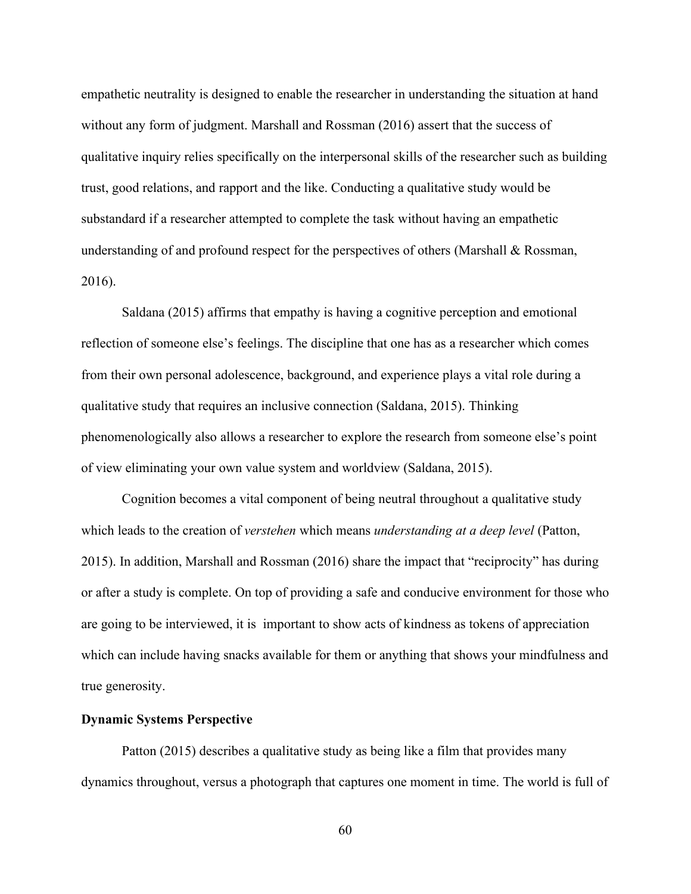empathetic neutrality is designed to enable the researcher in understanding the situation at hand without any form of judgment. Marshall and Rossman (2016) assert that the success of qualitative inquiry relies specifically on the interpersonal skills of the researcher such as building trust, good relations, and rapport and the like. Conducting a qualitative study would be substandard if a researcher attempted to complete the task without having an empathetic understanding of and profound respect for the perspectives of others (Marshall & Rossman, 2016).

Saldana (2015) affirms that empathy is having a cognitive perception and emotional reflection of someone else's feelings. The discipline that one has as a researcher which comes from their own personal adolescence, background, and experience plays a vital role during a qualitative study that requires an inclusive connection (Saldana, 2015). Thinking phenomenologically also allows a researcher to explore the research from someone else's point of view eliminating your own value system and worldview (Saldana, 2015).

Cognition becomes a vital component of being neutral throughout a qualitative study which leads to the creation of *verstehen* which means *understanding at a deep level* (Patton, 2015). In addition, Marshall and Rossman (2016) share the impact that "reciprocity" has during or after a study is complete. On top of providing a safe and conducive environment for those who are going to be interviewed, it is important to show acts of kindness as tokens of appreciation which can include having snacks available for them or anything that shows your mindfulness and true generosity.

# **Dynamic Systems Perspective**

Patton (2015) describes a qualitative study as being like a film that provides many dynamics throughout, versus a photograph that captures one moment in time. The world is full of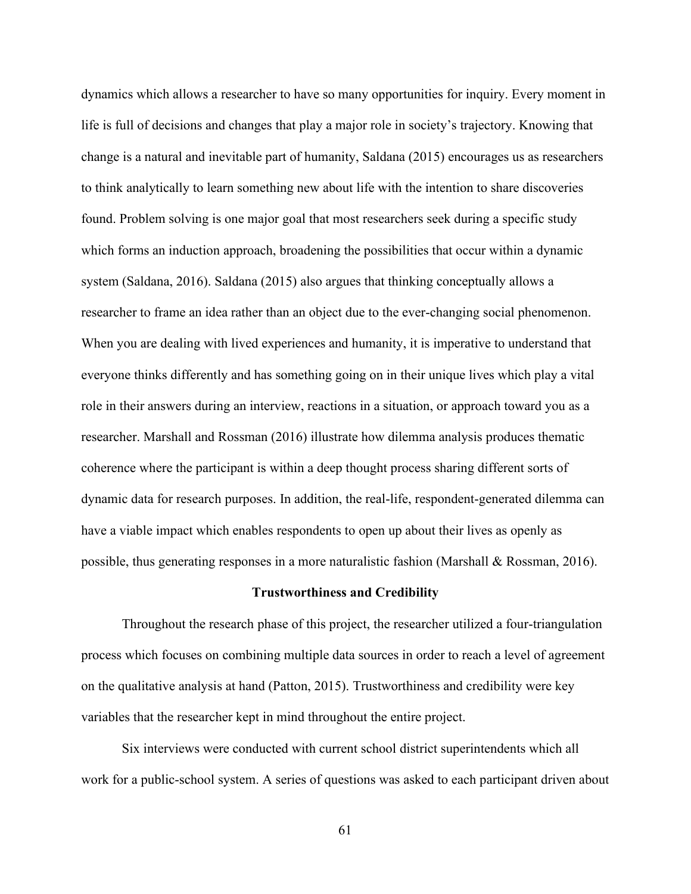dynamics which allows a researcher to have so many opportunities for inquiry. Every moment in life is full of decisions and changes that play a major role in society's trajectory. Knowing that change is a natural and inevitable part of humanity, Saldana (2015) encourages us as researchers to think analytically to learn something new about life with the intention to share discoveries found. Problem solving is one major goal that most researchers seek during a specific study which forms an induction approach, broadening the possibilities that occur within a dynamic system (Saldana, 2016). Saldana (2015) also argues that thinking conceptually allows a researcher to frame an idea rather than an object due to the ever-changing social phenomenon. When you are dealing with lived experiences and humanity, it is imperative to understand that everyone thinks differently and has something going on in their unique lives which play a vital role in their answers during an interview, reactions in a situation, or approach toward you as a researcher. Marshall and Rossman (2016) illustrate how dilemma analysis produces thematic coherence where the participant is within a deep thought process sharing different sorts of dynamic data for research purposes. In addition, the real-life, respondent-generated dilemma can have a viable impact which enables respondents to open up about their lives as openly as possible, thus generating responses in a more naturalistic fashion (Marshall & Rossman, 2016).

#### **Trustworthiness and Credibility**

Throughout the research phase of this project, the researcher utilized a four-triangulation process which focuses on combining multiple data sources in order to reach a level of agreement on the qualitative analysis at hand (Patton, 2015). Trustworthiness and credibility were key variables that the researcher kept in mind throughout the entire project.

Six interviews were conducted with current school district superintendents which all work for a public-school system. A series of questions was asked to each participant driven about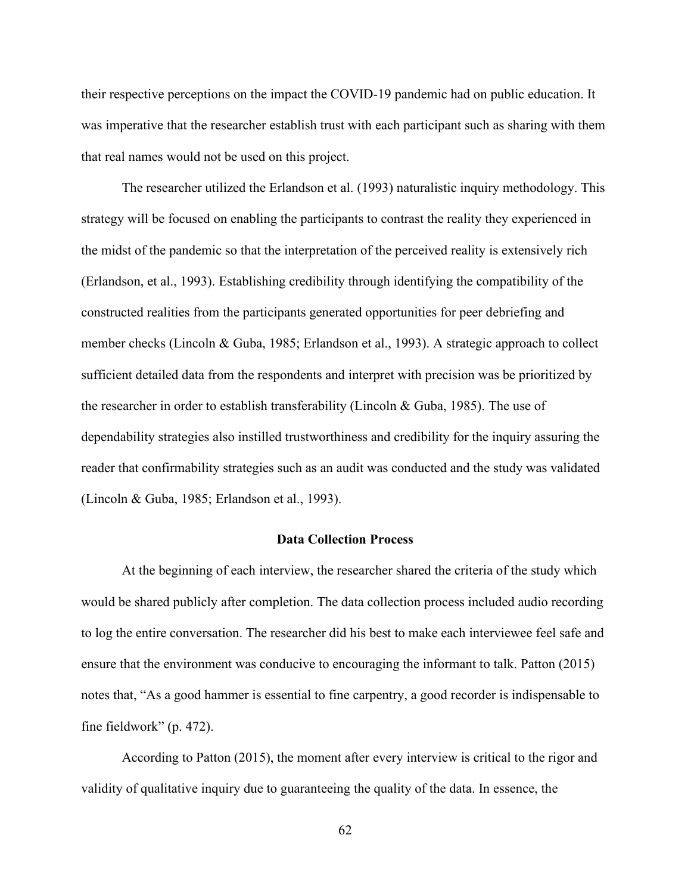their respective perceptions on the impact the COVID-19 pandemic had on public education. It was imperative that the researcher establish trust with each participant such as sharing with them that real names would not be used on this project.

The researcher utilized the Erlandson et al. (1993) naturalistic inquiry methodology. This strategy will be focused on enabling the participants to contrast the reality they experienced in the midst of the pandemic so that the interpretation of the perceived reality is extensively rich (Erlandson, et al., 1993). Establishing credibility through identifying the compatibility of the constructed realities from the participants generated opportunities for peer debriefing and member checks (Lincoln & Guba, 1985; Erlandson et al., 1993). A strategic approach to collect sufficient detailed data from the respondents and interpret with precision was be prioritized by the researcher in order to establish transferability (Lincoln & Guba, 1985). The use of dependability strategies also instilled trustworthiness and credibility for the inquiry assuring the reader that confirmability strategies such as an audit was conducted and the study was validated (Lincoln & Guba, 1985; Erlandson et al., 1993).

## **Data Collection Process**

At the beginning of each interview, the researcher shared the criteria of the study which would be shared publicly after completion. The data collection process included audio recording to log the entire conversation. The researcher did his best to make each interviewee feel safe and ensure that the environment was conducive to encouraging the informant to talk. Patton (2015) notes that, "As a good hammer is essential to fine carpentry, a good recorder is indispensable to fine fieldwork" (p. 472).

According to Patton (2015), the moment after every interview is critical to the rigor and validity of qualitative inquiry due to guaranteeing the quality of the data. In essence, the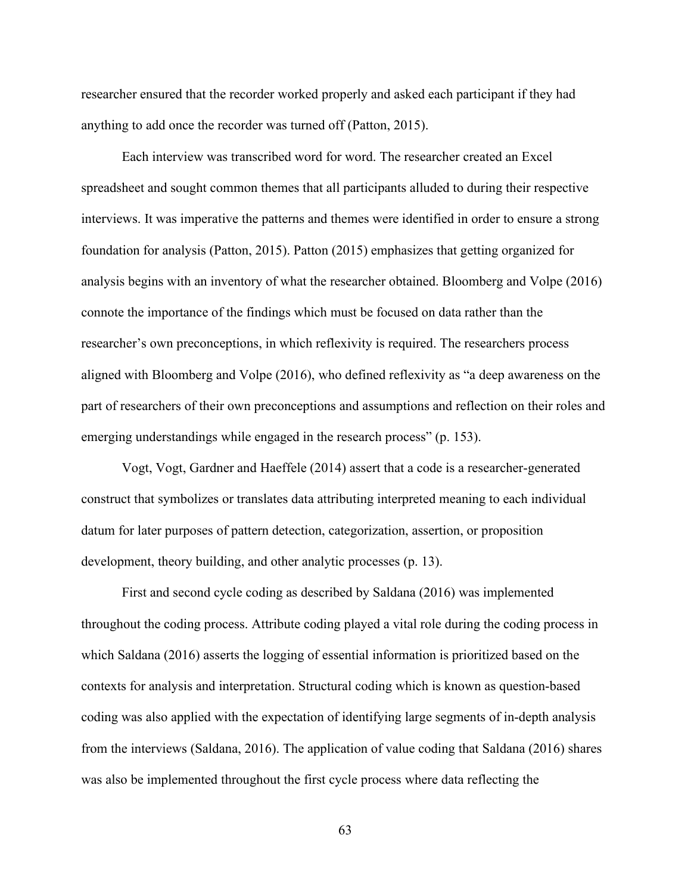researcher ensured that the recorder worked properly and asked each participant if they had anything to add once the recorder was turned off (Patton, 2015).

Each interview was transcribed word for word. The researcher created an Excel spreadsheet and sought common themes that all participants alluded to during their respective interviews. It was imperative the patterns and themes were identified in order to ensure a strong foundation for analysis (Patton, 2015). Patton (2015) emphasizes that getting organized for analysis begins with an inventory of what the researcher obtained. Bloomberg and Volpe (2016) connote the importance of the findings which must be focused on data rather than the researcher's own preconceptions, in which reflexivity is required. The researchers process aligned with Bloomberg and Volpe (2016), who defined reflexivity as "a deep awareness on the part of researchers of their own preconceptions and assumptions and reflection on their roles and emerging understandings while engaged in the research process" (p. 153).

Vogt, Vogt, Gardner and Haeffele (2014) assert that a code is a researcher-generated construct that symbolizes or translates data attributing interpreted meaning to each individual datum for later purposes of pattern detection, categorization, assertion, or proposition development, theory building, and other analytic processes (p. 13).

First and second cycle coding as described by Saldana (2016) was implemented throughout the coding process. Attribute coding played a vital role during the coding process in which Saldana (2016) asserts the logging of essential information is prioritized based on the contexts for analysis and interpretation. Structural coding which is known as question-based coding was also applied with the expectation of identifying large segments of in-depth analysis from the interviews (Saldana, 2016). The application of value coding that Saldana (2016) shares was also be implemented throughout the first cycle process where data reflecting the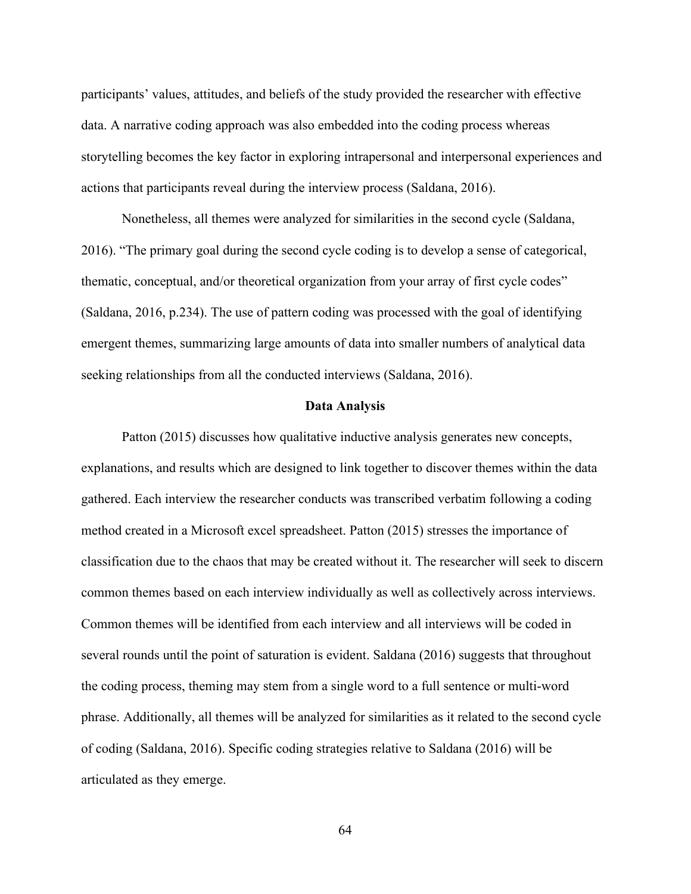participants' values, attitudes, and beliefs of the study provided the researcher with effective data. A narrative coding approach was also embedded into the coding process whereas storytelling becomes the key factor in exploring intrapersonal and interpersonal experiences and actions that participants reveal during the interview process (Saldana, 2016).

Nonetheless, all themes were analyzed for similarities in the second cycle (Saldana, 2016). "The primary goal during the second cycle coding is to develop a sense of categorical, thematic, conceptual, and/or theoretical organization from your array of first cycle codes" (Saldana, 2016, p.234). The use of pattern coding was processed with the goal of identifying emergent themes, summarizing large amounts of data into smaller numbers of analytical data seeking relationships from all the conducted interviews (Saldana, 2016).

# **Data Analysis**

Patton (2015) discusses how qualitative inductive analysis generates new concepts, explanations, and results which are designed to link together to discover themes within the data gathered. Each interview the researcher conducts was transcribed verbatim following a coding method created in a Microsoft excel spreadsheet. Patton (2015) stresses the importance of classification due to the chaos that may be created without it. The researcher will seek to discern common themes based on each interview individually as well as collectively across interviews. Common themes will be identified from each interview and all interviews will be coded in several rounds until the point of saturation is evident. Saldana (2016) suggests that throughout the coding process, theming may stem from a single word to a full sentence or multi-word phrase. Additionally, all themes will be analyzed for similarities as it related to the second cycle of coding (Saldana, 2016). Specific coding strategies relative to Saldana (2016) will be articulated as they emerge.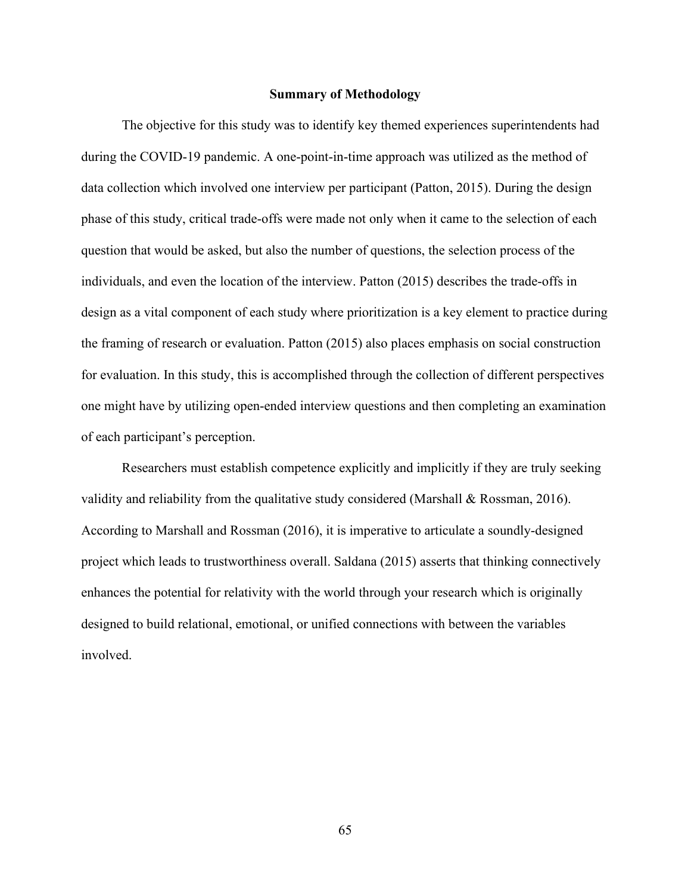#### **Summary of Methodology**

The objective for this study was to identify key themed experiences superintendents had during the COVID-19 pandemic. A one-point-in-time approach was utilized as the method of data collection which involved one interview per participant (Patton, 2015). During the design phase of this study, critical trade-offs were made not only when it came to the selection of each question that would be asked, but also the number of questions, the selection process of the individuals, and even the location of the interview. Patton (2015) describes the trade-offs in design as a vital component of each study where prioritization is a key element to practice during the framing of research or evaluation. Patton (2015) also places emphasis on social construction for evaluation. In this study, this is accomplished through the collection of different perspectives one might have by utilizing open-ended interview questions and then completing an examination of each participant's perception.

Researchers must establish competence explicitly and implicitly if they are truly seeking validity and reliability from the qualitative study considered (Marshall & Rossman, 2016). According to Marshall and Rossman (2016), it is imperative to articulate a soundly-designed project which leads to trustworthiness overall. Saldana (2015) asserts that thinking connectively enhances the potential for relativity with the world through your research which is originally designed to build relational, emotional, or unified connections with between the variables involved.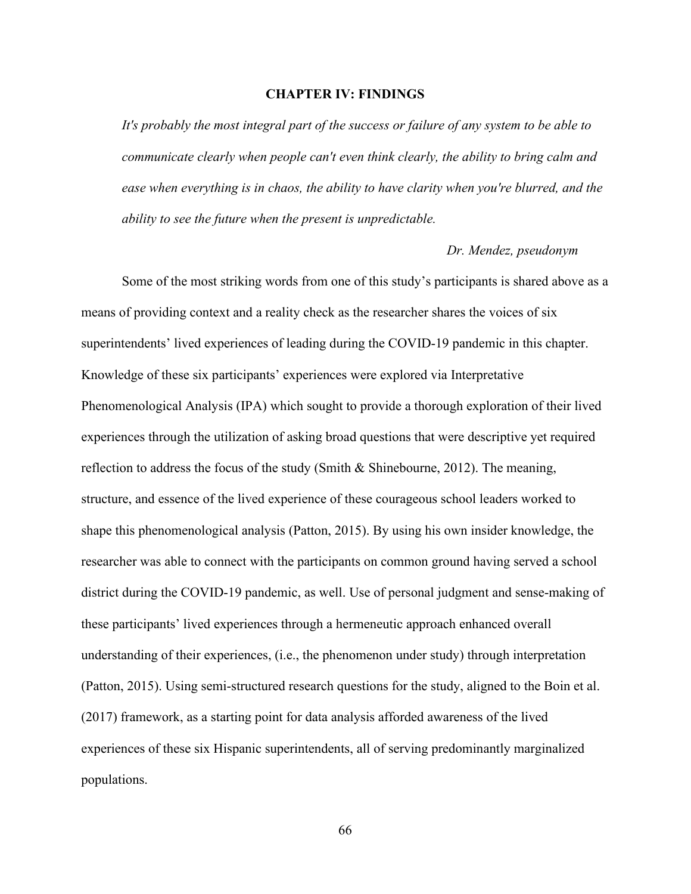# **CHAPTER IV: FINDINGS**

*It's probably the most integral part of the success or failure of any system to be able to communicate clearly when people can't even think clearly, the ability to bring calm and ease when everything is in chaos, the ability to have clarity when you're blurred, and the ability to see the future when the present is unpredictable.* 

### *Dr. Mendez, pseudonym*

Some of the most striking words from one of this study's participants is shared above as a means of providing context and a reality check as the researcher shares the voices of six superintendents' lived experiences of leading during the COVID-19 pandemic in this chapter. Knowledge of these six participants' experiences were explored via Interpretative Phenomenological Analysis (IPA) which sought to provide a thorough exploration of their lived experiences through the utilization of asking broad questions that were descriptive yet required reflection to address the focus of the study (Smith & Shinebourne, 2012). The meaning, structure, and essence of the lived experience of these courageous school leaders worked to shape this phenomenological analysis (Patton, 2015). By using his own insider knowledge, the researcher was able to connect with the participants on common ground having served a school district during the COVID-19 pandemic, as well. Use of personal judgment and sense-making of these participants' lived experiences through a hermeneutic approach enhanced overall understanding of their experiences, (i.e., the phenomenon under study) through interpretation (Patton, 2015). Using semi-structured research questions for the study, aligned to the Boin et al. (2017) framework, as a starting point for data analysis afforded awareness of the lived experiences of these six Hispanic superintendents, all of serving predominantly marginalized populations.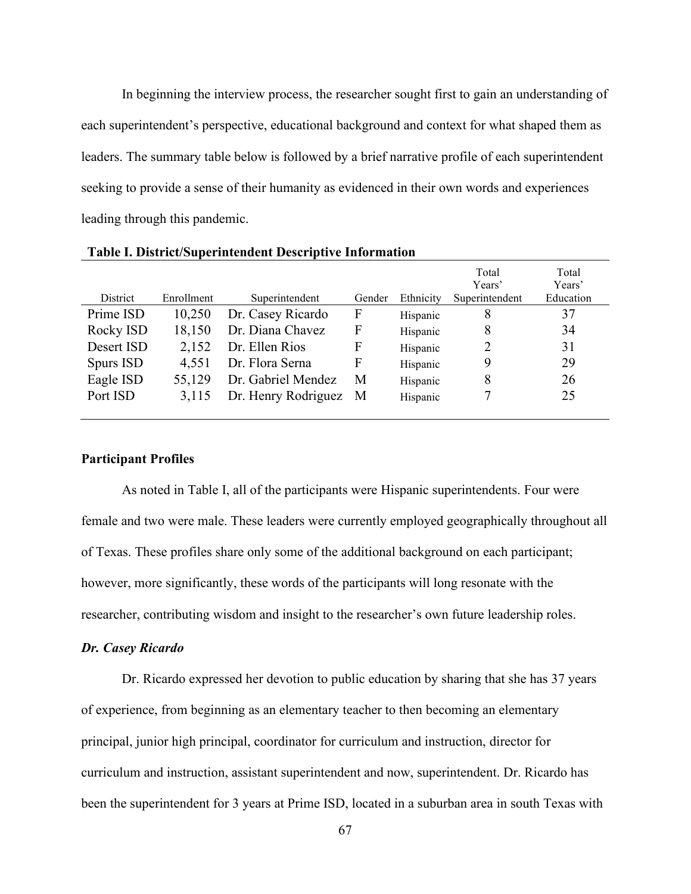In beginning the interview process, the researcher sought first to gain an understanding of each superintendent's perspective, educational background and context for what shaped them as leaders. The summary table below is followed by a brief narrative profile of each superintendent seeking to provide a sense of their humanity as evidenced in their own words and experiences leading through this pandemic.

|            |            |                     |        |           | Total<br>Years' | Total<br>Years' |
|------------|------------|---------------------|--------|-----------|-----------------|-----------------|
| District   | Enrollment | Superintendent      | Gender | Ethnicity | Superintendent  | Education       |
| Prime ISD  | 10,250     | Dr. Casey Ricardo   | F      | Hispanic  | 8               | 37              |
| Rocky ISD  | 18,150     | Dr. Diana Chavez    | F      | Hispanic  | 8               | 34              |
| Desert ISD | 2,152      | Dr. Ellen Rios      | F      | Hispanic  | 2               | 31              |
| Spurs ISD  | 4,551      | Dr. Flora Serna     | F      | Hispanic  | 9               | 29              |
| Eagle ISD  | 55,129     | Dr. Gabriel Mendez  | М      | Hispanic  | 8               | 26              |
| Port ISD   | 3,115      | Dr. Henry Rodriguez | M      | Hispanic  |                 | 25              |
|            |            |                     |        |           |                 |                 |

**Table I. District/Superintendent Descriptive Information**

### **Participant Profiles**

As noted in Table I, all of the participants were Hispanic superintendents. Four were female and two were male. These leaders were currently employed geographically throughout all of Texas. These profiles share only some of the additional background on each participant; however, more significantly, these words of the participants will long resonate with the researcher, contributing wisdom and insight to the researcher's own future leadership roles.

### *Dr. Casey Ricardo*

Dr. Ricardo expressed her devotion to public education by sharing that she has 37 years of experience, from beginning as an elementary teacher to then becoming an elementary principal, junior high principal, coordinator for curriculum and instruction, director for curriculum and instruction, assistant superintendent and now, superintendent. Dr. Ricardo has been the superintendent for 3 years at Prime ISD, located in a suburban area in south Texas with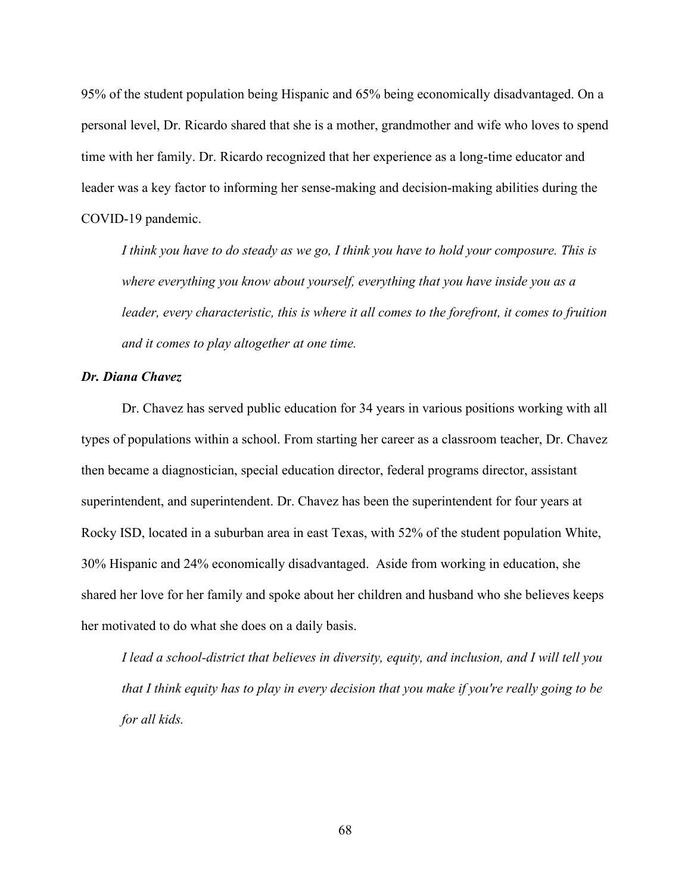95% of the student population being Hispanic and 65% being economically disadvantaged. On a personal level, Dr. Ricardo shared that she is a mother, grandmother and wife who loves to spend time with her family. Dr. Ricardo recognized that her experience as a long-time educator and leader was a key factor to informing her sense-making and decision-making abilities during the COVID-19 pandemic.

*I think you have to do steady as we go, I think you have to hold your composure. This is where everything you know about yourself, everything that you have inside you as a leader, every characteristic, this is where it all comes to the forefront, it comes to fruition and it comes to play altogether at one time.* 

#### *Dr. Diana Chavez*

Dr. Chavez has served public education for 34 years in various positions working with all types of populations within a school. From starting her career as a classroom teacher, Dr. Chavez then became a diagnostician, special education director, federal programs director, assistant superintendent, and superintendent. Dr. Chavez has been the superintendent for four years at Rocky ISD, located in a suburban area in east Texas, with 52% of the student population White, 30% Hispanic and 24% economically disadvantaged. Aside from working in education, she shared her love for her family and spoke about her children and husband who she believes keeps her motivated to do what she does on a daily basis.

*I lead a school-district that believes in diversity, equity, and inclusion, and I will tell you that I think equity has to play in every decision that you make if you're really going to be for all kids.*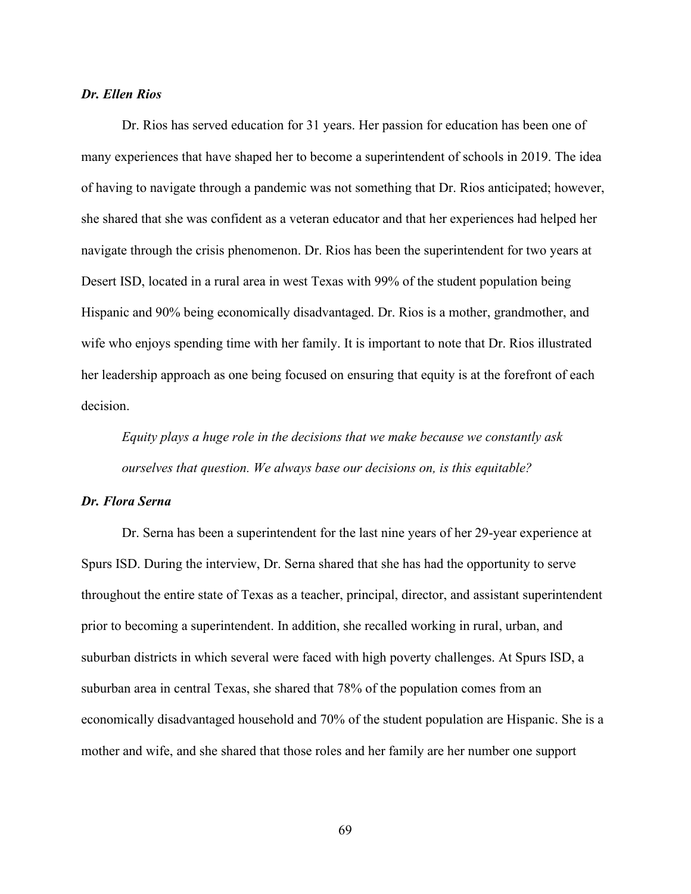# *Dr. Ellen Rios*

Dr. Rios has served education for 31 years. Her passion for education has been one of many experiences that have shaped her to become a superintendent of schools in 2019. The idea of having to navigate through a pandemic was not something that Dr. Rios anticipated; however, she shared that she was confident as a veteran educator and that her experiences had helped her navigate through the crisis phenomenon. Dr. Rios has been the superintendent for two years at Desert ISD, located in a rural area in west Texas with 99% of the student population being Hispanic and 90% being economically disadvantaged. Dr. Rios is a mother, grandmother, and wife who enjoys spending time with her family. It is important to note that Dr. Rios illustrated her leadership approach as one being focused on ensuring that equity is at the forefront of each decision.

*Equity plays a huge role in the decisions that we make because we constantly ask ourselves that question. We always base our decisions on, is this equitable?*

### *Dr. Flora Serna*

Dr. Serna has been a superintendent for the last nine years of her 29-year experience at Spurs ISD. During the interview, Dr. Serna shared that she has had the opportunity to serve throughout the entire state of Texas as a teacher, principal, director, and assistant superintendent prior to becoming a superintendent. In addition, she recalled working in rural, urban, and suburban districts in which several were faced with high poverty challenges. At Spurs ISD, a suburban area in central Texas, she shared that 78% of the population comes from an economically disadvantaged household and 70% of the student population are Hispanic. She is a mother and wife, and she shared that those roles and her family are her number one support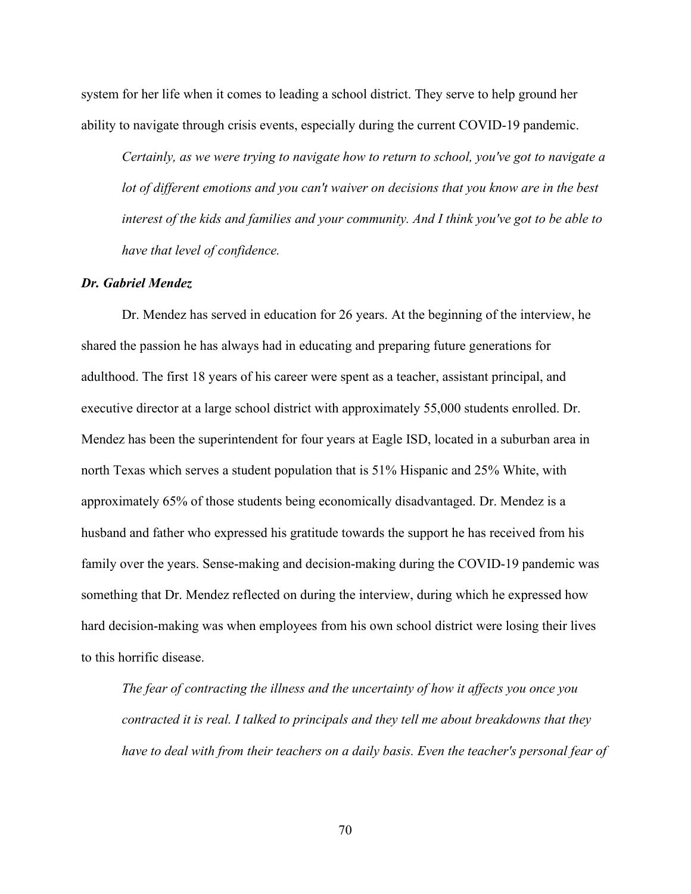system for her life when it comes to leading a school district. They serve to help ground her ability to navigate through crisis events, especially during the current COVID-19 pandemic.

*Certainly, as we were trying to navigate how to return to school, you've got to navigate a lot of different emotions and you can't waiver on decisions that you know are in the best interest of the kids and families and your community. And I think you've got to be able to have that level of confidence.*

#### *Dr. Gabriel Mendez*

Dr. Mendez has served in education for 26 years. At the beginning of the interview, he shared the passion he has always had in educating and preparing future generations for adulthood. The first 18 years of his career were spent as a teacher, assistant principal, and executive director at a large school district with approximately 55,000 students enrolled. Dr. Mendez has been the superintendent for four years at Eagle ISD, located in a suburban area in north Texas which serves a student population that is 51% Hispanic and 25% White, with approximately 65% of those students being economically disadvantaged. Dr. Mendez is a husband and father who expressed his gratitude towards the support he has received from his family over the years. Sense-making and decision-making during the COVID-19 pandemic was something that Dr. Mendez reflected on during the interview, during which he expressed how hard decision-making was when employees from his own school district were losing their lives to this horrific disease.

*The fear of contracting the illness and the uncertainty of how it affects you once you contracted it is real. I talked to principals and they tell me about breakdowns that they*  have to deal with from their teachers on a daily basis. Even the teacher's personal fear of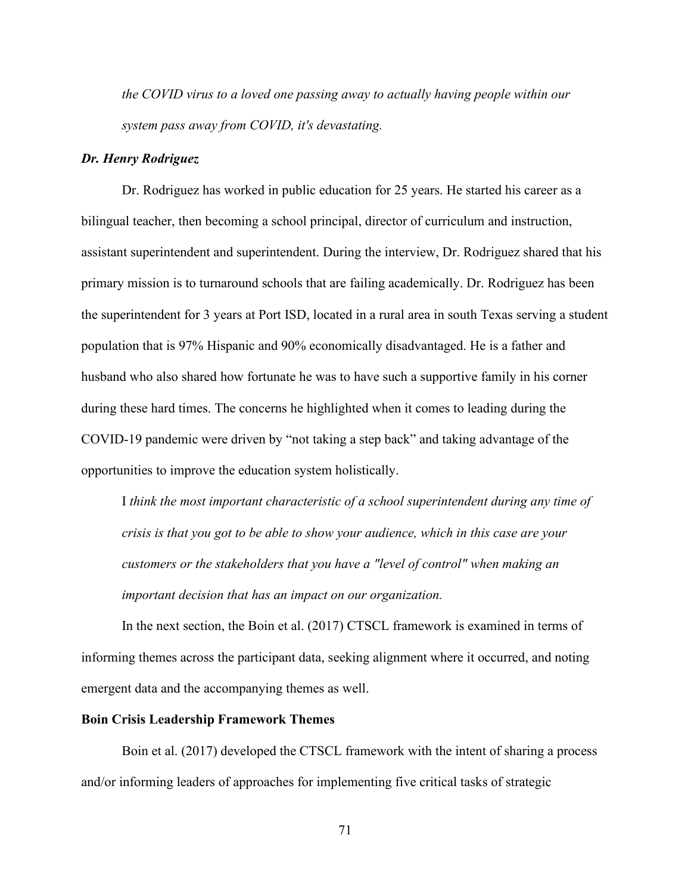*the COVID virus to a loved one passing away to actually having people within our system pass away from COVID, it's devastating.*

### *Dr. Henry Rodriguez*

Dr. Rodriguez has worked in public education for 25 years. He started his career as a bilingual teacher, then becoming a school principal, director of curriculum and instruction, assistant superintendent and superintendent. During the interview, Dr. Rodriguez shared that his primary mission is to turnaround schools that are failing academically. Dr. Rodriguez has been the superintendent for 3 years at Port ISD, located in a rural area in south Texas serving a student population that is 97% Hispanic and 90% economically disadvantaged. He is a father and husband who also shared how fortunate he was to have such a supportive family in his corner during these hard times. The concerns he highlighted when it comes to leading during the COVID-19 pandemic were driven by "not taking a step back" and taking advantage of the opportunities to improve the education system holistically.

I *think the most important characteristic of a school superintendent during any time of crisis is that you got to be able to show your audience, which in this case are your customers or the stakeholders that you have a "level of control" when making an important decision that has an impact on our organization.* 

In the next section, the Boin et al. (2017) CTSCL framework is examined in terms of informing themes across the participant data, seeking alignment where it occurred, and noting emergent data and the accompanying themes as well.

# **Boin Crisis Leadership Framework Themes**

Boin et al. (2017) developed the CTSCL framework with the intent of sharing a process and/or informing leaders of approaches for implementing five critical tasks of strategic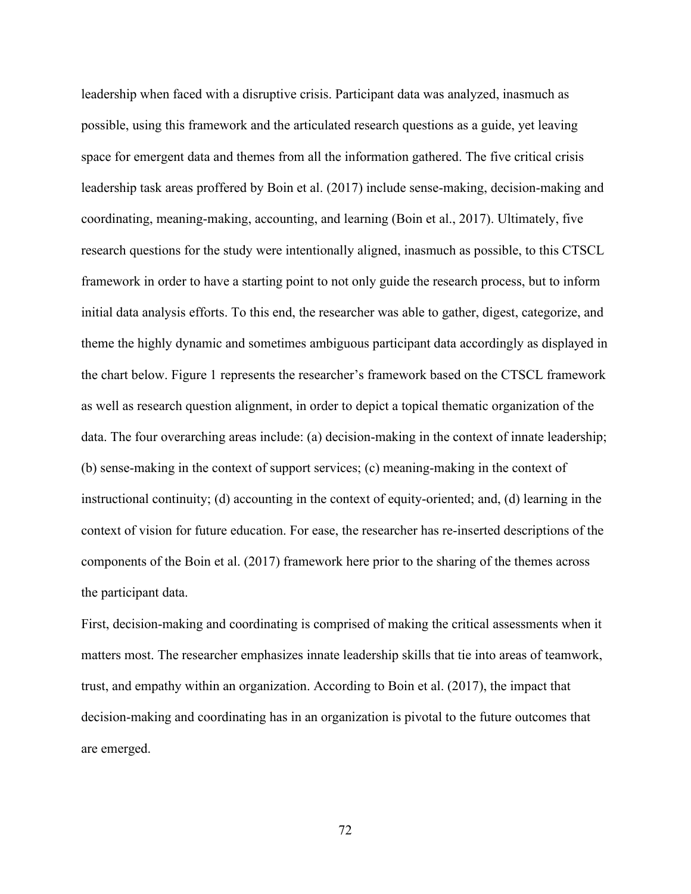leadership when faced with a disruptive crisis. Participant data was analyzed, inasmuch as possible, using this framework and the articulated research questions as a guide, yet leaving space for emergent data and themes from all the information gathered. The five critical crisis leadership task areas proffered by Boin et al. (2017) include sense-making, decision-making and coordinating, meaning-making, accounting, and learning (Boin et al., 2017). Ultimately, five research questions for the study were intentionally aligned, inasmuch as possible, to this CTSCL framework in order to have a starting point to not only guide the research process, but to inform initial data analysis efforts. To this end, the researcher was able to gather, digest, categorize, and theme the highly dynamic and sometimes ambiguous participant data accordingly as displayed in the chart below. Figure 1 represents the researcher's framework based on the CTSCL framework as well as research question alignment, in order to depict a topical thematic organization of the data. The four overarching areas include: (a) decision-making in the context of innate leadership; (b) sense-making in the context of support services; (c) meaning-making in the context of instructional continuity; (d) accounting in the context of equity-oriented; and, (d) learning in the context of vision for future education. For ease, the researcher has re-inserted descriptions of the components of the Boin et al. (2017) framework here prior to the sharing of the themes across the participant data.

First, decision-making and coordinating is comprised of making the critical assessments when it matters most. The researcher emphasizes innate leadership skills that tie into areas of teamwork, trust, and empathy within an organization. According to Boin et al. (2017), the impact that decision-making and coordinating has in an organization is pivotal to the future outcomes that are emerged.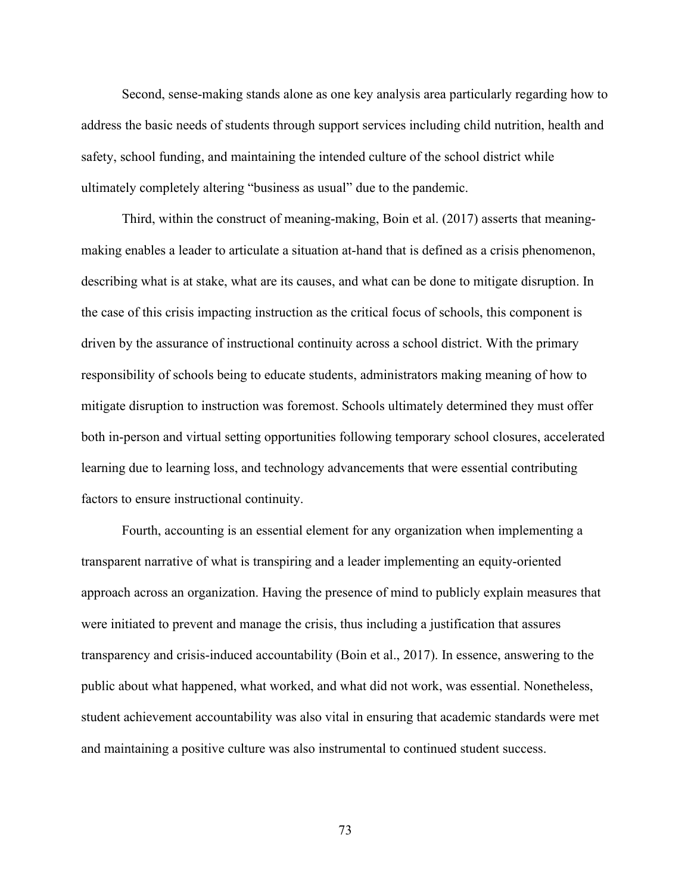Second, sense-making stands alone as one key analysis area particularly regarding how to address the basic needs of students through support services including child nutrition, health and safety, school funding, and maintaining the intended culture of the school district while ultimately completely altering "business as usual" due to the pandemic.

Third, within the construct of meaning-making, Boin et al. (2017) asserts that meaningmaking enables a leader to articulate a situation at-hand that is defined as a crisis phenomenon, describing what is at stake, what are its causes, and what can be done to mitigate disruption. In the case of this crisis impacting instruction as the critical focus of schools, this component is driven by the assurance of instructional continuity across a school district. With the primary responsibility of schools being to educate students, administrators making meaning of how to mitigate disruption to instruction was foremost. Schools ultimately determined they must offer both in-person and virtual setting opportunities following temporary school closures, accelerated learning due to learning loss, and technology advancements that were essential contributing factors to ensure instructional continuity.

Fourth, accounting is an essential element for any organization when implementing a transparent narrative of what is transpiring and a leader implementing an equity-oriented approach across an organization. Having the presence of mind to publicly explain measures that were initiated to prevent and manage the crisis, thus including a justification that assures transparency and crisis-induced accountability (Boin et al., 2017). In essence, answering to the public about what happened, what worked, and what did not work, was essential. Nonetheless, student achievement accountability was also vital in ensuring that academic standards were met and maintaining a positive culture was also instrumental to continued student success.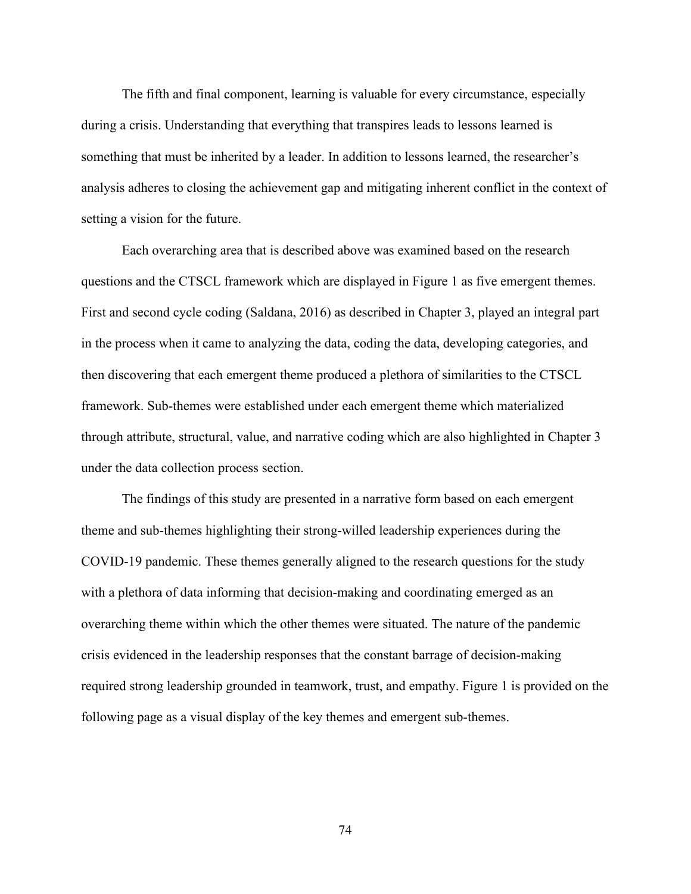The fifth and final component, learning is valuable for every circumstance, especially during a crisis. Understanding that everything that transpires leads to lessons learned is something that must be inherited by a leader. In addition to lessons learned, the researcher's analysis adheres to closing the achievement gap and mitigating inherent conflict in the context of setting a vision for the future.

Each overarching area that is described above was examined based on the research questions and the CTSCL framework which are displayed in Figure 1 as five emergent themes. First and second cycle coding (Saldana, 2016) as described in Chapter 3, played an integral part in the process when it came to analyzing the data, coding the data, developing categories, and then discovering that each emergent theme produced a plethora of similarities to the CTSCL framework. Sub-themes were established under each emergent theme which materialized through attribute, structural, value, and narrative coding which are also highlighted in Chapter 3 under the data collection process section.

The findings of this study are presented in a narrative form based on each emergent theme and sub-themes highlighting their strong-willed leadership experiences during the COVID-19 pandemic. These themes generally aligned to the research questions for the study with a plethora of data informing that decision-making and coordinating emerged as an overarching theme within which the other themes were situated. The nature of the pandemic crisis evidenced in the leadership responses that the constant barrage of decision-making required strong leadership grounded in teamwork, trust, and empathy. Figure 1 is provided on the following page as a visual display of the key themes and emergent sub-themes.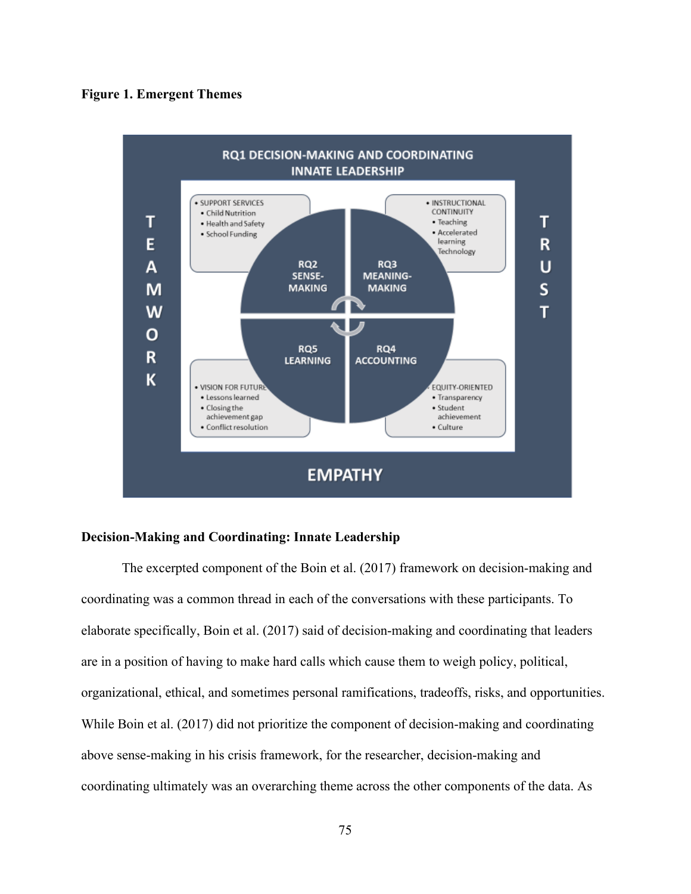### **Figure 1. Emergent Themes**



# **Decision-Making and Coordinating: Innate Leadership**

The excerpted component of the Boin et al. (2017) framework on decision-making and coordinating was a common thread in each of the conversations with these participants. To elaborate specifically, Boin et al. (2017) said of decision-making and coordinating that leaders are in a position of having to make hard calls which cause them to weigh policy, political, organizational, ethical, and sometimes personal ramifications, tradeoffs, risks, and opportunities. While Boin et al. (2017) did not prioritize the component of decision-making and coordinating above sense-making in his crisis framework, for the researcher, decision-making and coordinating ultimately was an overarching theme across the other components of the data. As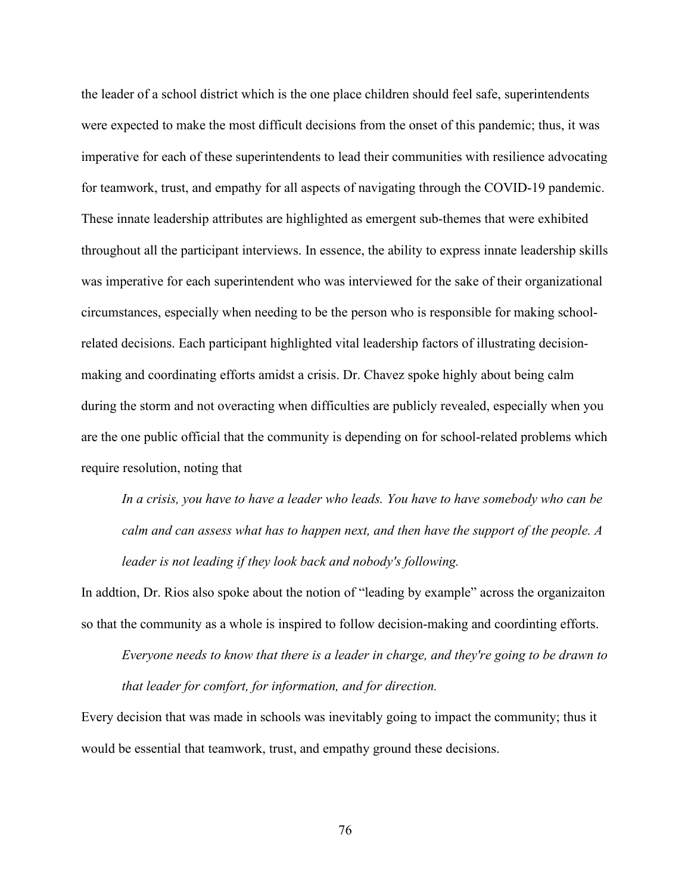the leader of a school district which is the one place children should feel safe, superintendents were expected to make the most difficult decisions from the onset of this pandemic; thus, it was imperative for each of these superintendents to lead their communities with resilience advocating for teamwork, trust, and empathy for all aspects of navigating through the COVID-19 pandemic. These innate leadership attributes are highlighted as emergent sub-themes that were exhibited throughout all the participant interviews. In essence, the ability to express innate leadership skills was imperative for each superintendent who was interviewed for the sake of their organizational circumstances, especially when needing to be the person who is responsible for making schoolrelated decisions. Each participant highlighted vital leadership factors of illustrating decisionmaking and coordinating efforts amidst a crisis. Dr. Chavez spoke highly about being calm during the storm and not overacting when difficulties are publicly revealed, especially when you are the one public official that the community is depending on for school-related problems which require resolution, noting that

*In a crisis, you have to have a leader who leads. You have to have somebody who can be calm and can assess what has to happen next, and then have the support of the people. A leader is not leading if they look back and nobody's following.*

In addtion, Dr. Rios also spoke about the notion of "leading by example" across the organizaiton so that the community as a whole is inspired to follow decision-making and coordinting efforts.

*Everyone needs to know that there is a leader in charge, and they're going to be drawn to that leader for comfort, for information, and for direction.*

Every decision that was made in schools was inevitably going to impact the community; thus it would be essential that teamwork, trust, and empathy ground these decisions.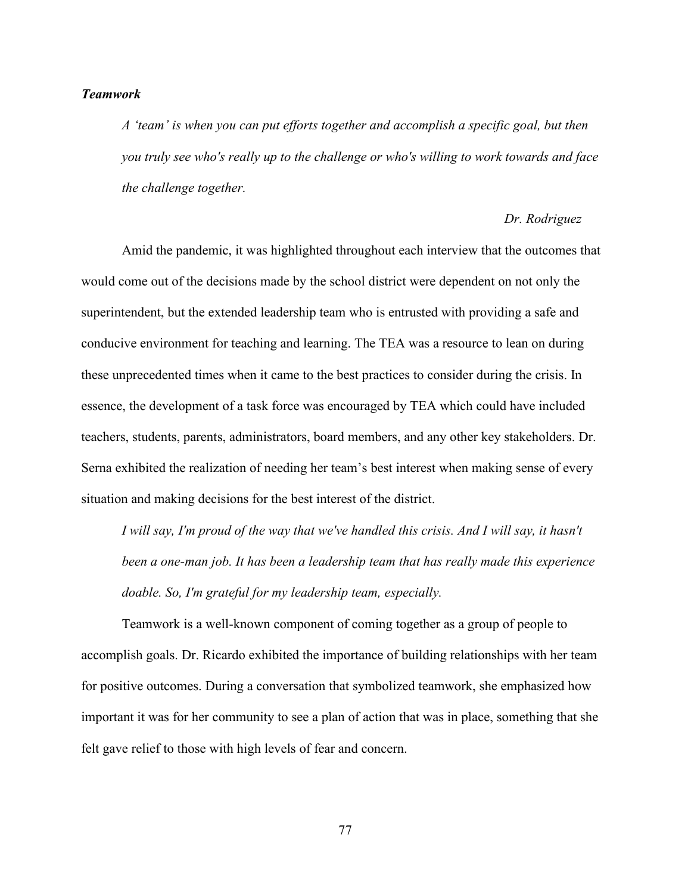# *Teamwork*

*A 'team' is when you can put efforts together and accomplish a specific goal, but then you truly see who's really up to the challenge or who's willing to work towards and face the challenge together.* 

# *Dr. Rodriguez*

Amid the pandemic, it was highlighted throughout each interview that the outcomes that would come out of the decisions made by the school district were dependent on not only the superintendent, but the extended leadership team who is entrusted with providing a safe and conducive environment for teaching and learning. The TEA was a resource to lean on during these unprecedented times when it came to the best practices to consider during the crisis. In essence, the development of a task force was encouraged by TEA which could have included teachers, students, parents, administrators, board members, and any other key stakeholders. Dr. Serna exhibited the realization of needing her team's best interest when making sense of every situation and making decisions for the best interest of the district.

*I* will say, I'm proud of the way that we've handled this crisis. And I will say, it hasn't *been a one-man job. It has been a leadership team that has really made this experience doable. So, I'm grateful for my leadership team, especially.*

Teamwork is a well-known component of coming together as a group of people to accomplish goals. Dr. Ricardo exhibited the importance of building relationships with her team for positive outcomes. During a conversation that symbolized teamwork, she emphasized how important it was for her community to see a plan of action that was in place, something that she felt gave relief to those with high levels of fear and concern.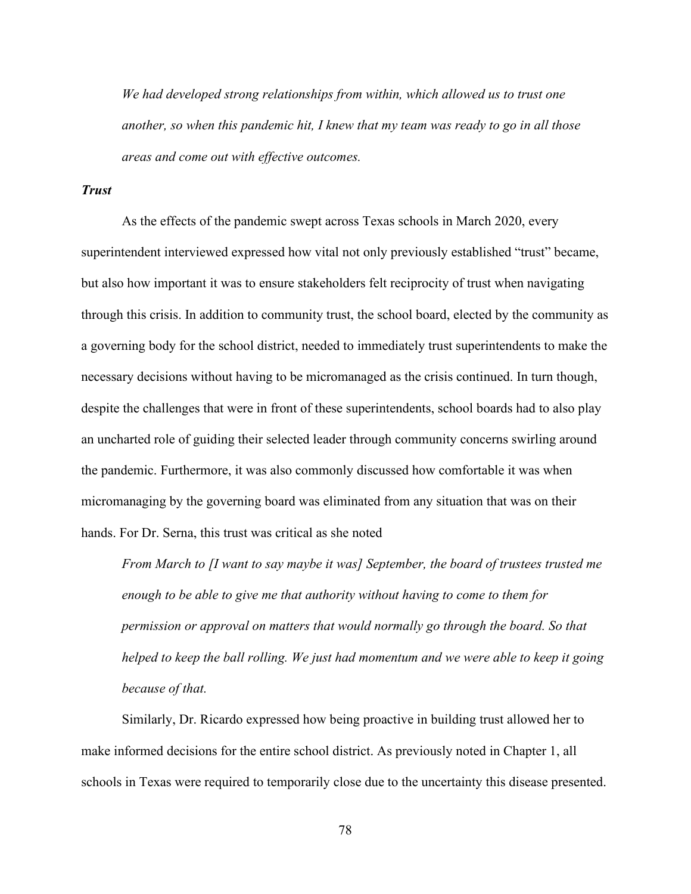*We had developed strong relationships from within, which allowed us to trust one another, so when this pandemic hit, I knew that my team was ready to go in all those areas and come out with effective outcomes.*

### *Trust*

As the effects of the pandemic swept across Texas schools in March 2020, every superintendent interviewed expressed how vital not only previously established "trust" became, but also how important it was to ensure stakeholders felt reciprocity of trust when navigating through this crisis. In addition to community trust, the school board, elected by the community as a governing body for the school district, needed to immediately trust superintendents to make the necessary decisions without having to be micromanaged as the crisis continued. In turn though, despite the challenges that were in front of these superintendents, school boards had to also play an uncharted role of guiding their selected leader through community concerns swirling around the pandemic. Furthermore, it was also commonly discussed how comfortable it was when micromanaging by the governing board was eliminated from any situation that was on their hands. For Dr. Serna, this trust was critical as she noted

*From March to [I want to say maybe it was] September, the board of trustees trusted me enough to be able to give me that authority without having to come to them for permission or approval on matters that would normally go through the board. So that helped to keep the ball rolling. We just had momentum and we were able to keep it going because of that.* 

Similarly, Dr. Ricardo expressed how being proactive in building trust allowed her to make informed decisions for the entire school district. As previously noted in Chapter 1, all schools in Texas were required to temporarily close due to the uncertainty this disease presented.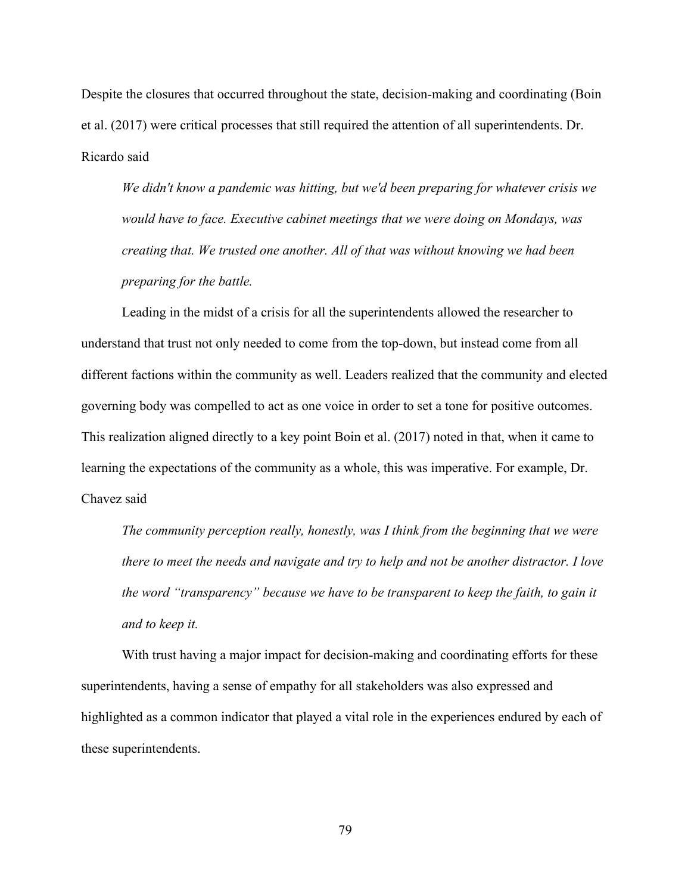Despite the closures that occurred throughout the state, decision-making and coordinating (Boin et al. (2017) were critical processes that still required the attention of all superintendents. Dr. Ricardo said

*We didn't know a pandemic was hitting, but we'd been preparing for whatever crisis we would have to face. Executive cabinet meetings that we were doing on Mondays, was creating that. We trusted one another. All of that was without knowing we had been preparing for the battle.* 

Leading in the midst of a crisis for all the superintendents allowed the researcher to understand that trust not only needed to come from the top-down, but instead come from all different factions within the community as well. Leaders realized that the community and elected governing body was compelled to act as one voice in order to set a tone for positive outcomes. This realization aligned directly to a key point Boin et al. (2017) noted in that, when it came to learning the expectations of the community as a whole, this was imperative. For example, Dr. Chavez said

*The community perception really, honestly, was I think from the beginning that we were there to meet the needs and navigate and try to help and not be another distractor. I love the word "transparency" because we have to be transparent to keep the faith, to gain it and to keep it.* 

With trust having a major impact for decision-making and coordinating efforts for these superintendents, having a sense of empathy for all stakeholders was also expressed and highlighted as a common indicator that played a vital role in the experiences endured by each of these superintendents.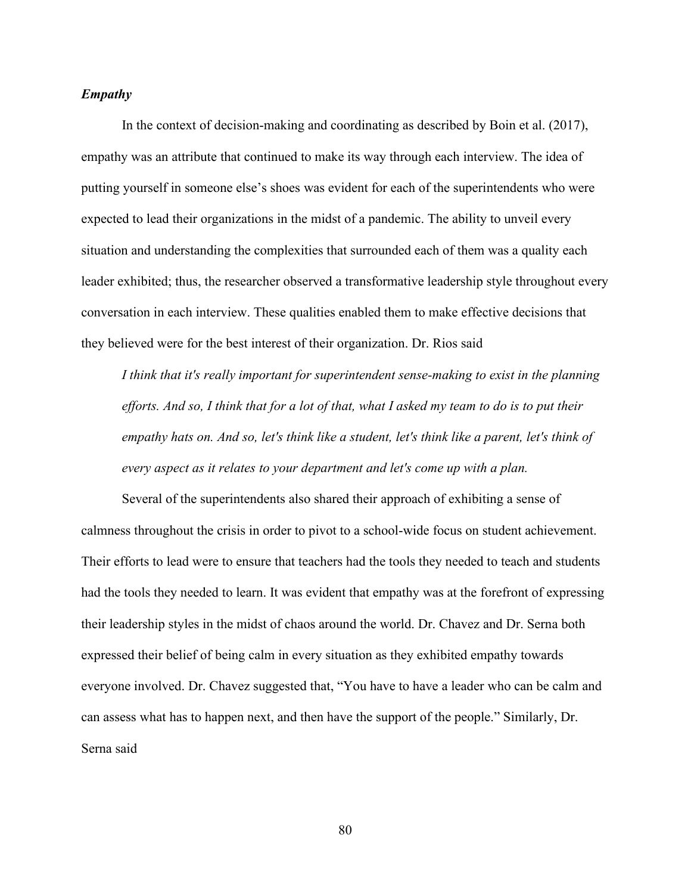# *Empathy*

In the context of decision-making and coordinating as described by Boin et al. (2017), empathy was an attribute that continued to make its way through each interview. The idea of putting yourself in someone else's shoes was evident for each of the superintendents who were expected to lead their organizations in the midst of a pandemic. The ability to unveil every situation and understanding the complexities that surrounded each of them was a quality each leader exhibited; thus, the researcher observed a transformative leadership style throughout every conversation in each interview. These qualities enabled them to make effective decisions that they believed were for the best interest of their organization. Dr. Rios said

*I think that it's really important for superintendent sense-making to exist in the planning efforts. And so, I think that for a lot of that, what I asked my team to do is to put their empathy hats on. And so, let's think like a student, let's think like a parent, let's think of every aspect as it relates to your department and let's come up with a plan.*

Several of the superintendents also shared their approach of exhibiting a sense of calmness throughout the crisis in order to pivot to a school-wide focus on student achievement. Their efforts to lead were to ensure that teachers had the tools they needed to teach and students had the tools they needed to learn. It was evident that empathy was at the forefront of expressing their leadership styles in the midst of chaos around the world. Dr. Chavez and Dr. Serna both expressed their belief of being calm in every situation as they exhibited empathy towards everyone involved. Dr. Chavez suggested that, "You have to have a leader who can be calm and can assess what has to happen next, and then have the support of the people." Similarly, Dr. Serna said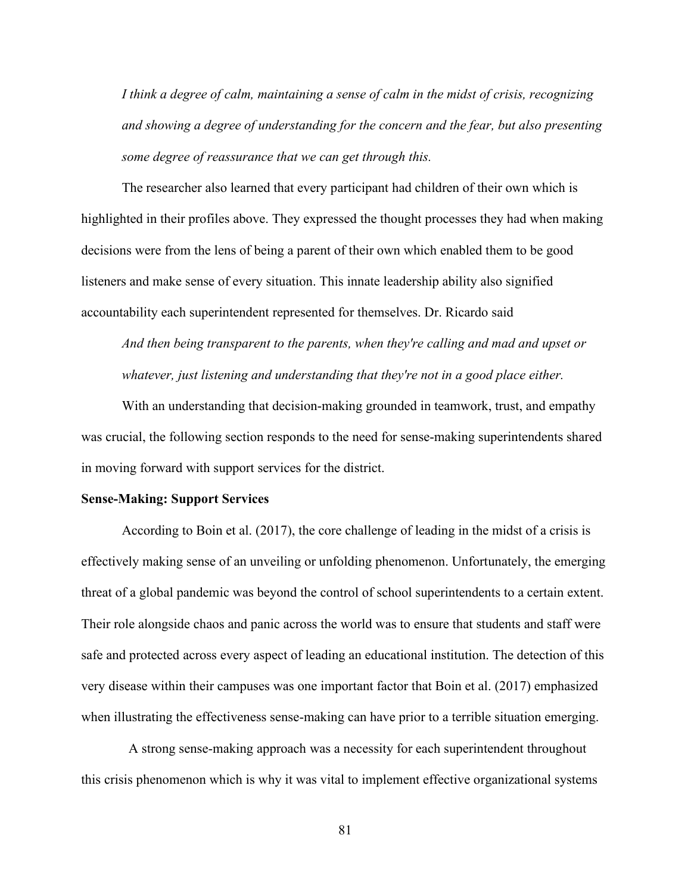*I think a degree of calm, maintaining a sense of calm in the midst of crisis, recognizing and showing a degree of understanding for the concern and the fear, but also presenting some degree of reassurance that we can get through this.*

The researcher also learned that every participant had children of their own which is highlighted in their profiles above. They expressed the thought processes they had when making decisions were from the lens of being a parent of their own which enabled them to be good listeners and make sense of every situation. This innate leadership ability also signified accountability each superintendent represented for themselves. Dr. Ricardo said

*And then being transparent to the parents, when they're calling and mad and upset or whatever, just listening and understanding that they're not in a good place either.* 

With an understanding that decision-making grounded in teamwork, trust, and empathy was crucial, the following section responds to the need for sense-making superintendents shared in moving forward with support services for the district.

### **Sense-Making: Support Services**

According to Boin et al. (2017), the core challenge of leading in the midst of a crisis is effectively making sense of an unveiling or unfolding phenomenon. Unfortunately, the emerging threat of a global pandemic was beyond the control of school superintendents to a certain extent. Their role alongside chaos and panic across the world was to ensure that students and staff were safe and protected across every aspect of leading an educational institution. The detection of this very disease within their campuses was one important factor that Boin et al. (2017) emphasized when illustrating the effectiveness sense-making can have prior to a terrible situation emerging.

A strong sense-making approach was a necessity for each superintendent throughout this crisis phenomenon which is why it was vital to implement effective organizational systems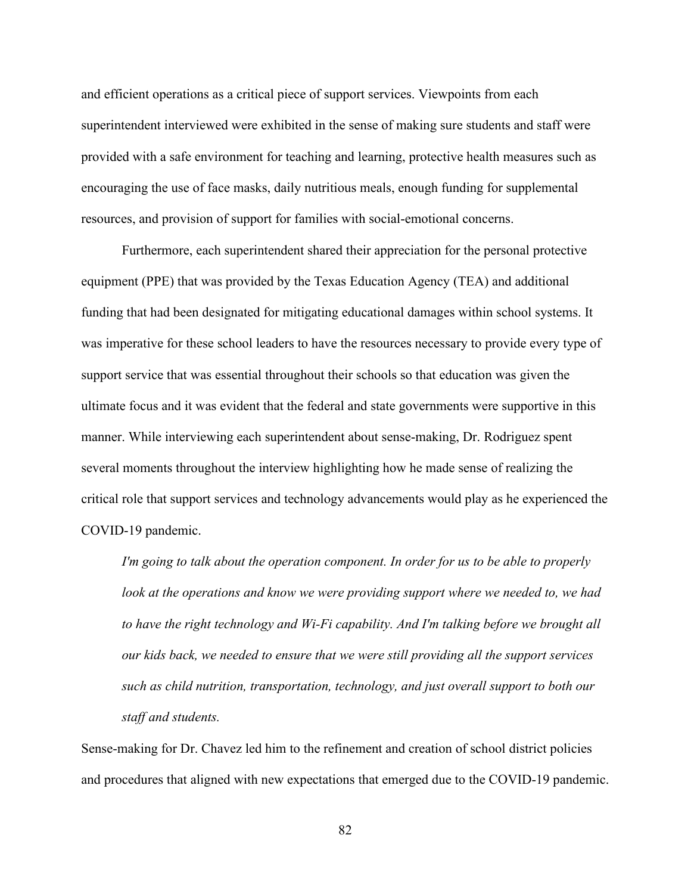and efficient operations as a critical piece of support services. Viewpoints from each superintendent interviewed were exhibited in the sense of making sure students and staff were provided with a safe environment for teaching and learning, protective health measures such as encouraging the use of face masks, daily nutritious meals, enough funding for supplemental resources, and provision of support for families with social-emotional concerns.

Furthermore, each superintendent shared their appreciation for the personal protective equipment (PPE) that was provided by the Texas Education Agency (TEA) and additional funding that had been designated for mitigating educational damages within school systems. It was imperative for these school leaders to have the resources necessary to provide every type of support service that was essential throughout their schools so that education was given the ultimate focus and it was evident that the federal and state governments were supportive in this manner. While interviewing each superintendent about sense-making, Dr. Rodriguez spent several moments throughout the interview highlighting how he made sense of realizing the critical role that support services and technology advancements would play as he experienced the COVID-19 pandemic.

*I'm going to talk about the operation component. In order for us to be able to properly look at the operations and know we were providing support where we needed to, we had to have the right technology and Wi-Fi capability. And I'm talking before we brought all our kids back, we needed to ensure that we were still providing all the support services such as child nutrition, transportation, technology, and just overall support to both our staff and students.*

Sense-making for Dr. Chavez led him to the refinement and creation of school district policies and procedures that aligned with new expectations that emerged due to the COVID-19 pandemic.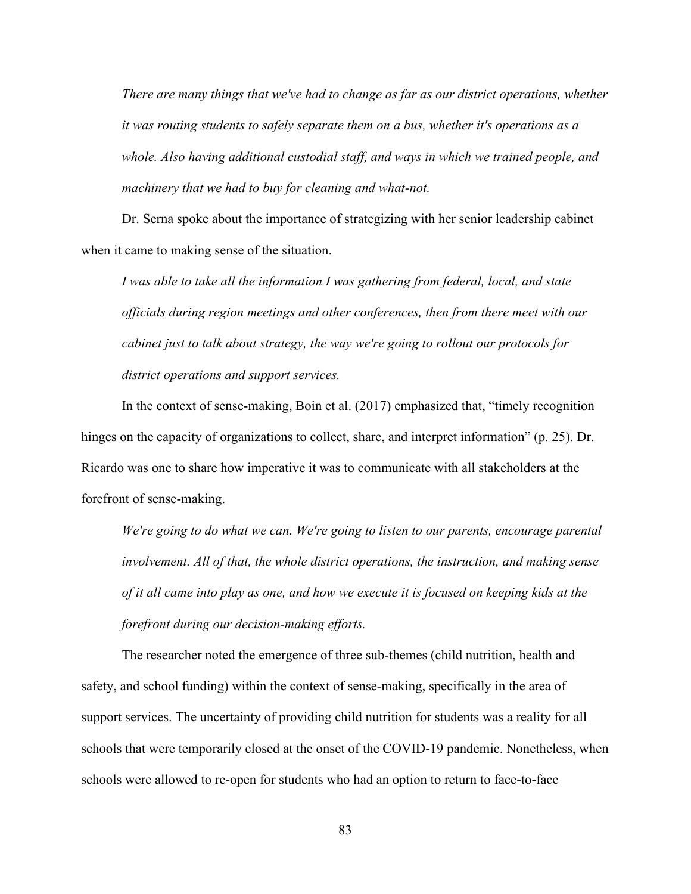*There are many things that we've had to change as far as our district operations, whether it was routing students to safely separate them on a bus, whether it's operations as a whole. Also having additional custodial staff, and ways in which we trained people, and machinery that we had to buy for cleaning and what-not.*

Dr. Serna spoke about the importance of strategizing with her senior leadership cabinet when it came to making sense of the situation.

*I was able to take all the information I was gathering from federal, local, and state officials during region meetings and other conferences, then from there meet with our cabinet just to talk about strategy, the way we're going to rollout our protocols for district operations and support services.*

In the context of sense-making, Boin et al. (2017) emphasized that, "timely recognition hinges on the capacity of organizations to collect, share, and interpret information" (p. 25). Dr. Ricardo was one to share how imperative it was to communicate with all stakeholders at the forefront of sense-making.

*We're going to do what we can. We're going to listen to our parents, encourage parental involvement. All of that, the whole district operations, the instruction, and making sense of it all came into play as one, and how we execute it is focused on keeping kids at the forefront during our decision-making efforts.*

The researcher noted the emergence of three sub-themes (child nutrition, health and safety, and school funding) within the context of sense-making, specifically in the area of support services. The uncertainty of providing child nutrition for students was a reality for all schools that were temporarily closed at the onset of the COVID-19 pandemic. Nonetheless, when schools were allowed to re-open for students who had an option to return to face-to-face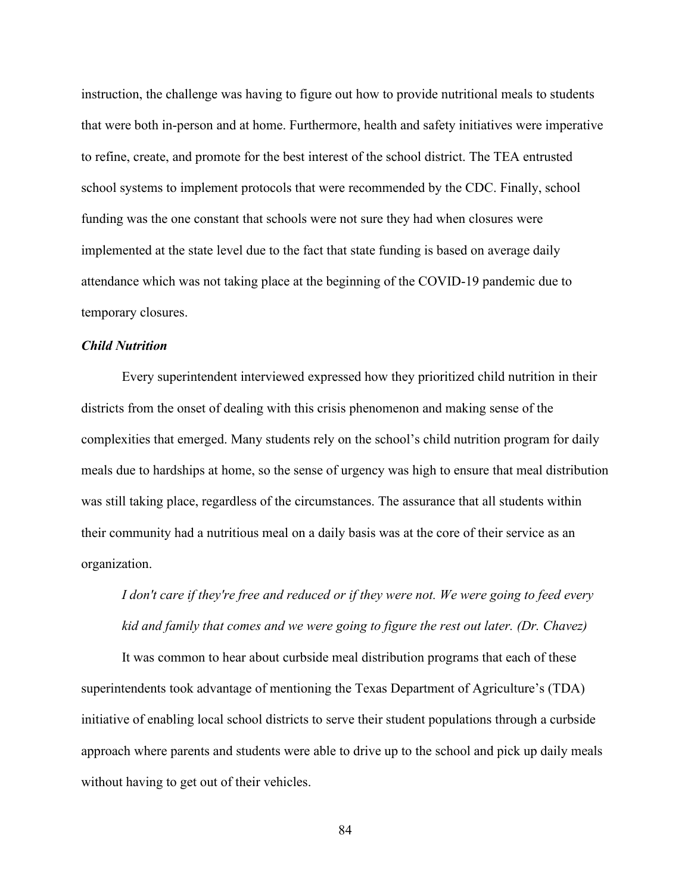instruction, the challenge was having to figure out how to provide nutritional meals to students that were both in-person and at home. Furthermore, health and safety initiatives were imperative to refine, create, and promote for the best interest of the school district. The TEA entrusted school systems to implement protocols that were recommended by the CDC. Finally, school funding was the one constant that schools were not sure they had when closures were implemented at the state level due to the fact that state funding is based on average daily attendance which was not taking place at the beginning of the COVID-19 pandemic due to temporary closures.

### *Child Nutrition*

Every superintendent interviewed expressed how they prioritized child nutrition in their districts from the onset of dealing with this crisis phenomenon and making sense of the complexities that emerged. Many students rely on the school's child nutrition program for daily meals due to hardships at home, so the sense of urgency was high to ensure that meal distribution was still taking place, regardless of the circumstances. The assurance that all students within their community had a nutritious meal on a daily basis was at the core of their service as an organization.

*I don't care if they're free and reduced or if they were not. We were going to feed every kid and family that comes and we were going to figure the rest out later. (Dr. Chavez)*

It was common to hear about curbside meal distribution programs that each of these superintendents took advantage of mentioning the Texas Department of Agriculture's (TDA) initiative of enabling local school districts to serve their student populations through a curbside approach where parents and students were able to drive up to the school and pick up daily meals without having to get out of their vehicles.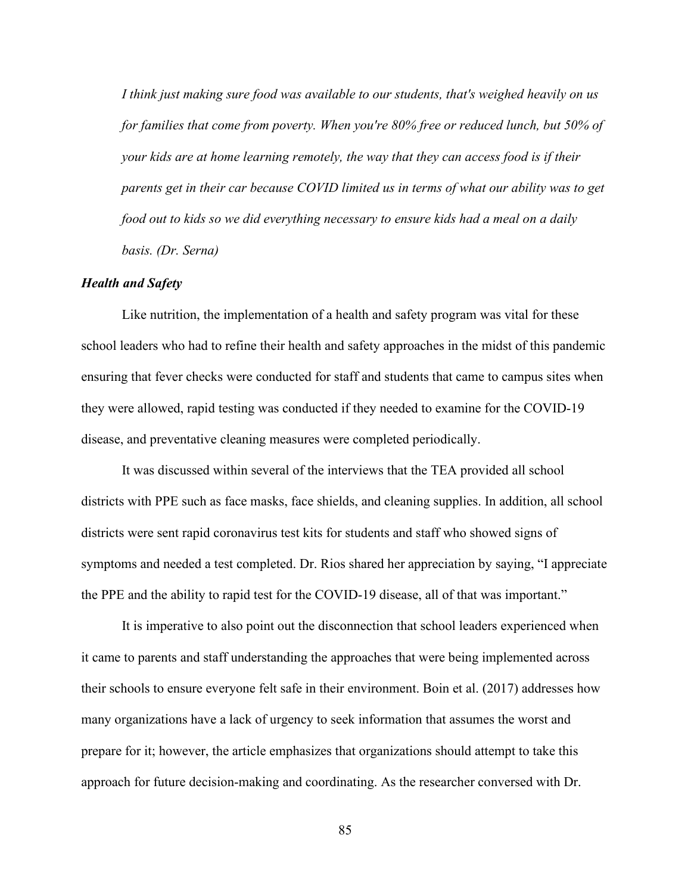*I think just making sure food was available to our students, that's weighed heavily on us for families that come from poverty. When you're 80% free or reduced lunch, but 50% of your kids are at home learning remotely, the way that they can access food is if their parents get in their car because COVID limited us in terms of what our ability was to get food out to kids so we did everything necessary to ensure kids had a meal on a daily basis. (Dr. Serna)*

#### *Health and Safety*

Like nutrition, the implementation of a health and safety program was vital for these school leaders who had to refine their health and safety approaches in the midst of this pandemic ensuring that fever checks were conducted for staff and students that came to campus sites when they were allowed, rapid testing was conducted if they needed to examine for the COVID-19 disease, and preventative cleaning measures were completed periodically.

It was discussed within several of the interviews that the TEA provided all school districts with PPE such as face masks, face shields, and cleaning supplies. In addition, all school districts were sent rapid coronavirus test kits for students and staff who showed signs of symptoms and needed a test completed. Dr. Rios shared her appreciation by saying, "I appreciate the PPE and the ability to rapid test for the COVID-19 disease, all of that was important."

It is imperative to also point out the disconnection that school leaders experienced when it came to parents and staff understanding the approaches that were being implemented across their schools to ensure everyone felt safe in their environment. Boin et al. (2017) addresses how many organizations have a lack of urgency to seek information that assumes the worst and prepare for it; however, the article emphasizes that organizations should attempt to take this approach for future decision-making and coordinating. As the researcher conversed with Dr.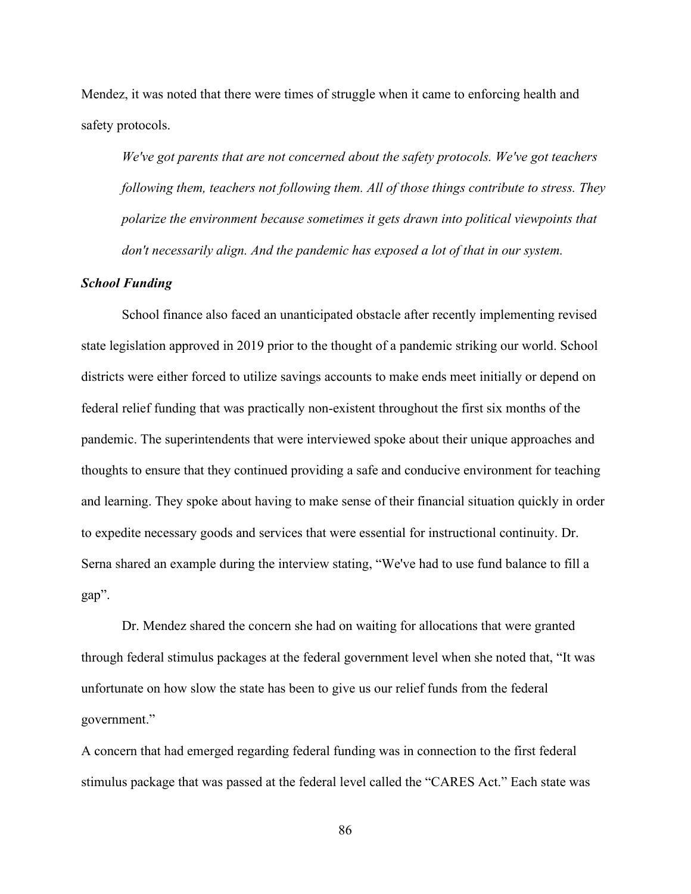Mendez, it was noted that there were times of struggle when it came to enforcing health and safety protocols.

*We've got parents that are not concerned about the safety protocols. We've got teachers following them, teachers not following them. All of those things contribute to stress. They polarize the environment because sometimes it gets drawn into political viewpoints that don't necessarily align. And the pandemic has exposed a lot of that in our system.* 

#### *School Funding*

School finance also faced an unanticipated obstacle after recently implementing revised state legislation approved in 2019 prior to the thought of a pandemic striking our world. School districts were either forced to utilize savings accounts to make ends meet initially or depend on federal relief funding that was practically non-existent throughout the first six months of the pandemic. The superintendents that were interviewed spoke about their unique approaches and thoughts to ensure that they continued providing a safe and conducive environment for teaching and learning. They spoke about having to make sense of their financial situation quickly in order to expedite necessary goods and services that were essential for instructional continuity. Dr. Serna shared an example during the interview stating, "We've had to use fund balance to fill a gap".

Dr. Mendez shared the concern she had on waiting for allocations that were granted through federal stimulus packages at the federal government level when she noted that, "It was unfortunate on how slow the state has been to give us our relief funds from the federal government."

A concern that had emerged regarding federal funding was in connection to the first federal stimulus package that was passed at the federal level called the "CARES Act." Each state was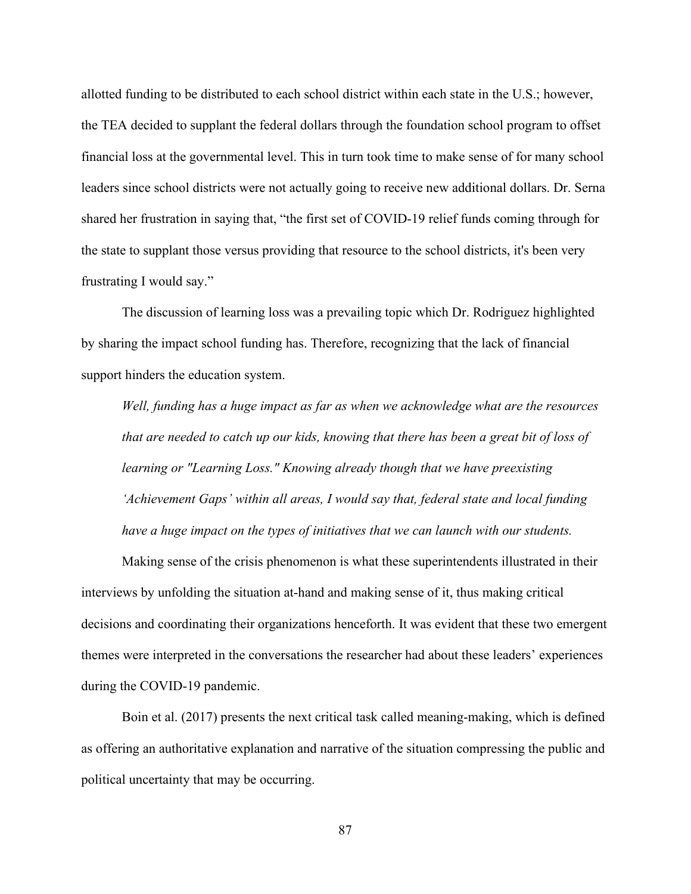allotted funding to be distributed to each school district within each state in the U.S.; however, the TEA decided to supplant the federal dollars through the foundation school program to offset financial loss at the governmental level. This in turn took time to make sense of for many school leaders since school districts were not actually going to receive new additional dollars. Dr. Serna shared her frustration in saying that, "the first set of COVID-19 relief funds coming through for the state to supplant those versus providing that resource to the school districts, it's been very frustrating I would say."

The discussion of learning loss was a prevailing topic which Dr. Rodriguez highlighted by sharing the impact school funding has. Therefore, recognizing that the lack of financial support hinders the education system.

*Well, funding has a huge impact as far as when we acknowledge what are the resources that are needed to catch up our kids, knowing that there has been a great bit of loss of learning or "Learning Loss." Knowing already though that we have preexisting 'Achievement Gaps' within all areas, I would say that, federal state and local funding have a huge impact on the types of initiatives that we can launch with our students.*

Making sense of the crisis phenomenon is what these superintendents illustrated in their interviews by unfolding the situation at-hand and making sense of it, thus making critical decisions and coordinating their organizations henceforth. It was evident that these two emergent themes were interpreted in the conversations the researcher had about these leaders' experiences during the COVID-19 pandemic.

Boin et al. (2017) presents the next critical task called meaning-making, which is defined as offering an authoritative explanation and narrative of the situation compressing the public and political uncertainty that may be occurring.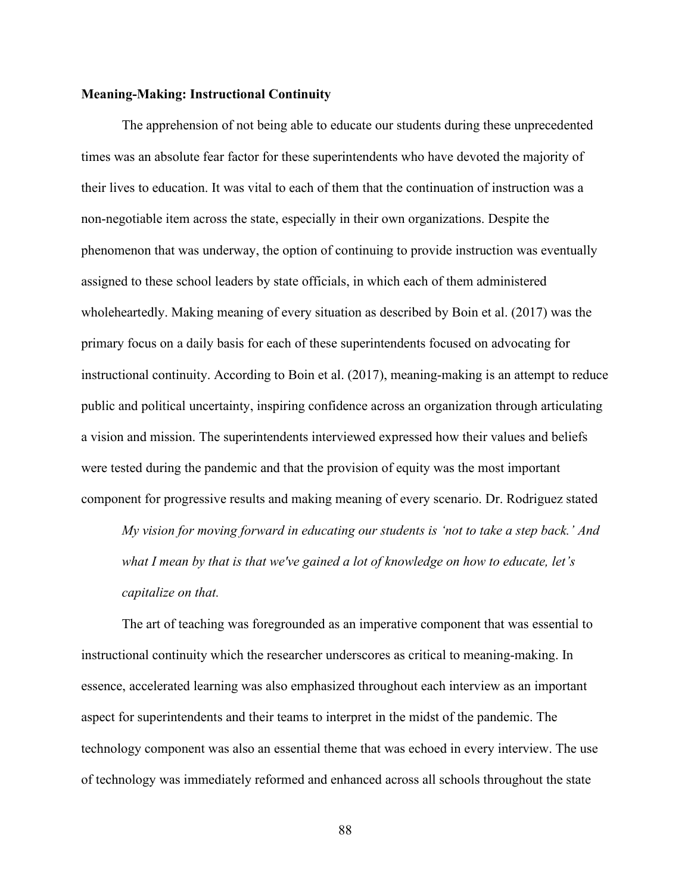### **Meaning-Making: Instructional Continuity**

The apprehension of not being able to educate our students during these unprecedented times was an absolute fear factor for these superintendents who have devoted the majority of their lives to education. It was vital to each of them that the continuation of instruction was a non-negotiable item across the state, especially in their own organizations. Despite the phenomenon that was underway, the option of continuing to provide instruction was eventually assigned to these school leaders by state officials, in which each of them administered wholeheartedly. Making meaning of every situation as described by Boin et al. (2017) was the primary focus on a daily basis for each of these superintendents focused on advocating for instructional continuity. According to Boin et al. (2017), meaning-making is an attempt to reduce public and political uncertainty, inspiring confidence across an organization through articulating a vision and mission. The superintendents interviewed expressed how their values and beliefs were tested during the pandemic and that the provision of equity was the most important component for progressive results and making meaning of every scenario. Dr. Rodriguez stated

*My vision for moving forward in educating our students is 'not to take a step back.' And what I mean by that is that we've gained a lot of knowledge on how to educate, let's capitalize on that.*

The art of teaching was foregrounded as an imperative component that was essential to instructional continuity which the researcher underscores as critical to meaning-making. In essence, accelerated learning was also emphasized throughout each interview as an important aspect for superintendents and their teams to interpret in the midst of the pandemic. The technology component was also an essential theme that was echoed in every interview. The use of technology was immediately reformed and enhanced across all schools throughout the state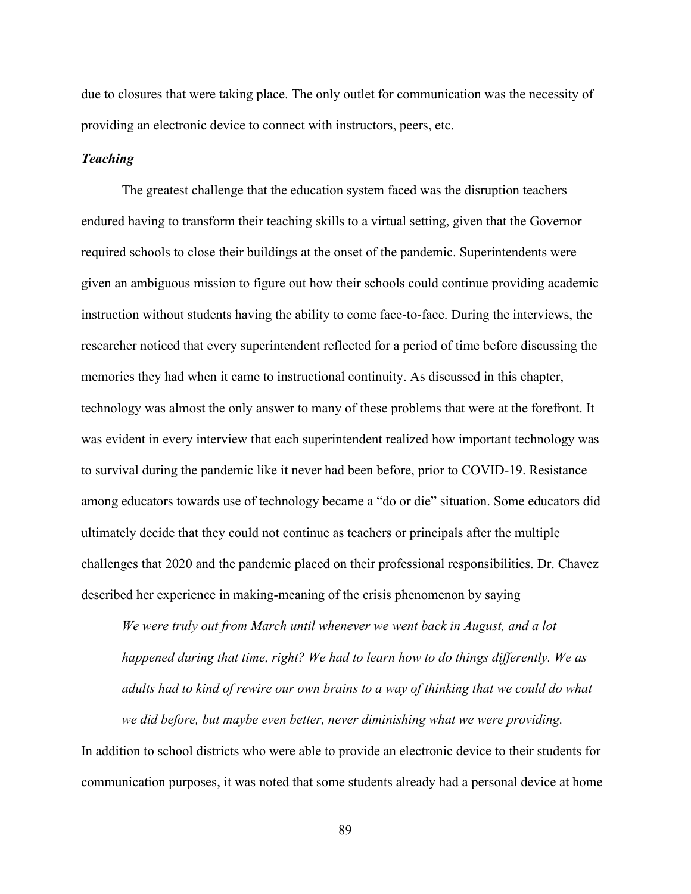due to closures that were taking place. The only outlet for communication was the necessity of providing an electronic device to connect with instructors, peers, etc.

# *Teaching*

The greatest challenge that the education system faced was the disruption teachers endured having to transform their teaching skills to a virtual setting, given that the Governor required schools to close their buildings at the onset of the pandemic. Superintendents were given an ambiguous mission to figure out how their schools could continue providing academic instruction without students having the ability to come face-to-face. During the interviews, the researcher noticed that every superintendent reflected for a period of time before discussing the memories they had when it came to instructional continuity. As discussed in this chapter, technology was almost the only answer to many of these problems that were at the forefront. It was evident in every interview that each superintendent realized how important technology was to survival during the pandemic like it never had been before, prior to COVID-19. Resistance among educators towards use of technology became a "do or die" situation. Some educators did ultimately decide that they could not continue as teachers or principals after the multiple challenges that 2020 and the pandemic placed on their professional responsibilities. Dr. Chavez described her experience in making-meaning of the crisis phenomenon by saying

*We were truly out from March until whenever we went back in August, and a lot happened during that time, right? We had to learn how to do things differently. We as adults had to kind of rewire our own brains to a way of thinking that we could do what we did before, but maybe even better, never diminishing what we were providing.*

In addition to school districts who were able to provide an electronic device to their students for communication purposes, it was noted that some students already had a personal device at home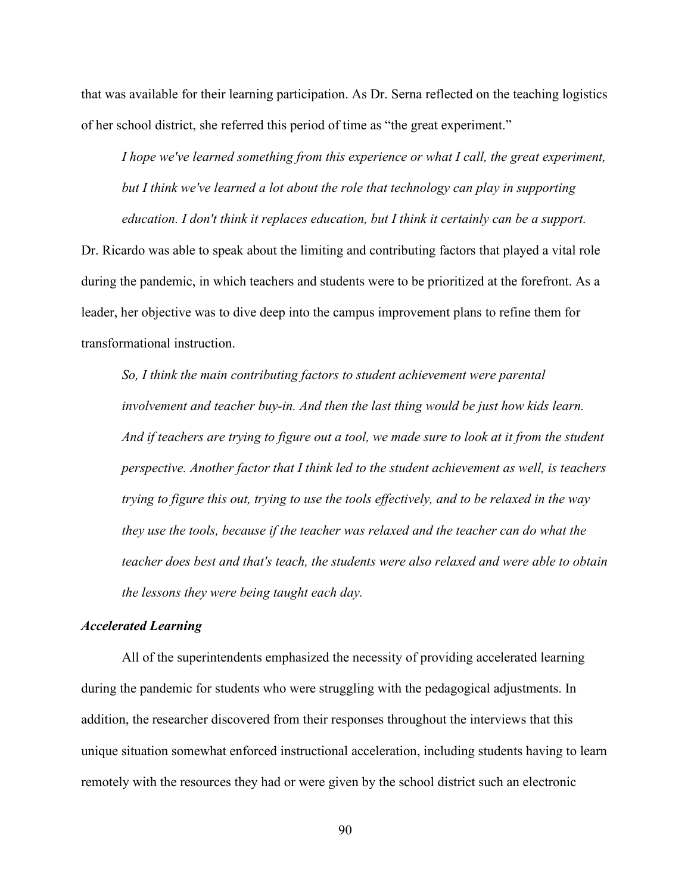that was available for their learning participation. As Dr. Serna reflected on the teaching logistics of her school district, she referred this period of time as "the great experiment."

*I hope we've learned something from this experience or what I call, the great experiment, but I think we've learned a lot about the role that technology can play in supporting education. I don't think it replaces education, but I think it certainly can be a support.*

Dr. Ricardo was able to speak about the limiting and contributing factors that played a vital role during the pandemic, in which teachers and students were to be prioritized at the forefront. As a leader, her objective was to dive deep into the campus improvement plans to refine them for transformational instruction.

*So, I think the main contributing factors to student achievement were parental involvement and teacher buy-in. And then the last thing would be just how kids learn. And if teachers are trying to figure out a tool, we made sure to look at it from the student perspective. Another factor that I think led to the student achievement as well, is teachers trying to figure this out, trying to use the tools effectively, and to be relaxed in the way they use the tools, because if the teacher was relaxed and the teacher can do what the teacher does best and that's teach, the students were also relaxed and were able to obtain the lessons they were being taught each day.*

# *Accelerated Learning*

All of the superintendents emphasized the necessity of providing accelerated learning during the pandemic for students who were struggling with the pedagogical adjustments. In addition, the researcher discovered from their responses throughout the interviews that this unique situation somewhat enforced instructional acceleration, including students having to learn remotely with the resources they had or were given by the school district such an electronic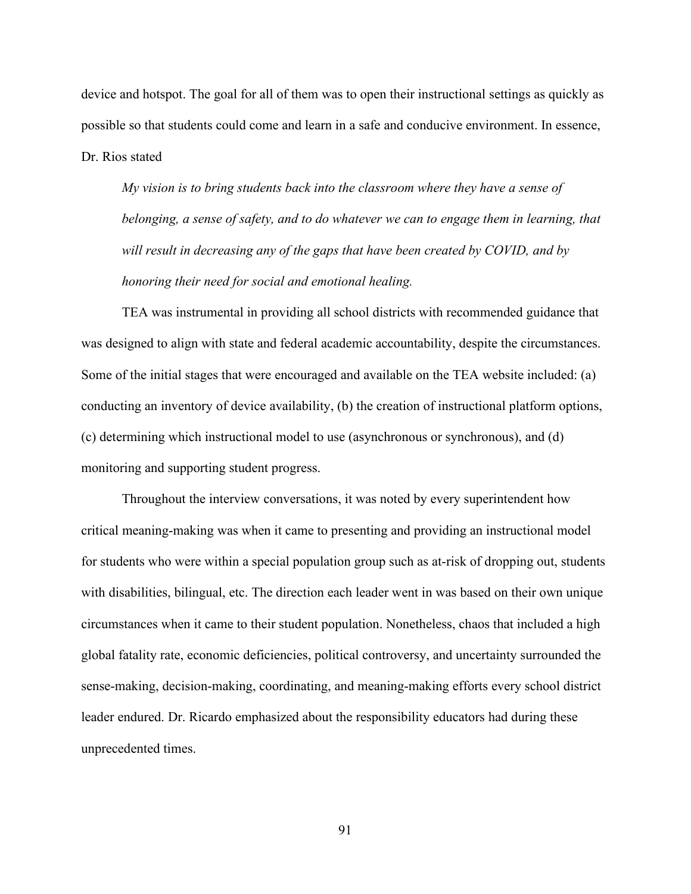device and hotspot. The goal for all of them was to open their instructional settings as quickly as possible so that students could come and learn in a safe and conducive environment. In essence, Dr. Rios stated

*My vision is to bring students back into the classroom where they have a sense of belonging, a sense of safety, and to do whatever we can to engage them in learning, that will result in decreasing any of the gaps that have been created by COVID, and by honoring their need for social and emotional healing.*

TEA was instrumental in providing all school districts with recommended guidance that was designed to align with state and federal academic accountability, despite the circumstances. Some of the initial stages that were encouraged and available on the TEA website included: (a) conducting an inventory of device availability, (b) the creation of instructional platform options, (c) determining which instructional model to use (asynchronous or synchronous), and (d) monitoring and supporting student progress.

Throughout the interview conversations, it was noted by every superintendent how critical meaning-making was when it came to presenting and providing an instructional model for students who were within a special population group such as at-risk of dropping out, students with disabilities, bilingual, etc. The direction each leader went in was based on their own unique circumstances when it came to their student population. Nonetheless, chaos that included a high global fatality rate, economic deficiencies, political controversy, and uncertainty surrounded the sense-making, decision-making, coordinating, and meaning-making efforts every school district leader endured. Dr. Ricardo emphasized about the responsibility educators had during these unprecedented times.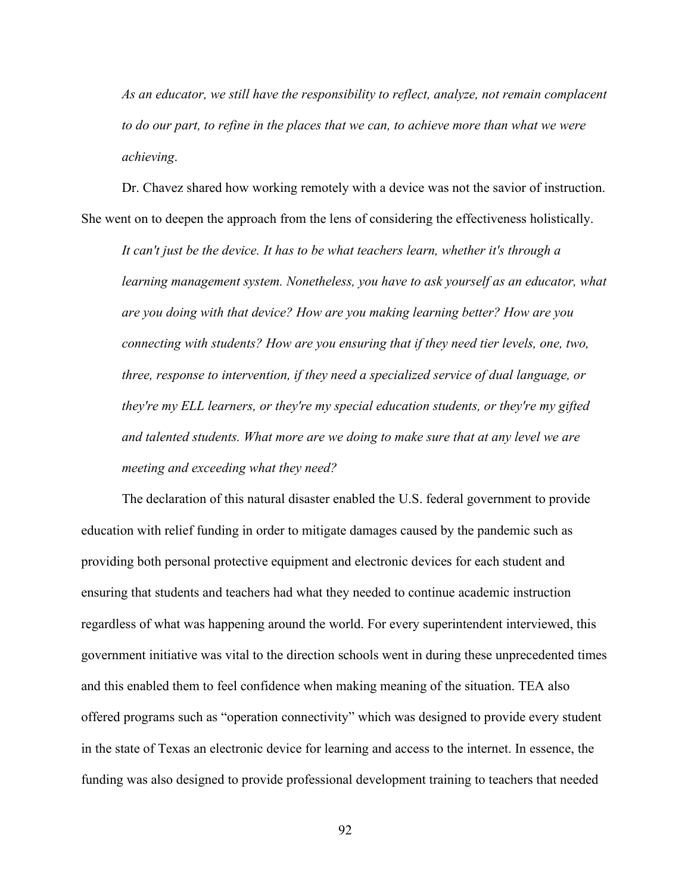*As an educator, we still have the responsibility to reflect, analyze, not remain complacent to do our part, to refine in the places that we can, to achieve more than what we were achieving*.

Dr. Chavez shared how working remotely with a device was not the savior of instruction. She went on to deepen the approach from the lens of considering the effectiveness holistically.

*It can't just be the device. It has to be what teachers learn, whether it's through a learning management system. Nonetheless, you have to ask yourself as an educator, what are you doing with that device? How are you making learning better? How are you connecting with students? How are you ensuring that if they need tier levels, one, two, three, response to intervention, if they need a specialized service of dual language, or they're my ELL learners, or they're my special education students, or they're my gifted and talented students. What more are we doing to make sure that at any level we are meeting and exceeding what they need?*

The declaration of this natural disaster enabled the U.S. federal government to provide education with relief funding in order to mitigate damages caused by the pandemic such as providing both personal protective equipment and electronic devices for each student and ensuring that students and teachers had what they needed to continue academic instruction regardless of what was happening around the world. For every superintendent interviewed, this government initiative was vital to the direction schools went in during these unprecedented times and this enabled them to feel confidence when making meaning of the situation. TEA also offered programs such as "operation connectivity" which was designed to provide every student in the state of Texas an electronic device for learning and access to the internet. In essence, the funding was also designed to provide professional development training to teachers that needed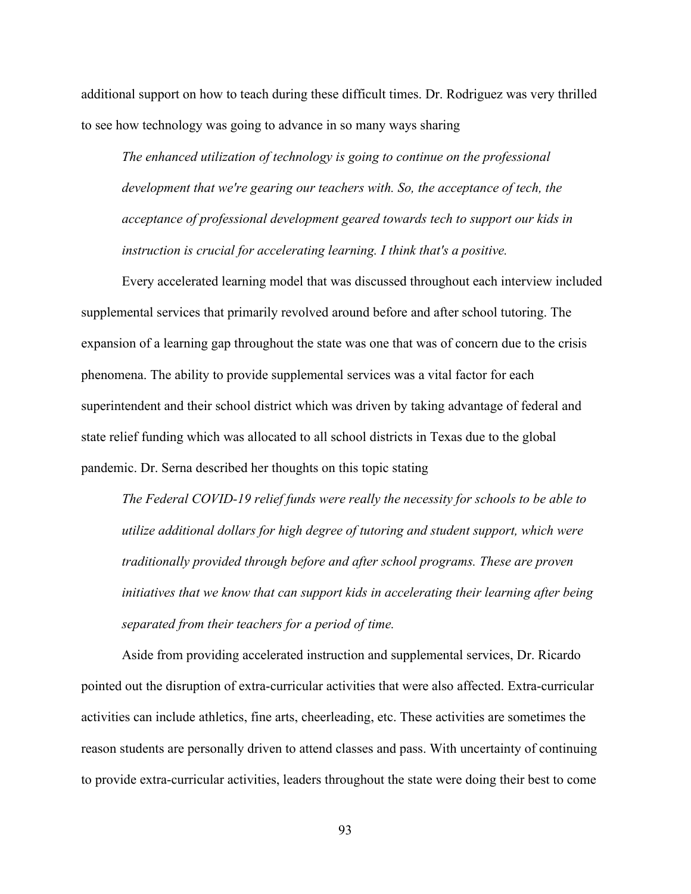additional support on how to teach during these difficult times. Dr. Rodriguez was very thrilled to see how technology was going to advance in so many ways sharing

*The enhanced utilization of technology is going to continue on the professional*  development that we're gearing our teachers with. So, the acceptance of tech, the *acceptance of professional development geared towards tech to support our kids in instruction is crucial for accelerating learning. I think that's a positive.*

Every accelerated learning model that was discussed throughout each interview included supplemental services that primarily revolved around before and after school tutoring. The expansion of a learning gap throughout the state was one that was of concern due to the crisis phenomena. The ability to provide supplemental services was a vital factor for each superintendent and their school district which was driven by taking advantage of federal and state relief funding which was allocated to all school districts in Texas due to the global pandemic. Dr. Serna described her thoughts on this topic stating

*The Federal COVID-19 relief funds were really the necessity for schools to be able to utilize additional dollars for high degree of tutoring and student support, which were traditionally provided through before and after school programs. These are proven initiatives that we know that can support kids in accelerating their learning after being separated from their teachers for a period of time.*

Aside from providing accelerated instruction and supplemental services, Dr. Ricardo pointed out the disruption of extra-curricular activities that were also affected. Extra-curricular activities can include athletics, fine arts, cheerleading, etc. These activities are sometimes the reason students are personally driven to attend classes and pass. With uncertainty of continuing to provide extra-curricular activities, leaders throughout the state were doing their best to come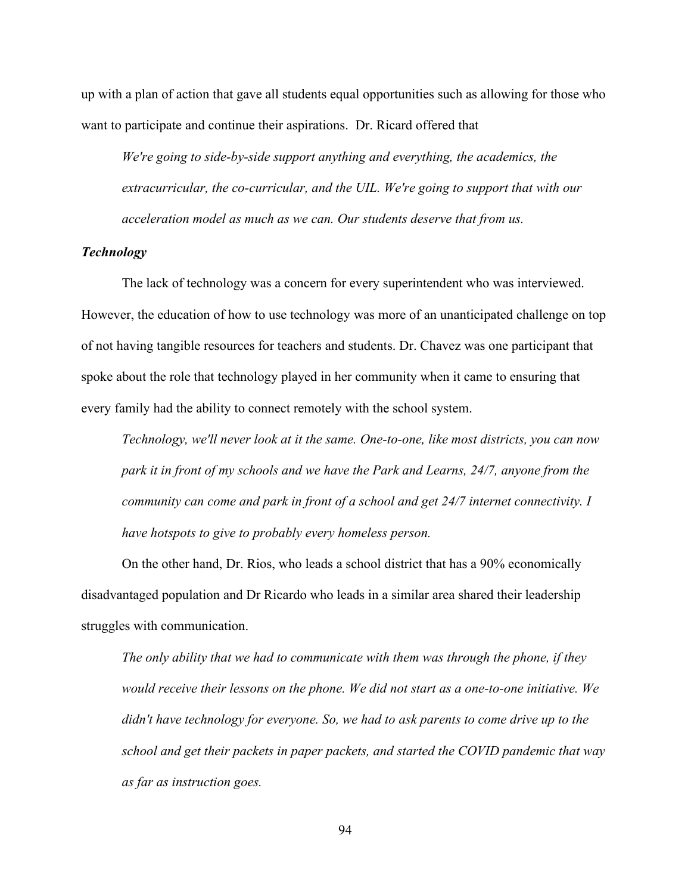up with a plan of action that gave all students equal opportunities such as allowing for those who want to participate and continue their aspirations. Dr. Ricard offered that

*We're going to side-by-side support anything and everything, the academics, the extracurricular, the co-curricular, and the UIL. We're going to support that with our acceleration model as much as we can. Our students deserve that from us.* 

### *Technology*

The lack of technology was a concern for every superintendent who was interviewed. However, the education of how to use technology was more of an unanticipated challenge on top of not having tangible resources for teachers and students. Dr. Chavez was one participant that spoke about the role that technology played in her community when it came to ensuring that every family had the ability to connect remotely with the school system.

*Technology, we'll never look at it the same. One-to-one, like most districts, you can now park it in front of my schools and we have the Park and Learns, 24/7, anyone from the community can come and park in front of a school and get 24/7 internet connectivity. I have hotspots to give to probably every homeless person.* 

On the other hand, Dr. Rios, who leads a school district that has a 90% economically disadvantaged population and Dr Ricardo who leads in a similar area shared their leadership struggles with communication.

*The only ability that we had to communicate with them was through the phone, if they would receive their lessons on the phone. We did not start as a one-to-one initiative. We didn't have technology for everyone. So, we had to ask parents to come drive up to the school and get their packets in paper packets, and started the COVID pandemic that way as far as instruction goes.*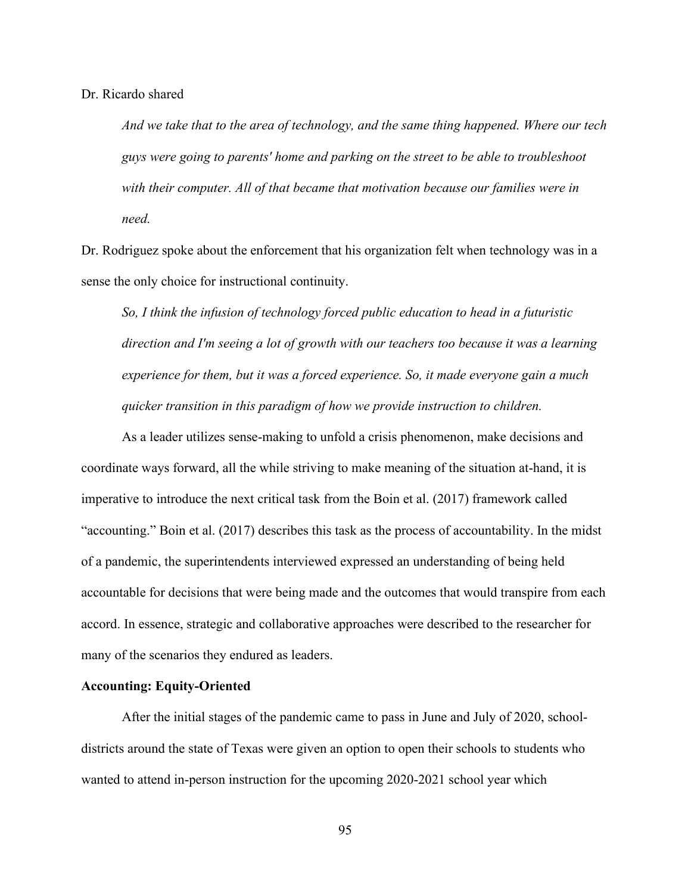# Dr. Ricardo shared

*And we take that to the area of technology, and the same thing happened. Where our tech guys were going to parents' home and parking on the street to be able to troubleshoot with their computer. All of that became that motivation because our families were in need.* 

Dr. Rodriguez spoke about the enforcement that his organization felt when technology was in a sense the only choice for instructional continuity.

*So, I think the infusion of technology forced public education to head in a futuristic direction and I'm seeing a lot of growth with our teachers too because it was a learning experience for them, but it was a forced experience. So, it made everyone gain a much quicker transition in this paradigm of how we provide instruction to children.* 

As a leader utilizes sense-making to unfold a crisis phenomenon, make decisions and coordinate ways forward, all the while striving to make meaning of the situation at-hand, it is imperative to introduce the next critical task from the Boin et al. (2017) framework called "accounting." Boin et al. (2017) describes this task as the process of accountability. In the midst of a pandemic, the superintendents interviewed expressed an understanding of being held accountable for decisions that were being made and the outcomes that would transpire from each accord. In essence, strategic and collaborative approaches were described to the researcher for many of the scenarios they endured as leaders.

# **Accounting: Equity-Oriented**

After the initial stages of the pandemic came to pass in June and July of 2020, schooldistricts around the state of Texas were given an option to open their schools to students who wanted to attend in-person instruction for the upcoming 2020-2021 school year which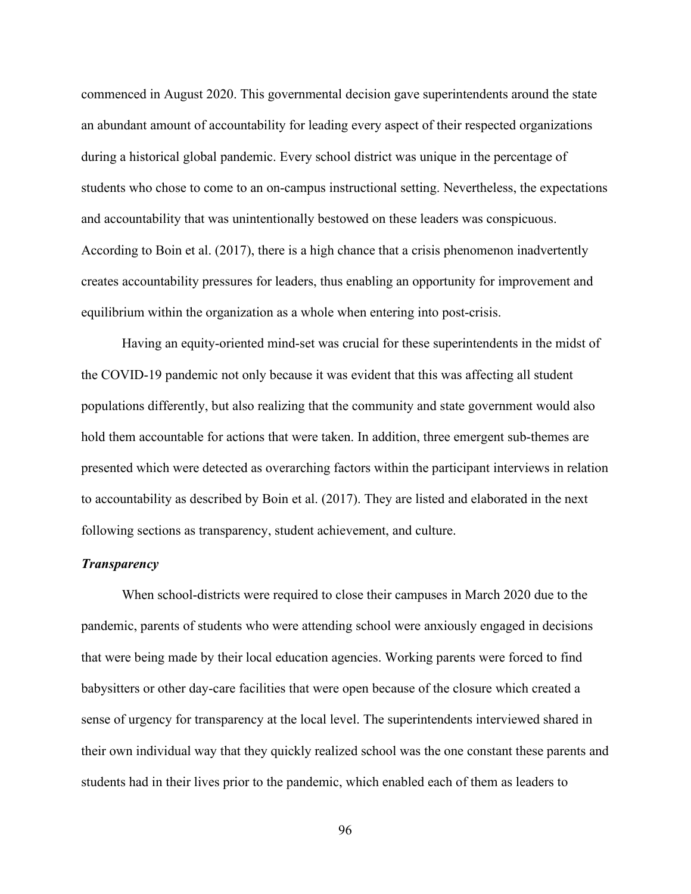commenced in August 2020. This governmental decision gave superintendents around the state an abundant amount of accountability for leading every aspect of their respected organizations during a historical global pandemic. Every school district was unique in the percentage of students who chose to come to an on-campus instructional setting. Nevertheless, the expectations and accountability that was unintentionally bestowed on these leaders was conspicuous. According to Boin et al. (2017), there is a high chance that a crisis phenomenon inadvertently creates accountability pressures for leaders, thus enabling an opportunity for improvement and equilibrium within the organization as a whole when entering into post-crisis.

Having an equity-oriented mind-set was crucial for these superintendents in the midst of the COVID-19 pandemic not only because it was evident that this was affecting all student populations differently, but also realizing that the community and state government would also hold them accountable for actions that were taken. In addition, three emergent sub-themes are presented which were detected as overarching factors within the participant interviews in relation to accountability as described by Boin et al. (2017). They are listed and elaborated in the next following sections as transparency, student achievement, and culture.

### *Transparency*

When school-districts were required to close their campuses in March 2020 due to the pandemic, parents of students who were attending school were anxiously engaged in decisions that were being made by their local education agencies. Working parents were forced to find babysitters or other day-care facilities that were open because of the closure which created a sense of urgency for transparency at the local level. The superintendents interviewed shared in their own individual way that they quickly realized school was the one constant these parents and students had in their lives prior to the pandemic, which enabled each of them as leaders to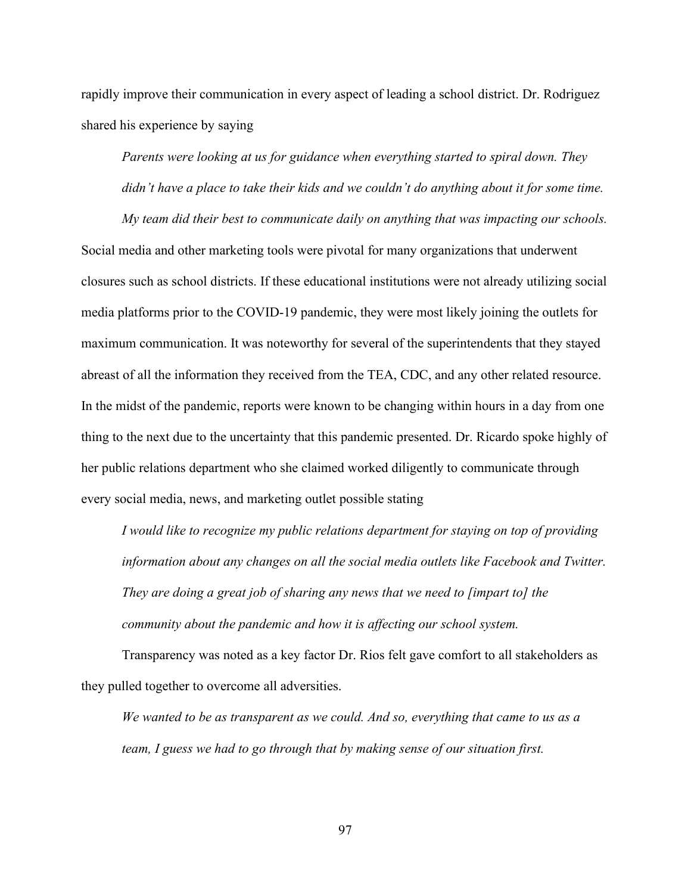rapidly improve their communication in every aspect of leading a school district. Dr. Rodriguez shared his experience by saying

*Parents were looking at us for guidance when everything started to spiral down. They didn't have a place to take their kids and we couldn't do anything about it for some time.* 

*My team did their best to communicate daily on anything that was impacting our schools.* 

Social media and other marketing tools were pivotal for many organizations that underwent closures such as school districts. If these educational institutions were not already utilizing social media platforms prior to the COVID-19 pandemic, they were most likely joining the outlets for maximum communication. It was noteworthy for several of the superintendents that they stayed abreast of all the information they received from the TEA, CDC, and any other related resource. In the midst of the pandemic, reports were known to be changing within hours in a day from one thing to the next due to the uncertainty that this pandemic presented. Dr. Ricardo spoke highly of her public relations department who she claimed worked diligently to communicate through every social media, news, and marketing outlet possible stating

*I would like to recognize my public relations department for staying on top of providing information about any changes on all the social media outlets like Facebook and Twitter. They are doing a great job of sharing any news that we need to [impart to] the community about the pandemic and how it is affecting our school system.* 

Transparency was noted as a key factor Dr. Rios felt gave comfort to all stakeholders as they pulled together to overcome all adversities.

*We wanted to be as transparent as we could. And so, everything that came to us as a team, I guess we had to go through that by making sense of our situation first.*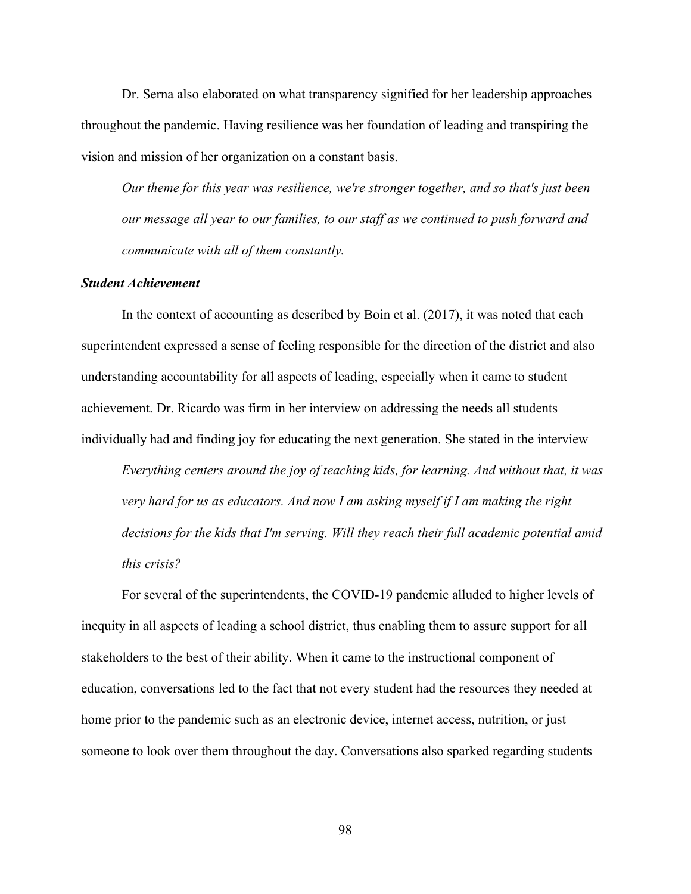Dr. Serna also elaborated on what transparency signified for her leadership approaches throughout the pandemic. Having resilience was her foundation of leading and transpiring the vision and mission of her organization on a constant basis.

*Our theme for this year was resilience, we're stronger together, and so that's just been our message all year to our families, to our staff as we continued to push forward and communicate with all of them constantly.*

#### *Student Achievement*

In the context of accounting as described by Boin et al. (2017), it was noted that each superintendent expressed a sense of feeling responsible for the direction of the district and also understanding accountability for all aspects of leading, especially when it came to student achievement. Dr. Ricardo was firm in her interview on addressing the needs all students individually had and finding joy for educating the next generation. She stated in the interview

*Everything centers around the joy of teaching kids, for learning. And without that, it was very hard for us as educators. And now I am asking myself if I am making the right decisions for the kids that I'm serving. Will they reach their full academic potential amid this crisis?*

For several of the superintendents, the COVID-19 pandemic alluded to higher levels of inequity in all aspects of leading a school district, thus enabling them to assure support for all stakeholders to the best of their ability. When it came to the instructional component of education, conversations led to the fact that not every student had the resources they needed at home prior to the pandemic such as an electronic device, internet access, nutrition, or just someone to look over them throughout the day. Conversations also sparked regarding students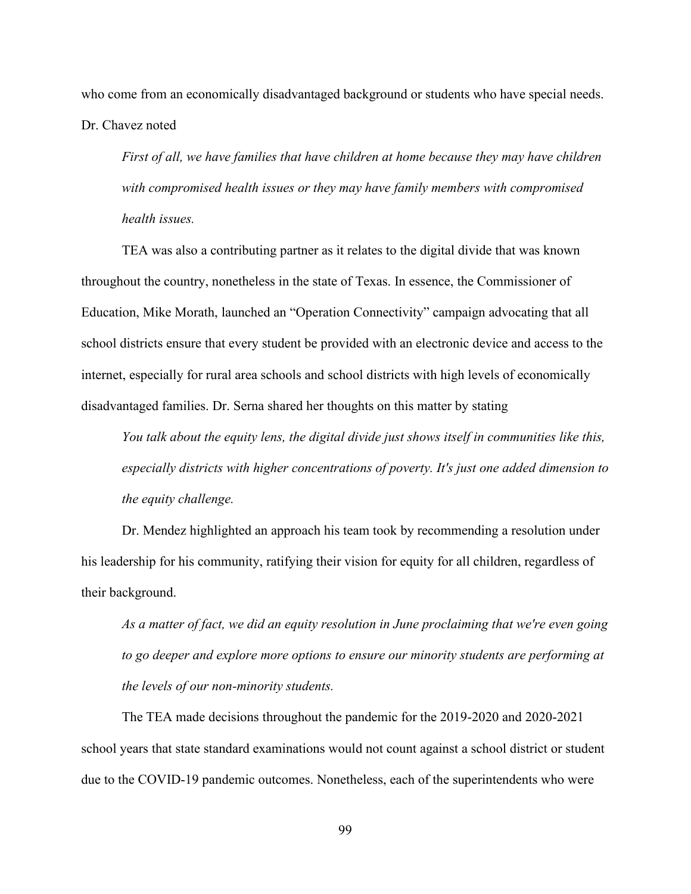who come from an economically disadvantaged background or students who have special needs. Dr. Chavez noted

*First of all, we have families that have children at home because they may have children with compromised health issues or they may have family members with compromised health issues.* 

TEA was also a contributing partner as it relates to the digital divide that was known throughout the country, nonetheless in the state of Texas. In essence, the Commissioner of Education, Mike Morath, launched an "Operation Connectivity" campaign advocating that all school districts ensure that every student be provided with an electronic device and access to the internet, especially for rural area schools and school districts with high levels of economically disadvantaged families. Dr. Serna shared her thoughts on this matter by stating

*You talk about the equity lens, the digital divide just shows itself in communities like this, especially districts with higher concentrations of poverty. It's just one added dimension to the equity challenge.*

Dr. Mendez highlighted an approach his team took by recommending a resolution under his leadership for his community, ratifying their vision for equity for all children, regardless of their background.

*As a matter of fact, we did an equity resolution in June proclaiming that we're even going to go deeper and explore more options to ensure our minority students are performing at the levels of our non-minority students.*

The TEA made decisions throughout the pandemic for the 2019-2020 and 2020-2021 school years that state standard examinations would not count against a school district or student due to the COVID-19 pandemic outcomes. Nonetheless, each of the superintendents who were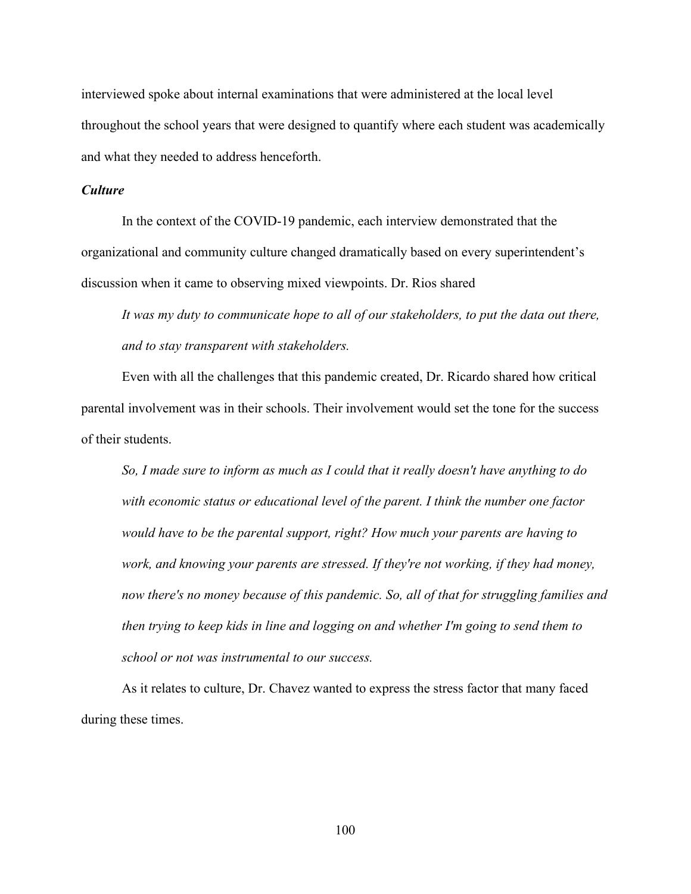interviewed spoke about internal examinations that were administered at the local level throughout the school years that were designed to quantify where each student was academically and what they needed to address henceforth.

### *Culture*

In the context of the COVID-19 pandemic, each interview demonstrated that the organizational and community culture changed dramatically based on every superintendent's discussion when it came to observing mixed viewpoints. Dr. Rios shared

*It was my duty to communicate hope to all of our stakeholders, to put the data out there, and to stay transparent with stakeholders.*

Even with all the challenges that this pandemic created, Dr. Ricardo shared how critical parental involvement was in their schools. Their involvement would set the tone for the success of their students.

*So, I made sure to inform as much as I could that it really doesn't have anything to do with economic status or educational level of the parent. I think the number one factor would have to be the parental support, right? How much your parents are having to work, and knowing your parents are stressed. If they're not working, if they had money, now there's no money because of this pandemic. So, all of that for struggling families and then trying to keep kids in line and logging on and whether I'm going to send them to school or not was instrumental to our success.*

As it relates to culture, Dr. Chavez wanted to express the stress factor that many faced during these times.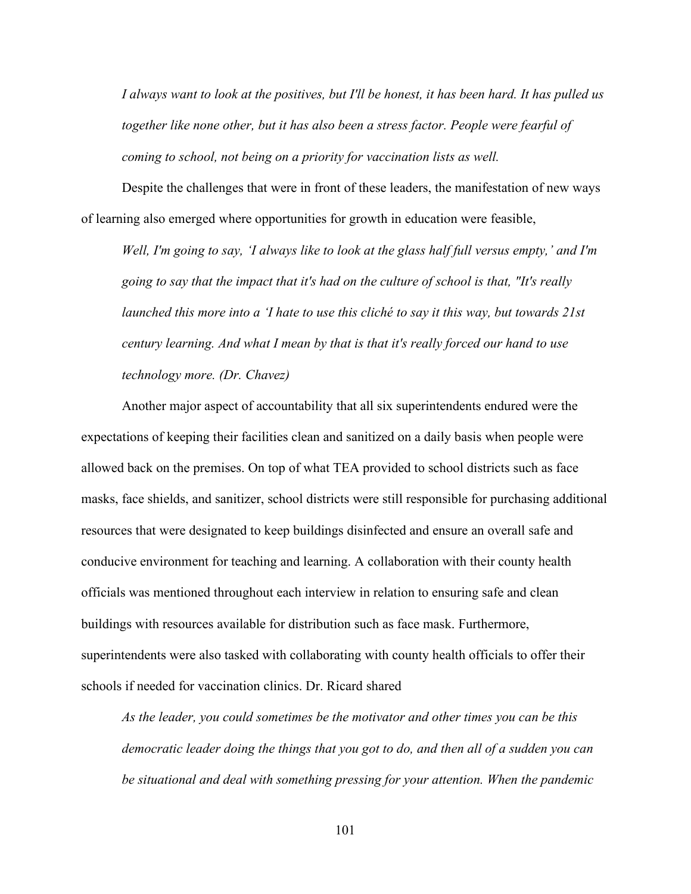*I always want to look at the positives, but I'll be honest, it has been hard. It has pulled us together like none other, but it has also been a stress factor. People were fearful of coming to school, not being on a priority for vaccination lists as well.*

Despite the challenges that were in front of these leaders, the manifestation of new ways of learning also emerged where opportunities for growth in education were feasible,

*Well, I'm going to say, 'I always like to look at the glass half full versus empty,' and I'm going to say that the impact that it's had on the culture of school is that, "It's really launched this more into a 'I hate to use this cliché to say it this way, but towards 21st century learning. And what I mean by that is that it's really forced our hand to use technology more. (Dr. Chavez)*

Another major aspect of accountability that all six superintendents endured were the expectations of keeping their facilities clean and sanitized on a daily basis when people were allowed back on the premises. On top of what TEA provided to school districts such as face masks, face shields, and sanitizer, school districts were still responsible for purchasing additional resources that were designated to keep buildings disinfected and ensure an overall safe and conducive environment for teaching and learning. A collaboration with their county health officials was mentioned throughout each interview in relation to ensuring safe and clean buildings with resources available for distribution such as face mask. Furthermore, superintendents were also tasked with collaborating with county health officials to offer their schools if needed for vaccination clinics. Dr. Ricard shared

*As the leader, you could sometimes be the motivator and other times you can be this democratic leader doing the things that you got to do, and then all of a sudden you can be situational and deal with something pressing for your attention. When the pandemic*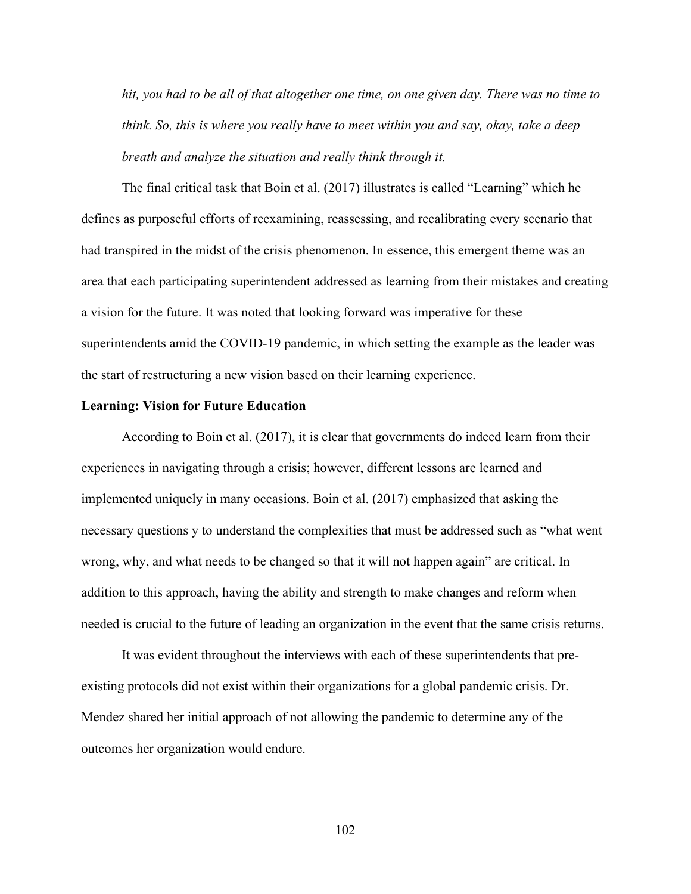*hit, you had to be all of that altogether one time, on one given day. There was no time to think. So, this is where you really have to meet within you and say, okay, take a deep breath and analyze the situation and really think through it.* 

The final critical task that Boin et al. (2017) illustrates is called "Learning" which he defines as purposeful efforts of reexamining, reassessing, and recalibrating every scenario that had transpired in the midst of the crisis phenomenon. In essence, this emergent theme was an area that each participating superintendent addressed as learning from their mistakes and creating a vision for the future. It was noted that looking forward was imperative for these superintendents amid the COVID-19 pandemic, in which setting the example as the leader was the start of restructuring a new vision based on their learning experience.

## **Learning: Vision for Future Education**

According to Boin et al. (2017), it is clear that governments do indeed learn from their experiences in navigating through a crisis; however, different lessons are learned and implemented uniquely in many occasions. Boin et al. (2017) emphasized that asking the necessary questions y to understand the complexities that must be addressed such as "what went wrong, why, and what needs to be changed so that it will not happen again" are critical. In addition to this approach, having the ability and strength to make changes and reform when needed is crucial to the future of leading an organization in the event that the same crisis returns.

It was evident throughout the interviews with each of these superintendents that preexisting protocols did not exist within their organizations for a global pandemic crisis. Dr. Mendez shared her initial approach of not allowing the pandemic to determine any of the outcomes her organization would endure.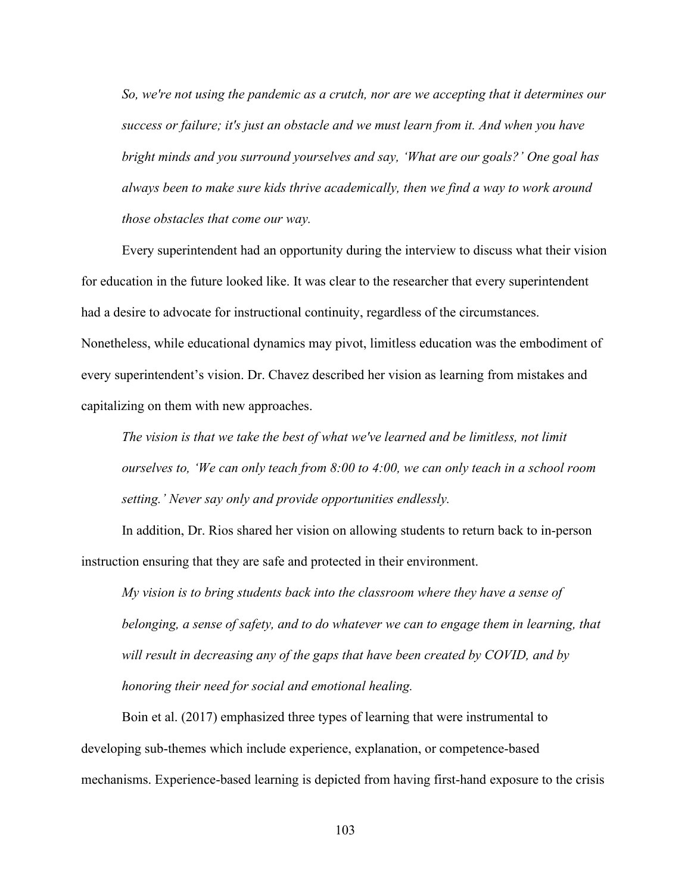*So, we're not using the pandemic as a crutch, nor are we accepting that it determines our success or failure; it's just an obstacle and we must learn from it. And when you have bright minds and you surround yourselves and say, 'What are our goals?' One goal has always been to make sure kids thrive academically, then we find a way to work around those obstacles that come our way.* 

Every superintendent had an opportunity during the interview to discuss what their vision for education in the future looked like. It was clear to the researcher that every superintendent had a desire to advocate for instructional continuity, regardless of the circumstances. Nonetheless, while educational dynamics may pivot, limitless education was the embodiment of every superintendent's vision. Dr. Chavez described her vision as learning from mistakes and capitalizing on them with new approaches.

*The vision is that we take the best of what we've learned and be limitless, not limit ourselves to, 'We can only teach from 8:00 to 4:00, we can only teach in a school room setting.' Never say only and provide opportunities endlessly.*

In addition, Dr. Rios shared her vision on allowing students to return back to in-person instruction ensuring that they are safe and protected in their environment.

*My vision is to bring students back into the classroom where they have a sense of belonging, a sense of safety, and to do whatever we can to engage them in learning, that will result in decreasing any of the gaps that have been created by COVID, and by honoring their need for social and emotional healing.* 

Boin et al. (2017) emphasized three types of learning that were instrumental to developing sub-themes which include experience, explanation, or competence-based mechanisms. Experience-based learning is depicted from having first-hand exposure to the crisis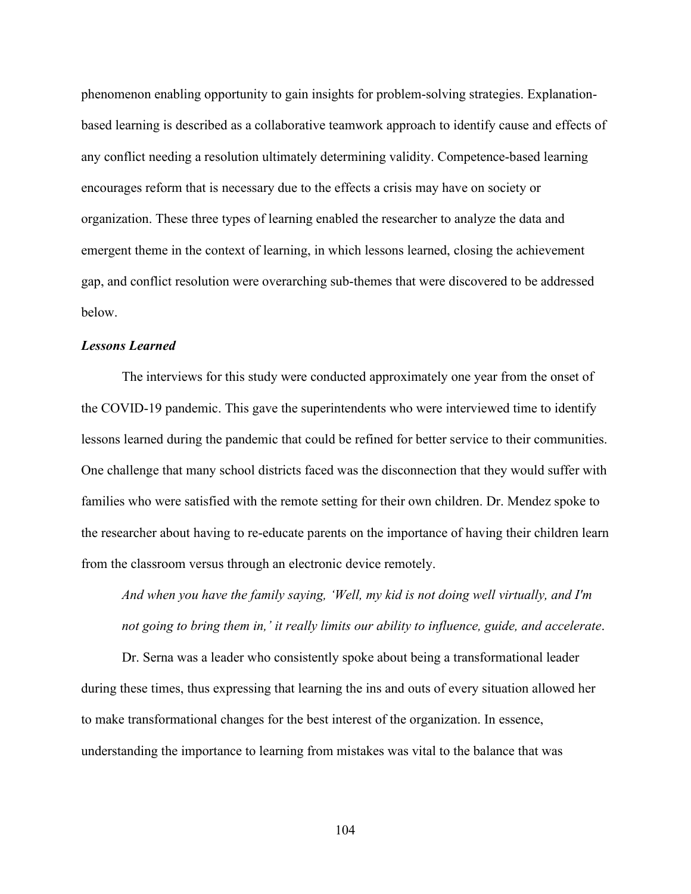phenomenon enabling opportunity to gain insights for problem-solving strategies. Explanationbased learning is described as a collaborative teamwork approach to identify cause and effects of any conflict needing a resolution ultimately determining validity. Competence-based learning encourages reform that is necessary due to the effects a crisis may have on society or organization. These three types of learning enabled the researcher to analyze the data and emergent theme in the context of learning, in which lessons learned, closing the achievement gap, and conflict resolution were overarching sub-themes that were discovered to be addressed below.

#### *Lessons Learned*

The interviews for this study were conducted approximately one year from the onset of the COVID-19 pandemic. This gave the superintendents who were interviewed time to identify lessons learned during the pandemic that could be refined for better service to their communities. One challenge that many school districts faced was the disconnection that they would suffer with families who were satisfied with the remote setting for their own children. Dr. Mendez spoke to the researcher about having to re-educate parents on the importance of having their children learn from the classroom versus through an electronic device remotely.

*And when you have the family saying, 'Well, my kid is not doing well virtually, and I'm not going to bring them in,' it really limits our ability to influence, guide, and accelerate*.

Dr. Serna was a leader who consistently spoke about being a transformational leader during these times, thus expressing that learning the ins and outs of every situation allowed her to make transformational changes for the best interest of the organization. In essence, understanding the importance to learning from mistakes was vital to the balance that was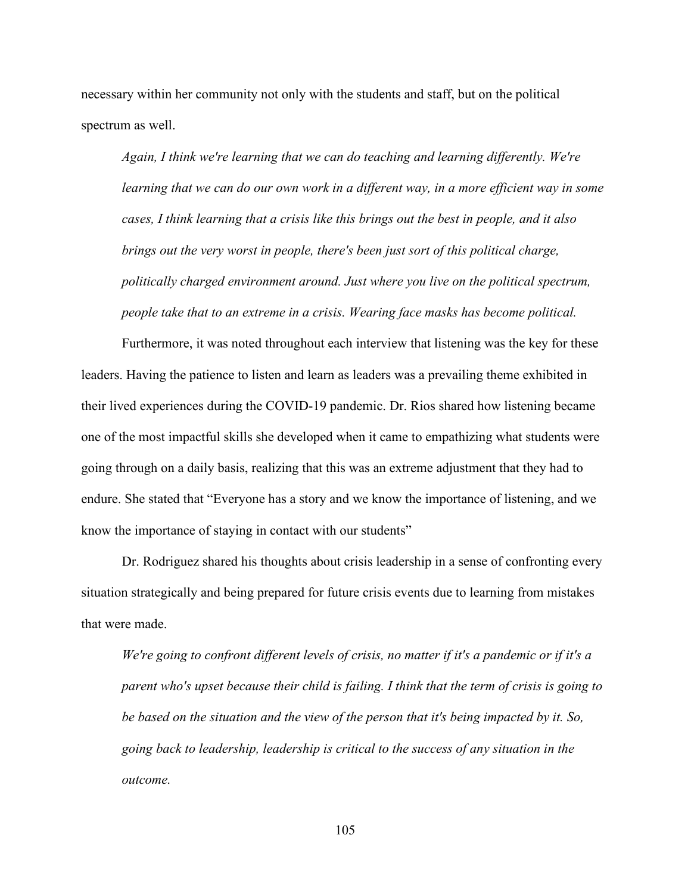necessary within her community not only with the students and staff, but on the political spectrum as well.

*Again, I think we're learning that we can do teaching and learning differently. We're*  learning that we can do our own work in a different way, in a more efficient way in some *cases, I think learning that a crisis like this brings out the best in people, and it also brings out the very worst in people, there's been just sort of this political charge, politically charged environment around. Just where you live on the political spectrum, people take that to an extreme in a crisis. Wearing face masks has become political.*

Furthermore, it was noted throughout each interview that listening was the key for these leaders. Having the patience to listen and learn as leaders was a prevailing theme exhibited in their lived experiences during the COVID-19 pandemic. Dr. Rios shared how listening became one of the most impactful skills she developed when it came to empathizing what students were going through on a daily basis, realizing that this was an extreme adjustment that they had to endure. She stated that "Everyone has a story and we know the importance of listening, and we know the importance of staying in contact with our students"

Dr. Rodriguez shared his thoughts about crisis leadership in a sense of confronting every situation strategically and being prepared for future crisis events due to learning from mistakes that were made.

*We're going to confront different levels of crisis, no matter if it's a pandemic or if it's a parent who's upset because their child is failing. I think that the term of crisis is going to be based on the situation and the view of the person that it's being impacted by it. So, going back to leadership, leadership is critical to the success of any situation in the outcome.*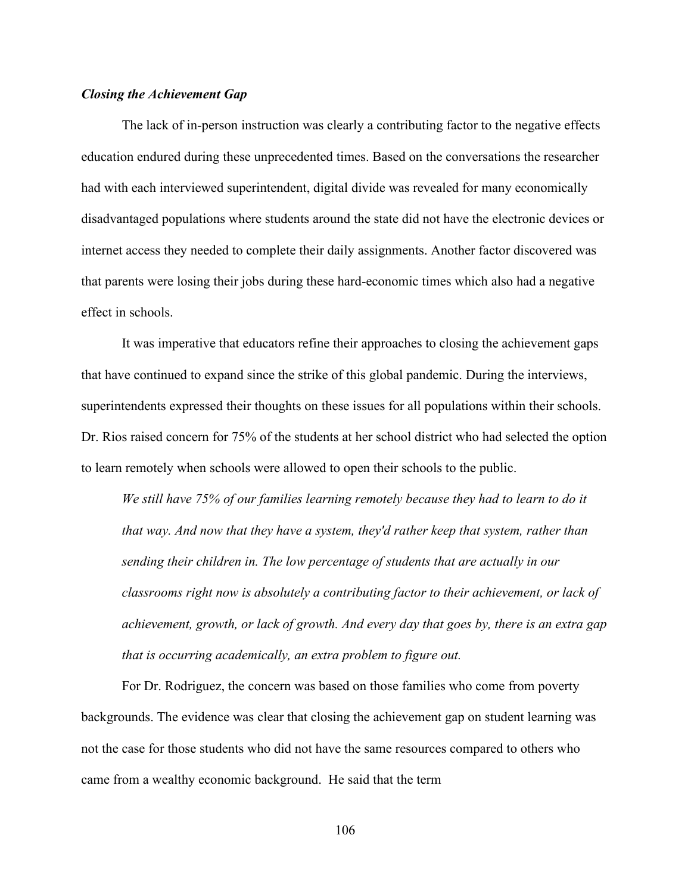#### *Closing the Achievement Gap*

The lack of in-person instruction was clearly a contributing factor to the negative effects education endured during these unprecedented times. Based on the conversations the researcher had with each interviewed superintendent, digital divide was revealed for many economically disadvantaged populations where students around the state did not have the electronic devices or internet access they needed to complete their daily assignments. Another factor discovered was that parents were losing their jobs during these hard-economic times which also had a negative effect in schools.

It was imperative that educators refine their approaches to closing the achievement gaps that have continued to expand since the strike of this global pandemic. During the interviews, superintendents expressed their thoughts on these issues for all populations within their schools. Dr. Rios raised concern for 75% of the students at her school district who had selected the option to learn remotely when schools were allowed to open their schools to the public.

*We still have 75% of our families learning remotely because they had to learn to do it that way. And now that they have a system, they'd rather keep that system, rather than sending their children in. The low percentage of students that are actually in our classrooms right now is absolutely a contributing factor to their achievement, or lack of achievement, growth, or lack of growth. And every day that goes by, there is an extra gap that is occurring academically, an extra problem to figure out.*

For Dr. Rodriguez, the concern was based on those families who come from poverty backgrounds. The evidence was clear that closing the achievement gap on student learning was not the case for those students who did not have the same resources compared to others who came from a wealthy economic background. He said that the term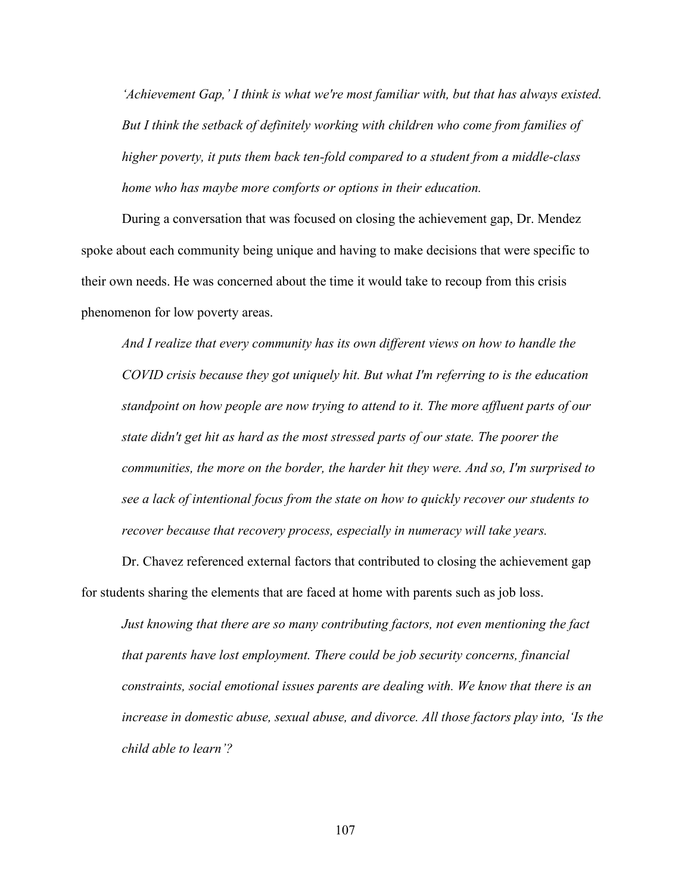*'Achievement Gap,' I think is what we're most familiar with, but that has always existed. But I think the setback of definitely working with children who come from families of higher poverty, it puts them back ten-fold compared to a student from a middle-class home who has maybe more comforts or options in their education.*

During a conversation that was focused on closing the achievement gap, Dr. Mendez spoke about each community being unique and having to make decisions that were specific to their own needs. He was concerned about the time it would take to recoup from this crisis phenomenon for low poverty areas.

*And I realize that every community has its own different views on how to handle the COVID crisis because they got uniquely hit. But what I'm referring to is the education standpoint on how people are now trying to attend to it. The more affluent parts of our state didn't get hit as hard as the most stressed parts of our state. The poorer the communities, the more on the border, the harder hit they were. And so, I'm surprised to see a lack of intentional focus from the state on how to quickly recover our students to recover because that recovery process, especially in numeracy will take years.*

Dr. Chavez referenced external factors that contributed to closing the achievement gap for students sharing the elements that are faced at home with parents such as job loss.

*Just knowing that there are so many contributing factors, not even mentioning the fact that parents have lost employment. There could be job security concerns, financial constraints, social emotional issues parents are dealing with. We know that there is an increase in domestic abuse, sexual abuse, and divorce. All those factors play into, 'Is the child able to learn'?*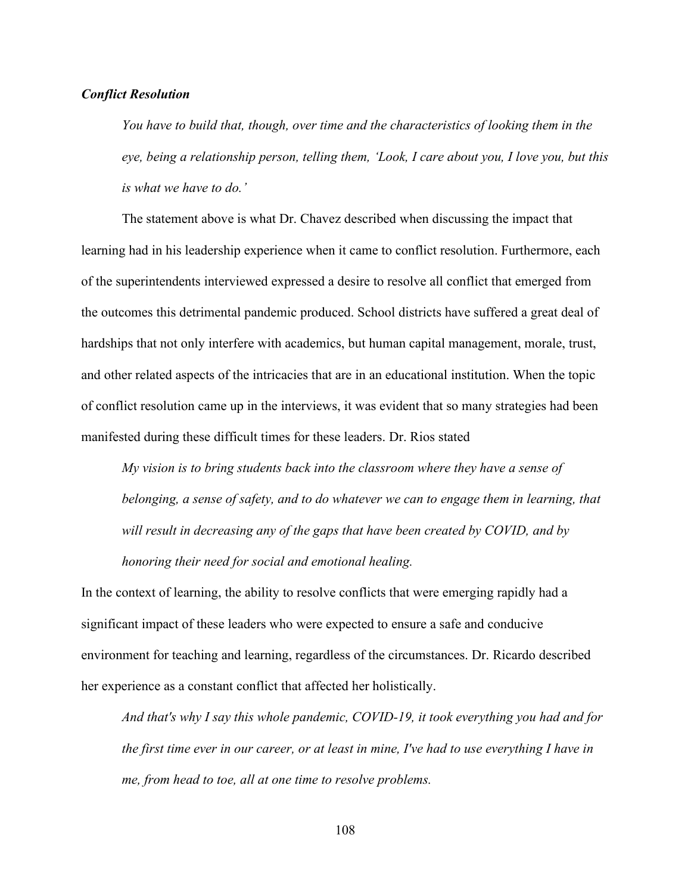## *Conflict Resolution*

*You have to build that, though, over time and the characteristics of looking them in the eye, being a relationship person, telling them, 'Look, I care about you, I love you, but this is what we have to do.'*

The statement above is what Dr. Chavez described when discussing the impact that learning had in his leadership experience when it came to conflict resolution. Furthermore, each of the superintendents interviewed expressed a desire to resolve all conflict that emerged from the outcomes this detrimental pandemic produced. School districts have suffered a great deal of hardships that not only interfere with academics, but human capital management, morale, trust, and other related aspects of the intricacies that are in an educational institution. When the topic of conflict resolution came up in the interviews, it was evident that so many strategies had been manifested during these difficult times for these leaders. Dr. Rios stated

*My vision is to bring students back into the classroom where they have a sense of belonging, a sense of safety, and to do whatever we can to engage them in learning, that will result in decreasing any of the gaps that have been created by COVID, and by honoring their need for social and emotional healing.*

In the context of learning, the ability to resolve conflicts that were emerging rapidly had a significant impact of these leaders who were expected to ensure a safe and conducive environment for teaching and learning, regardless of the circumstances. Dr. Ricardo described her experience as a constant conflict that affected her holistically.

*And that's why I say this whole pandemic, COVID-19, it took everything you had and for the first time ever in our career, or at least in mine, I've had to use everything I have in me, from head to toe, all at one time to resolve problems.*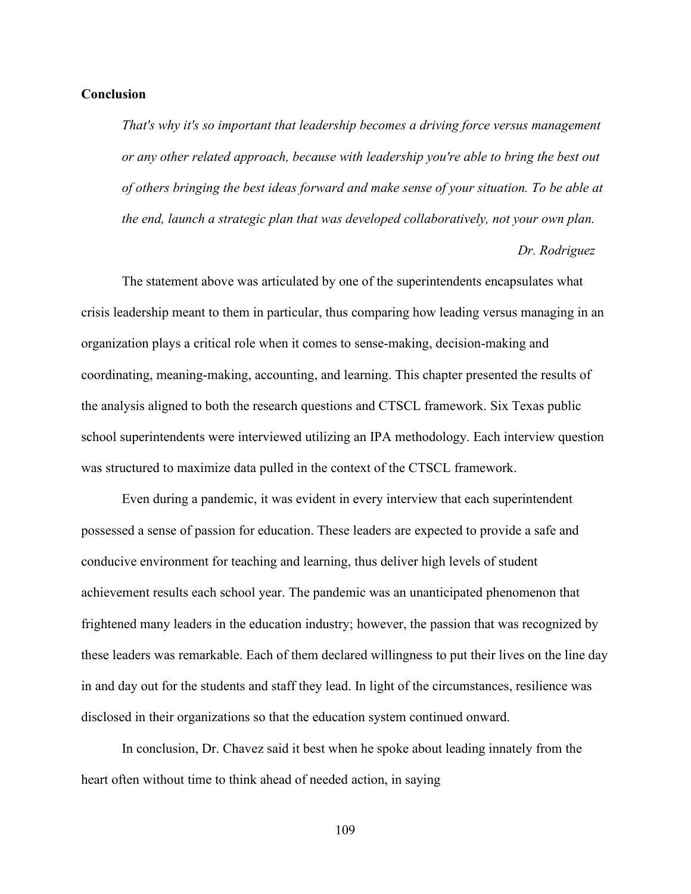### **Conclusion**

*That's why it's so important that leadership becomes a driving force versus management or any other related approach, because with leadership you're able to bring the best out of others bringing the best ideas forward and make sense of your situation. To be able at the end, launch a strategic plan that was developed collaboratively, not your own plan.*

### *Dr. Rodriguez*

The statement above was articulated by one of the superintendents encapsulates what crisis leadership meant to them in particular, thus comparing how leading versus managing in an organization plays a critical role when it comes to sense-making, decision-making and coordinating, meaning-making, accounting, and learning. This chapter presented the results of the analysis aligned to both the research questions and CTSCL framework. Six Texas public school superintendents were interviewed utilizing an IPA methodology. Each interview question was structured to maximize data pulled in the context of the CTSCL framework.

Even during a pandemic, it was evident in every interview that each superintendent possessed a sense of passion for education. These leaders are expected to provide a safe and conducive environment for teaching and learning, thus deliver high levels of student achievement results each school year. The pandemic was an unanticipated phenomenon that frightened many leaders in the education industry; however, the passion that was recognized by these leaders was remarkable. Each of them declared willingness to put their lives on the line day in and day out for the students and staff they lead. In light of the circumstances, resilience was disclosed in their organizations so that the education system continued onward.

In conclusion, Dr. Chavez said it best when he spoke about leading innately from the heart often without time to think ahead of needed action, in saying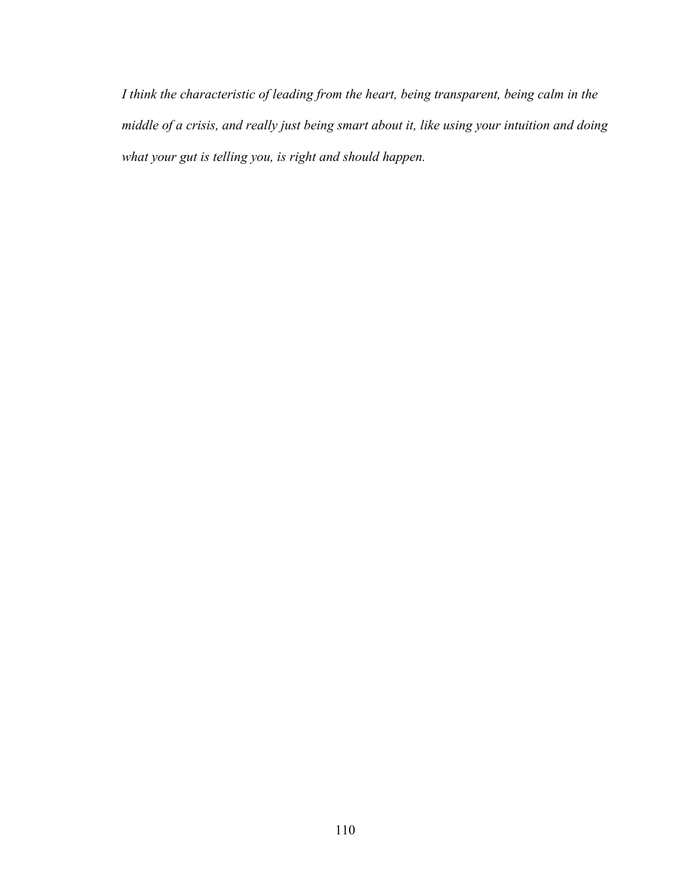*I think the characteristic of leading from the heart, being transparent, being calm in the middle of a crisis, and really just being smart about it, like using your intuition and doing what your gut is telling you, is right and should happen.*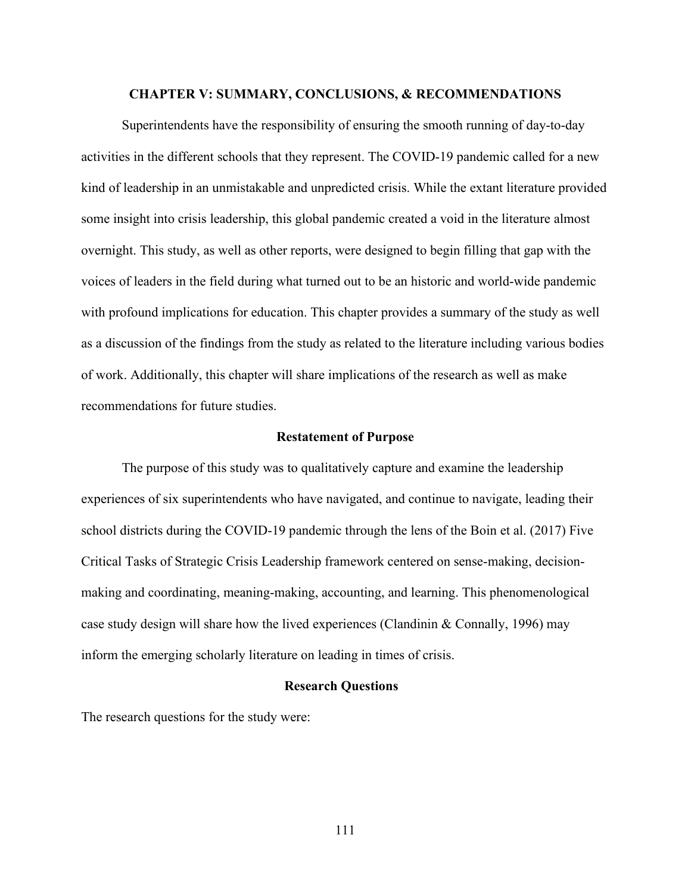## **CHAPTER V: SUMMARY, CONCLUSIONS, & RECOMMENDATIONS**

Superintendents have the responsibility of ensuring the smooth running of day-to-day activities in the different schools that they represent. The COVID-19 pandemic called for a new kind of leadership in an unmistakable and unpredicted crisis. While the extant literature provided some insight into crisis leadership, this global pandemic created a void in the literature almost overnight. This study, as well as other reports, were designed to begin filling that gap with the voices of leaders in the field during what turned out to be an historic and world-wide pandemic with profound implications for education. This chapter provides a summary of the study as well as a discussion of the findings from the study as related to the literature including various bodies of work. Additionally, this chapter will share implications of the research as well as make recommendations for future studies.

### **Restatement of Purpose**

The purpose of this study was to qualitatively capture and examine the leadership experiences of six superintendents who have navigated, and continue to navigate, leading their school districts during the COVID-19 pandemic through the lens of the Boin et al. (2017) Five Critical Tasks of Strategic Crisis Leadership framework centered on sense-making, decisionmaking and coordinating, meaning-making, accounting, and learning. This phenomenological case study design will share how the lived experiences (Clandinin & Connally, 1996) may inform the emerging scholarly literature on leading in times of crisis.

## **Research Questions**

The research questions for the study were: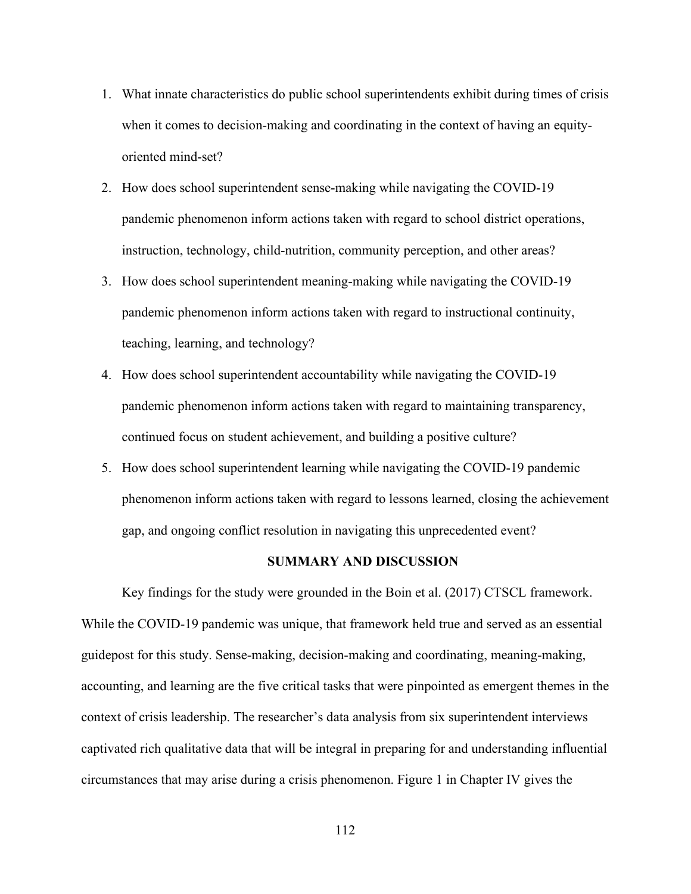- 1. What innate characteristics do public school superintendents exhibit during times of crisis when it comes to decision-making and coordinating in the context of having an equityoriented mind-set?
- 2. How does school superintendent sense-making while navigating the COVID-19 pandemic phenomenon inform actions taken with regard to school district operations, instruction, technology, child-nutrition, community perception, and other areas?
- 3. How does school superintendent meaning-making while navigating the COVID-19 pandemic phenomenon inform actions taken with regard to instructional continuity, teaching, learning, and technology?
- 4. How does school superintendent accountability while navigating the COVID-19 pandemic phenomenon inform actions taken with regard to maintaining transparency, continued focus on student achievement, and building a positive culture?
- 5. How does school superintendent learning while navigating the COVID-19 pandemic phenomenon inform actions taken with regard to lessons learned, closing the achievement gap, and ongoing conflict resolution in navigating this unprecedented event?

## **SUMMARY AND DISCUSSION**

Key findings for the study were grounded in the Boin et al. (2017) CTSCL framework. While the COVID-19 pandemic was unique, that framework held true and served as an essential guidepost for this study. Sense-making, decision-making and coordinating, meaning-making, accounting, and learning are the five critical tasks that were pinpointed as emergent themes in the context of crisis leadership. The researcher's data analysis from six superintendent interviews captivated rich qualitative data that will be integral in preparing for and understanding influential circumstances that may arise during a crisis phenomenon. Figure 1 in Chapter IV gives the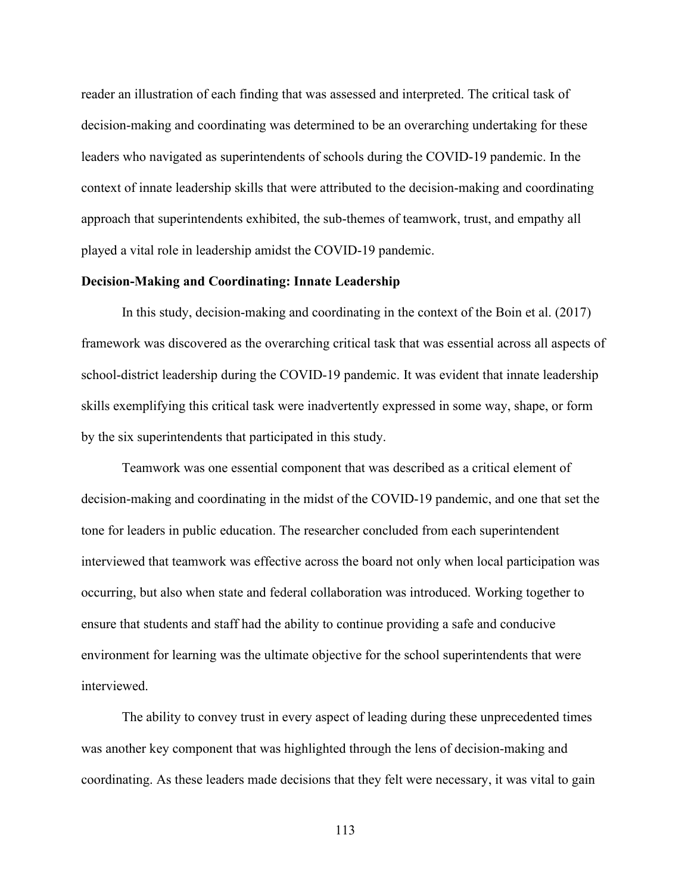reader an illustration of each finding that was assessed and interpreted. The critical task of decision-making and coordinating was determined to be an overarching undertaking for these leaders who navigated as superintendents of schools during the COVID-19 pandemic. In the context of innate leadership skills that were attributed to the decision-making and coordinating approach that superintendents exhibited, the sub-themes of teamwork, trust, and empathy all played a vital role in leadership amidst the COVID-19 pandemic.

## **Decision-Making and Coordinating: Innate Leadership**

In this study, decision-making and coordinating in the context of the Boin et al. (2017) framework was discovered as the overarching critical task that was essential across all aspects of school-district leadership during the COVID-19 pandemic. It was evident that innate leadership skills exemplifying this critical task were inadvertently expressed in some way, shape, or form by the six superintendents that participated in this study.

Teamwork was one essential component that was described as a critical element of decision-making and coordinating in the midst of the COVID-19 pandemic, and one that set the tone for leaders in public education. The researcher concluded from each superintendent interviewed that teamwork was effective across the board not only when local participation was occurring, but also when state and federal collaboration was introduced. Working together to ensure that students and staff had the ability to continue providing a safe and conducive environment for learning was the ultimate objective for the school superintendents that were interviewed.

The ability to convey trust in every aspect of leading during these unprecedented times was another key component that was highlighted through the lens of decision-making and coordinating. As these leaders made decisions that they felt were necessary, it was vital to gain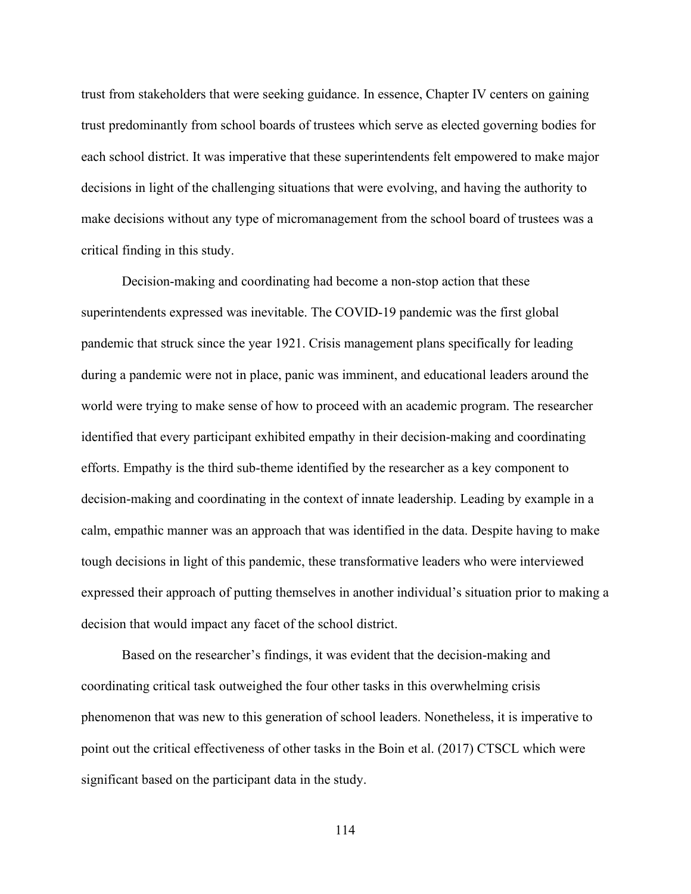trust from stakeholders that were seeking guidance. In essence, Chapter IV centers on gaining trust predominantly from school boards of trustees which serve as elected governing bodies for each school district. It was imperative that these superintendents felt empowered to make major decisions in light of the challenging situations that were evolving, and having the authority to make decisions without any type of micromanagement from the school board of trustees was a critical finding in this study.

Decision-making and coordinating had become a non-stop action that these superintendents expressed was inevitable. The COVID-19 pandemic was the first global pandemic that struck since the year 1921. Crisis management plans specifically for leading during a pandemic were not in place, panic was imminent, and educational leaders around the world were trying to make sense of how to proceed with an academic program. The researcher identified that every participant exhibited empathy in their decision-making and coordinating efforts. Empathy is the third sub-theme identified by the researcher as a key component to decision-making and coordinating in the context of innate leadership. Leading by example in a calm, empathic manner was an approach that was identified in the data. Despite having to make tough decisions in light of this pandemic, these transformative leaders who were interviewed expressed their approach of putting themselves in another individual's situation prior to making a decision that would impact any facet of the school district.

Based on the researcher's findings, it was evident that the decision-making and coordinating critical task outweighed the four other tasks in this overwhelming crisis phenomenon that was new to this generation of school leaders. Nonetheless, it is imperative to point out the critical effectiveness of other tasks in the Boin et al. (2017) CTSCL which were significant based on the participant data in the study.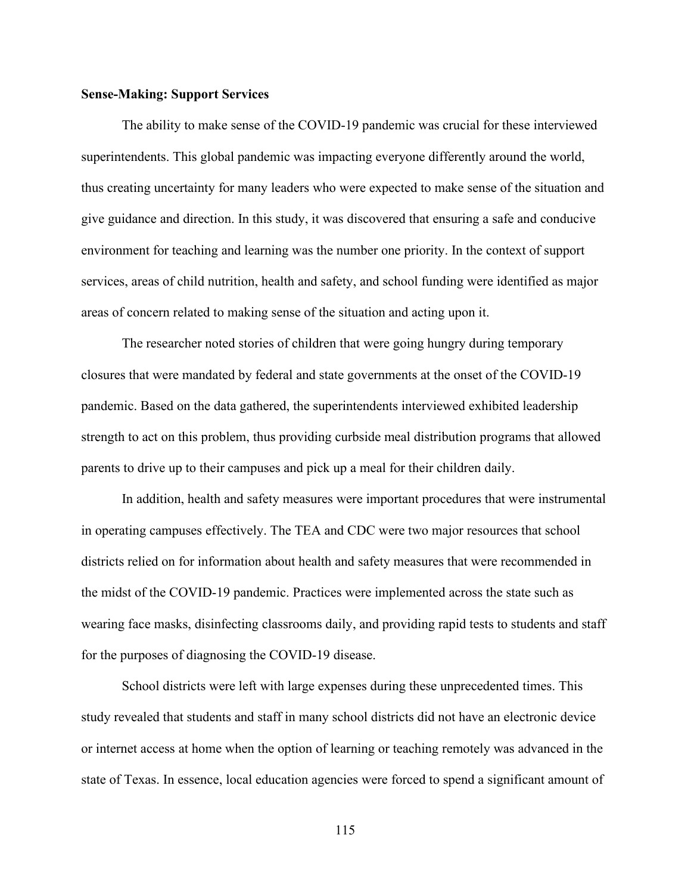### **Sense-Making: Support Services**

The ability to make sense of the COVID-19 pandemic was crucial for these interviewed superintendents. This global pandemic was impacting everyone differently around the world, thus creating uncertainty for many leaders who were expected to make sense of the situation and give guidance and direction. In this study, it was discovered that ensuring a safe and conducive environment for teaching and learning was the number one priority. In the context of support services, areas of child nutrition, health and safety, and school funding were identified as major areas of concern related to making sense of the situation and acting upon it.

The researcher noted stories of children that were going hungry during temporary closures that were mandated by federal and state governments at the onset of the COVID-19 pandemic. Based on the data gathered, the superintendents interviewed exhibited leadership strength to act on this problem, thus providing curbside meal distribution programs that allowed parents to drive up to their campuses and pick up a meal for their children daily.

In addition, health and safety measures were important procedures that were instrumental in operating campuses effectively. The TEA and CDC were two major resources that school districts relied on for information about health and safety measures that were recommended in the midst of the COVID-19 pandemic. Practices were implemented across the state such as wearing face masks, disinfecting classrooms daily, and providing rapid tests to students and staff for the purposes of diagnosing the COVID-19 disease.

School districts were left with large expenses during these unprecedented times. This study revealed that students and staff in many school districts did not have an electronic device or internet access at home when the option of learning or teaching remotely was advanced in the state of Texas. In essence, local education agencies were forced to spend a significant amount of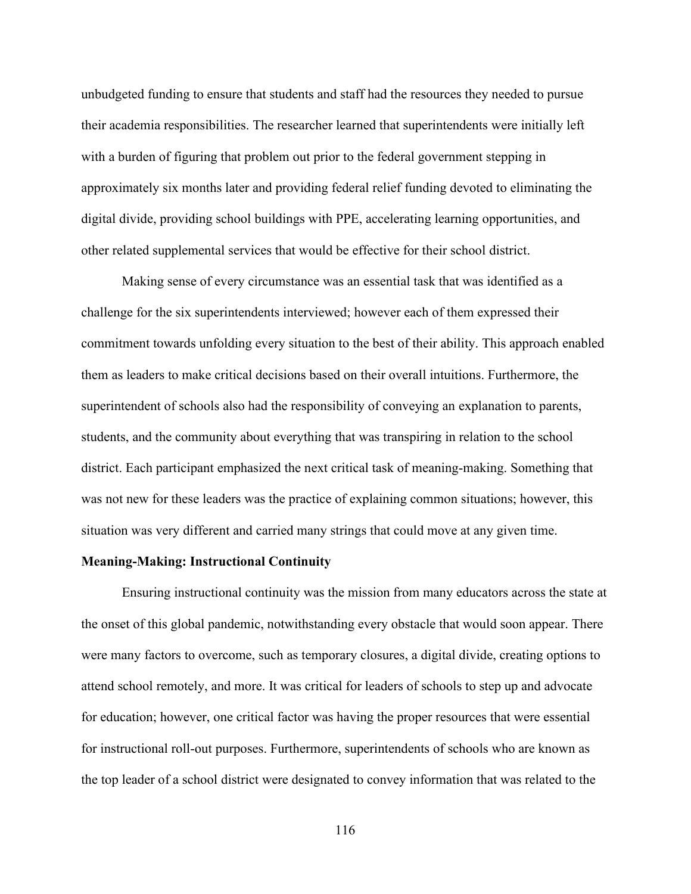unbudgeted funding to ensure that students and staff had the resources they needed to pursue their academia responsibilities. The researcher learned that superintendents were initially left with a burden of figuring that problem out prior to the federal government stepping in approximately six months later and providing federal relief funding devoted to eliminating the digital divide, providing school buildings with PPE, accelerating learning opportunities, and other related supplemental services that would be effective for their school district.

Making sense of every circumstance was an essential task that was identified as a challenge for the six superintendents interviewed; however each of them expressed their commitment towards unfolding every situation to the best of their ability. This approach enabled them as leaders to make critical decisions based on their overall intuitions. Furthermore, the superintendent of schools also had the responsibility of conveying an explanation to parents, students, and the community about everything that was transpiring in relation to the school district. Each participant emphasized the next critical task of meaning-making. Something that was not new for these leaders was the practice of explaining common situations; however, this situation was very different and carried many strings that could move at any given time.

## **Meaning-Making: Instructional Continuity**

Ensuring instructional continuity was the mission from many educators across the state at the onset of this global pandemic, notwithstanding every obstacle that would soon appear. There were many factors to overcome, such as temporary closures, a digital divide, creating options to attend school remotely, and more. It was critical for leaders of schools to step up and advocate for education; however, one critical factor was having the proper resources that were essential for instructional roll-out purposes. Furthermore, superintendents of schools who are known as the top leader of a school district were designated to convey information that was related to the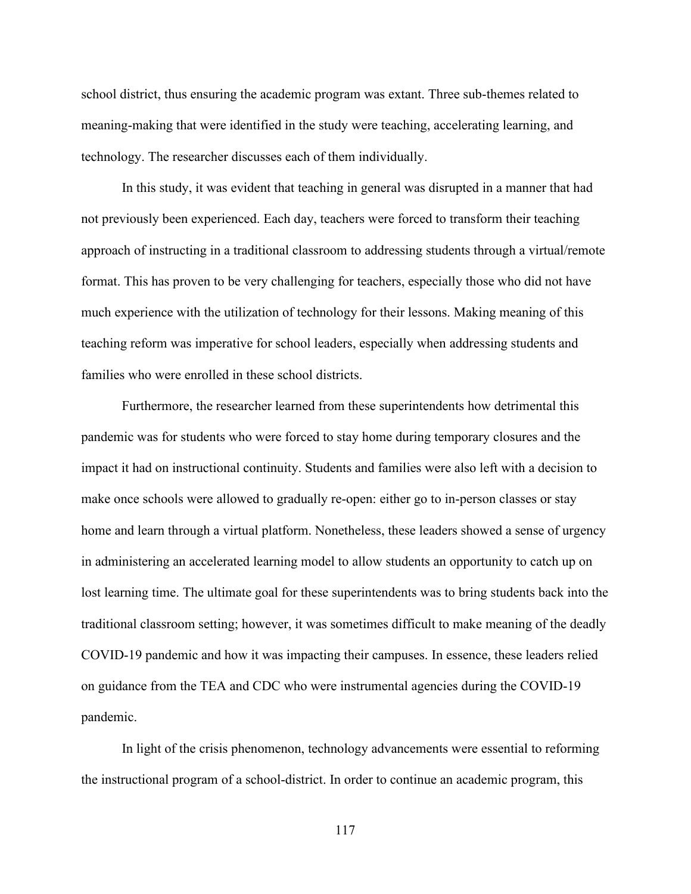school district, thus ensuring the academic program was extant. Three sub-themes related to meaning-making that were identified in the study were teaching, accelerating learning, and technology. The researcher discusses each of them individually.

In this study, it was evident that teaching in general was disrupted in a manner that had not previously been experienced. Each day, teachers were forced to transform their teaching approach of instructing in a traditional classroom to addressing students through a virtual/remote format. This has proven to be very challenging for teachers, especially those who did not have much experience with the utilization of technology for their lessons. Making meaning of this teaching reform was imperative for school leaders, especially when addressing students and families who were enrolled in these school districts.

Furthermore, the researcher learned from these superintendents how detrimental this pandemic was for students who were forced to stay home during temporary closures and the impact it had on instructional continuity. Students and families were also left with a decision to make once schools were allowed to gradually re-open: either go to in-person classes or stay home and learn through a virtual platform. Nonetheless, these leaders showed a sense of urgency in administering an accelerated learning model to allow students an opportunity to catch up on lost learning time. The ultimate goal for these superintendents was to bring students back into the traditional classroom setting; however, it was sometimes difficult to make meaning of the deadly COVID-19 pandemic and how it was impacting their campuses. In essence, these leaders relied on guidance from the TEA and CDC who were instrumental agencies during the COVID-19 pandemic.

In light of the crisis phenomenon, technology advancements were essential to reforming the instructional program of a school-district. In order to continue an academic program, this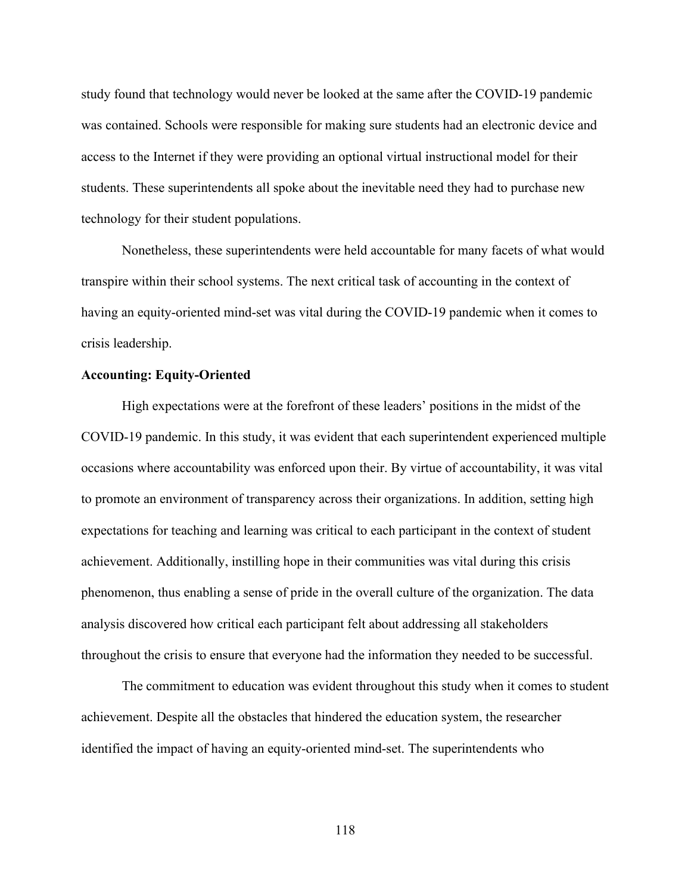study found that technology would never be looked at the same after the COVID-19 pandemic was contained. Schools were responsible for making sure students had an electronic device and access to the Internet if they were providing an optional virtual instructional model for their students. These superintendents all spoke about the inevitable need they had to purchase new technology for their student populations.

Nonetheless, these superintendents were held accountable for many facets of what would transpire within their school systems. The next critical task of accounting in the context of having an equity-oriented mind-set was vital during the COVID-19 pandemic when it comes to crisis leadership.

## **Accounting: Equity-Oriented**

High expectations were at the forefront of these leaders' positions in the midst of the COVID-19 pandemic. In this study, it was evident that each superintendent experienced multiple occasions where accountability was enforced upon their. By virtue of accountability, it was vital to promote an environment of transparency across their organizations. In addition, setting high expectations for teaching and learning was critical to each participant in the context of student achievement. Additionally, instilling hope in their communities was vital during this crisis phenomenon, thus enabling a sense of pride in the overall culture of the organization. The data analysis discovered how critical each participant felt about addressing all stakeholders throughout the crisis to ensure that everyone had the information they needed to be successful.

The commitment to education was evident throughout this study when it comes to student achievement. Despite all the obstacles that hindered the education system, the researcher identified the impact of having an equity-oriented mind-set. The superintendents who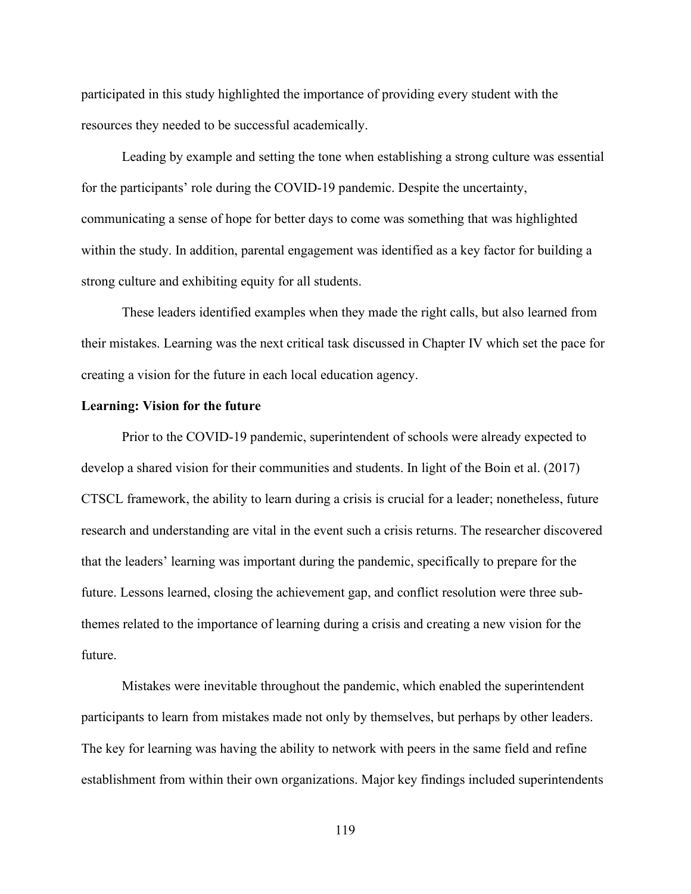participated in this study highlighted the importance of providing every student with the resources they needed to be successful academically.

Leading by example and setting the tone when establishing a strong culture was essential for the participants' role during the COVID-19 pandemic. Despite the uncertainty, communicating a sense of hope for better days to come was something that was highlighted within the study. In addition, parental engagement was identified as a key factor for building a strong culture and exhibiting equity for all students.

These leaders identified examples when they made the right calls, but also learned from their mistakes. Learning was the next critical task discussed in Chapter IV which set the pace for creating a vision for the future in each local education agency.

# **Learning: Vision for the future**

Prior to the COVID-19 pandemic, superintendent of schools were already expected to develop a shared vision for their communities and students. In light of the Boin et al. (2017) CTSCL framework, the ability to learn during a crisis is crucial for a leader; nonetheless, future research and understanding are vital in the event such a crisis returns. The researcher discovered that the leaders' learning was important during the pandemic, specifically to prepare for the future. Lessons learned, closing the achievement gap, and conflict resolution were three subthemes related to the importance of learning during a crisis and creating a new vision for the future.

Mistakes were inevitable throughout the pandemic, which enabled the superintendent participants to learn from mistakes made not only by themselves, but perhaps by other leaders. The key for learning was having the ability to network with peers in the same field and refine establishment from within their own organizations. Major key findings included superintendents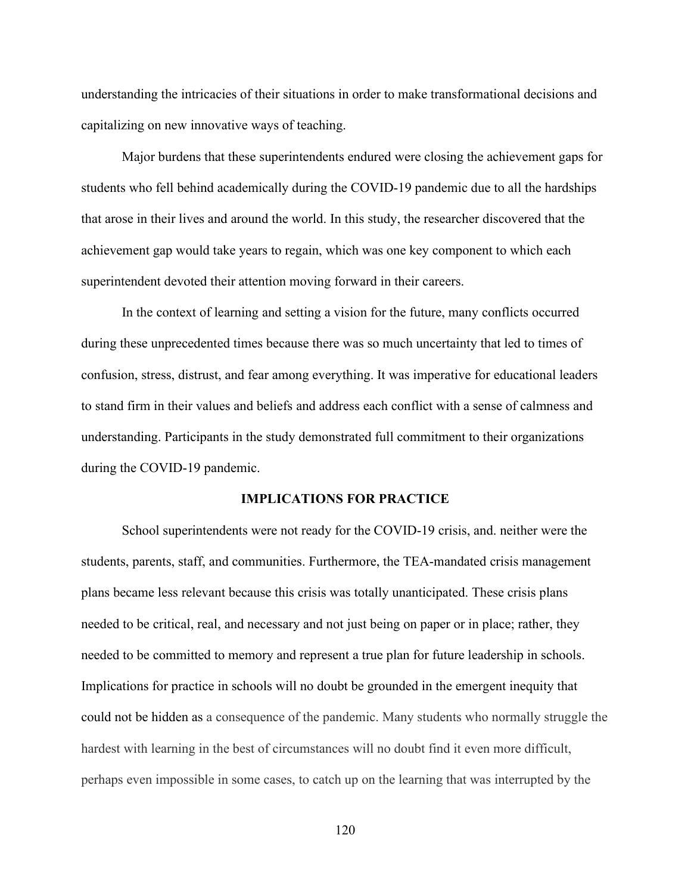understanding the intricacies of their situations in order to make transformational decisions and capitalizing on new innovative ways of teaching.

Major burdens that these superintendents endured were closing the achievement gaps for students who fell behind academically during the COVID-19 pandemic due to all the hardships that arose in their lives and around the world. In this study, the researcher discovered that the achievement gap would take years to regain, which was one key component to which each superintendent devoted their attention moving forward in their careers.

In the context of learning and setting a vision for the future, many conflicts occurred during these unprecedented times because there was so much uncertainty that led to times of confusion, stress, distrust, and fear among everything. It was imperative for educational leaders to stand firm in their values and beliefs and address each conflict with a sense of calmness and understanding. Participants in the study demonstrated full commitment to their organizations during the COVID-19 pandemic.

### **IMPLICATIONS FOR PRACTICE**

School superintendents were not ready for the COVID-19 crisis, and. neither were the students, parents, staff, and communities. Furthermore, the TEA-mandated crisis management plans became less relevant because this crisis was totally unanticipated. These crisis plans needed to be critical, real, and necessary and not just being on paper or in place; rather, they needed to be committed to memory and represent a true plan for future leadership in schools. Implications for practice in schools will no doubt be grounded in the emergent inequity that could not be hidden as a consequence of the pandemic. Many students who normally struggle the hardest with learning in the best of circumstances will no doubt find it even more difficult, perhaps even impossible in some cases, to catch up on the learning that was interrupted by the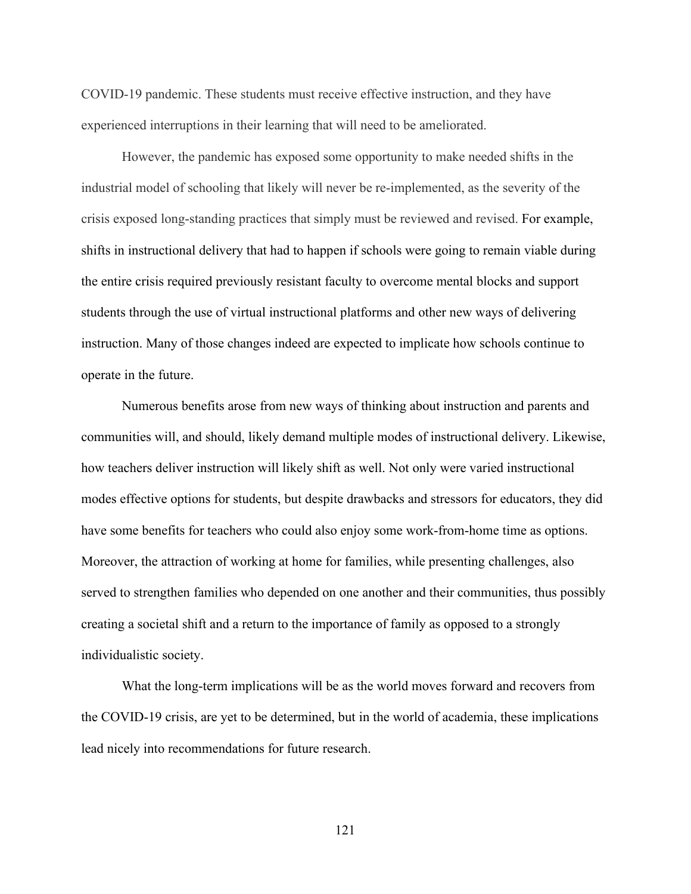COVID-19 pandemic. These students must receive effective instruction, and they have experienced interruptions in their learning that will need to be ameliorated.

However, the pandemic has exposed some opportunity to make needed shifts in the industrial model of schooling that likely will never be re-implemented, as the severity of the crisis exposed long-standing practices that simply must be reviewed and revised. For example, shifts in instructional delivery that had to happen if schools were going to remain viable during the entire crisis required previously resistant faculty to overcome mental blocks and support students through the use of virtual instructional platforms and other new ways of delivering instruction. Many of those changes indeed are expected to implicate how schools continue to operate in the future.

Numerous benefits arose from new ways of thinking about instruction and parents and communities will, and should, likely demand multiple modes of instructional delivery. Likewise, how teachers deliver instruction will likely shift as well. Not only were varied instructional modes effective options for students, but despite drawbacks and stressors for educators, they did have some benefits for teachers who could also enjoy some work-from-home time as options. Moreover, the attraction of working at home for families, while presenting challenges, also served to strengthen families who depended on one another and their communities, thus possibly creating a societal shift and a return to the importance of family as opposed to a strongly individualistic society.

What the long-term implications will be as the world moves forward and recovers from the COVID-19 crisis, are yet to be determined, but in the world of academia, these implications lead nicely into recommendations for future research.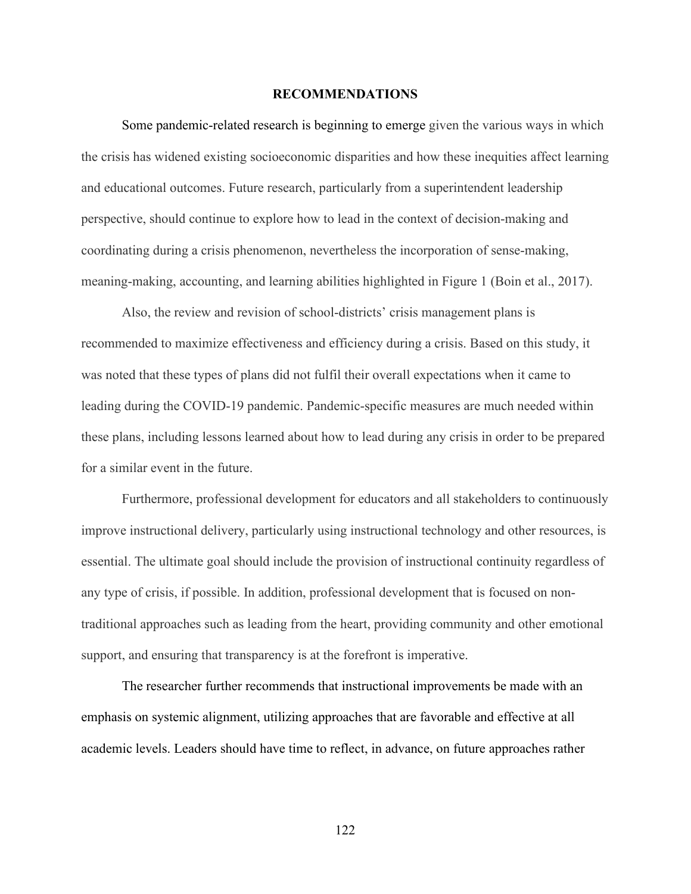## **RECOMMENDATIONS**

Some pandemic-related research is beginning to emerge given the various ways in which the crisis has widened existing socioeconomic disparities and how these inequities affect learning and educational outcomes. Future research, particularly from a superintendent leadership perspective, should continue to explore how to lead in the context of decision-making and coordinating during a crisis phenomenon, nevertheless the incorporation of sense-making, meaning-making, accounting, and learning abilities highlighted in Figure 1 (Boin et al., 2017).

Also, the review and revision of school-districts' crisis management plans is recommended to maximize effectiveness and efficiency during a crisis. Based on this study, it was noted that these types of plans did not fulfil their overall expectations when it came to leading during the COVID-19 pandemic. Pandemic-specific measures are much needed within these plans, including lessons learned about how to lead during any crisis in order to be prepared for a similar event in the future.

Furthermore, professional development for educators and all stakeholders to continuously improve instructional delivery, particularly using instructional technology and other resources, is essential. The ultimate goal should include the provision of instructional continuity regardless of any type of crisis, if possible. In addition, professional development that is focused on nontraditional approaches such as leading from the heart, providing community and other emotional support, and ensuring that transparency is at the forefront is imperative.

The researcher further recommends that instructional improvements be made with an emphasis on systemic alignment, utilizing approaches that are favorable and effective at all academic levels. Leaders should have time to reflect, in advance, on future approaches rather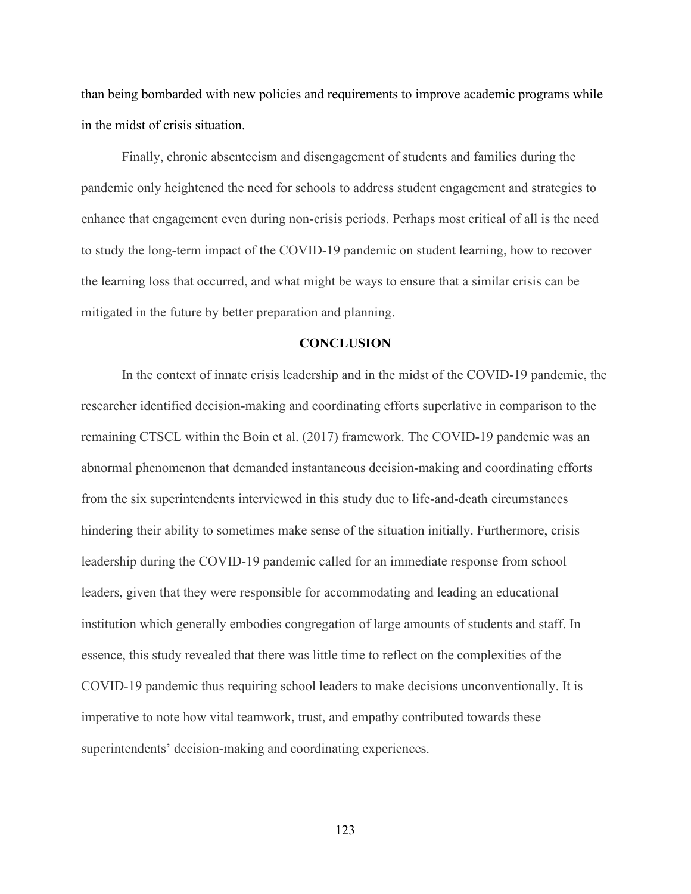than being bombarded with new policies and requirements to improve academic programs while in the midst of crisis situation.

Finally, chronic absenteeism and disengagement of students and families during the pandemic only heightened the need for schools to address student engagement and strategies to enhance that engagement even during non-crisis periods. Perhaps most critical of all is the need to study the long-term impact of the COVID-19 pandemic on student learning, how to recover the learning loss that occurred, and what might be ways to ensure that a similar crisis can be mitigated in the future by better preparation and planning.

#### **CONCLUSION**

In the context of innate crisis leadership and in the midst of the COVID-19 pandemic, the researcher identified decision-making and coordinating efforts superlative in comparison to the remaining CTSCL within the Boin et al. (2017) framework. The COVID-19 pandemic was an abnormal phenomenon that demanded instantaneous decision-making and coordinating efforts from the six superintendents interviewed in this study due to life-and-death circumstances hindering their ability to sometimes make sense of the situation initially. Furthermore, crisis leadership during the COVID-19 pandemic called for an immediate response from school leaders, given that they were responsible for accommodating and leading an educational institution which generally embodies congregation of large amounts of students and staff. In essence, this study revealed that there was little time to reflect on the complexities of the COVID-19 pandemic thus requiring school leaders to make decisions unconventionally. It is imperative to note how vital teamwork, trust, and empathy contributed towards these superintendents' decision-making and coordinating experiences.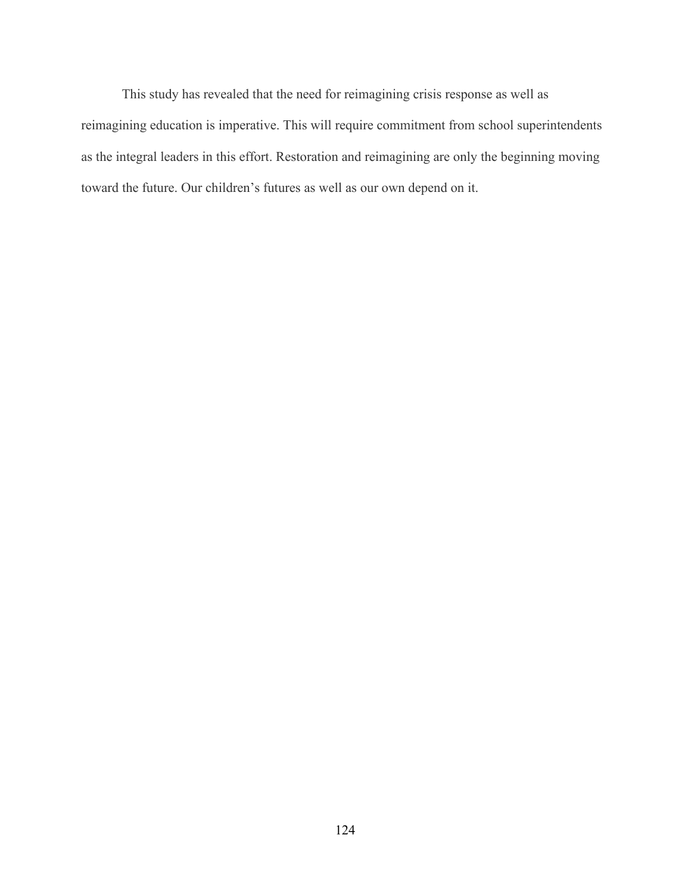This study has revealed that the need for reimagining crisis response as well as reimagining education is imperative. This will require commitment from school superintendents as the integral leaders in this effort. Restoration and reimagining are only the beginning moving toward the future. Our children's futures as well as our own depend on it.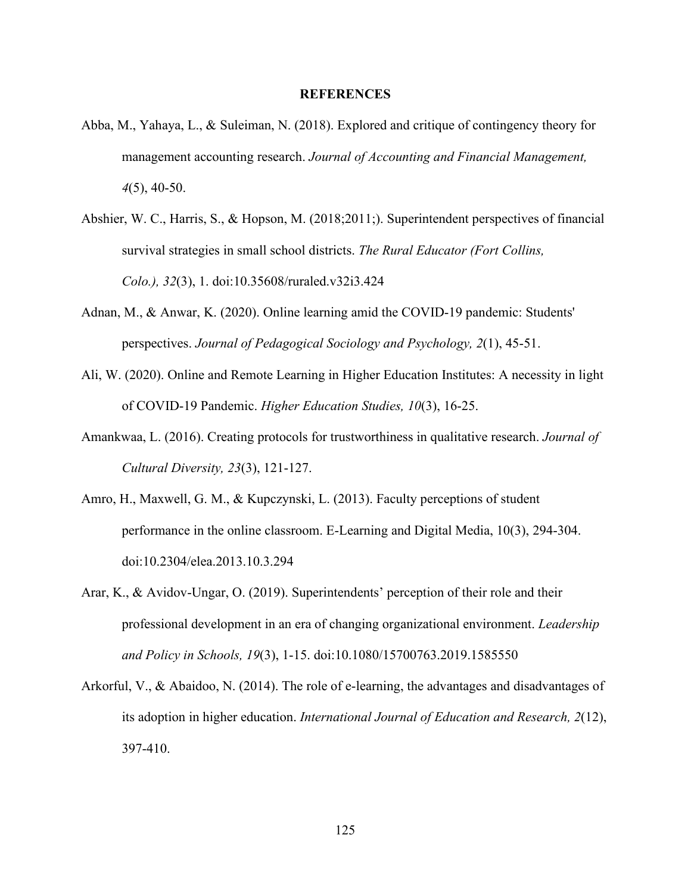## **REFERENCES**

- Abba, M., Yahaya, L., & Suleiman, N. (2018). Explored and critique of contingency theory for management accounting research. *Journal of Accounting and Financial Management, 4*(5), 40-50.
- Abshier, W. C., Harris, S., & Hopson, M. (2018;2011;). Superintendent perspectives of financial survival strategies in small school districts. *The Rural Educator (Fort Collins, Colo.), 32*(3), 1. doi:10.35608/ruraled.v32i3.424
- Adnan, M., & Anwar, K. (2020). Online learning amid the COVID-19 pandemic: Students' perspectives. *Journal of Pedagogical Sociology and Psychology, 2*(1), 45-51.
- Ali, W. (2020). Online and Remote Learning in Higher Education Institutes: A necessity in light of COVID-19 Pandemic. *Higher Education Studies, 10*(3), 16-25.
- Amankwaa, L. (2016). Creating protocols for trustworthiness in qualitative research. *Journal of Cultural Diversity, 23*(3), 121-127.
- Amro, H., Maxwell, G. M., & Kupczynski, L. (2013). Faculty perceptions of student performance in the online classroom. E-Learning and Digital Media, 10(3), 294-304. doi:10.2304/elea.2013.10.3.294
- Arar, K., & Avidov-Ungar, O. (2019). Superintendents' perception of their role and their professional development in an era of changing organizational environment. *Leadership and Policy in Schools, 19*(3), 1-15. doi:10.1080/15700763.2019.1585550
- Arkorful, V., & Abaidoo, N. (2014). The role of e-learning, the advantages and disadvantages of its adoption in higher education. *International Journal of Education and Research, 2*(12), 397-410.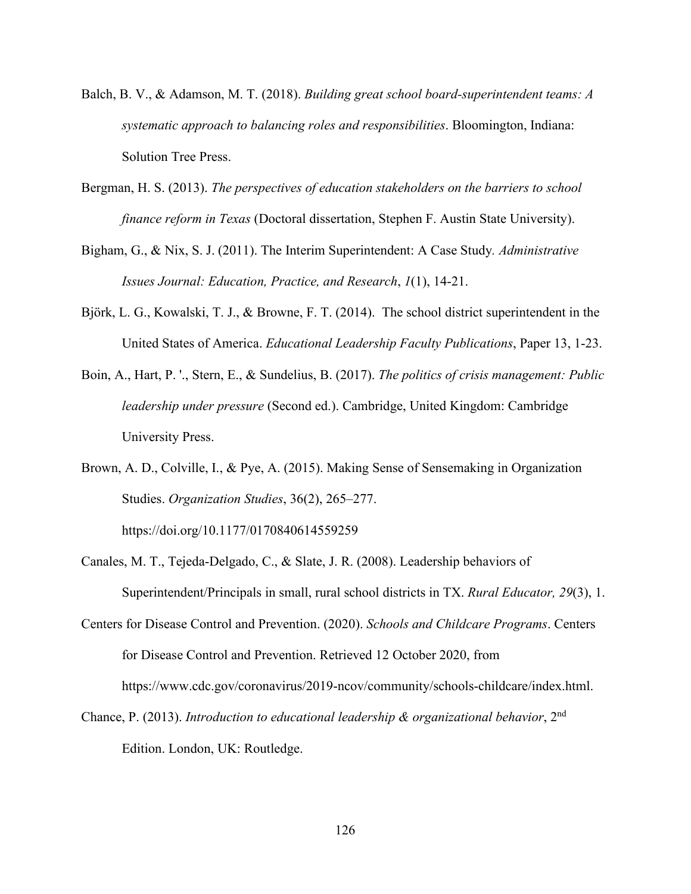- Balch, B. V., & Adamson, M. T. (2018). *Building great school board-superintendent teams: A systematic approach to balancing roles and responsibilities*. Bloomington, Indiana: Solution Tree Press.
- Bergman, H. S. (2013). *The perspectives of education stakeholders on the barriers to school finance reform in Texas* (Doctoral dissertation, Stephen F. Austin State University).
- Bigham, G., & Nix, S. J. (2011). The Interim Superintendent: A Case Study*. Administrative Issues Journal: Education, Practice, and Research*, *1*(1), 14-21.
- Björk, L. G., Kowalski, T. J., & Browne, F. T. (2014). The school district superintendent in the United States of America. *Educational Leadership Faculty Publications*, Paper 13, 1-23.
- Boin, A., Hart, P. '., Stern, E., & Sundelius, B. (2017). *The politics of crisis management: Public leadership under pressure* (Second ed.). Cambridge, United Kingdom: Cambridge University Press.
- Brown, A. D., Colville, I., & Pye, A. (2015). Making Sense of Sensemaking in Organization Studies. *Organization Studies*, 36(2), 265–277.

https://doi.org/10.1177/0170840614559259

- Canales, M. T., Tejeda-Delgado, C., & Slate, J. R. (2008). Leadership behaviors of Superintendent/Principals in small, rural school districts in TX. *Rural Educator, 29*(3), 1.
- Centers for Disease Control and Prevention. (2020). *Schools and Childcare Programs*. Centers for Disease Control and Prevention. Retrieved 12 October 2020, from https://www.cdc.gov/coronavirus/2019-ncov/community/schools-childcare/index.html.
- Chance, P. (2013). *Introduction to educational leadership & organizational behavior*, 2nd Edition. London, UK: Routledge.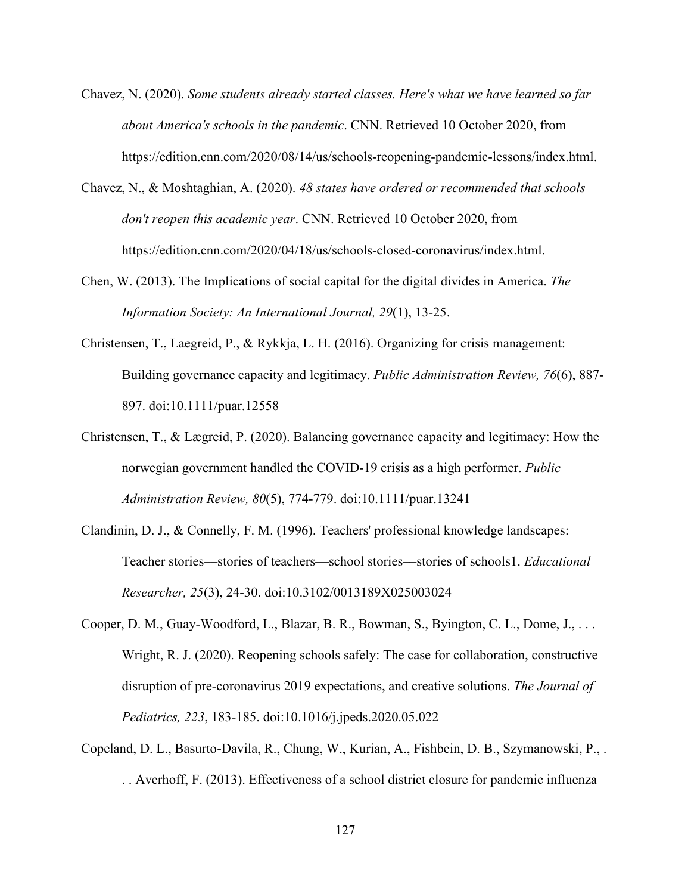- Chavez, N. (2020). *Some students already started classes. Here's what we have learned so far about America's schools in the pandemic*. CNN. Retrieved 10 October 2020, from https://edition.cnn.com/2020/08/14/us/schools-reopening-pandemic-lessons/index.html.
- Chavez, N., & Moshtaghian, A. (2020). *48 states have ordered or recommended that schools don't reopen this academic year*. CNN. Retrieved 10 October 2020, from https://edition.cnn.com/2020/04/18/us/schools-closed-coronavirus/index.html.
- Chen, W. (2013). The Implications of social capital for the digital divides in America. *The Information Society: An International Journal, 29*(1), 13-25.
- Christensen, T., Laegreid, P., & Rykkja, L. H. (2016). Organizing for crisis management: Building governance capacity and legitimacy. *Public Administration Review, 76*(6), 887- 897. doi:10.1111/puar.12558
- Christensen, T., & Lægreid, P. (2020). Balancing governance capacity and legitimacy: How the norwegian government handled the COVID‐19 crisis as a high performer. *Public Administration Review, 80*(5), 774-779. doi:10.1111/puar.13241
- Clandinin, D. J., & Connelly, F. M. (1996). Teachers' professional knowledge landscapes: Teacher stories––stories of teachers––school stories––stories of schools1. *Educational Researcher, 25*(3), 24-30. doi:10.3102/0013189X025003024
- Cooper, D. M., Guay-Woodford, L., Blazar, B. R., Bowman, S., Byington, C. L., Dome, J., . . . Wright, R. J. (2020). Reopening schools safely: The case for collaboration, constructive disruption of pre-coronavirus 2019 expectations, and creative solutions. *The Journal of Pediatrics, 223*, 183-185. doi:10.1016/j.jpeds.2020.05.022
- Copeland, D. L., Basurto-Davila, R., Chung, W., Kurian, A., Fishbein, D. B., Szymanowski, P., . . . Averhoff, F. (2013). Effectiveness of a school district closure for pandemic influenza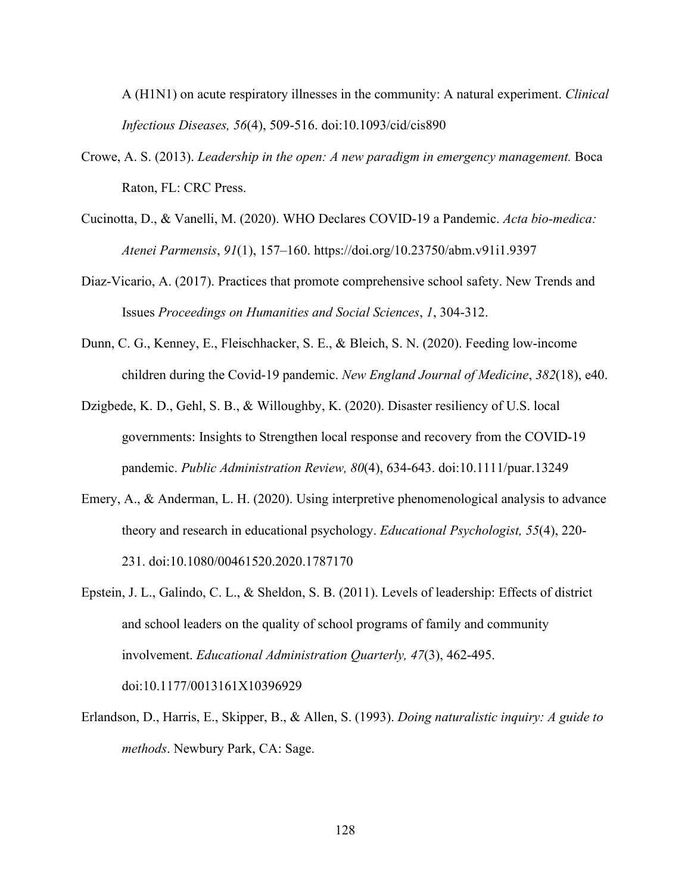A (H1N1) on acute respiratory illnesses in the community: A natural experiment. *Clinical Infectious Diseases, 56*(4), 509-516. doi:10.1093/cid/cis890

- Crowe, A. S. (2013). *Leadership in the open: A new paradigm in emergency management.* Boca Raton, FL: CRC Press.
- Cucinotta, D., & Vanelli, M. (2020). WHO Declares COVID-19 a Pandemic. *Acta bio-medica: Atenei Parmensis*, *91*(1), 157–160. https://doi.org/10.23750/abm.v91i1.9397
- Diaz-Vicario, A. (2017). Practices that promote comprehensive school safety. New Trends and Issues *Proceedings on Humanities and Social Sciences*, *1*, 304-312.
- Dunn, C. G., Kenney, E., Fleischhacker, S. E., & Bleich, S. N. (2020). Feeding low-income children during the Covid-19 pandemic. *New England Journal of Medicine*, *382*(18), e40.
- Dzigbede, K. D., Gehl, S. B., & Willoughby, K. (2020). Disaster resiliency of U.S. local governments: Insights to Strengthen local response and recovery from the COVID‐19 pandemic. *Public Administration Review, 80*(4), 634-643. doi:10.1111/puar.13249
- Emery, A., & Anderman, L. H. (2020). Using interpretive phenomenological analysis to advance theory and research in educational psychology. *Educational Psychologist, 55*(4), 220- 231. doi:10.1080/00461520.2020.1787170
- Epstein, J. L., Galindo, C. L., & Sheldon, S. B. (2011). Levels of leadership: Effects of district and school leaders on the quality of school programs of family and community involvement. *Educational Administration Quarterly, 47*(3), 462-495. doi:10.1177/0013161X10396929
- Erlandson, D., Harris, E., Skipper, B., & Allen, S. (1993). *Doing naturalistic inquiry: A guide to methods*. Newbury Park, CA: Sage.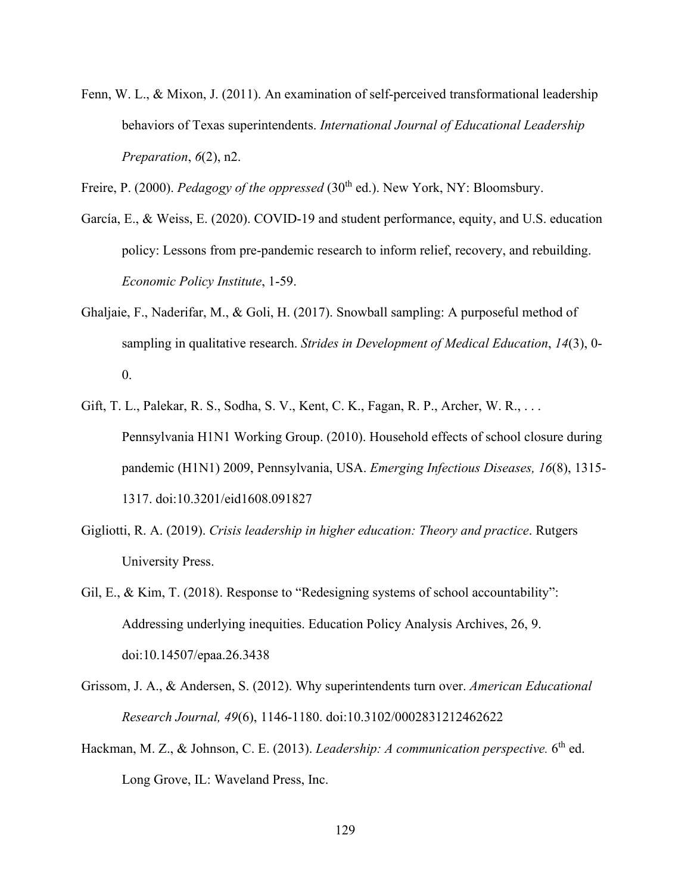Fenn, W. L., & Mixon, J. (2011). An examination of self-perceived transformational leadership behaviors of Texas superintendents. *International Journal of Educational Leadership Preparation*, *6*(2), n2.

Freire, P. (2000). *Pedagogy of the oppressed* (30<sup>th</sup> ed.). New York, NY: Bloomsbury.

- García, E., & Weiss, E. (2020). COVID-19 and student performance, equity, and U.S. education policy: Lessons from pre-pandemic research to inform relief, recovery, and rebuilding. *Economic Policy Institute*, 1-59.
- Ghaljaie, F., Naderifar, M., & Goli, H. (2017). Snowball sampling: A purposeful method of sampling in qualitative research. *Strides in Development of Medical Education*, *14*(3), 0-  $\overline{0}$ .
- Gift, T. L., Palekar, R. S., Sodha, S. V., Kent, C. K., Fagan, R. P., Archer, W. R., . . . Pennsylvania H1N1 Working Group. (2010). Household effects of school closure during pandemic (H1N1) 2009, Pennsylvania, USA. *Emerging Infectious Diseases, 16*(8), 1315- 1317. doi:10.3201/eid1608.091827
- Gigliotti, R. A. (2019). *Crisis leadership in higher education: Theory and practice*. Rutgers University Press.
- Gil, E., & Kim, T. (2018). Response to "Redesigning systems of school accountability": Addressing underlying inequities. Education Policy Analysis Archives, 26, 9. doi:10.14507/epaa.26.3438
- Grissom, J. A., & Andersen, S. (2012). Why superintendents turn over. *American Educational Research Journal, 49*(6), 1146-1180. doi:10.3102/0002831212462622
- Hackman, M. Z., & Johnson, C. E. (2013). *Leadership: A communication perspective.* 6<sup>th</sup> ed. Long Grove, IL: Waveland Press, Inc.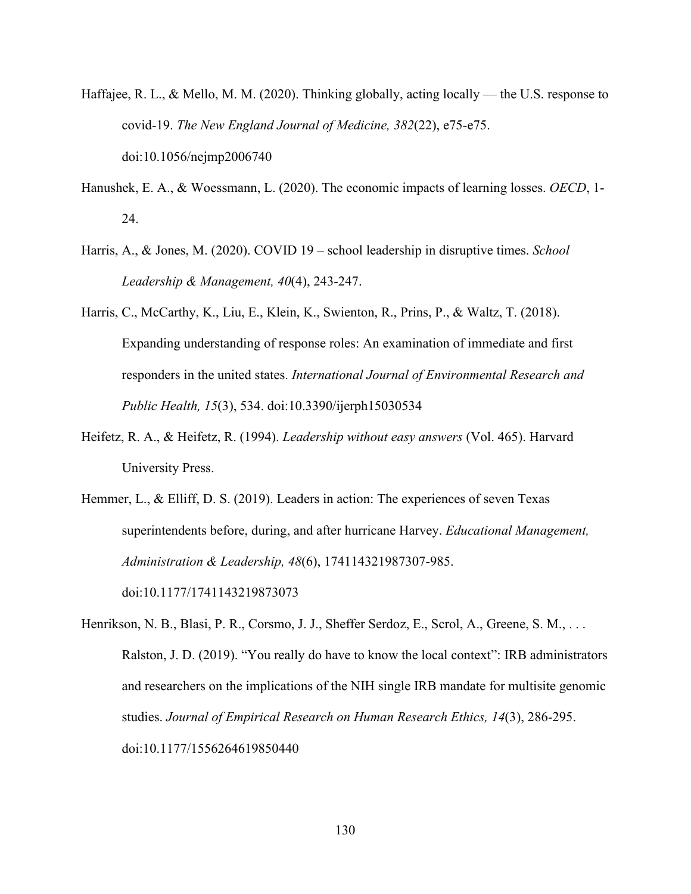- Haffajee, R. L., & Mello, M. M. (2020). Thinking globally, acting locally the U.S. response to covid-19. *The New England Journal of Medicine, 382*(22), e75-e75. doi:10.1056/nejmp2006740
- Hanushek, E. A., & Woessmann, L. (2020). The economic impacts of learning losses. *OECD*, 1- 24.
- Harris, A., & Jones, M. (2020). COVID 19 school leadership in disruptive times. *School Leadership & Management, 40*(4), 243-247.
- Harris, C., McCarthy, K., Liu, E., Klein, K., Swienton, R., Prins, P., & Waltz, T. (2018). Expanding understanding of response roles: An examination of immediate and first responders in the united states. *International Journal of Environmental Research and Public Health, 15*(3), 534. doi:10.3390/ijerph15030534
- Heifetz, R. A., & Heifetz, R. (1994). *Leadership without easy answers* (Vol. 465). Harvard University Press.
- Hemmer, L., & Elliff, D. S. (2019). Leaders in action: The experiences of seven Texas superintendents before, during, and after hurricane Harvey. *Educational Management, Administration & Leadership, 48*(6), 174114321987307-985. doi:10.1177/1741143219873073
- Henrikson, N. B., Blasi, P. R., Corsmo, J. J., Sheffer Serdoz, E., Scrol, A., Greene, S. M., . . . Ralston, J. D. (2019). "You really do have to know the local context": IRB administrators and researchers on the implications of the NIH single IRB mandate for multisite genomic studies. *Journal of Empirical Research on Human Research Ethics, 14*(3), 286-295. doi:10.1177/1556264619850440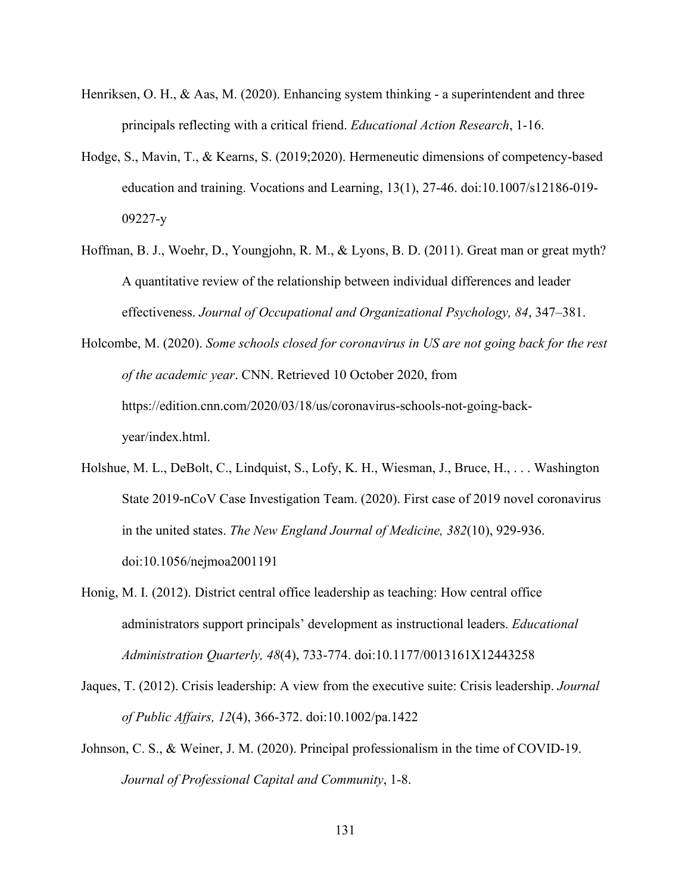- Henriksen, O. H., & Aas, M. (2020). Enhancing system thinking a superintendent and three principals reflecting with a critical friend. *Educational Action Research*, 1-16.
- Hodge, S., Mavin, T., & Kearns, S. (2019;2020). Hermeneutic dimensions of competency-based education and training. Vocations and Learning, 13(1), 27-46. doi:10.1007/s12186-019- 09227-y
- Hoffman, B. J., Woehr, D., Youngjohn, R. M., & Lyons, B. D. (2011). Great man or great myth? A quantitative review of the relationship between individual differences and leader effectiveness. *Journal of Occupational and Organizational Psychology, 84*, 347–381.

Holcombe, M. (2020). *Some schools closed for coronavirus in US are not going back for the rest of the academic year*. CNN. Retrieved 10 October 2020, from https://edition.cnn.com/2020/03/18/us/coronavirus-schools-not-going-backyear/index.html.

- Holshue, M. L., DeBolt, C., Lindquist, S., Lofy, K. H., Wiesman, J., Bruce, H., . . . Washington State 2019-nCoV Case Investigation Team. (2020). First case of 2019 novel coronavirus in the united states. *The New England Journal of Medicine, 382*(10), 929-936. doi:10.1056/nejmoa2001191
- Honig, M. I. (2012). District central office leadership as teaching: How central office administrators support principals' development as instructional leaders. *Educational Administration Quarterly, 48*(4), 733-774. doi:10.1177/0013161X12443258
- Jaques, T. (2012). Crisis leadership: A view from the executive suite: Crisis leadership. *Journal of Public Affairs, 12*(4), 366-372. doi:10.1002/pa.1422
- Johnson, C. S., & Weiner, J. M. (2020). Principal professionalism in the time of COVID-19. *Journal of Professional Capital and Community*, 1-8.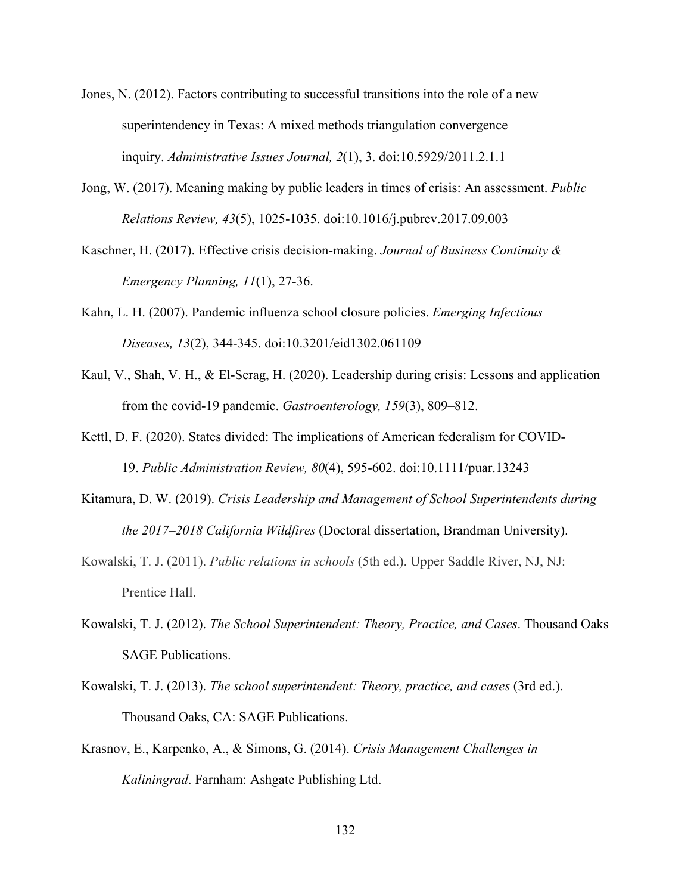- Jones, N. (2012). Factors contributing to successful transitions into the role of a new superintendency in Texas: A mixed methods triangulation convergence inquiry. *Administrative Issues Journal, 2*(1), 3. doi:10.5929/2011.2.1.1
- Jong, W. (2017). Meaning making by public leaders in times of crisis: An assessment. *Public Relations Review, 43*(5), 1025-1035. doi:10.1016/j.pubrev.2017.09.003
- Kaschner, H. (2017). Effective crisis decision-making. *Journal of Business Continuity & Emergency Planning, 11*(1), 27-36.
- Kahn, L. H. (2007). Pandemic influenza school closure policies. *Emerging Infectious Diseases, 13*(2), 344-345. doi:10.3201/eid1302.061109
- Kaul, V., Shah, V. H., & El-Serag, H. (2020). Leadership during crisis: Lessons and application from the covid-19 pandemic. *Gastroenterology, 159*(3), 809–812.
- Kettl, D. F. (2020). States divided: The implications of American federalism for COVID-19. *Public Administration Review, 80*(4), 595-602. doi:10.1111/puar.13243
- Kitamura, D. W. (2019). *Crisis Leadership and Management of School Superintendents during the 2017–2018 California Wildfires* (Doctoral dissertation, Brandman University).
- Kowalski, T. J. (2011). *Public relations in schools* (5th ed.). Upper Saddle River, NJ, NJ: Prentice Hall.
- Kowalski, T. J. (2012). *The School Superintendent: Theory, Practice, and Cases*. Thousand Oaks SAGE Publications.
- Kowalski, T. J. (2013). *The school superintendent: Theory, practice, and cases* (3rd ed.). Thousand Oaks, CA: SAGE Publications.
- Krasnov, E., Karpenko, A., & Simons, G. (2014). *Crisis Management Challenges in Kaliningrad*. Farnham: Ashgate Publishing Ltd.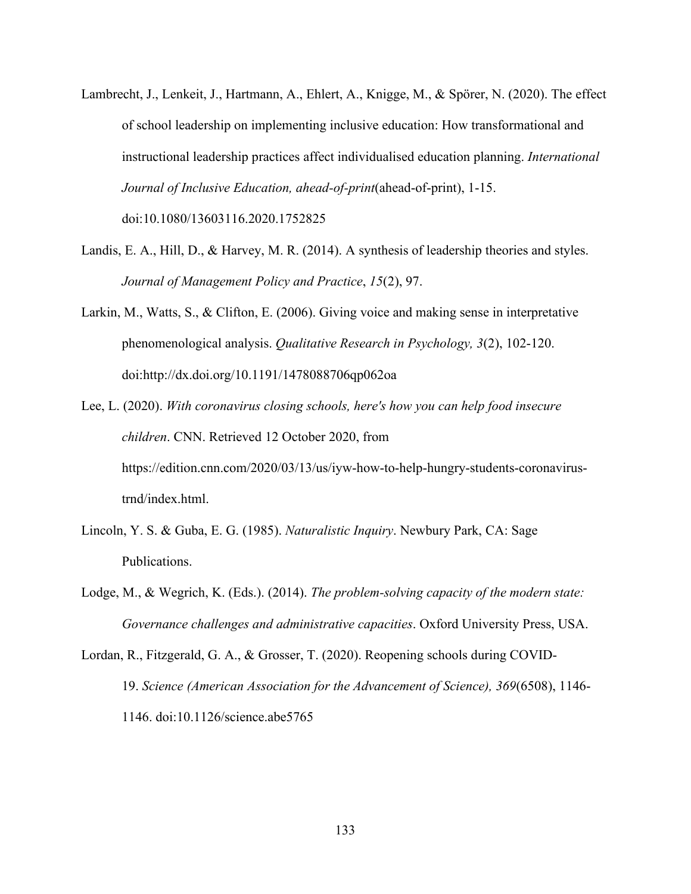Lambrecht, J., Lenkeit, J., Hartmann, A., Ehlert, A., Knigge, M., & Spörer, N. (2020). The effect of school leadership on implementing inclusive education: How transformational and instructional leadership practices affect individualised education planning. *International Journal of Inclusive Education, ahead-of-print*(ahead-of-print), 1-15.

doi:10.1080/13603116.2020.1752825

- Landis, E. A., Hill, D., & Harvey, M. R. (2014). A synthesis of leadership theories and styles. *Journal of Management Policy and Practice*, *15*(2), 97.
- Larkin, M., Watts, S., & Clifton, E. (2006). Giving voice and making sense in interpretative phenomenological analysis. *Qualitative Research in Psychology, 3*(2), 102-120. doi:http://dx.doi.org/10.1191/1478088706qp062oa
- Lee, L. (2020). *With coronavirus closing schools, here's how you can help food insecure children*. CNN. Retrieved 12 October 2020, from https://edition.cnn.com/2020/03/13/us/iyw-how-to-help-hungry-students-coronavirustrnd/index.html.
- Lincoln, Y. S. & Guba, E. G. (1985). *Naturalistic Inquiry*. Newbury Park, CA: Sage Publications.
- Lodge, M., & Wegrich, K. (Eds.). (2014). *The problem-solving capacity of the modern state: Governance challenges and administrative capacities*. Oxford University Press, USA.
- Lordan, R., Fitzgerald, G. A., & Grosser, T. (2020). Reopening schools during COVID-19. *Science (American Association for the Advancement of Science), 369*(6508), 1146- 1146. doi:10.1126/science.abe5765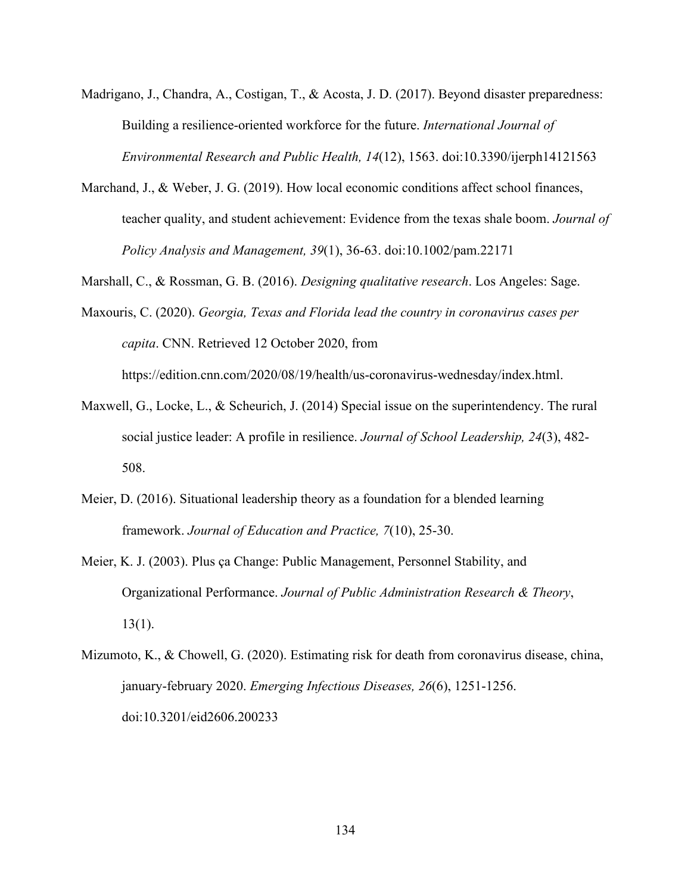- Madrigano, J., Chandra, A., Costigan, T., & Acosta, J. D. (2017). Beyond disaster preparedness: Building a resilience-oriented workforce for the future. *International Journal of Environmental Research and Public Health, 14*(12), 1563. doi:10.3390/ijerph14121563
- Marchand, J., & Weber, J. G. (2019). How local economic conditions affect school finances, teacher quality, and student achievement: Evidence from the texas shale boom. *Journal of Policy Analysis and Management, 39*(1), 36-63. doi:10.1002/pam.22171

Marshall, C., & Rossman, G. B. (2016). *Designing qualitative research*. Los Angeles: Sage.

- Maxouris, C. (2020). *Georgia, Texas and Florida lead the country in coronavirus cases per capita*. CNN. Retrieved 12 October 2020, from https://edition.cnn.com/2020/08/19/health/us-coronavirus-wednesday/index.html.
- Maxwell, G., Locke, L., & Scheurich, J. (2014) Special issue on the superintendency. The rural social justice leader: A profile in resilience. *Journal of School Leadership, 24*(3), 482- 508.
- Meier, D. (2016). Situational leadership theory as a foundation for a blended learning framework. *Journal of Education and Practice, 7*(10), 25-30.
- Meier, K. J. (2003). Plus ça Change: Public Management, Personnel Stability, and Organizational Performance. *Journal of Public Administration Research & Theory*,  $13(1)$ .
- Mizumoto, K., & Chowell, G. (2020). Estimating risk for death from coronavirus disease, china, january-february 2020. *Emerging Infectious Diseases, 26*(6), 1251-1256. doi:10.3201/eid2606.200233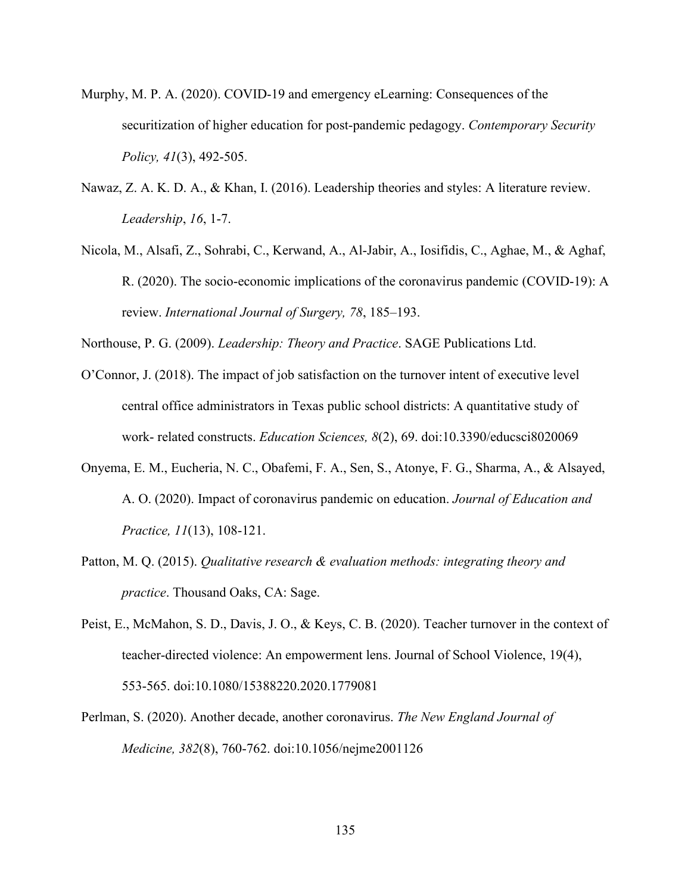- Murphy, M. P. A. (2020). COVID-19 and emergency eLearning: Consequences of the securitization of higher education for post-pandemic pedagogy. *Contemporary Security Policy, 41*(3), 492-505.
- Nawaz, Z. A. K. D. A., & Khan, I. (2016). Leadership theories and styles: A literature review. *Leadership*, *16*, 1-7.
- Nicola, M., Alsafi, Z., Sohrabi, C., Kerwand, A., Al-Jabir, A., Iosifidis, C., Aghae, M., & Aghaf, R. (2020). The socio-economic implications of the coronavirus pandemic (COVID-19): A review. *International Journal of Surgery, 78*, 185–193.

Northouse, P. G. (2009). *Leadership: Theory and Practice*. SAGE Publications Ltd.

- O'Connor, J. (2018). The impact of job satisfaction on the turnover intent of executive level central office administrators in Texas public school districts: A quantitative study of work- related constructs. *Education Sciences, 8*(2), 69. doi:10.3390/educsci8020069
- Onyema, E. M., Eucheria, N. C., Obafemi, F. A., Sen, S., Atonye, F. G., Sharma, A., & Alsayed, A. O. (2020). Impact of coronavirus pandemic on education. *Journal of Education and Practice, 11*(13), 108-121.
- Patton, M. Q. (2015). *Qualitative research & evaluation methods: integrating theory and practice*. Thousand Oaks, CA: Sage.
- Peist, E., McMahon, S. D., Davis, J. O., & Keys, C. B. (2020). Teacher turnover in the context of teacher-directed violence: An empowerment lens. Journal of School Violence, 19(4), 553-565. doi:10.1080/15388220.2020.1779081
- Perlman, S. (2020). Another decade, another coronavirus. *The New England Journal of Medicine, 382*(8), 760-762. doi:10.1056/nejme2001126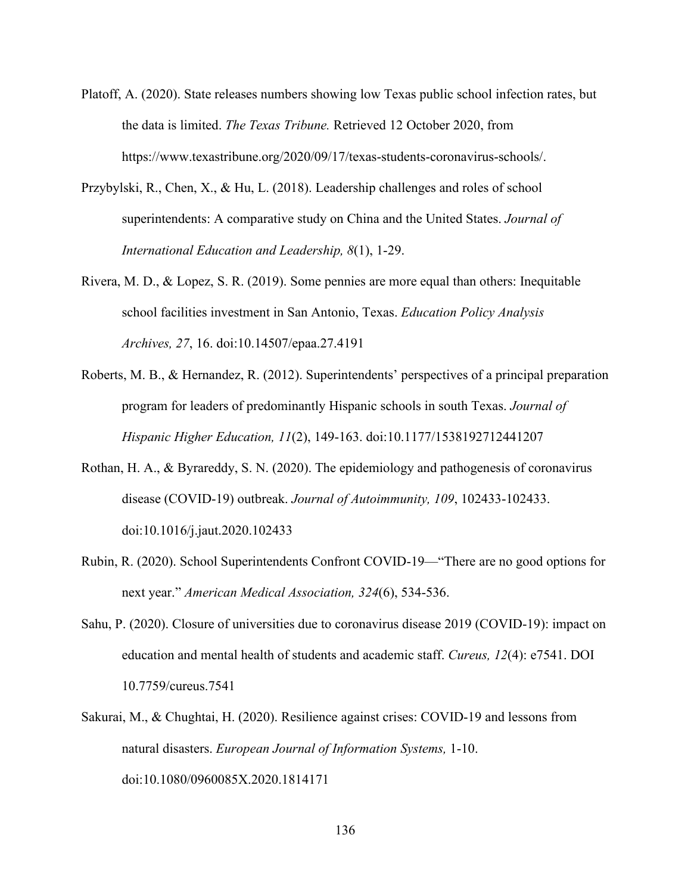- Platoff, A. (2020). State releases numbers showing low Texas public school infection rates, but the data is limited. *The Texas Tribune.* Retrieved 12 October 2020, from https://www.texastribune.org/2020/09/17/texas-students-coronavirus-schools/.
- Przybylski, R., Chen, X., & Hu, L. (2018). Leadership challenges and roles of school superintendents: A comparative study on China and the United States. *Journal of International Education and Leadership, 8*(1), 1-29.
- Rivera, M. D., & Lopez, S. R. (2019). Some pennies are more equal than others: Inequitable school facilities investment in San Antonio, Texas. *Education Policy Analysis Archives, 27*, 16. doi:10.14507/epaa.27.4191
- Roberts, M. B., & Hernandez, R. (2012). Superintendents' perspectives of a principal preparation program for leaders of predominantly Hispanic schools in south Texas. *Journal of Hispanic Higher Education, 11*(2), 149-163. doi:10.1177/1538192712441207
- Rothan, H. A., & Byrareddy, S. N. (2020). The epidemiology and pathogenesis of coronavirus disease (COVID-19) outbreak. *Journal of Autoimmunity, 109*, 102433-102433. doi:10.1016/j.jaut.2020.102433
- Rubin, R. (2020). School Superintendents Confront COVID-19—"There are no good options for next year." *American Medical Association, 324*(6), 534-536.
- Sahu, P. (2020). Closure of universities due to coronavirus disease 2019 (COVID-19): impact on education and mental health of students and academic staff. *Cureus, 12*(4): e7541. DOI 10.7759/cureus.7541
- Sakurai, M., & Chughtai, H. (2020). Resilience against crises: COVID-19 and lessons from natural disasters. *European Journal of Information Systems,* 1-10. doi:10.1080/0960085X.2020.1814171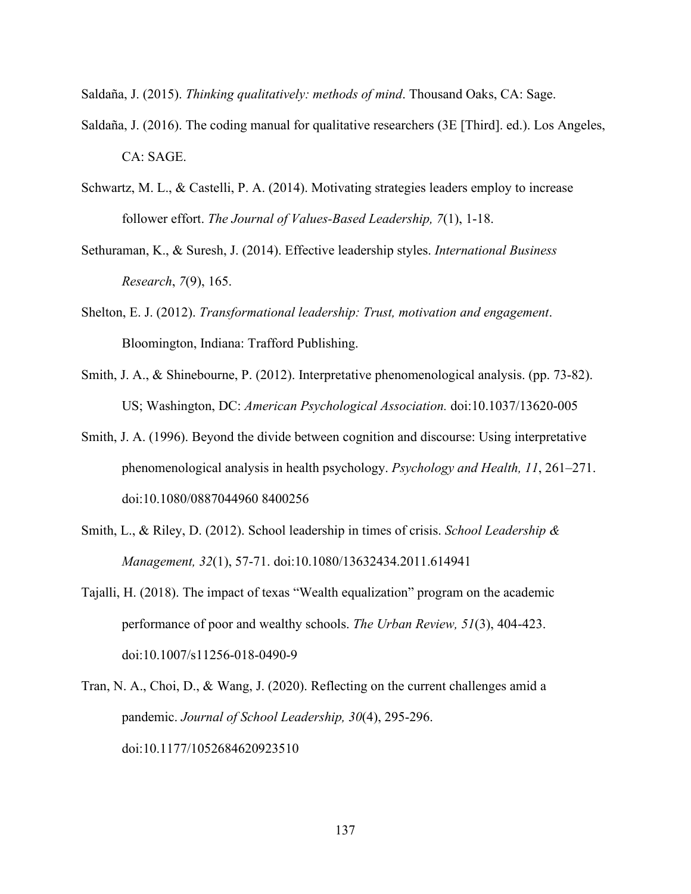Saldaña, J. (2015). *Thinking qualitatively: methods of mind*. Thousand Oaks, CA: Sage.

- Saldaña, J. (2016). The coding manual for qualitative researchers (3E [Third]. ed.). Los Angeles, CA: SAGE.
- Schwartz, M. L., & Castelli, P. A. (2014). Motivating strategies leaders employ to increase follower effort. *The Journal of Values-Based Leadership, 7*(1), 1-18.
- Sethuraman, K., & Suresh, J. (2014). Effective leadership styles. *International Business Research*, *7*(9), 165.
- Shelton, E. J. (2012). *Transformational leadership: Trust, motivation and engagement*. Bloomington, Indiana: Trafford Publishing.
- Smith, J. A., & Shinebourne, P. (2012). Interpretative phenomenological analysis. (pp. 73-82). US; Washington, DC: *American Psychological Association.* doi:10.1037/13620-005
- Smith, J. A. (1996). Beyond the divide between cognition and discourse: Using interpretative phenomenological analysis in health psychology. *Psychology and Health, 11*, 261–271. doi:10.1080/0887044960 8400256
- Smith, L., & Riley, D. (2012). School leadership in times of crisis. *School Leadership & Management, 32*(1), 57-71. doi:10.1080/13632434.2011.614941
- Tajalli, H. (2018). The impact of texas "Wealth equalization" program on the academic performance of poor and wealthy schools. *The Urban Review, 51*(3), 404-423. doi:10.1007/s11256-018-0490-9
- Tran, N. A., Choi, D., & Wang, J. (2020). Reflecting on the current challenges amid a pandemic. *Journal of School Leadership, 30*(4), 295-296. doi:10.1177/1052684620923510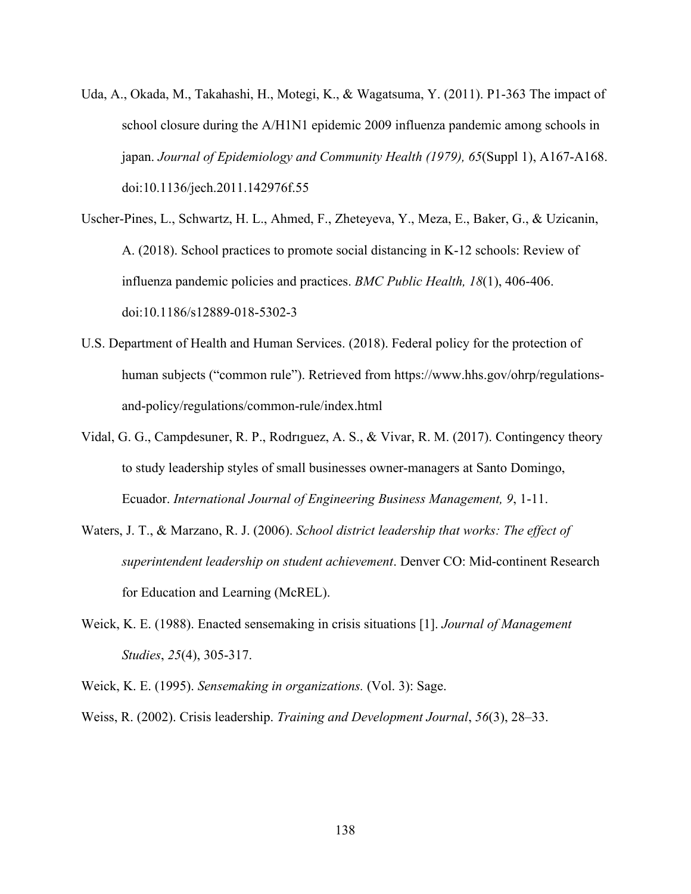- Uda, A., Okada, M., Takahashi, H., Motegi, K., & Wagatsuma, Y. (2011). P1-363 The impact of school closure during the A/H1N1 epidemic 2009 influenza pandemic among schools in japan. *Journal of Epidemiology and Community Health (1979), 65*(Suppl 1), A167-A168. doi:10.1136/jech.2011.142976f.55
- Uscher-Pines, L., Schwartz, H. L., Ahmed, F., Zheteyeva, Y., Meza, E., Baker, G., & Uzicanin, A. (2018). School practices to promote social distancing in K-12 schools: Review of influenza pandemic policies and practices. *BMC Public Health, 18*(1), 406-406. doi:10.1186/s12889-018-5302-3
- U.S. Department of Health and Human Services. (2018). Federal policy for the protection of human subjects ("common rule"). Retrieved from https://www.hhs.gov/ohrp/regulationsand-policy/regulations/common-rule/index.html
- Vidal, G. G., Campdesuner, R. P., Rodrıguez, A. S., & Vivar, R. M. (2017). Contingency theory to study leadership styles of small businesses owner-managers at Santo Domingo, Ecuador. *International Journal of Engineering Business Management, 9*, 1-11.
- Waters, J. T., & Marzano, R. J. (2006). *School district leadership that works: The effect of superintendent leadership on student achievement*. Denver CO: Mid-continent Research for Education and Learning (McREL).
- Weick, K. E. (1988). Enacted sensemaking in crisis situations [1]. *Journal of Management Studies*, *25*(4), 305-317.
- Weick, K. E. (1995). *Sensemaking in organizations.* (Vol. 3): Sage.

Weiss, R. (2002). Crisis leadership. *Training and Development Journal*, *56*(3), 28–33.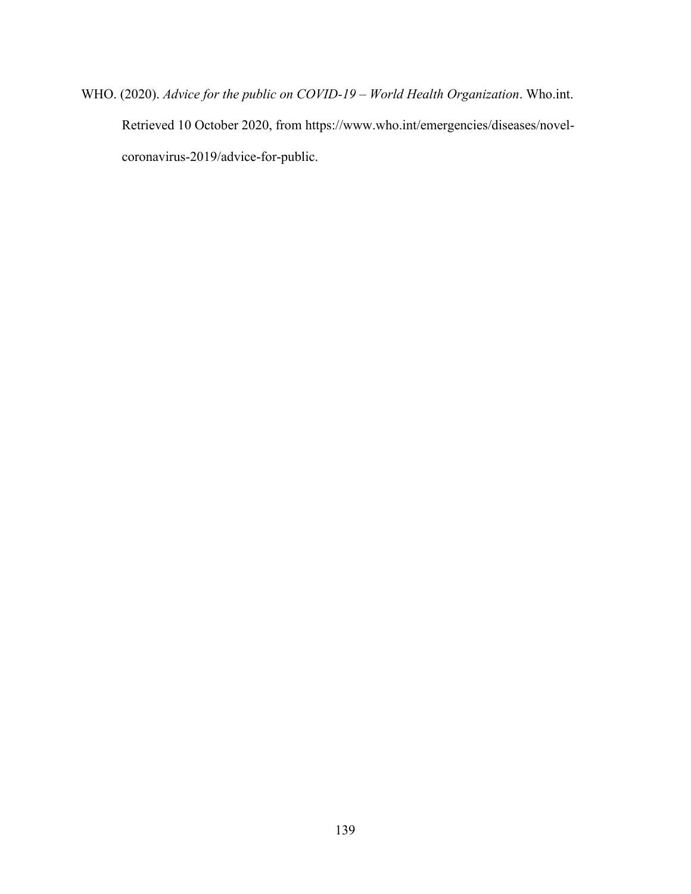WHO. (2020). *Advice for the public on COVID-19 – World Health Organization*. Who.int. Retrieved 10 October 2020, from https://www.who.int/emergencies/diseases/novelcoronavirus-2019/advice-for-public.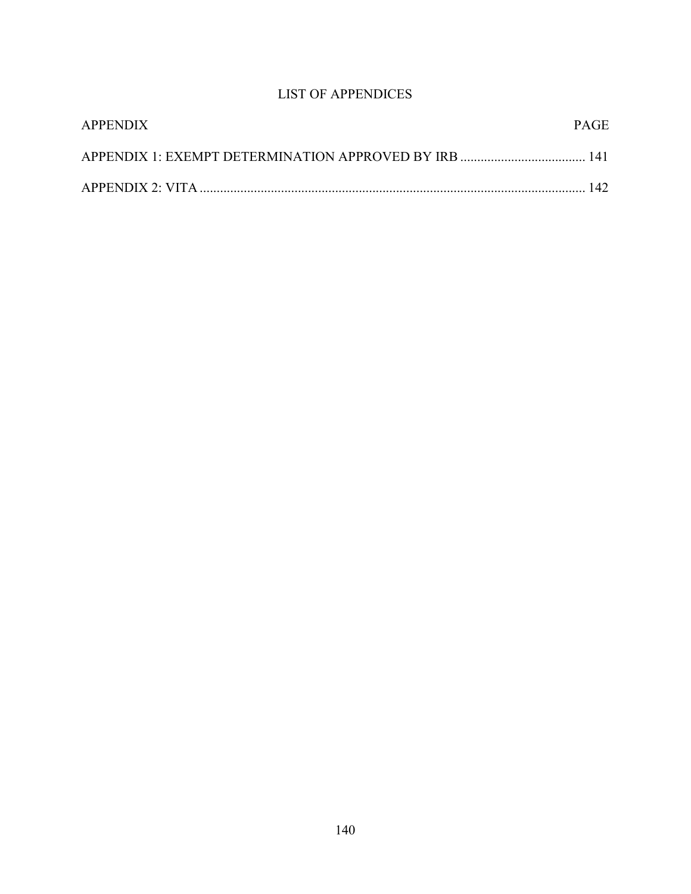## LIST OF APPENDICES

| <b>APPENDIX</b> | PAGE. |
|-----------------|-------|
|                 |       |
|                 |       |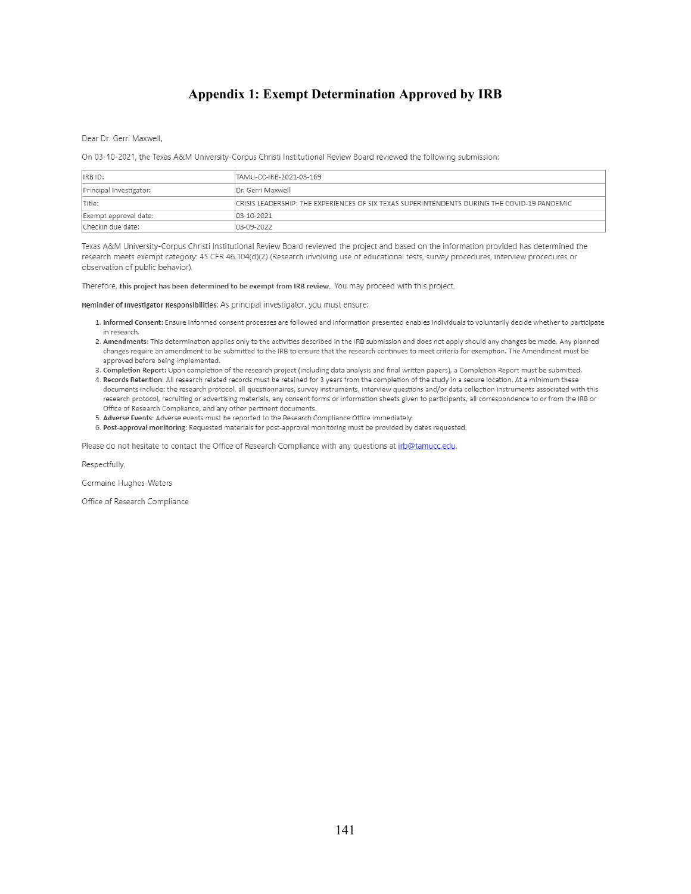## **Appendix 1: Exempt Determination Approved by IRB**

Dear Dr. Gerri Maxwell,

On 03-10-2021, the Texas A&M University-Corpus Christi Institutional Review Board reviewed the following submission:

| IRB ID:                 | TAMU-CC-IRB-2021-03-169                                                                       |
|-------------------------|-----------------------------------------------------------------------------------------------|
| Principal Investigator: | Dr. Gerri Maxwell                                                                             |
| Title:                  | ICRISIS LEADERSHIP: THE EXPERIENCES OF SIX TEXAS SUPERINTENDENTS DURING THE COVID-19 PANDEMIC |
| Exempt approval date:   | 03-10-2021                                                                                    |
| Checkin due date:       | 03-09-2022                                                                                    |

Texas A&M University-Corpus Christi Institutional Review Board reviewed the project and based on the information provided has determined the research meets exempt category: 45 CFR 46.104(d)(2) (Research involving use of educational tests, survey procedures, interview procedures or observation of public behavior).

Therefore, this project has been determined to be exempt from IRB review. You may proceed with this project.

Reminder of Investigator Responsibilities: As principal investigator, you must ensure:

- 1. Informed Consent: Ensure informed consent processes are followed and information presented enables individuals to voluntarily decide whether to participate in research.
- 2. Amendments: This determination applies only to the activities described in the IRB submission and does not apply should any changes be made. Any planned changes require an amendment to be submitted to the IRB to ensure that the research continues to meet criteria for exemption. The Amendment must be approved before being implemented.
- 3. Completion Report: Upon completion of the research project (including data analysis and final written papers), a Completion Report must be submitted.
- 4. Records Retention: All research related records must be retained for 3 years from the completion of the study in a secure location. At a minimum these documents include: the research protocol, all questionnaires, survey instruments, interview questions and/or data collection instruments associated with this research protocol, recruiting or advertising materials, any consent forms or information sheets given to participants, all correspondence to or from the IRB or Office of Research Compliance, and any other pertinent documents.
- 5. Adverse Events: Adverse events must be reported to the Research Compliance Office immediately.
- 6. Post-approval monitoring: Requested materials for post-approval monitoring must be provided by dates requested.

Please do not hesitate to contact the Office of Research Compliance with any questions at irb@tamucc.edu.

Respectfully,

Germaine Hughes-Waters

Office of Research Compliance